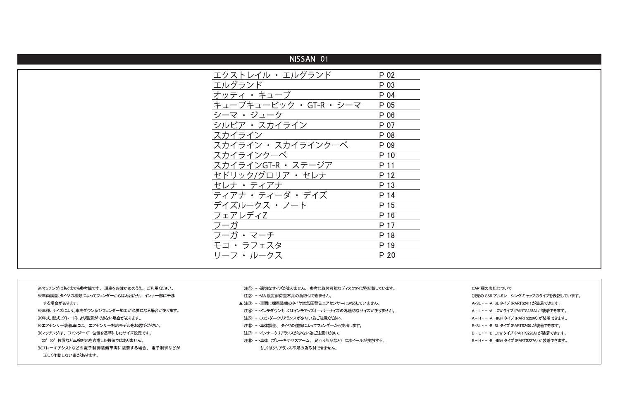| NISSAN 01               |      |
|-------------------------|------|
| エクストレイル ・ エルグランド        | P 02 |
| エルグランド                  | P 03 |
| オッティ・キューブ               | P 04 |
| キューブキュービック · GT-R · シーマ | P 05 |
| シーマ・ジューク                | P 06 |
| シルビア ・ スカイライン           | P 07 |
| スカイライン                  | P 08 |
| スカイライン ・ スカイラインクーペ      | P 09 |
| スカイラインクーペ               | P 10 |
| スカイラインGT-R ・ ステージア      | P 11 |
| セドリック/グロリア・セレナ          | P 12 |
| セレナ・ティアナ                | P 13 |
| ティアナ・ティーダ・デイズ           | P 14 |
| デイズルークス・ノート             | P 15 |
| フェアレディZ                 | P 16 |
| フーガ                     | P 17 |
| フーガ・マーチ                 | P 18 |
| モコ ・ ラフェスタ              | P 19 |
| リーフ ・ ルークス              | P 20 |

※マッチングはあくまでも参考値です。現車をお確かめのうえ、ご利用ください。 ※車両誤差、タイヤの種類によってフェンダーからはみ出たり、インナー部に干渉 する場合があります。 ※車種、サイズにより、車高ダウン及びフェンダー加工が必要になる場合があります。 ※年式、型式、グレードにより装着ができない場合があります。 ※エアセンサー装着車には、エアセンサー対応モデルをお選びください。 ※マッチングは、フェンダー0°位置を基準にしたサイズ設定です。 30° 50° 位置など車検対応を考慮した数値ではありません。 ※ブレーキアシストなどの電子制御装備車両に装着する場合、電子制御などが 正しく作動しない事があります。

- 注①……適切なサイズがありません、参考に取付可能なディスクタイプを記載しています。 注2……VIA限定耐荷重不足の為取付できません。
- ▲注3……車両に標準装備のタイヤ空気圧警告エアセンサーに対応していません。
- 注4……インチダウンもしくはインチアップオーバーサイズの為適切なサイズがありません。
- 注5……フェンダークリアランスが少ない為ご注意ください。
- 注⑥……車体誤差、タイヤの種類によってフェンダーから突出します。
- 注⑦……インナークリアランスが少ない為ご注意ください。
- 注8……車体 (ブレーキやサスアーム、足回り部品など)にホイールが接触する、 もしくはクリアランス不足の為取付できません。
- CAP 欄の表記について
- 別売の SSR アルミレーシングキャップのタイプを表記しています。 A-SL ……A SL タイプ (PARTS241) が装着できます。 A-L ……A LOW タイプ (PARTS228A) が装着できます。 A-H……A HIGH タイプ (PARTS229A) が装着できます。 B-SL ……B SL タイプ (PARTS240) が装着できます。 B-L ……B LOW タイプ (PARTS226A) が装着できます。 B-H……B HIGH タイプ (PARTS227A) が装着できます。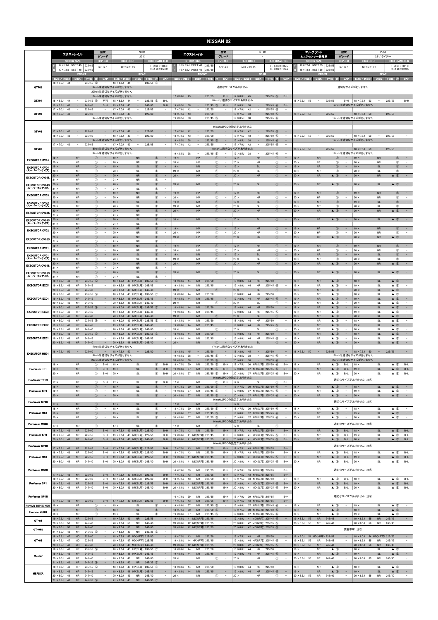|                                      | <b>NISSAN 02</b>                                                              |                                                                  |                                                                                        |                                                               |                                                                 |                                                                                     |                                           |                                                            |                                |                                   |                                                                           |                                     |                                               |                                                             |                                                   |                          |                                  |                                                      |                                                   |                                                    |                                                      |                                                      |
|--------------------------------------|-------------------------------------------------------------------------------|------------------------------------------------------------------|----------------------------------------------------------------------------------------|---------------------------------------------------------------|-----------------------------------------------------------------|-------------------------------------------------------------------------------------|-------------------------------------------|------------------------------------------------------------|--------------------------------|-----------------------------------|---------------------------------------------------------------------------|-------------------------------------|-----------------------------------------------|-------------------------------------------------------------|---------------------------------------------------|--------------------------|----------------------------------|------------------------------------------------------|---------------------------------------------------|----------------------------------------------------|------------------------------------------------------|------------------------------------------------------|
|                                      | エクストレイル                                                                       |                                                                  | 型式                                                                                     |                                                               | NT32                                                            |                                                                                     |                                           | エクストレイル                                                    |                                | 전式                                |                                                                           | NT30                                |                                               |                                                             |                                                   | エルグランド                   |                                  | 型式                                                   |                                                   | <b>PE52</b>                                        |                                                      |                                                      |
|                                      | <b>STOCK SIZE</b>                                                             |                                                                  | グレード<br>$H/P$ .C.D                                                                     |                                                               | 20 X<br><b>HUB BOLT</b>                                         | <b>HUB DIAMETER</b>                                                                 |                                           | <b>STOCK SIZE</b>                                          |                                | グレード<br>$H/P$ .C.D                | <b>HUB BOLT</b>                                                           |                                     | <b>HUB DIAMETER</b>                           |                                                             | ▲エアセンサー装着車<br><b>STOCK SIZE</b>                   |                          |                                  | グレード<br>$H/P$ .C.D                                   | <b>HUB BOLT</b>                                   | 3.5 / ライダー                                         | <b>HUB DIAMETER</b>                                  |                                                      |
|                                      | 17 × 7.0J INSET 45<br>17 × 7.0J INSET 45                                      | 225/6<br>225/65                                                  | 5/114.3                                                                                |                                                               | $M12 \times P1.25$                                              | $F: 666 \times H38.0$<br>$R: \phi$ 66 $\times$ H23.0                                |                                           | 16 × 6.5J INSET 40<br>16×6.5J INSET 40                     | 215/6<br>215/6                 | 5/114.3                           | $M12 \times P1.25$                                                        |                                     | $F: 666 \times H35.5$<br>$R: \phi$ 66 × H25.5 |                                                             | 18×7.5J INSET 55<br>18 × 7.5J INSET 55            |                          | 225/5<br>225/5                   | 5/114.3                                              | $M12 \times P1.25$                                |                                                    | $F: 666 \times H31.0$<br>$R: \phi$ 66 $\times$ H10.5 |                                                      |
|                                      | SIZE / INSET                                                                  | FRONT<br><b>DISK</b><br><b>TYRE</b>                              | CAP                                                                                    | SIZE / INSET                                                  | REAR<br><b>DISK</b>                                             | CAP<br><b>TYRE</b><br>m                                                             | <b>SIZE / INSET</b>                       | <b>DISK</b>                                                | FRON<br>TYRE 注                 | CAP                               | SIZE / INSET                                                              | REAR<br>DISK TYRE                   | BB.                                           | CAP                                                         | SIZE / INSET                                      | FRON                     | DISK TYRE 注                      | CAP                                                  | SIZE / INSET                                      | <b>REAR</b><br>DISK TYRE                           | 医细                                                   | CAP                                                  |
| GTF01                                | $18 \times 8.5$ J<br>44                                                       | $235/55$ (6)                                                     | $-$<br>19inchは適切なサイズがありません                                                             | $18 \times 8.5J$                                              | -44                                                             | $235/55$ 6                                                                          |                                           |                                                            |                                |                                   | 適切なサイズがありません                                                              |                                     |                                               |                                                             |                                                   |                          |                                  |                                                      | 適切なサイズがありません                                      |                                                    |                                                      |                                                      |
|                                      |                                                                               |                                                                  | 20inchは適切なサイズがありません<br>17inchは適切なサイズがありません                                             |                                                               |                                                                 |                                                                                     | $17 \times 8.0$ J 45                      | $\sim$                                                     | 225/55                         | $B-H$                             | $17 \times 8.0$ J 45                                                      | $\sim$                              | $225/55$ (5)                                  | $B-H$                                                       |                                                   |                          |                                  |                                                      |                                                   |                                                    |                                                      |                                                      |
| GTX01                                | $18 \times 8.5$ J<br>44<br>$19 \times 8.5$ J<br>45                            | 235/55<br>$\sim$<br>245/45                                       | 不可<br>6<br>$B-H$                                                                       | $18 \times 8.5$ J<br>$19 \times 8.5$ J                        | 44<br>$\overline{\phantom{a}}$                                  | $235/55$ (6)<br>$B-L$<br>245/45<br>$B-H$                                            | $19 \times 8.5$ J                         | 38<br>$\overline{\phantom{a}}$                             | $225/45$ (5)                   | $B-H$                             | 18inchは適切なサイズがありません<br>$19 \times 8.5$ J<br>38                            |                                     | $225/45$ (6)                                  | $B-H$                                                       | $18 \times 7.5J$<br>53                            | $\overline{\phantom{a}}$ | 225/55                           | $B-H$                                                | $18 \times 7.5$ J<br>53<br>19inchは適切なサイズがありません    |                                                    | 225/55                                               | $B-H$                                                |
| GTV03                                | $17 \times 7.0$ J<br>42<br>$18 \times 7.5$ J 43                               | 225/65<br>225/60<br>$\qquad \qquad -$                            | $\sim$                                                                                 | $17 \times 7.0$ J<br>$18 \times 7.5$ J                        | 42<br>43<br>$\overline{\phantom{a}}$                            | 225/65<br>225/60<br>$\qquad \qquad -$                                               | $17 \times 7.0$ J<br>$18 \times 7.5$ J    | 42<br>43<br>$\hspace{1.0cm} - \hspace{1.0cm}$              | 225/55<br>225/50               |                                   | $17 \times 7.0$ J<br>42<br>$18 \times 7.5$ J<br>43                        | $\overline{\phantom{a}}$            | $225/55$ (5)<br>$225/50$ (5)                  | $\overline{\phantom{a}}$                                    | $18 \times 7.5$ J 53                              | $\qquad \qquad -$        | 225/55                           | н.                                                   | $18 \times 7.5$ J<br>53                           | $\sim$                                             | 225/55                                               | $\sim$                                               |
|                                      |                                                                               |                                                                  | 19inchは適切なサイズがありません                                                                    |                                                               |                                                                 |                                                                                     | $19 \times 8.5$ J                         | 38                                                         | $225/45$ (5)                   |                                   | $19 \times 8.5$ J<br>38                                                   |                                     | $225/45$ 6                                    |                                                             |                                                   |                          |                                  |                                                      | 19inchは適切なサイズがありません                               |                                                    |                                                      |                                                      |
| GTV02                                | $17 \times 7.0$ J<br>42                                                       | $\overline{\phantom{a}}$<br>225/65                               |                                                                                        | $17 \times 7.0$ J                                             | 42                                                              | 225/65                                                                              | $17 \times 7.0$ J                         | 42<br>$\equiv$                                             | 225/55                         |                                   | 16inchはPCDの設定がありません<br>$17 \times 7.0$ J<br>42                            | $\overline{\phantom{a}}$            | $225/55$ (5)                                  |                                                             |                                                   |                          |                                  |                                                      |                                                   |                                                    |                                                      |                                                      |
|                                      | $18 \times 7.5$ J<br>43                                                       | 225/60<br>$\overline{\phantom{a}}$                               | $\sim$<br>19inchは適切なサイズがありません                                                          | $18 \times 7.5J$                                              | 43<br>$\sim$                                                    | 225/60<br>$\sim$                                                                    | $18 \times 7.5$ J                         | 43<br>$\overline{\phantom{a}}$                             | 225/50                         | $\overline{\phantom{a}}$          | $18 \times 7.5$ J<br>43                                                   | $\overline{\phantom{a}}$            | $225/50$ (5)                                  | $\overline{\phantom{a}}$                                    | $18 \times 7.5$ J 53                              | $\sim$                   | 225/55                           | $\sim$                                               | $18 \times 7.5$ J<br>53<br>19inchは適切なサイズがありません    | $\overline{\phantom{a}}$                           | 225/55                                               | $\overline{\phantom{a}}$                             |
| GTV01                                | $17 \times 7.0$ J<br>42                                                       | 225/65<br>$\qquad \qquad -$                                      | $\sim$<br>18inchは適切なサイズがありません                                                          | $17 \times 7.0$ J                                             | 42                                                              | 225/65<br>$\qquad \qquad -$                                                         | $19 \times 8.5$ J<br>$17 \times 7.0$ J    | 38<br>42<br>$\qquad \qquad -$                              | 225/45<br>$\sqrt{5}$<br>225/55 | $\sim$                            | $19 \times 8.5$ J<br>38<br>$17 \times 7.0$ J<br>42<br>18inchは適切なサイズがありません | $\overline{\phantom{a}}$            | $225/45$ (6)<br>$225/55$ 5                    | $\overline{\phantom{a}}$                                    |                                                   |                          |                                  |                                                      |                                                   |                                                    |                                                      |                                                      |
|                                      |                                                                               |                                                                  | 19inchは適切なサイズがありません                                                                    |                                                               |                                                                 |                                                                                     | $19 \times 8.5$ J                         | - 38                                                       | $225/45$ (5)                   | $\overline{\phantom{a}}$          | $19 \times 8.5$ J<br>38                                                   | $\sim$                              | $225/45$ (6)                                  | $\qquad \qquad -$                                           | $18 \times 7.5$ J 53                              | $\sim$ $-$               | 225/55                           | ۰                                                    | $18 \times 7.5$ J<br>53<br>19inchは適切なサイズがありません    | $\sim$                                             | 225/55                                               | $\sim$                                               |
| <b>EXECUTOR CV04</b>                 | $19 \times$<br>$20 \times$                                                    | HP<br>HP                                                         | (1)<br>$\overline{\phantom{a}}$<br>$^\circledR$                                        | $19 \times$<br>$20 \times$                                    | <b>NR</b><br><b>NR</b>                                          | $\circled{1}$<br>$\equiv$<br>$^{\circ}$                                             | $19 \times$<br>$20 \times$                | HP<br>HP                                                   | (1)<br>$^{\circ}$              |                                   | $19 \times$<br>$20 \times$                                                | <b>NR</b><br><b>NR</b>              | $\circled{0}$<br>$\circled{1}$                | $\sim$<br>$\overline{\phantom{a}}$                          | $19 \times$<br>$20 \times$                        | <b>NR</b><br><b>NR</b>   | <b>T</b><br>$\circled$           |                                                      | $19 \times$<br>$20 \times$                        | ${\sf NR}$<br>NR                                   | $\circled{1}$<br>$\circled{1}$                       | $\sim$<br>$\overline{\phantom{a}}$                   |
| <b>EXECUTOR CV04</b><br>(スーパーコンケイブ)  | $19 \times$<br>$20 \times$                                                    | <b>NR</b><br><b>NR</b>                                           | $\circled{0}$<br>$\overline{\phantom{a}}$<br>$^{\circ}$<br>$\sim$                      | $19 \times$<br>$20 \times$                                    | <b>SL</b><br><b>SL</b>                                          | $\circled{0}$<br>$\overline{\phantom{a}}$<br>$^{\circ}$<br>$\overline{\phantom{a}}$ | $19 \times$<br>$20 \times$                | <b>NR</b><br>NF                                            | $\circled{0}$<br>$\circled{1}$ | $\overline{\phantom{a}}$          | $19 \times$<br>$20 \times$                                                | <b>SL</b><br><b>SL</b>              | $\circled{0}$<br>$\circled{1}$                | $\sim$<br>$\overline{\phantom{a}}$                          | $19 \times$<br>$20 \times$                        | NR<br><b>NR</b>          | $\circled{0}$<br>$^{\circ}$      | $\sim$                                               | $19 \times$<br>$20 \times$                        | <b>SL</b><br><b>SL</b>                             | $\circled{0}$<br>$\circled{1}$                       | $\sim$<br>$\overline{\phantom{a}}$                   |
| <b>EXECUTOR CV04S</b>                | $20 \times$<br>$21 \times$                                                    | HP<br>HP                                                         | $^{\circ}$<br>$\overline{\phantom{a}}$<br>$^{\circ}$<br>$\overline{\phantom{a}}$       | $20 \times$<br>$21 \times$                                    | <b>NR</b><br>NR                                                 | $\circled{0}$<br>$\overline{\phantom{a}}$<br>$^{\circ}$<br>$\overline{\phantom{a}}$ | $20 \times$                               | HP                                                         | $\circled{1}$                  | $\equiv$                          | $20 \times$                                                               | <b>NR</b>                           | $\circled{1}$                                 | $\overline{\phantom{a}}$                                    | $20 \times$                                       | <b>NR</b>                | $\triangle$ 3                    | $\overline{\phantom{a}}$                             | $20 \times$                                       | <b>NR</b>                                          | $\triangle$ 3                                        | $\sim$                                               |
| <b>EXECUTOR CV04S</b><br>(スーパーコンケイブ) | $20 \times$<br>$21 \times$                                                    | $\sf NR$<br><b>NR</b>                                            | $\circled{0}$<br>$\overline{\phantom{a}}$<br>$^{\circ}$<br>$\overline{\phantom{a}}$    | $20 \times$<br>$21 \times$                                    | <b>SL</b><br>SL                                                 | $\circledcirc$<br>$\equiv$<br>$^{\circ}$<br>$\qquad \qquad -$                       | $20 \times$                               | <b>NR</b>                                                  | $\circled{1}$                  |                                   | $20 \times$                                                               | <b>SL</b>                           | $\circled{0}$                                 | $\qquad \qquad -$                                           | $20 \times$                                       | <b>NR</b>                | $\triangle$ (3)                  |                                                      | $20 \times$                                       | SL                                                 | $\triangle$ 3                                        | $\sim$                                               |
| <b>EXECUTOR CV03</b>                 | $19 \times$<br>$20 \times$                                                    | HP<br>HP                                                         | $^\circledR$<br>$\circled{0}$                                                          | $19 \times$<br>$20 \times$                                    | ${\sf NR}$<br><b>NR</b>                                         | $^{\circledR}$<br>$\hspace{1.0cm} - \hspace{1.0cm}$<br>$\circled{0}$                | $19 \times$<br>$20 \times$                | HP<br>HP                                                   | $\circled{1}$<br>$\circled{1}$ |                                   | $19 \times$<br>$20 \times$                                                | <b>NR</b><br><b>NR</b>              | $^{\circ}$<br>$\circled{0}$                   | $\overline{\phantom{m}}$                                    | $19 \times$<br>$20 \times$                        | <b>NR</b><br>HP          | $\circled{1}$<br>$\circled{1}$   |                                                      | $19 \times$<br>$20 \times$                        | ${\sf NR}$<br><b>NR</b>                            | $^{\circ}$<br>$\circled{1}$                          | $\overline{\phantom{a}}$<br>$\overline{\phantom{a}}$ |
| <b>EXECUTOR CV03</b><br>(スーパーコンケイブ)  | $19 \times$<br>$20 \times$                                                    | <b>NR</b><br><b>NR</b>                                           | $\circled{1}$<br>$\circled{1}$                                                         | $19 \times$<br>$20 \times$                                    | <b>SL</b><br>SL                                                 | $\circled{0}$<br>$\circled$                                                         | $19 \times$<br>$20 \times$                | <b>NR</b><br><b>NR</b>                                     | $\circled{1}$<br>$\circled{1}$ |                                   | $19 \times$<br>$20 \times$                                                | <b>SL</b><br><b>SL</b>              | $\circledcirc$<br>$\circled{1}$               | $\sim$                                                      | $19 \times$<br>$20 \times$                        | NR<br><b>NR</b>          | $\circled{0}$<br>$\circled{1}$   |                                                      | $19 \times$<br>$20 \times$                        | <b>SL</b><br><b>SL</b>                             | $^{\circ}$<br>$\circled{1}$                          | $\sim$                                               |
| <b>EXECUTOR CV03S</b>                | $20 \times$<br>$21 \times$                                                    | HP<br>HP                                                         | $\circled{0}$<br>$\overline{\phantom{a}}$<br>$\circled{1}$<br>$\overline{\phantom{a}}$ | $20 \times$<br>$21 \times$                                    | <b>NR</b><br><b>NR</b>                                          | $\circled{0}$<br>$\equiv$<br>$\circled{1}$<br>$\overline{\phantom{a}}$              | $20 \times$                               | HP                                                         | (1)                            |                                   | $20 \times$                                                               | <b>NR</b>                           | $\circled{0}$                                 | $\overline{\phantom{a}}$                                    | $20 \times$                                       | <b>NR</b>                | $\triangle$ 3                    | $\equiv$                                             | $20 \times$                                       | <b>NR</b>                                          | $\triangle$ 3                                        | $\sim$                                               |
| <b>EXECUTOR CV03S</b><br>(スーパーコンケイブ) | $20 \times$<br>$21 \times$                                                    | <b>NR</b><br><b>NR</b>                                           | $\circled{0}$<br>$\sim$<br>$^{\circ}$<br>$\overline{\phantom{a}}$                      | $20 \times$<br>$21 \times$                                    | <b>SL</b><br>SL                                                 | $\circled{0}$<br>$\sim$<br>$^{\circ}$<br>$\qquad \qquad -$                          | $20 \times$                               | <b>NR</b>                                                  | $\circled{1}$                  |                                   | $20 \times$                                                               | <b>SL</b>                           | $\circled{1}$                                 | $\overline{a}$                                              | $20 \times$                                       | <b>NR</b>                | $\triangle$ 3                    |                                                      | $20 \times$                                       | SL                                                 | $\triangle$ 3                                        | $\sim$                                               |
| <b>EXECUTOR CV02</b>                 | $19 \times$<br>$20 \times$                                                    | <b>HP</b><br>HP                                                  | $^{\circ}$<br>$\overline{\phantom{a}}$<br>$\circled{1}$<br>$\overline{\phantom{m}}$    | $19 \times$<br>$20 \times$                                    | <b>NR</b><br><b>NR</b>                                          | $\circled{0}$<br>$\equiv$<br>$\circled{1}$<br>$\qquad \qquad -$                     | $19 \times$<br>$20 \times$                | HP<br>HP                                                   | $\circled{1}$<br>$^{\circ}$    | $\qquad \qquad -$                 | $19 \times$<br>$20 \times$                                                | <b>NR</b><br><b>NR</b>              | $\circled{0}$<br>$\circled{1}$                | $\overline{\phantom{a}}$<br>$\overline{\phantom{a}}$        | $19 \times$<br>$20 \times$                        | HP<br>HP                 | (1)<br>$\circled{1}$             | $\qquad \qquad -$                                    | $19 \times$<br>$20 \times$                        | <b>NR</b><br><b>NR</b>                             | $\circled{0}$<br>$\circled{1}$                       | $\sim$<br>$\overline{\phantom{a}}$                   |
| <b>EXECUTOR CV02S</b>                | $20 \times$                                                                   | HP<br>HP                                                         | $\circled{0}$<br>$\overline{\phantom{a}}$<br>$\circled{1}$                             | $20 \times$<br>$21 \times$                                    | ${\sf NR}$<br><b>NR</b>                                         | $\circled{0}$<br>$\sim$<br>$^{\circ}$                                               | $20 \times$                               | HP                                                         | $\circled{1}$                  |                                   | $20 \times$                                                               | <b>NR</b>                           | $\circled{1}$                                 |                                                             | $20 \times$                                       | HP                       | $\triangle$ 3                    | $\sim$                                               | $20 \times$                                       | ${\sf NR}$                                         | $\triangle$ 3                                        | $\sim$                                               |
| <b>EXECUTOR CV01</b>                 | $19 \times$<br>$20 \times$                                                    | HP<br>HP                                                         | $\circled{0}$<br>$\overline{\phantom{a}}$<br>$^{\circ}$<br>$\sim$                      | $19 \times$<br>$20 \times$                                    | <b>NR</b><br><b>NR</b>                                          | $\circledcirc$<br>$\overline{\phantom{a}}$<br>$^{\circ}$<br>$\sim$                  | $19 \times$<br>$20 \times$                | HP<br>HP                                                   | $\circled{1}$<br>$\circled{1}$ | $\overline{\phantom{a}}$          | $19 \times$<br>$20 \times$                                                | <b>NR</b><br><b>NR</b>              | $\circledcirc$<br>$\circled{1}$               | $\hspace{0.1mm}-\hspace{0.1mm}$<br>$\overline{\phantom{a}}$ | $19 \times$<br>$20 \times$                        | <b>NR</b><br>HP          | $\circled{1}$<br>$\circled{1}$   | $\overline{\phantom{a}}$                             | $19 \times$<br>$20 \times$                        | <b>NR</b><br>NR                                    | $\circled{1}$<br>$\circled{1}$                       | $\sim$<br>$\sim$                                     |
| <b>EXECUTOR CV01</b><br>(スーパーコンケイブ)  | $19 \times$<br>$20 \times$                                                    | ${\sf NR}$<br><b>NR</b>                                          | $\circled{1}$<br>$\overline{\phantom{a}}$<br>$\circledcirc$<br>$\sim$                  | $19 \times$<br>$20 \times$                                    | SL<br>SL                                                        | $\circled{1}$<br>$\overline{\phantom{a}}$<br>$^{\circ}$<br>$\overline{\phantom{a}}$ | $19 \times$<br>$20 \times$                | <b>NR</b><br><b>NR</b>                                     | $\circled{1}$<br>$\circled{1}$ | $\overline{\phantom{a}}$          | $19 \times$<br>$20 \times$                                                | <b>SL</b><br>SL                     | $\circledcirc$<br>$^{\circ}$                  | $\overline{\phantom{a}}$                                    | $19 \times$<br>$20 \times$                        | ${\sf NR}$<br><b>NR</b>  | $\circled{1}$<br>$\circled{1}$   | $\overline{\phantom{a}}$                             | $19 \times$<br>$20 \times$                        | $\mathsf{SL}% _{2}\left( \mathcal{M}\right)$<br>SL | $\circled{1}$<br>$^{\circ}$                          | $\sim$<br>$\overline{\phantom{a}}$                   |
| <b>EXECUTOR CV01S</b>                | $20 \times$<br>$21 \times$                                                    | HP<br>HP                                                         | $^\circledR$<br>$\circled{0}$                                                          | $20 \times$<br>$21 \times$                                    | <b>NR</b><br><b>NR</b>                                          | $^{\circledR}$<br>$\circled{0}$                                                     | $20 \times$                               | <b>HP</b>                                                  | $\circledcirc$                 |                                   | $20 \times$                                                               | <b>NR</b>                           | $\circledcirc$                                |                                                             | $20 \times$                                       | <b>NR</b>                | $\triangle$ 3                    |                                                      | $20 \times$                                       | ${\sf NR}$                                         | $\triangle$ (3)                                      |                                                      |
| <b>EXECUTOR CV01S</b><br>(スーパーコンケイブ) | $20 \times$<br>$21 \times$                                                    | ${\sf NR}$<br><b>NR</b>                                          | $^{\circ}$<br>$\circled{1}$                                                            | $20 \times$<br>$21 \times$                                    | <b>SL</b><br>SL                                                 | $^{\circ}$<br>$\circled$                                                            | $20 \times$                               | <b>NR</b>                                                  | $\circled{1}$                  |                                   | $20 \times$                                                               | <b>SL</b>                           | $\circled{1}$                                 | $\qquad \qquad -$                                           | $20 \times$                                       | ${\sf NR}$               | $\triangle$ 3                    |                                                      | $20 \times$                                       | $\mathsf{SL}% _{2}\left( \mathbb{Z}\right)$        | $\triangle$ 3                                        | $\overline{\phantom{a}}$                             |
| <b>EXECUTOR EX05</b>                 | $18 \times 8.0$ J<br>43<br>$19 \times 8.5$ J<br>46                            | 235/55<br>HP<br>HP<br>245/45                                     | $\circled{5}$<br>$\sim$                                                                | $18 \times 8.0$ J<br>$19 \times 8.5$ J                        | 43 HP(SL可) 235/55<br>46 HP(SL可) 245/45                          | $\sqrt{5}$<br>$\overline{\phantom{a}}$<br>$\overline{\phantom{a}}$                  | $18 \times 8.0J$<br>$19 \times 8.0$ J     | 44<br><b>NR</b><br><b>NR</b><br>44                         | 225/50<br>225/45               |                                   | $18 \times 8.0J$<br>44<br>$19 \times 8.0$ J<br>44                         | <b>NR</b><br><b>NR</b>              | 225/50<br>$225/45$ (5)                        | $\overline{\phantom{a}}$                                    | $18 \times$<br>19 <sup>2</sup>                    | <b>NR</b><br><b>NR</b>   | $\triangle$ 3<br>$\triangle$ 3   | $\sim$                                               | $18 \times$<br>$19 \times$                        | SL<br><b>SL</b>                                    | $\triangle$ 3<br>$\triangle$ 3                       | $\overline{\phantom{a}}$<br>$\overline{\phantom{a}}$ |
|                                      | $20 \times 8.5$ J<br>46<br>$18 \times 8.0$ J<br>43                            | <b>NR</b><br>245/40<br>$235/55$ (5)<br>HP                        | $\overline{\phantom{a}}$                                                               | $20 \times 8.5$ J<br>$18 \times 8.0$ J                        | 46 NR(SL可) 245/40<br>43 HP(SL可) 235/55                          | $\sim$                                                                              | $20 \times$<br>$18 \times 8.0$ J          | <b>NF</b><br>44<br><b>NR</b>                               | (T)<br>225/50                  |                                   | $20 \times$<br>$18 \times 8.0$ J<br>44                                    | <b>SL</b><br><b>NR</b>              | $\bigcirc$<br>225/50                          | $\overline{\phantom{a}}$                                    | $20 \times$<br>18 <sup>2</sup>                    | <b>NR</b><br><b>NR</b>   | $\triangle$ 3<br>$\triangle$ 3   | $\qquad \qquad -$                                    | $20 \times$<br>$18 \times$                        | <b>SL</b><br>SL                                    | $\triangle$ 3<br>$\triangle$ 3                       | $\overline{\phantom{a}}$                             |
| <b>EXECUTOR EX04</b>                 | $19 \times 8.5$ J<br>46<br>$20 \times 8.5J$<br>46                             | HP<br>245/45<br><b>NR</b><br>245/40                              | $\overline{\phantom{a}}$                                                               | $19 \times 8.5$ J<br>$20 \times 8.5$ J                        | 46 HP(SL可) 245/45<br>46 NR(SL可) 245/40                          | $\sim$<br>$\overline{\phantom{a}}$                                                  | $19 \times 8.0$ J<br>$20 \times$          | 44<br><b>NR</b><br><b>NR</b>                               | 225/45<br>$\circled{1}$        | $\qquad \qquad -$                 | $19 \times 8.0$ J<br>44<br>$20 \times$                                    | <b>NR</b><br><b>SL</b>              | $225/45$ (5)<br>$\circled{1}$                 | $\overline{\phantom{a}}$<br>$\overline{\phantom{a}}$        | $19 \times$<br>$20 \times$                        | <b>NR</b><br><b>NR</b>   | $\triangle$ 3<br>$\triangle$ 3   | $\overline{\phantom{a}}$                             | $19 \times$<br>$20 \times$                        | <b>SL</b><br><b>SL</b>                             | $\triangle$ 3<br>$\triangle$ 3                       | $\equiv$<br>$\overline{\phantom{a}}$                 |
| <b>EXECUTOR EX03</b>                 | 43<br>$18 \times 8.0$ J<br>$19 \times 8.5$ J<br>46                            | HP<br>235/55<br>HP<br>245/45                                     | (5                                                                                     | $18 \times 8.0$ J<br>$19 \times 8.5$ J                        | 43 HP(SL可) 235/55<br>46 HP(SL可) 245/45                          | $\sim$                                                                              | $18 \times 8.0$ J<br>$19 \times 8.0$ J    | 44<br><b>NR</b><br><b>NR</b><br>44                         | 225/50<br>225/45               | $\overline{\phantom{a}}$          | 44<br>$18 \times 8.0$ J<br>$19 \times 8.0$ J<br>44                        | <b>NR</b><br><b>NR</b>              | 225/50<br>$225/45$ (5)                        | $\overline{\phantom{a}}$                                    | $18 \times$<br>$19 \times$                        | <b>NR</b><br><b>NR</b>   | $\triangle$ 3<br>$\triangle$ 3   | $\overline{\phantom{a}}$                             | $18 \times$<br>$19 \times$                        | <b>SL</b><br><b>SL</b>                             | $\triangle$ (3)<br>$\triangle$ 3                     |                                                      |
|                                      | $20 \times 8.5J$<br>46<br>$18 \times 8.0J$<br>43                              | <b>NR</b><br>245/40<br>HP<br>$235/55$ (5)                        | $\overline{\phantom{a}}$                                                               | $18 \times 8.0J$                                              | 20 × 8.5J 46 NR(SL可) 245/40<br>43 HP(SL可) 235/55 5              | $\sim$<br>$\sim$                                                                    | $20 \times$<br>$18 \times 8.0$ J          | <b>NR</b><br>44<br><b>NR</b>                               | $\circ$<br>225/50              | $\overline{\phantom{a}}$          | $20 \times$<br>$18 \times 8.0$ J<br>44                                    | <b>SL</b><br><b>NR</b>              | $\circled{1}$<br>225/50                       | $\sim$                                                      | $20 \times$<br>$18 \times$                        | ${\sf NR}$<br><b>NR</b>  | $\triangle$ 3<br>$\triangle$ 3   | $\sim$<br>$\overline{\phantom{a}}$                   | $20 \times$<br>$18 \times$                        | SL<br><b>SL</b>                                    | $\triangle$ 3<br>$\triangle$ 3                       | $\sim$<br>$\overline{\phantom{a}}$                   |
| <b>EXECUTOR EX02</b>                 | $19 \times 8.5$ J<br>46                                                       | HP<br>245/45<br><b>NR</b><br>245/40                              | $\sim$                                                                                 |                                                               | 19 × 8.5J 46 HP(SL可) 245/45                                     | $\overline{\phantom{a}}$<br>$\sim$                                                  | $19 \times 8.0$ J 44<br>$20 \times$       | <b>NR</b><br><b>NR</b>                                     | 225/45<br>$\circled{1}$        | $\sim$                            | $19 \times 8.0$ J 44<br>$20 \times$                                       | <b>NR</b>                           | $225/45$ (5)<br>$^{\circ}$                    | $\hspace{0.1mm}-\hspace{0.1mm}$<br>$\overline{\phantom{a}}$ | $19 \times$<br>$20 \times$                        | <b>NR</b><br><b>NR</b>   | $\triangle$ 3<br>$\triangle$ 3   | $\overline{\phantom{a}}$<br>$\overline{\phantom{a}}$ | $19 \times$<br>$20 \times$                        | SL<br><b>SL</b>                                    | $\triangle$ 3<br>$\triangle$ 3                       | $\overline{\phantom{a}}$<br>$\overline{\phantom{a}}$ |
| <b>EXECUTOR EX01</b>                 | $20 \times 8.5$ J<br>46<br>$18 \times 8.0$ J<br>43                            | HP<br>235/55 (5)<br>HP<br>245/45                                 | $\overline{\phantom{a}}$                                                               | $20 \times 8.5$ J<br>$19 \times 8.5$ J                        | 46 NR(SL可) 245/40<br>18 × 8.0J 43 HP(SL可) 235/55 5              | $\sim$<br>$\overline{\phantom{a}}$                                                  | $18 \times 8.0$ J 44                      | <b>NR</b><br><b>NR</b>                                     | 225/50<br>225/45               |                                   | $18 \times 8.0$ J 44<br>$19 \times 8.0$ J<br>44                           | <b>SL</b><br><b>NR</b><br><b>NR</b> | 225/50                                        | $\overline{\phantom{a}}$<br>$\qquad \qquad -$               | $18 \times$<br>$19 \times$                        | ${\sf NR}$<br><b>NR</b>  | $\triangle$ 3                    | $\sim$                                               | $18 \times$<br>$19 \times$                        | $\mathsf{SL}% _{2}\left( \mathcal{M}\right)$       | $\triangle$ 3<br>$\triangle$ 3                       | $\sim$<br>$\overline{\phantom{a}}$                   |
|                                      | $19 \times 8.5$ J<br>46<br>$20 \times 8.5$ J 46                               | <b>NR</b><br>245/40                                              | 17inchは適切なサイズがありません                                                                    |                                                               | 46 HP(SL可) 245/45<br>20 × 8.5J 46 NR(SL可) 245/40                | $\sim$                                                                              | $19 \times 8.0$ J<br>$20 \times$          | 44<br><b>NR</b>                                            | $\circ$                        |                                   | $20 \times$<br>17inchは適切なサイズがありません                                        | <b>SL</b>                           | $225/45$ 5<br>$\circled{1}$                   | $\overline{\phantom{a}}$                                    | $20 \times$                                       | <b>NR</b>                | $\triangle$ 3<br>$\triangle$ 3   |                                                      | $20 \times$                                       | SL<br>SL                                           | $\triangle$ 3                                        | $\overline{\phantom{a}}$                             |
| <b>EXECUTOR MB01</b>                 | $18 \times 7.5$ J 50                                                          | 225/60<br>$\sim$ $-$                                             | 19inchは適切なサイズがありません                                                                    | $-$ 18 × 7.5J 50                                              | $\sim$ $-$                                                      | 225/60                                                                              | $18 \times 8.0$ J 45                      | $\overline{\phantom{a}}$<br>$\overline{\phantom{a}}$       | 225/50                         |                                   | $18 \times 8.0$ J<br>45                                                   | $\sim$<br>$\overline{\phantom{a}}$  | 225/50                                        | $\overline{\phantom{a}}$<br>$\overline{\phantom{a}}$        | $18 \times 7.5$ J 50                              | $\sim 100$               | 225/55                           | $\sim$                                               | $18 \times 7.5$ J 50<br>19inchは適切なサイズがありません       | $\sim$                                             | 225/55                                               | $\overline{\phantom{a}}$                             |
|                                      |                                                                               |                                                                  | 20inchは適切なサイズがありません                                                                    |                                                               |                                                                 |                                                                                     | $19 \times 8.5$ J<br>$20 \times 8.5J$     | 38<br>38                                                   | $225/45$ 6<br>$235/35$ 6       |                                   | $19 \times 8.5$ J<br>38<br>$20 \times 8.5J$<br>38                         |                                     | $225/45$ (6)<br>$235/35$ 6                    | $\sim$                                                      |                                                   |                          |                                  |                                                      | 20inchは適切なサイズがありません                               |                                                    |                                                      |                                                      |
| Professor TF1                        | $18 \times$<br>$19 \times$                                                    | <b>NR</b><br>${\sf NR}$                                          | $\circled{1}$<br>$B-H$<br>$^{\circledR}$<br>$B-H$                                      | $18 \times$<br>$19 \times$                                    | SL<br><b>SL</b>                                                 | $\circled{1}$<br>$B-H$<br>$\circled{1}$<br>$B-H$                                    | $18 \times 7.5$ J<br>$19 \times 8.0$ J    | 30<br><b>NR</b><br><b>NR</b><br>37                         | $225/50$ (5)<br>$225/45$ (5)   | $B-H$<br>$B-H$                    | $18 \times 7.5$ J<br>19 × 8.0J 37 NR(SL可) 225/45 6                        |                                     | 30 NR(SL可) 225/50 6                           | $B-H$<br>$B-H$                                              | $18 \times$<br>$19 \times$                        | <b>NR</b><br><b>NR</b>   | $\triangle$ 3<br>$\triangle$ 3   | $B-L$<br>$B-L$                                       | $18 \times$<br>$19 \times$                        | <b>SL</b><br><b>SL</b>                             | $\triangle$ 3<br>$\triangle$ 3                       | $B-L$<br>$B-L$                                       |
| Professor TF1R                       | $20 \times$                                                                   | <b>NR</b>                                                        | $^{\circ}$<br>B-H                                                                      | $20 \times$                                                   | SL                                                              | $^\circledR$<br>$B-H$                                                               | $20 \times 8.0$ J                         | <b>NR</b><br>37                                            | $235/35$ 5                     | $B-H$                             | 20 × 8.0J 37 NR(SL可) 235/35 6<br>16inchはPCDの設定がありません                      |                                     |                                               | $B-H$                                                       | $20 \times$                                       | <b>NR</b>                | $\triangle$ 3                    | B-L                                                  | $20 \times$<br>適切なサイズがありません 注4                    | <b>SL</b>                                          | $\triangle$ 3                                        | $B-L$                                                |
|                                      | $17 \times$<br>$18 \times$                                                    | <b>NR</b><br><b>NR</b>                                           | $\circled{1}$<br>$B-H$<br>$\circled{1}$<br>$\sim$                                      | $17 \times$<br>$18 \times$                                    | SL<br><b>SL</b>                                                 | $\circled{1}$<br>$B-H$<br>$\circled{1}$<br>$\sim$                                   | $17 \times$<br>$18 \times 7.5$ J 30       | <b>NR</b><br><b>NR</b>                                     | $\circled{1}$<br>$225/50$ (5)  | $B-H$                             | $17 \times$<br>18 × 7.5J 30 NR(SL可) 225/50 6                              | SL                                  | $\circled{1}$                                 | $B-H$                                                       | $18 \times$                                       | <b>NR</b>                | $\triangle$ 3                    | $\sim$                                               | $18 \times$                                       | SL                                                 | $\triangle$ 3                                        | $\overline{\phantom{a}}$                             |
| Professor SP4                        | $19 \times$<br>$20 \times$                                                    | <b>NR</b><br><b>NR</b>                                           | $\circledcirc$<br>$\sim$<br>$\circledcirc$<br>$\sim$                                   | $19 \times$<br>$20 \times$                                    | <b>SL</b><br>SL                                                 | $^\circledR$<br>$\overline{\phantom{a}}$<br>$\circled{1}$<br>$\sim$                 | $19 \times 8.0$ J<br>$20 \times 8.0$ J 37 | 37<br>NR<br>${\sf NR}$                                     | $225/45$ (5)<br>$235/35$ 5     | $\sim$                            | $19 \times 8.0$ J<br>20 × 8.0J 37 NR(SL可) 235/35 6                        |                                     | 37 NR(SL可) 225/45 6                           | $\overline{\phantom{a}}$<br>$\overline{\phantom{a}}$        | $19 \times$<br>$20 \times$                        | <b>NR</b><br>${\sf NR}$  | $\triangle$ 3<br>$\triangle$ 3   | $\overline{\phantom{a}}$<br>$\overline{\phantom{a}}$ | $19 \times$<br>$20 \times$                        | <b>SL</b><br><b>SL</b>                             | $\triangle$ 3<br>$\triangle$ 3                       | $\sim$                                               |
| Professor SP4R                       | $17 \times$                                                                   | <b>NR</b>                                                        | $\circled{1}$<br>$\sim$                                                                | $17 \times$                                                   | SL                                                              | $\circled{1}$<br>$\sim$                                                             | $17 \times$                               | <b>NR</b>                                                  | $\circled{1}$                  | $\sim$                            | 16inchはPCDの設定がありません<br>$17 \times$                                        | <b>SL</b>                           | $\circ$                                       | $\sim$                                                      |                                                   |                          |                                  |                                                      | 適切なサイズがありません 注4                                   |                                                    |                                                      |                                                      |
| Professor MS3                        | $18 \times$<br>$19 \times$                                                    | <b>NR</b><br>${\sf NR}$                                          | $^{\circ}$<br>$\sim$<br>$\circledcirc$<br>$\overline{\phantom{a}}$                     | $18 \times$<br>$19 \times$                                    | SL<br><b>SL</b>                                                 | $^\circledR$<br>$\sim$<br>$\circled{1}$<br>$\overline{\phantom{a}}$                 | $18 \times 7.5J$<br>$19 \times 8.0$ J 37  | 30<br><b>NR</b><br><b>NR</b>                               | $225/50$ (5)<br>$225/45$ (5)   |                                   | $18 \times 7.5$ J<br>19 × 8.0J 37 NR(SL可) 225/45 6                        |                                     | 30 NR(SL可) 225/50 6                           | $\qquad \qquad -$                                           | $18 \times$<br>$19 \times$                        | <b>NR</b><br><b>NR</b>   | $\triangle$ 3<br>$\triangle$ 3   | $\sim$<br>$\equiv$                                   | $18 \times$<br>$19 \times$                        | SL<br><b>SL</b>                                    | $\triangle$ 3<br>$\triangle$ 3                       | $\sim$<br>$\sim$                                     |
| Professor MS3R                       | $20 \times$                                                                   | <b>NR</b>                                                        | $\circledcirc$<br>$\sim$                                                               | $20 \times$                                                   | SL                                                              | $\circled{1}$                                                                       | $20 \times 8.0$ J                         | 37<br><b>NR</b>                                            | $235/35$ (5)                   |                                   | $20 \times 8.0$ J<br>16inchはPCDの設定がありません                                  |                                     | 37 NR(SL可) 235/35 6                           |                                                             | $20 \times$                                       | <b>NR</b>                | $\triangle$ 3                    | $\overline{\phantom{a}}$                             | $20 \times$<br>適切なサイズがありません 注4                    | <b>SL</b>                                          | $\triangle$ 3                                        |                                                      |
|                                      | $17 \times$<br>$18 \times 7.5$ J 43                                           | <b>NR</b><br><b>NR</b><br>225/60                                 | $\circled{1}$<br>$\overline{\phantom{a}}$<br>$B-H$                                     | $17 \times$                                                   | SL<br>18 × 7.5J 43 NR(SL可) 225/60                               | $\circled{1}$<br>$\sim$<br>$B-H$                                                    | $17 \times$<br>$18 \times 7.5$ J 43       | <b>NR</b><br><b>NR</b>                                     | $\circled{1}$<br>225/50        | $\overline{\phantom{a}}$<br>$B-H$ | $17 \times$<br>18 × 7.5J 43 NR(SL可) 225/50                                | <b>SL</b>                           | $\circled{1}$                                 | $\overline{\phantom{a}}$<br>$B-H$                           | $18 \times$                                       | <b>NR</b>                | $\triangle$ 3                    | $B-L$                                                | $18 \times$                                       | SL                                                 | $\triangle$ 3                                        | $B-L$                                                |
| Professor SP3                        | $19 \times 7.5$ J<br>43<br>$20 \times 8.0$ J<br>49                            | <b>NR</b><br>225/55<br><b>NR</b><br>245/40                       | $B-H$<br>$B-H$                                                                         | $19 \times 7.5$ J<br>$20 \times 8.0$ J                        | 43 NR(SL可) 225/55<br>49 NR(SL可) 245/40                          | $B-H$<br>$B-H$                                                                      |                                           | 19 × 8.0J 41 MD(NR可) 225/45<br>20 × 8.0J 41 MD(NR可) 235/35 |                                | $B-H$<br>$B-H$                    | 19 × 8.0J 41 MD(SL可) 225/45 (5)<br>20 × 8.0J 41 MD(SL可) 235/35 5          |                                     |                                               | $B-H$<br>$B-H$                                              | $19 \times$<br>$20 \times$                        | <b>NR</b><br><b>NR</b>   | $\triangle$ 3<br>$\triangle$ 3   | $B-L$<br>$B-L$                                       | $19 \times$<br>$20 \times$                        | SL<br><b>SL</b>                                    | $\triangle$ 3<br>$\triangle$ 3                       | $B-L$<br>$B-L$                                       |
| Professor SP3R                       | $17 \times 7.5$ J 43                                                          | 225/65<br><b>NR</b>                                              | $B-H$                                                                                  |                                                               | 17 × 7.5J 43 NR(SL可) 225/65                                     | $B-H$                                                                               | $17 \times 7.5$ J                         | 43<br><b>NR</b>                                            | 225/55                         |                                   | 16inchはPCDの設定がありません<br>B-H   17 × 7.5J 43 NR(SL可) 225/55                  |                                     |                                               | $B-H$                                                       |                                                   |                          |                                  |                                                      | 適切なサイズがありません 注4                                   |                                                    |                                                      |                                                      |
| Professor MS1                        | $18 \times 7.5$ J<br>43<br>$19 \times 7.5$ J 43                               | <b>NR</b><br>225/60<br><b>NR</b><br>225/55                       | $B-H$<br>$B-H$                                                                         | $18 \times 7.5$ J                                             | 43 NR(SL可) 225/60<br>19 × 7.5J 43 NR(SL可) 225/55                | $B-H$<br>$B-H$                                                                      | $18 \times 7.5$ J                         | <b>NR</b><br>43<br>19 × 8.0J 41 MD(NR可) 225/45             | 225/50                         | $B-H$<br>$B-H$                    | $18 \times 7.5$ J<br>19 × 8.0J 41 MD(SL可) 225/45 5                        | 43 NR(SL可) 225/50                   |                                               | $B-H$<br>$B-H$                                              | $18 \times$<br>$19 \times$                        | <b>NR</b><br><b>NR</b>   | $\triangle$ 3<br>$\triangle$ 3   | $B-L$<br>$B-L$                                       | $18 \times$<br>$19 \times$                        | <b>SL</b><br><b>SL</b>                             | $\triangle$ 3<br>$\triangle$ 3                       | $B-L$<br>$B-L$                                       |
|                                      | $20 \times 8.0J$<br>49                                                        | <b>NR</b><br>245/40                                              | $B-H$                                                                                  |                                                               | 20 × 8.0J 49 NR(SL可) 245/40                                     | $B-H$                                                                               | $20 \times 8.0$ J                         | 41 MD(NR可) 235/35                                          |                                | $B-H$                             | $20 \times 8.0$ J                                                         |                                     | 41 MD(SL可) 235/35 ⑤                           | $B-H$                                                       | $20 \times$                                       | <b>NR</b>                | $\triangle$ 3                    | $B-L$                                                | $20 \times$                                       | <b>SL</b>                                          | $\triangle$ 3                                        | $B-L$                                                |
| Professor MS1R                       | $17 \times 7.5$ J<br>43                                                       | ${\sf NR}$<br>225/65                                             | $B-H$                                                                                  |                                                               | 17 × 7.5J 43 NR(SL可) 225/65                                     | $B-H$                                                                               | $16 \times 7.0$ J<br>$17 \times 7.5$ J    | 39<br><b>NR</b><br>43<br>${\sf NR}$                        | 215/65<br>225/55               | $B-H$<br>$B-H$                    | 16 × 7.0J 39 NR(SL可) 215/65<br>17 × 7.5J 43 NR(SL可) 225/55                |                                     |                                               | $B-H$<br>$B-H$                                              |                                                   |                          |                                  |                                                      | 適切なサイズがありません 注4                                   |                                                    |                                                      |                                                      |
| Professor SP1                        | $18 \times 7.5J$<br>43<br>$19 \times 7.5$ J 43                                | 225/60<br><b>NR</b><br><b>NR</b><br>225/55                       | $B-H$<br>$B-H$                                                                         | $18 \times 7.5J$                                              | 43 NR(SL可) 225/60<br>19 × 7.5J 43 NR(SL可) 225/55                | $B-H$<br>$B-H$                                                                      | $18 \times 7.5$ J                         | 43<br><b>NR</b><br>19 × 8.0J 41 MD(NR可) 225/45             | 225/50                         | $B-H$<br>$B-H$                    | $18 \times 7.5$ J<br>19 × 8.0J 41 MD(SL可) 225/45 5                        | 43 NR(SL可) 225/50                   |                                               | $B-H$<br>$B-H$                                              | $18 \times$<br>$19 \times$                        | <b>NR</b><br>${\sf NR}$  | $\triangle$ 3<br>$\triangle$ 3   | $B-L$<br>$B-L$                                       | $18 \times$<br>$19 \times$                        | SL<br><b>SL</b>                                    | $\triangle$ 3<br>$\triangle$ 3                       | $B-L$<br>$B-L$                                       |
|                                      | $20 \times 8.0$ J<br>49                                                       | <b>NR</b><br>245/40                                              | $B-H$                                                                                  |                                                               | 20 × 8.0J 49 NR(SL可) 245/40                                     | $B-H$                                                                               | $20 \times 8.0$ J                         | 41 MD(NR可) 235/35                                          |                                | $B-H$                             | $20 \times 8.0$ J                                                         |                                     | 41 MD(SL可) 235/35 5                           | $B-H$                                                       | $20 \times$                                       | <b>NR</b>                | $\triangle$ 3                    | $B-L$                                                | $20 \times$                                       | <b>SL</b>                                          | $\triangle$ 3                                        | $B-L$                                                |
| Professor SP1R                       | $17 \times 7.5$ J 43                                                          | ${\sf NR}$<br>225/65                                             | $B-H$                                                                                  |                                                               | 17 × 7.5J 43 NR(SL可) 225/65                                     | $B-H$                                                                               | $16 \times 7.0$ J<br>$17 \times 7.5J$     | 39<br><b>NR</b><br>43<br><b>NR</b>                         | 215/65<br>225/55               | $B-H$<br>$B-H$                    | 16 × 7.0J 39 NR(SL可) 215/65<br>17 × 7.5J 43 NR(SL可) 225/55                |                                     |                                               | $B-H$<br>$B-H$                                              |                                                   |                          |                                  |                                                      | 適切なサイズがありません 注4                                   |                                                    |                                                      |                                                      |
| Formula MK-III NEO                   | $19 \times$<br>$18 \times$                                                    | <b>NR</b><br><b>NR</b>                                           | $^{\circ}$<br>$\sim$<br>$\circled{0}$                                                  | $19 \times$<br>$18 \times$                                    | SL<br><b>SL</b>                                                 | $^{\circ}$<br>$\overline{\phantom{a}}$<br>$\circled{0}$                             | $19 \times 8.0$ J<br>$18 \times 7.5$ J    | 37<br><b>NR</b><br>30 <sup>°</sup><br><b>NR</b>            | 225/45 5<br>$225/50$ (5)       |                                   | $19 \times 8.0$ J<br>18 × 7.5J 30 NR(SL可) 225/50 6                        |                                     | 37 NR(SL可) 225/45 6                           | $\hspace{0.1mm}-\hspace{0.1mm}$<br>$\overline{\phantom{a}}$ | $19 \times$<br>$18 \times$                        | <b>NR</b><br><b>NR</b>   | $\triangle$ 3<br>$\triangle$ 3   | $\sim$<br>$\sim$                                     | $ 19 \times$<br>$18 \times$                       | <b>SL</b><br><b>SL</b>                             | $\triangle$ 3<br>$\triangle$ 3                       | $\overline{\phantom{a}}$<br>۰                        |
| <b>Formula MESH</b>                  | $19 \times$<br>$19 \times 7.5$ J 43                                           | <b>NR</b><br>${\sf NR}$<br>225/55                                | $\circled{1}$<br>$\sim$<br>$\sim$                                                      | $19 \times$<br>$19 \times 7.5$ J                              | SL<br><b>NR</b><br>43                                           | $\circled{1}$<br>$\sim$<br>225/55<br>$\sim$                                         | $19 \times 8.0J$<br>$19 \times 8.0$ J     | 37<br><b>NR</b><br>41 MD(NR可) 225/45                       | $225/45$ (5)                   | $\overline{\phantom{a}}$          | $19 \times 8.0$ J<br>19 × 8.0J 41 MD(NR可) 225/45 5                        |                                     | 37 NR(SL可) 225/45 6                           | $\overline{\phantom{a}}$<br>$\sim$                          | $19 \times$<br>$19 \times 8.5$ J 55               | <b>NR</b><br>${\sf NR}$  | $\triangle$ 3<br>245/45          | $\sim$<br>$\sim$                                     | $19 \times$<br>$19 \times 8.5$ J 55               | SL<br>${\sf NR}$                                   | $\triangle$ 3<br>245/45                              | $\sim$<br>$\sim$                                     |
| $GT - 04$                            | $20 \times 8.0$ J<br>50<br>$20 \times 8.0 J$<br>50                            | 245/40<br><b>NR</b><br>${\sf NR}$<br>245/40                      | $\sim$                                                                                 | $20 \times 8.0$ J<br>$20 \times 8.0J$                         | <b>NR</b><br>50<br>${\sf NR}$<br>50                             | 245/40<br>$\sim$<br>245/40<br>$\sim$                                                | $20 \times 8.0$ J                         | 20 × 8.0J 42 MD(NR可) 235/35<br>42 MD(NR可) 235/35           |                                | $\overline{\phantom{a}}$          | 20 × 8.0J 42 MD(NR可) 235/35 (5)<br>$20 \times 8.0$ J                      |                                     | 42 MD(NR可) 235/35 5                           | $\sim$<br>$\overline{\phantom{a}}$                          | $20 \times 8.5J$<br>56                            | <b>NR</b>                | 245/40                           | $\sim$                                               | $20 \times 8.5$ J<br>56                           | <b>NR</b>                                          | 245/40                                               | $\sim$                                               |
| $G1 - 04S$                           | $21 \times 8.5$ J<br>43<br>$18 \times 7.5$ J<br>47                            | <b>NR</b><br>$245/35$ (5)<br><b>MD</b><br>225/60                 | $\overline{\phantom{a}}$                                                               | $21 \times 8.5$ J                                             | <b>NR</b><br>43<br>18 × 7.5J 47 MD(NR可) 225/60                  | $245/35$ (5)<br>$\sim$<br>$\sim$                                                    | $18 \times 7.5$ J 43                      | <b>NR</b>                                                  | 225/50                         |                                   | $18 \times 7.5$ J<br>43                                                   | <b>NR</b>                           | 225/50                                        | $\sim$                                                      | $18 \times 8.0$ J                                 | 54 MD(NR可) 225/55        |                                  |                                                      | 装着不可 注3<br>$18 \times 8.0$ J                      | 54 MD(NR可) 225/55                                  |                                                      | $\sim$                                               |
| GT-03                                | $19 \times 7.5$ J<br>47<br>$20 \times 8.5$ J<br>48                            | <b>MD</b><br>225/55<br><b>MD</b><br>245/40                       | $\sim$                                                                                 | $19 \times 7.5$ J                                             | 47 MD(NR可) 225/55<br>20 × 8.5J 48 MD(NR可) 245/40                | $\overline{\phantom{a}}$<br>$\sim$                                                  | $19 \times 8.0$ J<br>$20 \times 8.0$ J    | 44 HP(NR可) 225/45<br>42 MD(NR可) 235/35                     |                                | $-$                               | $19 \times 8.0$ J<br>$20 \times 8.0J$                                     |                                     | 44 HP(NR可) 225/45 ⑤<br>42 MD(NR可) 235/35 5    | $\overline{\phantom{a}}$<br>$\sim$                          | $19 \times 8.5$ J<br>55<br>$20 \times 8.5J$<br>56 | <b>NR</b><br><b>NR</b>   | 245/45<br>245/40                 | $\overline{\phantom{a}}$                             | $19 \times 8.5$ J<br>55<br>$20 \times 8.5J$<br>56 | <b>NR</b><br>${\sf NR}$                            | 245/45<br>245/40                                     | $\overline{\phantom{a}}$<br>$\overline{\phantom{a}}$ |
|                                      | $18 \times 8.0J$<br>43                                                        | HP<br>$235/55$ (5)                                               | $\overline{\phantom{a}}$                                                               | $18 \times 8.0J$                                              | 43 HP(SL可) 235/55 (5)                                           | $\overline{\phantom{a}}$                                                            | $18 \times 8.0$ J                         | 44<br><b>NR</b><br>44                                      | 225/50                         | $\qquad \qquad -$                 | $18 \times 8.0$ J<br>44                                                   | <b>NR</b>                           | 225/50                                        | $\overline{\phantom{a}}$                                    | $18 \times$                                       | <b>NR</b>                | $\triangle$ 3<br>$\triangle$ (3) | $\overline{\phantom{a}}$<br>$\overline{\phantom{a}}$ | $18 \times$                                       | SL                                                 | $\triangle$ 3<br>$\triangle$ (3)                     | $\sim$                                               |
| Mueller                              | $19 \times 8.5$ J<br>46<br>$20 \times 8.0$ J<br>49<br>$21 \times 8.5$ J 43    | HP<br>245/45<br><b>NR</b><br>245/40<br><b>NR</b><br>$245/35$ (5) |                                                                                        | $19 \times 8.5$ J<br>$20 \times 8.0J$<br>$21 \times 8.5$ J 43 | 46 HP(SL可) 245/45<br><b>NR</b><br>49                            | $\equiv$<br>245/40<br>$\sim$<br>$245/35$ (5)                                        | $19 \times 8.0$ J<br>$20 \times$          | <b>NR</b><br><b>NR</b>                                     | 225/45<br>$\circled{1}$        |                                   | $19 \times 8.0J$<br>44<br>$20 \times$                                     | <b>NR</b><br><b>NR</b>              | $225/45$ (5)<br>$^{\circ}$                    | $\sim$<br>$\overline{\phantom{a}}$                          | $19 \times$<br>55<br>$20 \times 8.5$ J            | <b>NR</b><br><b>NR</b>   | 245/40                           |                                                      | $19 \times$<br>$20 \times 8.5$ J 55               | <b>SL</b><br><b>NR</b>                             | 245/40                                               | $\overline{\phantom{a}}$                             |
|                                      | $18 \times 8.0J$<br>43<br>$19 \times 8.5$ J 46                                | $235/55$ (5)<br>HP<br>HP<br>245/45                               |                                                                                        | $18 \times 8.0J$                                              | <b>NR</b><br>43 HP(SL可) 235/55 5<br>19 × 8.5J 46 HP(SL可) 245/45 | $\sim$<br>$\overline{\phantom{a}}$                                                  | $18 \times 8.0$ J<br>$19 \times 8.0$ J 44 | <b>NR</b><br>44<br><b>NR</b>                               | 225/50<br>225/45               | $\equiv$                          | $18 \times 8.0$ J<br>44<br>$19 \times 8.0$ J 44                           | <b>NR</b><br><b>NR</b>              | 225/50                                        | $\sim$<br>$\sim$                                            | $18 \times$<br>$19 \times$                        | <b>NR</b><br><b>NR</b>   | $\triangle$ 3<br>$\triangle$ 3   | $\sim$                                               | $18 \times$<br>$19 \times$                        | <b>SL</b><br>SL                                    | $\triangle$ 3<br>$\triangle$ 3                       | $\sim$<br>$\equiv$                                   |
| <b>MERISIA</b>                       | $20 \times 8.0$ $49$<br>21 × 8.5J 43 NR 245/35 5 - 21 × 8.5J 43 NR 245/35 5 - | <b>NR</b><br>245/40                                              | $\sim$                                                                                 |                                                               | 20 x 8 0 1 49 NR 245/40                                         | $\sim$                                                                              | $20 \times$                               | <b>NR</b>                                                  |                                | $(1)$ $-$                         | $20 \times$                                                               | <b>NR</b>                           | $225/45$ (5)<br>$\circ$                       | $\sim$ 100 $\pm$                                            | $20\times8.5$ J $55$ NR $245/40$                  |                          |                                  | $\sim$                                               | $20 \times 8.5$ J 55 NR $245/40$                  |                                                    |                                                      |                                                      |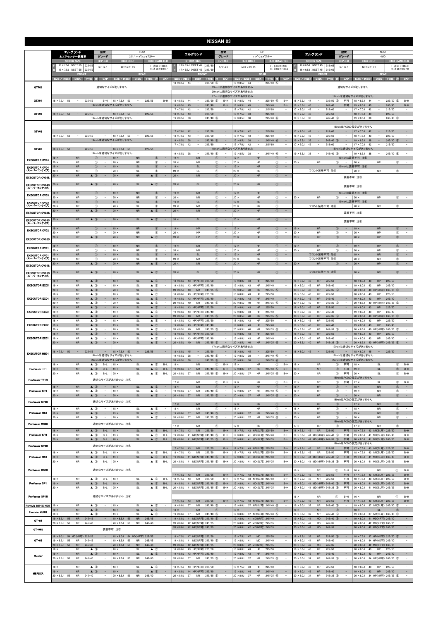|                                      |                                                                           |                                                                             |                                                                                                |                                                                                        |                                                                                                                    | <b>NISSAN 03</b>                                                                       |                                                                                                            |                                                                                          |                                                                                                                  |                                                            |                                                                                                                    |                                                          |  |
|--------------------------------------|---------------------------------------------------------------------------|-----------------------------------------------------------------------------|------------------------------------------------------------------------------------------------|----------------------------------------------------------------------------------------|--------------------------------------------------------------------------------------------------------------------|----------------------------------------------------------------------------------------|------------------------------------------------------------------------------------------------------------|------------------------------------------------------------------------------------------|------------------------------------------------------------------------------------------------------------------|------------------------------------------------------------|--------------------------------------------------------------------------------------------------------------------|----------------------------------------------------------|--|
|                                      | エルグランド                                                                    | 型式                                                                          |                                                                                                | <b>TE52</b>                                                                            | エルグランド                                                                                                             | 型式                                                                                     | E51                                                                                                        |                                                                                          | エルグランド                                                                                                           | 型式                                                         | <b>NE51</b>                                                                                                        |                                                          |  |
|                                      | ▲エアセンサー装着車<br><b>STOCK SIZE</b>                                           | グレード<br>$H/P.$ C.D                                                          | <b>HUB BOLT</b>                                                                                | 2.5 / ハイウェイスター<br><b>HUB DIAMETER</b>                                                  | <b>STOCK SIZE</b>                                                                                                  | グレード<br>$H/P$ .C.D                                                                     | ハイウェイスター<br><b>HUB BOLT</b>                                                                                | <b>HUB DIAMETER</b>                                                                      | <b>STOCK SIZE</b>                                                                                                | グレード<br>$H/P$ .C.D                                         | 4WD<br><b>HUB BOLT</b>                                                                                             | <b>HUB DIAMETER</b>                                      |  |
|                                      | 18 × 7.5J INSET 55<br>225/5<br>18 × 7.5J INSET 55<br>225/5                | 5/114.3                                                                     | $M12 \times P1.25$                                                                             | $F: \phi$ 66 $\times$ H30.5<br>$R: 666 \times H10.7$                                   | $17 \times 6.5$ J INSET 45<br>215/6<br>17×6.5J INSET 45<br>215/60                                                  | 5/114.3                                                                                | $M12 \times P1.25$                                                                                         | $F: \phi$ 66 $\times$ H9.6<br>$R: \phi$ 66 $\times$ H37.0                                | $16 \times 6.5$ J INSET 45 215/6<br>$16 \times 6.5$ J INSET 45<br>215/6                                          | 5/114.3                                                    | $M12 \times P1.25$                                                                                                 | $F: \phi$ 66 $\times$ H44.0<br>$R: \phi 66 \times H37.0$ |  |
|                                      | FRONI<br>SIZE / INSET<br>DISK TYRE 注                                      | CAP                                                                         | SIZE / INSET                                                                                   | REAR<br>CAP<br>DISK TYRE 注                                                             | <b>FRONT</b><br>SIZE / INSET<br>DISK TYRE 注                                                                        | CAP                                                                                    | <b>REAR</b><br>SIZE / INSET<br><b>DISK</b>                                                                 | CAP<br><b>TYRE</b><br>BЭ                                                                 | FRONT<br>SIZE / INSET<br><b>DISK</b><br><b>TYRE</b>                                                              | <b>CAP</b>                                                 | REAR<br>SIZE / INSET<br><b>DISK</b><br><b>TYRE</b><br>主                                                            | CAP                                                      |  |
| GTF01                                |                                                                           |                                                                             | 適切なサイズがありません                                                                                   |                                                                                        | $18 \times 8.5J$<br>44<br>$235/50$ (5)                                                                             |                                                                                        | $18 \times 8.5J$<br>44<br>19inchは適切なサイズがありません                                                              | $235/50$ (5)                                                                             |                                                                                                                  |                                                            | 適切なサイズがありません                                                                                                       |                                                          |  |
|                                      |                                                                           |                                                                             |                                                                                                |                                                                                        |                                                                                                                    |                                                                                        | 20inchは適切なサイズがありません<br>17inchは適切なサイズがありません                                                                 |                                                                                          |                                                                                                                  |                                                            | 17inchは適切なサイズがありません                                                                                                |                                                          |  |
| GTX01                                | 18 × 7.5J 53<br>$\sim$                                                    | 225/55<br>$B-H$                                                             | $18 \times 7.5$ J<br>53<br>19inchは適切なサイズがありません                                                 | 225/55<br>$B-H$                                                                        | $18 \times 8.5$ J<br>44<br>$235/50$ (5)<br>$\qquad \qquad -$<br>$19 \times 8.5$ J<br>45<br>$\sim$<br>245/40        | $B-H$<br>$B-H$                                                                         | $18 \times 8.5$ J<br>44<br>$\overline{\phantom{a}}$<br>$19 \times 8.5$ J<br>45<br>$\overline{\phantom{a}}$ | $235/50$ (5)<br>$B-H$<br>245/40<br>$B-H$                                                 | 235/50 (5)<br>$18 \times 8.5$ J<br>44<br>$\sim$<br>$19 \times 8.5$ J<br>45<br>$\overline{\phantom{a}}$<br>245/40 | 不可<br>不可                                                   | $235/50$ (5)<br>$18 \times 8.5$ J<br>44<br>$\overline{\phantom{a}}$<br>$19 \times 8.5$ J<br>45<br>$\sim$<br>245/40 | $B-H$<br>$B-H$                                           |  |
| GTV03                                | $18 \times 7.5$ J 53<br>$\sim$                                            | 225/55                                                                      | $18 \times 7.5$ J 53<br>$\sim$                                                                 | 225/55                                                                                 | $17 \times 7.0$<br>215/60<br>42<br>$18 \times 7.5$ J<br>43<br>225/50<br>$\hspace{0.1cm} - \hspace{0.1cm}$          |                                                                                        | $17 \times 7.0$ J<br>42<br>$18 \times 7.5$ J<br>43<br>$\qquad \qquad -$                                    | 215/60<br>225/50<br>$\overline{\phantom{a}}$                                             | 215/60<br>$17 \times 7.0$ J<br>42<br>$18 \times 7.5$ J<br>43<br>225/50<br>$\overline{\phantom{a}}$               | ۰.                                                         | $17 \times 7.0$ J<br>215/60<br>42<br>$18 \times 7.5$ J<br>43<br>225/50<br>۰.                                       | -                                                        |  |
|                                      |                                                                           |                                                                             | 19inchは適切なサイズがありません                                                                            |                                                                                        | $19 \times 8.5$ J<br>$245/40$ 6<br>38                                                                              |                                                                                        | $19 \times 8.5$ J<br>38                                                                                    | $245/40$ 6<br>$\overline{\phantom{a}}$                                                   | $245/40$ 6<br>$19 \times 8.5$ J<br>38                                                                            |                                                            | $19 \times 8.5$ J<br>$245/40$ 6<br>38                                                                              | $\overline{\phantom{a}}$                                 |  |
| GTV02                                |                                                                           |                                                                             |                                                                                                |                                                                                        | $17 \times 7.0$ J<br>42<br>215/60                                                                                  |                                                                                        | $17 \times 7.0$ J<br>42                                                                                    | 215/60                                                                                   | $17 \times 7.0J$<br>215/60<br>42<br>$\bar{\phantom{a}}$                                                          |                                                            | 16inchはPCDの設定がありません<br>215/60<br>$17 \times 7.0$ J<br>42<br>$\overline{\phantom{a}}$                               | $\qquad \qquad -$                                        |  |
|                                      | 18 × 7.5J 53<br>$\sim$                                                    | 225/55<br>$\sim$ $-$                                                        | $18 \times 7.5$ J 53<br>$\sim$<br>19inchは適切なサイズがありません                                          | 225/55<br>$\sim$                                                                       | $18 \times 7.5$ J<br>43<br>$\sim$<br>225/50<br>$19 \times 8.5$ J<br>38<br>$\overline{\phantom{a}}$<br>$245/40$ 6   | $\sim$<br>$\sim$                                                                       | $18 \times 7.5$ J<br>43<br>$\overline{\phantom{a}}$<br>$19 \times 8.5$ J<br>38<br>$\overline{\phantom{a}}$ | 225/50<br>$\overline{\phantom{a}}$<br>$\sim$<br>$245/40$ 6                               | $18 \times 7.5$ J<br>43<br>$\sim$<br>225/50<br>$\overline{\phantom{a}}$<br>$19 \times 8.5$ J<br>38<br>$245/40$ 6 | $\sim$<br>$\sim$                                           | $18 \times 7.5$ J<br>43<br>$\sim$<br>225/50<br>$19 \times 8.5$ J<br>38<br>$245/40$ 6                               | $\overline{\phantom{a}}$<br>$\sim$                       |  |
| GTV01                                | $18 \times 7.5$ J 53<br>$\sim$ $-$                                        | 225/55                                                                      | $18 \times 7.5$ J 53<br>$\sim$                                                                 | 225/55                                                                                 | $17 \times 7.0$<br>42<br>215/60<br>$\sim$                                                                          | $\qquad \qquad -$                                                                      | $17 \times 7.0$ J<br>42<br>$\overline{\phantom{a}}$<br>18inchは適切なサイズがありません                                 | 215/60<br>$\overline{\phantom{m}}$                                                       | $17 \times 7.0$ J<br>42<br>215/60<br>$\overline{\phantom{m}}$                                                    | $\overline{\phantom{a}}$                                   | $17 \times 7.0$ J<br>42<br>215/60<br>$\overline{\phantom{a}}$<br>18inchは適切なサイズがありません                               | $\overline{\phantom{a}}$                                 |  |
| <b>EXECUTOR CV04</b>                 | <b>NR</b><br>$19 \times$                                                  |                                                                             | 19inchは適切なサイズがありません<br>$19 \times$<br><b>NR</b>                                                | $\circled{0}$<br>$\sim$                                                                | $19 \times 8.5$ J<br>38<br>$245/40$ 6<br><b>NR</b><br>$19 \times$<br>$\sqrt{T}$                                    |                                                                                        | $19 \times 8.5$ J<br>38<br>$\overline{\phantom{a}}$<br>HP<br>$19 \times$                                   | $245/40$ 6<br>$\overline{\phantom{a}}$<br>$\sqrt{1}$<br>$\overline{\phantom{a}}$         | $19 \times 8.5$ J<br>38<br>$\sim$<br>$245/40$ (6)                                                                | $\sim$                                                     | $19 \times 8.5$ J<br>$245/40$ (6)<br>38<br>$\overline{\phantom{a}}$<br>19inchは装着不可 注8                              | $\overline{\phantom{a}}$                                 |  |
| <b>EXECUTOR CV04</b>                 | 20 ><br><b>NR</b><br>$19 \times$<br><b>NR</b>                             | $^{\circ}$<br>$^{\circ}$                                                    | $20 \times$<br><b>NR</b><br>$19 \times$<br><b>SL</b>                                           | $^{\circ}$<br>$^{\circ}$<br>$\equiv$                                                   | $20 \times$<br><b>NR</b><br>$19 \times$<br><b>SL</b>                                                               | $\circled$<br>$\circled$                                                               | $20$ ><br>HP<br>$19 \times$<br><b>NR</b>                                                                   | $\circledcirc$<br>$\overline{\phantom{a}}$<br>$\circledcirc$<br>$\overline{\phantom{a}}$ | $20 \times$<br>HP                                                                                                | $\bigcirc$                                                 | $20$ ><br>HP<br>$\circled{1}$<br>19inchは装着不可 注8                                                                    | $\overline{\phantom{a}}$                                 |  |
| (スーパーコンケイブ)<br><b>EXECUTOR CV04S</b> | $20 \times$<br><b>NR</b><br>${\sf NR}$<br>$20 \times$                     | $^{\circ}$<br>$\triangle$ 3                                                 | $20 \times$<br>SL<br><b>NR</b><br>$20 \times$                                                  | $^\circledR$<br>$\sim$<br>$\triangle$ 3                                                | $20 \times$<br>SI<br><b>NR</b><br>$20 \times$                                                                      | $^\circledR$<br>$\circled{1}$                                                          | $20 \times$<br><b>NR</b><br>HP<br>$20 \times$                                                              | $^{\circ}$<br>$\overline{\phantom{a}}$<br>$\circled{1}$<br>$\qquad \qquad -$             | フロント装着不可 注8                                                                                                      |                                                            | $^{\circ}$<br>$20 \times$<br>NR<br>装着不可 注8                                                                         | $\overline{\phantom{a}}$                                 |  |
| <b>EXECUTOR CV04S</b>                | <b>NR</b><br>20 ×                                                         | $\triangle$ (3)                                                             | $\mathsf{SL}% _{2}\left( \mathbb{Z}\right)$<br>$20 \times$                                     | $\triangle$ 3                                                                          | <b>SL</b><br>$20 \times$                                                                                           | $\circled{1}$                                                                          | ${\sf NR}$<br>$20 \times$                                                                                  | $\circled{0}$<br>$\overline{\phantom{0}}$                                                |                                                                                                                  |                                                            | 装着不可 注8                                                                                                            |                                                          |  |
| (スーパーコンケイブ)<br><b>EXECUTOR CV03</b>  | <b>NR</b><br>$9 \times$                                                   | $\circled{0}$                                                               | $19 \times$<br><b>NR</b>                                                                       | $\circled{0}$                                                                          | $19 \times$<br><b>NR</b>                                                                                           | $\circled{1}$                                                                          | HP<br>$19 \times$                                                                                          | $\circled{0}$<br>$\overline{\phantom{a}}$                                                |                                                                                                                  |                                                            | 19inchは装着不可 注8                                                                                                     |                                                          |  |
| <b>EXECUTOR CV03</b><br>(スーパーコンケイブ)  | $20 \times$<br>HP<br><b>NR</b><br>$19 \times$                             | $\circledcirc$<br>$\circled{0}$<br>$\sim$                                   | $20 \times$<br><b>NR</b><br>$19 \times$<br>SL                                                  | $\circled{1}$<br>$\overline{\phantom{a}}$<br>$\circled{0}$<br>$\overline{\phantom{a}}$ | $20 \times$<br><b>NR</b><br>$19 \times$<br><b>SL</b>                                                               | $\circled{1}$<br>$\circled{1}$<br>$\overline{\phantom{a}}$                             | $20 \times$<br>HP<br>$19 \times$<br><b>NR</b>                                                              | $\circled{1}$<br>$\overline{\phantom{a}}$<br>$\circled{0}$<br>$\overline{\phantom{a}}$   | $20 \times$<br>HP                                                                                                | $\circled{1}$<br>$\overline{\phantom{m}}$                  | $20 \times$<br>HP<br>$\circled{1}$<br>19inchは装着不可 注8                                                               | $\overline{\phantom{a}}$                                 |  |
| <b>EXECUTOR CV03S</b>                | $20 \times$<br><b>NR</b><br><b>NR</b>                                     | $\circledcirc$<br>$\overline{\phantom{a}}$<br>$\triangle$ 3<br>$\sim$       | $20 \times$<br>SL<br><b>NR</b><br>$20 \times$                                                  | $^{\circ}$<br>$\sim$<br>$\triangle$ 3<br>$\overline{\phantom{a}}$                      | <b>NR</b><br>$20 \times$<br><b>NR</b><br>$20 \times$                                                               | $\circled{1}$<br>$\overline{\phantom{a}}$<br>(1)<br>$\sim$                             | $20$ ><br><b>NR</b><br><b>HP</b><br>$20 \times$                                                            | $\circledcirc$<br>$\overline{\phantom{a}}$<br>$\circled{1}$<br>$\overline{a}$            | フロント装着不可 注8                                                                                                      |                                                            | $\circled{1}$<br>$20$ ><br><b>NR</b><br>装着不可 注8                                                                    | $\overline{\phantom{a}}$                                 |  |
| <b>EXECUTOR CV03S</b><br>(スーパーコンケイブ) | <b>NR</b><br>$20 \times$                                                  | $\triangle$ 3                                                               | $20 \times$<br><b>SL</b>                                                                       | $\triangle$ 3                                                                          | <b>SL</b><br>$20 \times$                                                                                           | $\circ$                                                                                | ${\sf NR}$<br>$20 \times$                                                                                  | $\circled{1}$<br>$\overline{\phantom{a}}$                                                |                                                                                                                  |                                                            | 装着不可 注8                                                                                                            |                                                          |  |
| <b>EXECUTOR CV02</b>                 | HP<br>$19 \times$                                                         | $^{\circ}$                                                                  | <b>NR</b><br>$19 \times$                                                                       | $\circled{0}$                                                                          | HP<br>$19 \times$                                                                                                  | $\circled{1}$                                                                          | HP<br>$19 \times$                                                                                          | $\circled{0}$<br>$\overline{\phantom{a}}$                                                | $19 \times$<br>HP                                                                                                | $\circled{0}$                                              | HP<br>$19 \times$<br>$^{\circ}$                                                                                    |                                                          |  |
| <b>EXECUTOR CV02S</b>                | $0 \times$<br>HP<br>HP<br>$20 \times$                                     | $^{\circ}$<br>$\triangle$ 3<br>$\overline{\phantom{a}}$                     | $20 \times$<br><b>NR</b><br>NR<br>$20 \times$                                                  | $^{\circ}$<br>$\overline{\phantom{a}}$<br>$\triangle$ 3                                | $20 \times$<br>HP<br>HP<br>$20 \times$                                                                             | $\circled{1}$<br>$\overline{\phantom{m}}$<br>$\circled{1}$<br>$\overline{\phantom{a}}$ | $20 \times$<br>HP<br>HP<br>$20 \times$                                                                     | $\circled{1}$<br>$\overline{\phantom{a}}$<br>$\circled{1}$<br>$\overline{\phantom{a}}$   | $20 \times$<br>HP<br>HP<br>$20 \times$                                                                           | $\circled{1}$<br>$\circled{0}$<br>$\overline{\phantom{a}}$ | $20 \times$<br>HP<br>$\circled{1}$<br>HP<br>$\circled{1}$<br>$20 \times$                                           | $\overline{\phantom{a}}$<br>$\sim$                       |  |
| <b>EXECUTOR CV01</b>                 | <b>NR</b><br>19 ×<br>$20 \times$                                          | $^{\circ}$                                                                  | <b>NR</b><br>$19 \times$                                                                       | $\circled{1}$<br>$\equiv$<br>$\sim$                                                    | <b>NR</b><br>$19 \times$                                                                                           | $\circled{1}$<br>$\overline{\phantom{a}}$                                              | HP<br>$19 \times$                                                                                          | $\circledcirc$<br>$\overline{\phantom{a}}$<br>$\overline{\phantom{a}}$                   | HP<br>$19 \times$                                                                                                | $\circled{0}$                                              | HP<br>$\circled{1}$<br>$19 \times$                                                                                 | $\overline{\phantom{a}}$<br>$\overline{a}$               |  |
| <b>EXECUTOR CV01</b><br>(スーパーコンケイブ)  | HP<br><b>NR</b><br>$19 \times$<br>$20 \times$                             | $^{\circ}$<br>$^{\circ}$<br>$\bigcirc$                                      | $20 \times$<br>NR<br>$19 \times$<br>$\mathsf{SL}% _{2}\left( \mathbb{Z}\right)$<br>$20 \times$ | $^{\circ}$<br>$^{\circ}$<br>-<br>$\circ$                                               | $20 \times$<br>NR<br><b>SL</b><br>$19 \times$<br>$20 \times$<br><b>NR</b>                                          | $\circled{1}$<br>$\circled{1}$<br>$\circ$                                              | $20 \times$<br>HP<br><b>NR</b><br>$19 \times$<br><b>NR</b><br>$20 \times$                                  | $\circled{1}$<br>$\circledcirc$<br>-<br>$\circ$                                          | $20 \times$<br>HP<br>フロント装着不可 注8<br>フロント装着不可 注8                                                                  | $^{\circ}$                                                 | $^{\circ}$<br>HP<br>$20 \times$<br><b>NR</b><br>$^\circledR$<br>$19 \times$<br>$\circ$<br>$20 \times$              | $\overline{\phantom{a}}$<br>$\sim$                       |  |
| <b>EXECUTOR CV01S</b>                | <b>NR</b><br><b>NR</b><br>$20 \times$                                     | $\triangle$ 3                                                               | <b>SL</b><br><b>NR</b><br>$20 \times$                                                          | $\triangle$ 3                                                                          | $20 \times$<br><b>NR</b>                                                                                           | $\circled$                                                                             | HP<br>$20 \times$                                                                                          | $\circled{0}$                                                                            | HP<br>$20 \times$                                                                                                |                                                            | <b>NR</b><br>HP<br>$\circled{0}$<br>$20 \times$                                                                    |                                                          |  |
| <b>EXECUTOR CV01S</b><br>(スーパーコンケイブ) | $20 \times$<br><b>NR</b>                                                  | $\triangle$ 3                                                               | SL<br>$20 \times$                                                                              | $\triangle$ 3<br>$\sim$                                                                | $20 \times$<br><b>SL</b>                                                                                           | $\circled{1}$                                                                          | <b>NR</b><br>$20 \times$                                                                                   | $\circled{1}$<br>$\sim$                                                                  | フロント装着不可 注8                                                                                                      |                                                            | <b>NR</b><br>$\circled{1}$<br>$20 \times$                                                                          | $\sim$                                                   |  |
| <b>EXECUTOR EX05</b>                 | <b>NR</b><br>$18 \times$<br>$19 \times$<br>NR                             | $\triangle$ 3<br>$\triangle$ 3<br>$\overline{\phantom{a}}$                  | $18 \times$<br><b>SL</b><br>$19 \times$<br>SL                                                  | $\triangle$ 3<br>$\triangle$ 3<br>$\sim$                                               | $18 \times 8.0$ J<br>43 HP(NR可) 225/50<br>$19 \times 8.0$ J<br>43 HP(NR可) 245/40                                   | $\qquad \qquad -$                                                                      | $18 \times 8.0J$<br>43<br>HP<br>$19 \times 8.0$ J<br>43<br>HP                                              | 225/50<br>245/40<br>$\overline{\phantom{a}}$                                             | 225/50<br>$18 \times 8.0$ J<br>43<br>HP<br>$19 \times 8.0$ J<br>43<br>HP<br>245/40                               | $\overline{\phantom{a}}$                                   | $18 \times 8.0J$<br>43<br>HP<br>225/50<br>$19 \times 8.0$ J<br>43<br>HP<br>245/40                                  | $\overline{\phantom{a}}$<br>$\overline{\phantom{a}}$     |  |
|                                      | <b>NR</b><br>× חי<br><b>NR</b><br>$18 \times$                             | $\triangle$ 3<br>$\triangle$ 3<br>$\overline{\phantom{a}}$                  | $20 \times$<br><b>SL</b><br>$18 \times$<br>SL                                                  | $\triangle$ 3<br>$\triangle$ 3<br>$\sim$                                               | 40<br><b>NR</b><br>$245/35$ (5)<br>20 × 8.5J<br>$18 \times 8.0$ J<br>43 HP(NR可) 225/50                             |                                                                                        | $20 \times 8.5$ J<br>40<br><b>NR</b><br>HP<br>$18 \times 8.0$ J<br>43                                      | $\overline{\phantom{a}}$<br>$245/35$ (5)<br>225/50<br>$\overline{\phantom{a}}$           | $20 \times 8.5$ J<br>40<br>HP<br>$245/35$ (5)<br>HP<br>225/50<br>$18 \times 8.0$ J<br>43                         |                                                            | $20 \times 8.5$ J<br>40 HP(NR可) 245/35 (5)<br>225/50<br>$18 \times 8.0$ J<br>43<br>HP                              | $\sim$<br>$\qquad \qquad -$                              |  |
| <b>EXECUTOR EX04</b>                 | <b>NR</b><br>$19 \times$<br>$20 \times$<br><b>NR</b>                      | $\triangle$ (3)<br>$\triangle$ 3                                            | <b>SL</b><br>$19 \times$<br>$20 \times$<br>SL                                                  | $\triangle$ $\mathbb{G}$<br>$\equiv$<br>$\triangle$ 3                                  | $19 \times 8.0$<br>43 HP(NR可) 245/40<br>$20 \times 8.5J$<br>40<br><b>NR</b><br>$245/35$ (5)                        |                                                                                        | $19 \times 8.0$ J<br>43<br>HP<br>$20 \times 8.5$ J<br>40<br><b>NR</b>                                      | 245/40<br>$\overline{\phantom{a}}$<br>$245/35$ (5)                                       | HP<br>245/40<br>$19 \times 8.0$<br>43<br>$20 \times 8.5$ J<br>40<br>HP<br>$245/35$ (5)                           |                                                            | 245/40<br>$19 \times 8.0$<br>HP<br>43<br>$20 \times 8.5J$<br>40 HP(NR可) 245/35 ⑤                                   | $\overline{\phantom{a}}$<br>$\overline{\phantom{a}}$     |  |
| <b>EXECUTOR EX03</b>                 | $18 \times$<br><b>NR</b><br>$19 \times$<br><b>NR</b>                      | $\triangle$ 3<br>$\triangle$ 3<br>$\overline{\phantom{a}}$                  | $18 \times$<br><b>SL</b><br>$19 \times$<br>SL                                                  | $\triangle$ 3<br>$\triangle$ 3<br>$\overline{\phantom{a}}$                             | 18 × 8.0J 43 HP(NR可) 225/50<br>$19 \times 8.0$ J<br>43 HP(NR可) 245/40                                              |                                                                                        | $18 \times 8.0$ J<br>43<br>HP<br>$19 \times 8.0$ J<br>43<br>HP                                             | 225/50<br>245/40<br>$\overline{\phantom{a}}$                                             | $18 \times 8.0$ J<br>43<br>HP<br>225/50<br>$19 \times 8.0$ J<br>43<br>HP<br>245/40                               |                                                            | $18 \times 8.0$ J<br>43<br>HP<br>225/50<br>$19 \times 8.0$ J<br>43<br>HP<br>245/40                                 |                                                          |  |
|                                      | $20 \times$<br>${\sf NR}$<br>$18 \times$<br><b>NR</b>                     | $\triangle$ 3<br>$\sim$<br>$\triangle$ 3<br>$\overline{\phantom{a}}$        | $20 \times$<br><b>SL</b><br>$18 \times$<br><b>SL</b>                                           | $\triangle$ 3<br>$\sim$<br>$\triangle$ 3<br>$\sim$                                     | $20 \times 8.5$ J<br>40<br><b>NR</b><br>$245/35$ (5)<br>43 HP(NR可) 225/50<br>$18 \times 8.0$ J                     | $\overline{\phantom{a}}$                                                               | $20 \times 8.5$ J<br>40<br>${\sf NR}$<br>$18 \times 8.0$ J<br>43<br>HP                                     | $245/35$ (5)<br>$\sim$<br>225/50                                                         | $20 \times 8.5$ J<br>40<br>HP<br>$245/35$ (5)<br>225/50<br>$18 \times 8.0J$<br>43<br>HP                          | $\sim$                                                     | $20 \times 8.5$ J<br>40 HP(NR可) 245/35 5<br>225/50<br>$18 \times 8.0$ J<br>43<br>HP                                | $\sim$                                                   |  |
| <b>EXECUTOR EX02</b>                 | $19 \times$<br><b>NR</b><br>$20 \times$<br><b>NR</b>                      | $\triangle$ 3<br>$\hspace{0.1mm}-\hspace{0.1mm}$<br>$\triangle$ 3<br>$\sim$ | $19 \times$<br>SL<br>$20 \times$<br>SL                                                         | $\triangle$ 3<br>$\overline{\phantom{a}}$<br>$\triangle$ 3<br>$\sim$                   | 43 HP(NR可) 245/40<br>$19 \times 8.0$ J<br>$20 \times 8.5$ J<br><b>NR</b><br>$245/35$ (5)<br>40                     |                                                                                        | $19 \times 8.0$ J 43<br>HP<br>$20 \times 8.5J$<br>40<br><b>NR</b>                                          | 245/40<br>$\sim$<br>$245/35$ (5)<br>$\overline{\phantom{a}}$                             | 43<br>245/40<br>$19 \times 8.0$ J<br>HP<br>$20 \times 8.5$ J<br>40<br>HP<br>$245/35$ (5)                         |                                                            | $19 \times 8.0$ J<br>43<br>HP<br>245/40<br>$20 \times 8.5J$<br>40 HP(NR可) 245/35 ⑤                                 | $\sim$<br>$\sim$                                         |  |
| <b>EXECUTOR EX01</b>                 | <b>NR</b><br>$18 \times$<br>$19 \times$<br><b>NR</b>                      | $\triangle$ 3<br>$\triangle$ 3                                              | $18 \times$<br>$\mathsf{SL}% _{2}\left( \mathbb{Z}\right)$<br>$19 \times$<br>SL                | $\triangle$ 3<br>$\overline{\phantom{a}}$<br>$\triangle$ 3                             | $18 \times 8.0$ J<br>43 HP(NR可) 225/50<br>$19 \times 8.0$ J<br>43 HP(NR可) 245/40                                   |                                                                                        | $18 \times 8.0$ J<br>43<br>HP<br>$19 \times 8.0$ J<br>43<br>HP                                             | 225/50<br>-<br>245/40                                                                    | $18 \times 8.0$ J<br>HP<br>225/50<br>43<br>$19 \times 8.0$ J<br>43<br>HP<br>245/40                               |                                                            | $18 \times 8.0J$<br>225/50<br>43<br>HP<br>$19 \times 8.0$ J<br>43<br>HP<br>245/40                                  | -                                                        |  |
|                                      | <b>NR</b><br>$20 \times$                                                  | $\triangle$ 3<br>$\overline{\phantom{a}}$                                   | SL<br>$20 \times$                                                                              | $\triangle$ 3<br>$\sim$                                                                | $20 \times 8.5$ J<br>40<br><b>NR</b><br>$245/35$ (5)                                                               | $\overline{\phantom{a}}$                                                               | $20 \times 8.5$ J 40<br>NR<br>17inchは適切なサイズがありません                                                          | $245/35$ (5)<br>$\sim$                                                                   | $20 \times 8.5J$<br>40<br>HP<br>$245/35$ (5)                                                                     | $\sim$                                                     | 20 × 8.5J 40 HP(NR可) 245/35 (5)<br>17inchは適切なサイズがありません                                                             | $\sim$                                                   |  |
| <b>EXECUTOR MB01</b>                 | $\sim 10^{-1}$<br>$18 \times 7.5$ J 50                                    | 225/55<br>$\sim$                                                            | $\sim$<br>$18 \times 7.5$ J<br>50<br>19inchは適切なサイズがありません                                       | 225/55<br>$\overline{\phantom{a}}$                                                     | $18 \times 8.0$ J<br>45<br>$\overline{\phantom{a}}$<br>225/50<br>$19 \times 8.5$ J<br>38<br>$\sim$<br>$245/40$ (6) | $\overline{\phantom{a}}$                                                               | $18 \times 8.0$ J<br>45<br>$\overline{\phantom{a}}$<br>$19 \times 8.5$ J<br>38<br>$\overline{\phantom{a}}$ | 225/50<br>$\overline{\phantom{a}}$<br>$245/40$ (6)<br>$\sim$                             | $\sim$<br>225/50<br>$18 \times 8.0$ J 45                                                                         | $\sim$ $-$                                                 | $18 \times 8.0$ J<br>45<br>$\sim$<br>225/50<br>19inchは適切なサイズがありません                                                 | $\equiv$                                                 |  |
|                                      | $18 \times$<br><b>NR</b>                                                  | $\triangle$ 3<br>$B-L$                                                      | 20inchは適切なサイズがありません<br>$18 \times$<br><b>SL</b>                                                | $\triangle$ 3<br>$B-L$                                                                 | $\sim$<br>38<br>245/35 6<br>$20 \times 8.5$ J<br>$18 \times$<br>NR                                                 | $\overline{\phantom{a}}$<br>$^\circledR$<br>$B-H$                                      | $\sim$<br>$20 \times 8.5$ J<br>38<br><b>NR</b><br>$18 \times$                                              | $\sim$<br>245/35 6<br>$B-H$<br>$^{\circ}$                                                | <b>NR</b><br>$18 \times$                                                                                         | $\circled{1}$<br>不可                                        | 20inchは適切なサイズがありません<br>$18 \times$<br>SL<br>$^{\circ}$                                                             | $B-H$                                                    |  |
| Professor IF1                        | $19 \times$<br><b>NR</b><br>$20 \times$<br><b>NR</b>                      | $\triangle$ 3<br>$B-L$<br>$\triangle$ 3<br>$B-L$                            | $19 \times$<br><b>SL</b><br>$20 \times$<br><b>SL</b>                                           | $\triangle$ 3<br>$B-L$<br>$\triangle$ 3<br>$B-L$                                       | <b>NR</b><br>$19 \times 8.0$ J 37<br>$245/40$ (5)<br>$20 \times 8.0$ J<br>37<br>NR<br>$245/35$ (5)                 | $B-H$<br>$B-H$                                                                         | $19 \times 8.0$ J 37<br><b>NR</b><br>$20 \times 8.0$ J 37<br><b>NR</b>                                     | $245/40$ (5)<br>$B-H$<br>$245/35$ (5)<br>$B-H$                                           | <b>NR</b><br>$19 \times$<br>$20 \times$<br><b>NR</b>                                                             | 不可<br>$\circled{1}$<br>不可<br>$\circled{1}$                 | <b>SL</b><br>$19 \times$<br>$\circled{1}$<br>$20 \times$<br>$\circled{1}$<br>SL                                    | $B-H$<br>$B-H$                                           |  |
| Professor IFIR                       |                                                                           |                                                                             | 適切なサイズがありません 注4                                                                                |                                                                                        | $17 \times$<br><b>NR</b>                                                                                           | $\circled{1}$<br>$B-H$                                                                 | $17 \times$<br><b>NR</b>                                                                                   | $\circled{1}$<br>$B-H$                                                                   | $17 \times$<br><b>NR</b>                                                                                         | $\circled{1}$<br>不可                                        | 16inchはPCDの設定がありません<br>$17 \times$<br><b>SL</b><br>$\circled{1}$                                                   | $B-H$                                                    |  |
| Professor SP4                        | <b>NR</b><br>$18 \times$<br>$19 \times$<br><b>NR</b>                      | $\triangle$ 3<br>$\sim$<br>$\triangle$ 3<br>$\sim$                          | $18 \times$<br><b>SL</b><br>$19 \times$<br>SL                                                  | $\triangle$ 3<br>$\sim$<br>$\triangle$ 3<br>$\sim$                                     | $18 \times$<br><b>NR</b><br>$19 \times 8.0$ J 37<br>NR<br>245/40 (5)                                               | $\circled{1}$<br>$\qquad \qquad -$<br>$\overline{\phantom{a}}$                         | ${\sf NR}$<br>$18 \times$<br>$19 \times 8.0$ J 37<br><b>NR</b>                                             | $\circledcirc$<br>$\qquad \qquad -$<br>$245/40$ (5)<br>$\hspace{0.1mm}-\hspace{0.1mm}$   | HP<br>$18 \times$<br>$19 \times$<br>HP                                                                           | $\circled{1}$<br>$\sim$<br>$\circledcirc$<br>$\sim$        | <b>NR</b><br>$\circled{1}$<br>$18 \times$<br>$19 \times$<br><b>NR</b><br>$^{\circ}$                                | $\sim$<br>$\sim$                                         |  |
| Professor SP4R                       | $20 \times$<br><b>NR</b>                                                  | $\triangle$ 3<br>$\sim$                                                     | $20 \times$<br>SL<br>適切なサイズがありません 注4                                                           | $\triangle$ 3<br>$\sim$                                                                | $20 \times 8.0$ J 37<br><b>NR</b><br>$245/35$ 5                                                                    | $\sim$                                                                                 | $20 \times 8.0$ J 37<br><b>NR</b>                                                                          | $245/35$ (5)<br>$\sim$                                                                   | $20 \times$<br>HP                                                                                                | $\circled{1}$<br>$\sim$                                    | $\circled{1}$<br>$20 \times$<br><b>NR</b><br>16inchはPCDの設定がありません                                                   | $\sim$                                                   |  |
|                                      | $18 \times$<br><b>NR</b>                                                  | $\triangle$ 3<br>$\sim$                                                     | $18 \times$<br>SL                                                                              | $\triangle$ 3<br>$\overline{a}$                                                        | $17 \times$<br><b>NR</b><br>$18 \times$<br><b>NR</b>                                                               | $\circled{1}$<br>$\circled{1}$<br>$\sim$                                               | $17 \times$<br>NR<br><b>NR</b><br>$18 \times$                                                              | $\circled{1}$<br>$\circled{1}$<br>$\overline{\phantom{a}}$                               | $17 \times$<br>HP<br>$18 \times$<br>HP                                                                           | $\circled{1}$<br>$^{\circ}$<br>$\sim$                      | $17 \times$<br><b>NR</b><br>$\circled{1}$<br>$\circled{0}$<br><b>NR</b><br>$18 \times$                             | $\sim$                                                   |  |
| Professor MS3                        | <b>NR</b><br>$19 \times$<br>$20 \times$<br><b>NR</b>                      | $\triangle$ 3<br>$\overline{\phantom{a}}$<br>$\triangle$ 3<br>$\sim$        | $19 \times$<br><b>SL</b><br>$20 \times$<br>SL                                                  | $\triangle$ 3<br>$\overline{\phantom{a}}$<br>$\triangle$ 3                             | <b>NR</b><br>$19 \times 8.0$ J 37<br>$245/40$ (5)<br>$20 \times 8.0$ J<br>37<br><b>NR</b><br>$245/35$ (5)          | $\overline{\phantom{a}}$                                                               | $19 \times 8.0$ J 37<br><b>NR</b><br>$20 \times 8.0$ J<br>37<br><b>NR</b>                                  | $245/40$ (5)<br>$\overline{\phantom{a}}$<br>$245/35$ (5)                                 | $19 \times$<br>HP<br>$20 \times$<br>HP                                                                           | $\circled{1}$<br>$\equiv$<br>$\circled{1}$                 | $19 \times$<br><b>NR</b><br>$\circled{1}$<br>$20 \times$<br><b>NR</b><br>$\circled{1}$                             | $\sim$<br>$\sim$                                         |  |
| <b>Professor MS3R</b>                |                                                                           |                                                                             | 適切なサイズがありません 注4                                                                                |                                                                                        | $17 \times$<br><b>NR</b>                                                                                           | $\circled{1}$<br>$\overline{\phantom{a}}$                                              | $17 \times$<br><b>NR</b>                                                                                   | $\circledcirc$<br>$\overline{\phantom{a}}$                                               | HP<br>$17 \times$                                                                                                | $\circled{1}$<br>$\sim$                                    | 16inchはPCDの設定がありません<br>$17 \times$<br>$\circled{1}$<br><b>NR</b>                                                   | $\sim$                                                   |  |
| Professor SP3                        | <b>NR</b><br>$18 \times$<br>$19 \times$<br>NR                             | $\triangle$ 3<br>$B-L$<br>$\triangle$ 3<br>$B-L$                            | SL<br>$18 \times$<br>$19 \times$<br><b>SL</b>                                                  | $\triangle$ 3<br>$B-L$<br>$\triangle$ 3<br>$B-L$                                       | $18 \times 7.5$ J 43<br>${\sf NR}$<br>225/50<br>19 × 8.0J 41 MD(NR可) 245/40 5                                      | $B-H$<br>$B-H$                                                                         | 18 × 7.5J 43 NR(SL可) 225/50<br>19 × 8.0J 41 MD(SL可) 245/40                                                 | $B-H$<br>$B-H$                                                                           | <b>NR</b><br>$18 \times 7.5J$<br>225/50<br>43<br>41 MD(NR可) 245/40 5<br>$19 \times 8.0$ J                        | 不可<br>不可                                                   | 18 × 7.5J 43 NR(SL可) 225/50<br>19 × 8.0J 41 MD(SL可) 245/40                                                         | $B-H$<br>$B-H$                                           |  |
| Professor SP3R                       | ${\sf NR}$<br>$20 \times$                                                 | $\triangle$ 3<br>B-L                                                        | $\mathsf{SL}% _{2}\left( \mathbb{Z}\right)$<br>$ 20 \times$<br>適切なサイズがありません 注4                 | $\triangle$ 3<br>$B-L$                                                                 | 20 × 8.0J 41 MD(NR可) 245/35 5                                                                                      | $B-H$                                                                                  | 20 × 8.0J 41 MD(SL可) 245/35                                                                                | $B-H$                                                                                    | 20 × 8.0J 41 MD(NR可) 245/35 5                                                                                    | 不可                                                         | 20 × 8.0J 41 MD(SL可) 245/35<br>16inchはPCDの設定がありません                                                                 | $B-H$                                                    |  |
|                                      | $18 \times$<br><b>NR</b>                                                  | $\triangle$ 3<br>$B-L$                                                      | $18 \times$<br>SL                                                                              | $\triangle$ 3<br>$B-L$                                                                 | $17 \times 7.5$ J 43<br><b>NR</b><br>225/55<br>$18 \times 7.5$ J<br><b>NR</b><br>43<br>225/50                      | $B-H$<br>$B-H$                                                                         | 17 × 7.5J 43 NR(SL可) 225/55<br>18 × 7.5J 43 NR(SL可) 225/50                                                 | $B-H$<br>$B-H$                                                                           | $17 \times 7.5$ J<br>225/55<br>43<br><b>NR</b><br>$18 \times 7.5J$<br>43<br><b>NR</b><br>225/50                  | 不可<br>不可                                                   | 17 × 7.5J 43 NR(SL可) 225/55<br>18 × 7.5J 43 NR(SL可) 225/50                                                         | $B-H$<br>$B-H$                                           |  |
| Professor MS1                        | <b>NR</b><br>$19 \times$<br>$20 \times$<br><b>NR</b>                      | $\triangle$ 3<br>$B-L$<br>$\triangle$ 3<br>$B-L$                            | $19 \times$<br><b>SL</b><br>$20 \times$<br>SL                                                  | $\triangle$ 3<br>$B-L$<br>$\triangle$ 3<br>$B-L$                                       | 19 × 8.0J 41 MD(NR可) 245/40 (5)<br>20 × 8.0J 41 MD(NR可) 245/35 ⑤                                                   | $B-H$<br>$B-H$                                                                         | 19 × 8.0J 41 MD(SL可) 245/40<br>20 × 8.0J 41 MD(SL可) 245/35                                                 | $B-H$<br>$B-H$                                                                           | 19 × 8.0J 41 MD(NR可) 245/40 (5)<br>$20 \times 8.0J$<br>41 MD(NR可) 245/35 ⑤                                       | 不可<br>不可                                                   | 19 × 8.0J 41 MD(SL可) 245/40<br>20 × 8.0J 41 MD(SL可) 245/35                                                         | $B-H$<br>$B-H$                                           |  |
| Professor MS1R                       |                                                                           |                                                                             | 適切なサイズがありません 注4                                                                                |                                                                                        |                                                                                                                    |                                                                                        |                                                                                                            |                                                                                          | $16 \times$<br><b>NR</b>                                                                                         | $^{\circ}$<br>$B-H$                                        | $^{\circ}$<br>$16 \times$<br>NR                                                                                    | $B-H$                                                    |  |
|                                      | <b>NR</b><br>$18 \times$                                                  | $\triangle$ 3<br>$B-L$                                                      | $18 \times$<br>SL                                                                              | $\triangle$ 3<br>$B-L$                                                                 | $17 \times 7.5$ J<br>43<br><b>NR</b><br>225/55<br>$18 \times 7.5J$<br>43<br><b>NR</b><br>225/50                    | $B-H$<br>$B-H$                                                                         | 17 × 7.5J 43 NR(SL可) 225/55<br>43 NR(SL可) 225/50<br>$18 \times 7.5$ J                                      | $B-H$<br>$B-H$                                                                           | <b>NR</b><br>225/55<br>$17 \times 7.5$ J<br>43<br>225/50<br>$18 \times 7.5J$<br>43<br><b>NR</b>                  | 不可<br>不可                                                   | 17 × 7.5J 43 NR(SL可) 225/55<br>$18 \times 7.5J$<br>43 NR(SL可) 225/50                                               | $B-H$<br>$B-H$                                           |  |
| Professor SP1                        | <b>NR</b><br>$19 \times$<br>$20 \times$<br><b>NR</b>                      | $\triangle$ 3<br>$B-L$<br>$\triangle$ 3<br>$B-L$                            | $19 \times$<br><b>SL</b><br>$20 \times$<br>SL                                                  | $\triangle$ 3<br>$B-L$<br>$\triangle$ 3<br>$B-L$                                       | 19 × 8.0J 41 MD(NR可) 245/40 5<br>20 × 8.0J 41 MD(NR可) 245/35 (5)                                                   | $B-H$<br>$B-H$                                                                         | 19 × 8.0J 41 MD(SL可) 245/40<br>20 × 8.0J 41 MD(SL可) 245/35                                                 | $B-H$<br>$B-H$                                                                           | 41 MD(NR可) 245/40 5<br>$19 \times 8.0$ J<br>$20 \times 8.0J$<br>41 MD(NR可) 245/35 ⑤                              | 不可<br>不可                                                   | 19 × 8.0J 41 MD(SL可) 245/40<br>$20 \times 8.0$ J<br>41 MD(SL可) 245/35                                              | $B-H$<br>$B-H$                                           |  |
| Professor SP1R                       |                                                                           |                                                                             | 適切なサイズがありません 注4                                                                                |                                                                                        | $17 \times 7.5$ J<br>43<br><b>NR</b><br>225/55                                                                     | $B-H$                                                                                  | 17 × 7.5J 43 NR(SL可) 225/55                                                                                | $B-H$                                                                                    | $16 \times$<br><b>NR</b><br>225/55<br>$17 \times 7.5$ J<br>43<br><b>NR</b>                                       | $^{\circ}$<br>$B-H$<br>不可                                  | $16 \times$<br><b>NR</b><br>$^{\circ}$<br>17 × 7.5J 43 NR(SL可) 225/55                                              | $B-H$<br>$B-H$                                           |  |
| Formula MK-III NEO                   | <b>NR</b><br>$19 \times$<br><b>NR</b><br>$18 \times$                      | $\triangle$ 3<br>$\qquad \qquad -$<br>$\triangle$ 3<br>$\sim$               | $19 \times$<br>SL<br>$18 \times$<br>SL                                                         | $\triangle$ 3<br>$\sim$<br>$\triangle$ 3<br>$\sim$                                     | 245/40 5<br>$19 \times 8.0$ J<br>37<br><b>NR</b><br>$18 \times$<br><b>NR</b><br>(T)                                |                                                                                        | $19 \times 8.0$ J<br>37 NR(SL可) 245/40 5<br>$18 \times$<br><b>NR</b>                                       | $\sim$<br>$\overline{\phantom{a}}$                                                       | <b>NR</b><br>245/40 (5)<br>$19 \times 8.0$ J<br>37<br><b>NR</b><br>$18 \times$                                   | Œ                                                          | 37 NR(SL可) 245/40 5<br>$19 \times 8.0$ J<br>$18 \times$<br>SI                                                      | $\overline{\phantom{a}}$<br>$\overline{\phantom{a}}$     |  |
| <b>Formula MESH</b>                  | $19 \times$<br>NR<br>$19 \times 8.5$ J 55<br>${\sf NR}$                   | $\triangle$ 3<br>$\overline{\phantom{a}}$<br>245/45                         | $19 \times$<br>SL<br>$19 \times 8.5$ J<br><b>NR</b><br>55                                      | $\triangle$ 3<br>$\sim$<br>245/45<br>$\sim$                                            | 245/40 (5)<br>$19 \times 8.0$ J<br>37<br>NR<br>$19 \times 8.0J$<br>41 MD(NR可) 245/40 5                             | $\overline{\phantom{a}}$                                                               | 19 × 8.0J 37 NR(SL可) 245/40 5<br>$19 \times 8.0$ J<br>41 MD(NR可) 245/40                                    | $\sim$<br>$\overline{\phantom{a}}$                                                       | 245/40 (5)<br>$19 \times 8.0$ J<br>37<br><b>NR</b><br>$19 \times 8.0$ J<br>41<br><b>MD</b><br>245/40 (5)         | $\sim$<br>$\sim$                                           | 19 × 8.0J 37 NR(SL可) 245/40 5<br>$19 \times 8.0$ J<br>41 MD(NR可) 245/40                                            | $\sim$<br>$\sim$                                         |  |
| $GT - 04$                            | NR<br>20 × 8.5J<br>- 56                                                   | 245/40<br>$\overline{\phantom{a}}$                                          | $20 \times 8.5J$<br>NR<br>56                                                                   | 245/40                                                                                 | 42 MD(NR可) 245/35<br>$20 \times 8.0$<br>20 × 8.0J 42 MD(NR可) 245/35                                                | $\sim$                                                                                 | 20 × 8.0J 42 MD(NR可) 245/35<br>20 × 8.0J 42 MD(NR可) 245/35                                                 | $\sim$                                                                                   | 42<br>MD<br>245/35<br>$20 \times 8.0$ J<br>$20 \times 8.0$ J<br>42<br><b>MD</b><br>245/35                        | $\sim$                                                     | 42 MD(NR可) 245/35<br>$20 \times 8.0$ J<br>20 × 8.0J 42 MD(NR可) 245/35                                              | $\overline{\phantom{a}}$<br>$\sim$                       |  |
| $G - 04S$                            | 18 × 8.0J 54 MD(NR可) 225/55                                               | $\overline{\phantom{a}}$                                                    | 装着不可 注3<br>18 × 8.0J 54 MD(NR可) 225/55                                                         | $\sim$                                                                                 | 18 × 7.5J 47 MD(NR可) 225/50                                                                                        | $\overline{\phantom{a}}$                                                               | $18 \times 7.5$ J<br>47<br><b>MD</b>                                                                       | 225/50<br>$\sim$                                                                         | $18 \times 7.5J$<br>37<br>HP<br>$225/50$ 6                                                                       | $\sim$                                                     | 18 × 7.5J 37 HP(MD可) 225/50 5                                                                                      | $\sim$                                                   |  |
| $GT-03$                              | $19 \times 8.5$ J<br>55<br><b>NR</b><br>$20 \times 8.5$ J 56<br><b>NR</b> | 245/45<br>$\overline{\phantom{a}}$<br>245/40<br>$\frac{1}{2}$               | $19 \times 8.5$ J<br>55<br><b>NR</b><br>$20 \times 8.5$ J 56<br><b>NR</b>                      | 245/45<br>$\sim$<br>245/40<br>$\sim$                                                   | $19 \times 8.0$ J<br>41 MD(NR可) 245/40 5<br>20 × 8.0J 42 MD(NR可) 245/35                                            | $\overline{\phantom{a}}$                                                               | $19 \times 8.0$ J<br>41<br>MD<br>20 × 8.0J 42 MD(NR可) 245/35                                               | 245/40<br>$\sim$<br>$\sim$                                                               | $19 \times 8.0$ J<br>44<br>HP<br>245/40<br>$20 \times 8.0$ J 42<br><b>MD</b><br>245/35                           | $\overline{\phantom{a}}$<br>$\overline{\phantom{a}}$       | $19 \times 8.0$ J<br>44 HP(MD可) 245/40<br>20 × 8.0J 42 MD(NR可) 245/35                                              | $\overline{\phantom{a}}$<br>$\sim$                       |  |
|                                      | $18 \times$<br><b>NR</b><br><b>NR</b><br>$19 \times$                      | $\triangle$ 3<br>$\triangle$ (3)<br>$\overline{\phantom{a}}$                | $18 \times$<br><b>SL</b><br>$19 \times$<br><b>SL</b>                                           | $\sim$<br>$\triangle$ 3<br>$\triangle$ (3)<br>$\overline{\phantom{a}}$                 | $18 \times 8.0$ J<br>43 HP(NR可) 225/50<br>19 × 8.0J 43 HP(NR可) 245/40                                              |                                                                                        | $18 \times 8.0J$<br>43<br>HP<br>$19 \times 8.0$ J 43<br>HP                                                 | 225/50<br>$\overline{\phantom{a}}$<br>245/40<br>$\equiv$                                 | $18 \times 8.0$ J<br>225/50<br>43<br>HP<br>$19 \times 8.0$ J<br>43<br>HP<br>245/40                               | -                                                          | $18 \times 8.0$ J<br>43<br>HP<br>225/50<br>19 × 8.0J 43 HP 245/40                                                  | $\sim$<br>$\equiv$                                       |  |
| Mueller                              | $20 \times 8.5$ J<br>55<br><b>NR</b>                                      | 245/40                                                                      | $20 \times 8.5J$<br>55<br><b>NR</b>                                                            | 245/40<br>$\qquad \qquad -$                                                            | $20 \times 8.0$ J<br>37<br><b>NR</b><br>$245/35$ (5)                                                               |                                                                                        | $20 \times 8.0J$<br>37<br><b>NR</b>                                                                        | $245/35$ (5)<br>$\sim$                                                                   | $20 \times 8.0J$<br>34<br>HP<br>$245/35$ 6                                                                       |                                                            | $20 \times 8.0$ J<br>34 HP(NR可) 245/35 5                                                                           | $\sim$                                                   |  |
|                                      | $18 \times$<br><b>NR</b><br><b>NR</b><br>$19 \times$                      | $\triangle$ 3<br>$\triangle$ 3<br>$\sim$                                    | $18 \times$<br>SL<br>SL<br>$19 \times$                                                         | $\triangle$ 3<br>$\triangle$ 3<br>$\sim$                                               | 18 × 7.5J 43 HP(NR可) 225/50<br>19 × 8.0J 44 HP(NR可) 245/40                                                         | $\sim$                                                                                 | $18 \times 7.5$ J<br>43<br>HP<br>$19 \times 8.0$ J 44<br>HP                                                | 225/50<br>$\overline{\phantom{a}}$<br>$\equiv$<br>245/40                                 | $18 \times 8.0J$<br>225/50<br>43<br>HP<br>$19 \times 8.0$ J 43<br>HP<br>245/40                                   | $\sim$                                                     | $18 \times 8.0J$<br>43<br>HP<br>225/50<br>19 × 8.0J 43 HP<br>245/40                                                | $\overline{\phantom{a}}$<br>$\sim$                       |  |
| <b>MERISIA</b>                       | 20 × 8.5J 55 NR 245/40                                                    | $\sim$ 100 $\mu$                                                            | 20 × 8.5J 55 NR                                                                                | 245/40<br>$\sim$ $ \sim$                                                               | 20 × 8.0J 37 NR 245/35 (5)                                                                                         | $\sim$ 100 $\pm$ 100 $\pm$                                                             | 20 × 8.0J 37 NR 245/35 5                                                                                   | $\sim$ 100 $\pm$                                                                         | 20 × 8.0J 34 HP 245/35 6 -                                                                                       |                                                            | 20 × 8.0J 34 HP(NR可) 245/35 ⑤                                                                                      | $\sim 100$                                               |  |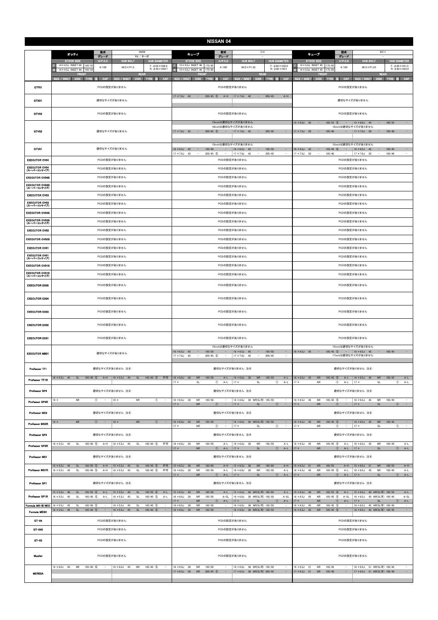|                                      |                                                                                                                                                                                                                                                                           | <b>NISSAN 04</b>                                                                                                                                                                                                                                                                                                   |                                                                                                                                                                                                                                                                                                                                  |  |  |  |  |  |  |
|--------------------------------------|---------------------------------------------------------------------------------------------------------------------------------------------------------------------------------------------------------------------------------------------------------------------------|--------------------------------------------------------------------------------------------------------------------------------------------------------------------------------------------------------------------------------------------------------------------------------------------------------------------|----------------------------------------------------------------------------------------------------------------------------------------------------------------------------------------------------------------------------------------------------------------------------------------------------------------------------------|--|--|--|--|--|--|
|                                      | 型式<br><b>H92W</b><br>オッティ                                                                                                                                                                                                                                                 | 型式<br>Z12<br>キューブ                                                                                                                                                                                                                                                                                                  | 型式<br><b>BZ11</b><br>キューブ                                                                                                                                                                                                                                                                                                        |  |  |  |  |  |  |
|                                      | グレード<br>RX / ターボ<br>$H/P$ .C.D<br><b>HUB BOLT</b><br><b>HUB DIAMETER</b><br><b>STOCK SIZE</b><br>14×4.5J INSET 46 165/55                                                                                                                                                  | グレード<br><b>STOCK SIZE</b><br>$H/P$ .C.D<br><b>HUB BOLT</b><br><b>HUB DIAMETER</b><br>15×5.5J INSET 40 175/65                                                                                                                                                                                                       | グレード<br>$H/P$ .C.D<br><b>STOCK SIZE</b><br><b>HUB BOLT</b><br><b>HUB DIAMETER</b><br>14 × 5.0J INSET 45 175/65                                                                                                                                                                                                                   |  |  |  |  |  |  |
|                                      | $F: \phi$ 56 $\times$ H26.9<br>4/100<br>$M12 \times P1.5$<br>$R: \phi$ 56 $\times$ H28.7<br>14×4.5J INSET 46 165/55<br><b>REAR</b><br><b>FRONT</b>                                                                                                                        | $F: \phi$ 60 $\times$ H32.0<br>4/100<br>$M12 \times P1.25$<br>$R: \phi$ 60 $\times$ H9.5<br>15×5.5J INSET 40 175/65<br><b>REAR</b><br><b>FRON</b>                                                                                                                                                                  | $F: \phi$ 60 $\times$ H31.5<br>4/100<br>$M12 \times P1.25$<br>$R: \phi$ 60 $\times$ H23.0<br>14×5.0J INSET 45 175/65<br><b>FRONT</b><br><b>REAR</b>                                                                                                                                                                              |  |  |  |  |  |  |
|                                      | <b>SIZE / INSET</b><br><b>DISK</b><br>CAP<br>SIZE / INSET<br><b>DISK</b><br>TYRE 注<br>CAP<br><b>TYRE</b><br>ю                                                                                                                                                             | SIZE / INSET<br><b>DISK</b><br>CAP<br>SIZE / INSET<br><b>DISK</b><br>TYRE 注<br>CAP<br><b>TYRE</b><br>注                                                                                                                                                                                                             | TYRE 注 CAP<br>SIZE / INSET<br><b>DISK</b><br>CAP<br>SIZE / INSET<br><b>DISK</b><br><b>TYRE</b><br>D.                                                                                                                                                                                                                             |  |  |  |  |  |  |
| GTF01                                | PCDの設定がありません                                                                                                                                                                                                                                                              | PCDの設定がありません<br>$\sim$<br>$\sim$                                                                                                                                                                                                                                                                                   | PCDの設定がありません                                                                                                                                                                                                                                                                                                                     |  |  |  |  |  |  |
| GTX01                                | 適切なサイズがありません                                                                                                                                                                                                                                                              | $17 \times 7.0$ J 42<br>$205/45$ (5)<br>$A-H$<br>$17 \times 7.0$ J 42<br>205/45<br>$A-H$                                                                                                                                                                                                                           | 適切なサイズがありません                                                                                                                                                                                                                                                                                                                     |  |  |  |  |  |  |
| GTV03                                | PCDの設定がありません                                                                                                                                                                                                                                                              | PCDの設定がありません                                                                                                                                                                                                                                                                                                       | PCDの設定がありません                                                                                                                                                                                                                                                                                                                     |  |  |  |  |  |  |
| GTV02                                | 適切なサイズがありません                                                                                                                                                                                                                                                              | 15inchは適切なサイズがありません<br>16inchは適切なサイズがありません<br>$205/45$ (5)<br>$\sim$ $-$<br>$17 \times 7.0$ J 42<br>$\sim 10^{-1}$<br>$17 \times 7.0$ J 42<br>$\sim$<br>205/45<br>$\overline{\phantom{a}}$                                                                                                                         | $185/55$ (5)<br>$15 \times 6.0$ J 45<br>185/55<br>$15 \times 6.0$ J 45<br>$\sim$<br>$\alpha \rightarrow \alpha$<br>$\sim$<br>$\sim$<br>16inchは適切なサイズがありません<br>$17 \times 7.0$ J 50<br>$\sim$<br>195/40<br>$\sim$<br>$17 \times 7.0$ J 50<br>$\sim$<br>195/40<br>$\overline{\phantom{a}}$                                         |  |  |  |  |  |  |
| GTV01                                | 適切なサイズがありません                                                                                                                                                                                                                                                              | 15inchは適切なサイズがありません<br>$16 \times 6.5$ J 42<br>195/50<br>$16 \times 6.5$ J 42<br>195/50<br>$\sim$<br>$\sim$<br>$\overline{\phantom{a}}$<br>$17 \times 7.0$ J<br>$205/45$ (5)<br>$17 \times 7.0$ J 42<br>205/45<br>42<br>$\overline{\phantom{a}}$<br>$\overline{\phantom{a}}$<br>$\sim$<br>$\overline{\phantom{a}}$ | 15inchは適切なサイズがありません<br>$16 \times 6.5$ J 42<br>$195/45$ 6<br>$16 \times 6.5$ J<br>42<br>195/45<br>$\sim$<br>$\sim$<br>$\sim$<br>$\overline{\phantom{a}}$<br>$17 \times 7.0$ J<br>195/40<br>$17 \times 7.0$ J<br>195/40<br>$\overline{\phantom{a}}$<br>50<br>$\sim$<br>$\overline{\phantom{a}}$<br>50<br>$\overline{\phantom{a}}$ |  |  |  |  |  |  |
| <b>EXECUTOR CV04</b>                 | PCDの設定がありません                                                                                                                                                                                                                                                              | PCDの設定がありません                                                                                                                                                                                                                                                                                                       | PCDの設定がありません                                                                                                                                                                                                                                                                                                                     |  |  |  |  |  |  |
| EXECUTOR CV04<br>(スーパーコンケイブ)         | PCDの設定がありません                                                                                                                                                                                                                                                              | PCDの設定がありません                                                                                                                                                                                                                                                                                                       | PCDの設定がありません                                                                                                                                                                                                                                                                                                                     |  |  |  |  |  |  |
| <b>EXECUTOR CV04S</b>                | PCDの設定がありません                                                                                                                                                                                                                                                              | PCDの設定がありません                                                                                                                                                                                                                                                                                                       | PCDの設定がありません                                                                                                                                                                                                                                                                                                                     |  |  |  |  |  |  |
| <b>EXECUTOR CV04S</b><br>(スーパーコンケイブ) | PCDの設定がありません                                                                                                                                                                                                                                                              | PCDの設定がありません                                                                                                                                                                                                                                                                                                       | PCDの設定がありません                                                                                                                                                                                                                                                                                                                     |  |  |  |  |  |  |
| <b>EXECUTOR CV03</b>                 | PCDの設定がありません                                                                                                                                                                                                                                                              | PCDの設定がありません                                                                                                                                                                                                                                                                                                       | PCDの設定がありません                                                                                                                                                                                                                                                                                                                     |  |  |  |  |  |  |
| EXECUTOR CV03<br>(スーパーコンケイブ)         | PCDの設定がありません                                                                                                                                                                                                                                                              | PCDの設定がありません                                                                                                                                                                                                                                                                                                       | PCDの設定がありません                                                                                                                                                                                                                                                                                                                     |  |  |  |  |  |  |
| <b>EXECUTOR CV03S</b>                | PCDの設定がありません                                                                                                                                                                                                                                                              | PCDの設定がありません                                                                                                                                                                                                                                                                                                       | PCDの設定がありません                                                                                                                                                                                                                                                                                                                     |  |  |  |  |  |  |
| <b>EXECUTOR CV03S</b><br>(スーパーコンケイブ) | PCDの設定がありません                                                                                                                                                                                                                                                              | PCDの設定がありません                                                                                                                                                                                                                                                                                                       | PCDの設定がありません                                                                                                                                                                                                                                                                                                                     |  |  |  |  |  |  |
| <b>EXECUTOR CV02</b>                 | PCDの設定がありません                                                                                                                                                                                                                                                              | PCDの設定がありません                                                                                                                                                                                                                                                                                                       | PCDの設定がありません                                                                                                                                                                                                                                                                                                                     |  |  |  |  |  |  |
| <b>EXECUTOR CV02S</b>                | PCDの設定がありません                                                                                                                                                                                                                                                              | PCDの設定がありません                                                                                                                                                                                                                                                                                                       | PCDの設定がありません                                                                                                                                                                                                                                                                                                                     |  |  |  |  |  |  |
| <b>EXECUTOR CV01</b>                 | PCDの設定がありません                                                                                                                                                                                                                                                              | PCDの設定がありません                                                                                                                                                                                                                                                                                                       | PCDの設定がありません                                                                                                                                                                                                                                                                                                                     |  |  |  |  |  |  |
| <b>EXECUTOR CV01</b><br>(スーパーコンケイブ)  | PCDの設定がありません                                                                                                                                                                                                                                                              | PCDの設定がありません                                                                                                                                                                                                                                                                                                       | PCDの設定がありません                                                                                                                                                                                                                                                                                                                     |  |  |  |  |  |  |
| <b>EXECUTOR CV01S</b>                | PCDの設定がありません                                                                                                                                                                                                                                                              | PCDの設定がありません                                                                                                                                                                                                                                                                                                       | PCDの設定がありません                                                                                                                                                                                                                                                                                                                     |  |  |  |  |  |  |
| <b>EXECUTOR CV01S</b><br>(スーパーコンケイブ) | PCDの設定がありません                                                                                                                                                                                                                                                              | PCDの設定がありません                                                                                                                                                                                                                                                                                                       | PCDの設定がありません                                                                                                                                                                                                                                                                                                                     |  |  |  |  |  |  |
| <b>EXECUTOR EX05</b>                 | PCDの設定がありません                                                                                                                                                                                                                                                              | PCDの設定がありません                                                                                                                                                                                                                                                                                                       | PCDの設定がありません                                                                                                                                                                                                                                                                                                                     |  |  |  |  |  |  |
| <b>EXECUTOR EX04</b>                 | PCDの設定がありません                                                                                                                                                                                                                                                              | PCDの設定がありません                                                                                                                                                                                                                                                                                                       | PCDの設定がありません                                                                                                                                                                                                                                                                                                                     |  |  |  |  |  |  |
| <b>EXECUTOR EX03</b>                 | PCDの設定がありません                                                                                                                                                                                                                                                              | PCDの設定がありません                                                                                                                                                                                                                                                                                                       | PCDの設定がありません                                                                                                                                                                                                                                                                                                                     |  |  |  |  |  |  |
| <b>EXECUTOR EX02</b>                 | PCDの設定がありません                                                                                                                                                                                                                                                              | PCDの設定がありません                                                                                                                                                                                                                                                                                                       | PCDの設定がありません                                                                                                                                                                                                                                                                                                                     |  |  |  |  |  |  |
| <b>EXECUTOR EX01</b>                 | PCDの設定がありません                                                                                                                                                                                                                                                              | PCDの設定がありません                                                                                                                                                                                                                                                                                                       | PCDの設定がありません                                                                                                                                                                                                                                                                                                                     |  |  |  |  |  |  |
| <b>EXECUTOR MB01</b>                 | 適切なサイズがありません                                                                                                                                                                                                                                                              | 15inchは適切なサイズがありません<br>$16 \times 6.5$ J 45 -<br>$16 \times 6.5$ J 45<br>195/50<br>195/50<br>$\sim$<br>$\sim$<br>$17 \times 7.0$ J 42<br>$205/45$ (5)<br>$17 \times 7.0$ J 42<br>205/45<br>$\sim$<br>$\sim$<br>$\sim$<br>$\overline{\phantom{a}}$                                                                  | 15inchは適切なサイズがありません<br>$16 \times 6.5$ J 45 - 195/45 (5) - 16 × 6.5J 45<br>$\sim$ $-$<br>195/45<br>$\sim$<br>17inchは適切なサイズがありません                                                                                                                                                                                                 |  |  |  |  |  |  |
| Professor IF1                        | 適切なサイズがありません 注4                                                                                                                                                                                                                                                           | 適切なサイズがありません 注4                                                                                                                                                                                                                                                                                                    | 適切なサイズがありません 注4                                                                                                                                                                                                                                                                                                                  |  |  |  |  |  |  |
| Professor TF1R                       | 16 × 5.5J 45 SL 165/40 5 A-H 16 × 5.5J 45 SL 165/40 5<br>不可                                                                                                                                                                                                               | $16 \times 6.0$ J 38<br><b>NR</b><br>195/50<br><b>NR</b><br>195/50<br>$A-L$<br>A-L $16 \times 6.0$ J 38<br>$17 \times$<br><b>SL</b><br>$\circled{1}$ A-L<br>$17 \times$<br>SL<br>$\circledcirc$<br>$A-L$                                                                                                           | $16 \times 6.5$ J 45<br><b>NR</b><br>195/45 5<br>A-L   $16 \times 6.5$ J 45<br><b>NR</b><br>195/45<br>$A-L$<br>17 x<br><b>NR</b><br>$\circled{1}$<br>$A-L$<br>$17 \times$<br>SL<br>$^{\circ}$<br>A-L                                                                                                                             |  |  |  |  |  |  |
| Professor SP4                        | 適切なサイズがありません 注4                                                                                                                                                                                                                                                           | 適切なサイズがありません 注4                                                                                                                                                                                                                                                                                                    | 適切なサイズがありません 注4                                                                                                                                                                                                                                                                                                                  |  |  |  |  |  |  |
| Professor SP4R                       | $16 \times$<br><b>NR</b><br>$^{\circ}$<br>$\sim$<br>$16 \times$<br><b>NR</b><br>$\circledcirc$<br>$\sim$                                                                                                                                                                  | 16 × 6.0J 39 NR(SL可) 195/50<br>$16 \times 6.0$ J 39<br><b>NR</b><br>195/50<br>$\sim$<br>$\sim$<br>$17 \times$<br><b>NR</b><br>$\circled{1}$ -   17 ×<br>SL<br>$\circled{1}$ -                                                                                                                                      | $16 \times 6.5$ J 45<br><b>NR</b><br>195/45 5<br>$16 \times 6.5$ J 45<br><b>NR</b><br>195/45<br>$\alpha \rightarrow \beta \gamma$<br>$17 \times$<br><b>NR</b><br>$\circled{1}$ -<br>$17 \times$<br>SL<br>$\circled{1}$ -                                                                                                         |  |  |  |  |  |  |
| Professor MS3                        | 適切なサイズがありません 注4                                                                                                                                                                                                                                                           | 適切なサイズがありません 注4                                                                                                                                                                                                                                                                                                    | 適切なサイズがありません 注④                                                                                                                                                                                                                                                                                                                  |  |  |  |  |  |  |
| Professor MS3R                       | <b>NR</b><br>$\circled{1}$ - 16 x<br><b>NR</b><br>$16 \times$<br>$\circled{1}$<br>$\sim$                                                                                                                                                                                  | 195/50<br>-   $16 \times 6.0$ J 39 NR(SL可) 195/50<br>$16 \times 6.0$ J 39<br><b>NR</b><br>$\sim$<br>$17 \times$<br>$17 \times$<br>SL<br>$\circledcirc$<br><b>NR</b><br>$^{\circ}$<br>$\sim$<br>$\sim$                                                                                                              | $16 \times 6.5$ J 45<br>$16 \times 6.5$ J 45<br><b>NR</b><br>195/45 (5)<br><b>NR</b><br>195/45<br>$\alpha$ , $\alpha$ , $\alpha$<br>$\sim$<br>$\circled{1}$<br>SL<br>$\sim$<br>$17 \times$<br><b>NR</b><br>$\sim$<br>$17 \times$<br>$^{\circ}$                                                                                   |  |  |  |  |  |  |
| Professor SP3                        | 適切なサイズがありません 注4                                                                                                                                                                                                                                                           | 適切なサイズがありません 注4                                                                                                                                                                                                                                                                                                    | 適切なサイズがありません 注4                                                                                                                                                                                                                                                                                                                  |  |  |  |  |  |  |
| Professor SP3R                       | $16 \times 5.5$ J 45<br>$165/40$ (5)<br>$A-H$<br>$16 \times 5.5$ J 45<br>SL<br>$165/40$ (5)<br>不可<br><b>SL</b>                                                                                                                                                            | $16 \times 6.0$ J 39<br><b>NR</b><br>195/50<br>A-L   $16 \times 6.0$ J 39<br><b>NR</b><br>195/50<br>$A-L$<br>$17 \times$<br><b>NR</b><br>SL<br>$\circled{1}$ A-L<br>$\circled{1}$ A-L   17 x                                                                                                                       | $16 \times 6.5$ J 45<br><b>NR</b><br>195/45 (5)<br>$A-L$<br>$16 \times 6.5$ J 45<br><b>NR</b><br>195/45<br>$A-L$<br>${\sf NR}$<br>$\circled{1}$ A-L   17 $\times$<br>SL<br>$A-L$<br>$17 \times$<br>$\circled{1}$                                                                                                                 |  |  |  |  |  |  |
| Professor MS1                        | 適切なサイズがありません 注4                                                                                                                                                                                                                                                           | 適切なサイズがありません 注4                                                                                                                                                                                                                                                                                                    | 適切なサイズがありません 注4                                                                                                                                                                                                                                                                                                                  |  |  |  |  |  |  |
| <b>Professor MS1R</b>                | $15 \times 5.5$ J<br>45<br><b>SL</b><br>$165/50$ (5)<br>$A-H$<br>$15 \times 5.5$ J<br>$\mathsf{SL}% _{2}\left( \mathbb{Z}\right)$<br>165/50 (5)<br>不可<br>45<br>$16 \times 5.5$ J<br>$165/40$ (5)<br>不可<br>45<br>SL<br>$A-H$<br>$16 \times 5.5$ J 45<br>SL<br>$165/40$ (5) | $15 \times 6.5$ J 38<br>185/60<br>${\sf NR}$<br>$A-H$   15 $\times$ 6.5J 38<br>${\sf NR}$<br>185/60<br>$A-H$<br>$16 \times 6.0$ J 39<br>$A-L$<br><b>NR</b><br>195/50<br>$16 \times 6.0$ J 39<br><b>NR</b><br>195/50<br>A-L<br><b>NR</b><br>$\circled{1}$ A-L   17 x<br>$\circled{1}$<br>$A-L$<br>$17 \times$<br>SL | $15 \times 6.5$ J 51<br>185/55<br><b>NR</b><br>$A-H$<br>$15 \times 6.5$ J<br><b>NR</b><br>185/55<br>$A-H$<br>51<br>$16 \times 6.5$ J 45<br>195/45 5<br><b>NR</b><br>$A-L$<br>$16 \times 6.5$ J 45<br><b>NR</b><br>195/45<br>$A-L$<br><b>NR</b><br>$\circled{1}$ A-L   17 ×<br>SL<br>$A-L$<br>$17 \times$<br>$\circled{1}$        |  |  |  |  |  |  |
| Professor SP1                        | 適切なサイズがありません 注4                                                                                                                                                                                                                                                           | 適切なサイズがありません 注4                                                                                                                                                                                                                                                                                                    | 適切なサイズがありません 注4                                                                                                                                                                                                                                                                                                                  |  |  |  |  |  |  |
| Professor SP1R                       | $15 \times 5.5$ J 40<br>$165/50$ 6<br>$15 \times 5.5$ J 40<br>165/50 6<br>SL<br>$A-L$<br>SL<br>$A-L$<br>$16 \times 5.5$ J<br>45<br>SL<br>165/40 (5)<br>SL<br>165/40 (5)<br>$A-L$<br>$A-L$<br>$16 \times 5.5$ J<br>45                                                      | $15 \times 6.5$ J 40<br>$\sf NR$<br>185/60<br>15 × 6.5J 40 NR(SL可) 185/60<br>$A-L$<br>$A-L$<br>39<br><b>NR</b><br>195/50<br>16 × 6.0J 39 NR(SL可) 195/50<br>$A-SL$<br>$16 \times 6.0$ J<br>$A-SL$                                                                                                                   | $15 \times 6.5$ J 40<br><b>NR</b><br>185/55 6<br>$A-L$<br>15 × 6.5J 40 NR(SL可) 185/55<br>$A-L$<br>$16 \times 6.5$ J<br>45<br><b>NR</b><br>$195/45$ (5)<br>16 × 6.5J 45 NR(SL可) 195/45<br>$A-SL$<br>A-SL                                                                                                                          |  |  |  |  |  |  |
| Formula MK-III NEO                   | $16 \times 5.5$ J<br>165/40 (5)<br>$16 \times 5.5$ J<br>165/40 5<br>45<br>SL<br>45<br>SL<br>$\overline{\phantom{a}}$                                                                                                                                                      | <b>NR</b><br>$\circled{1}$<br>A-L<br>$17 \times$<br>$\circled{1}$<br>$A-L$<br>$17 \times$<br>SL<br>$16 \times 6.0$ J<br>195/50<br>16 × 6.0J 38 NR(SL可) 195/50<br>38<br><b>NR</b><br>$\sim$                                                                                                                         | $\circled{1}$<br>$A-L$<br><b>NR</b><br>$A-L$<br>$ 17 \times$<br>$\circled{1}$<br>$17 \times$<br>SL<br>195/45 5<br>16 × 6.5J 45 NR(SL可) 195/45<br>$16 \times 6.5$ J<br>45<br><b>NR</b><br>$\overline{\phantom{a}}$                                                                                                                |  |  |  |  |  |  |
| <b>Formula MESH</b>                  | $16 \times 5.5$ J 45<br><b>SL</b><br>$165/40$ (5)<br>$16 \times 5.5$ J 45<br>SL<br>165/40 5                                                                                                                                                                               | $16 \times 6.0$ J 39<br>${\sf NR}$<br>195/50<br>16 × 6.0J 39 NR(SL可) 195/50<br>$\equiv$<br>$\sim$                                                                                                                                                                                                                  | $16 \times 6.5$ J<br>45<br><b>NR</b><br>$195/45$ (5)<br>16 × 6.5J 45 NR(SL可) 195/45<br>$\sim$<br>$\sim$                                                                                                                                                                                                                          |  |  |  |  |  |  |
| $GT - 04$                            | PCDの設定がありません                                                                                                                                                                                                                                                              | PCDの設定がありません                                                                                                                                                                                                                                                                                                       | PCDの設定がありません                                                                                                                                                                                                                                                                                                                     |  |  |  |  |  |  |
| $G - 04S$                            | PCDの設定がありません                                                                                                                                                                                                                                                              | PCDの設定がありません                                                                                                                                                                                                                                                                                                       | PCDの設定がありません                                                                                                                                                                                                                                                                                                                     |  |  |  |  |  |  |
| $GT-03$                              | PCDの設定がありません                                                                                                                                                                                                                                                              | PCDの設定がありません                                                                                                                                                                                                                                                                                                       | PCDの設定がありません                                                                                                                                                                                                                                                                                                                     |  |  |  |  |  |  |
| Mueller                              | PCDの設定がありません                                                                                                                                                                                                                                                              | PCDの設定がありません                                                                                                                                                                                                                                                                                                       | PCDの設定がありません                                                                                                                                                                                                                                                                                                                     |  |  |  |  |  |  |
| <b>MERISIA</b>                       | $16 \times 6.0$ J 45<br><b>NR</b><br>$165/40$ (6)<br>$\sim$<br>$16 \times 6.0$ J 45<br><b>NR</b><br>165/40 (5)<br>$\sim$                                                                                                                                                  | $16 \times 6.0$ J 38<br><b>NR</b><br>195/50<br>16 × 6.0J 38 NR(SL可) 195/50<br>$\sim$<br>$17 \times 6.5$ J 38<br>$205/45$ (5)<br>17 × 6.5J 38 NR(SL可) 205/45<br><b>NR</b><br>$\sim 1000$<br>$\sim$                                                                                                                  | $16 \times 6.5$ J 51<br><b>NR</b><br>195/45<br>16 × 6.5J 51 NR(SL可) 195/45<br>$\overline{\phantom{a}}$<br>$\sim$<br>$17 \times 6.5$ J 51<br>17 × 6.5J 51 NR(SL可) 195/40<br><b>NR</b><br>195/40<br>$\sim$<br>$\sim$                                                                                                               |  |  |  |  |  |  |
|                                      |                                                                                                                                                                                                                                                                           |                                                                                                                                                                                                                                                                                                                    |                                                                                                                                                                                                                                                                                                                                  |  |  |  |  |  |  |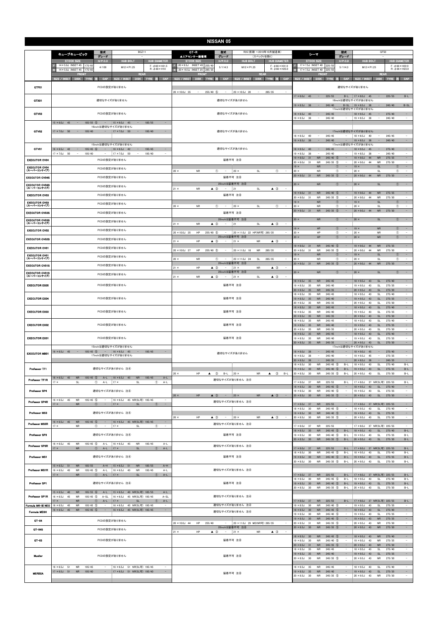|                                      |                                                                                                                                                                                                                                                                                                          | <b>NISSAN 05</b>                                                                                                                                               |                                                                                                                                                                                                                                                                                                                                                                            |  |  |  |  |  |
|--------------------------------------|----------------------------------------------------------------------------------------------------------------------------------------------------------------------------------------------------------------------------------------------------------------------------------------------------------|----------------------------------------------------------------------------------------------------------------------------------------------------------------|----------------------------------------------------------------------------------------------------------------------------------------------------------------------------------------------------------------------------------------------------------------------------------------------------------------------------------------------------------------------------|--|--|--|--|--|
|                                      | 型式<br>BGZ11<br>キューブキュービック                                                                                                                                                                                                                                                                                | R35(前期~2010年10月製造車)<br>GT-R<br>型式                                                                                                                              | 型式<br>GF50<br>シーマ                                                                                                                                                                                                                                                                                                                                                          |  |  |  |  |  |
|                                      | グレード<br>$H/P$ .C.D<br><b>HUB BOLT</b><br><b>HUB DIAMETER</b><br><b>STOCK SIZE</b>                                                                                                                                                                                                                        | ▲エアセンサー装着車<br>グレード<br>(スペックVを除く)<br>H/P. C.D<br><b>HUB DIAMETER</b><br><b>STOCK SIZE</b><br><b>HUB BOLT</b>                                                    | グレード<br>$H/P$ .C.D<br><b>HUB DIAMETER</b><br><b>STOCK SIZE</b><br><b>HUB BOLT</b>                                                                                                                                                                                                                                                                                          |  |  |  |  |  |
|                                      | $14 \times 5.0$ J INSET 45 175/6<br>$F: 660 \times H31.5$<br>4/100<br>$M12 \times P1.25$<br>$R: \phi$ 60 $\times$ H10<br>14 × 5.0J INSET 45<br>175/65                                                                                                                                                    | $20 \times 9.5$ J INSET 45 255/40<br>$F: \phi 66 \times H31.0$<br>5/114.3<br>$M12 \times P1.25$<br>$R: \phi$ 66 $\times$ H25.0<br>20 × 10.5J INSET 25<br>285/3 | 17×7.5J INSET 40 225/55<br>$F: \phi$ 66 $\times$ H22.0<br>5/114.3<br>$M12 \times P1.25$<br>$R: \phi$ 66 $\times$ H23.0<br>17×7.5J INSET 40<br>225/5!                                                                                                                                                                                                                       |  |  |  |  |  |
|                                      | <b>REAR</b><br><b>FRONT</b><br>CAP<br>SIZE / INSET<br>CAP<br><b>SIZE / INSET</b><br><b>DISK</b><br><b>DISK</b><br>TYRE 注<br><b>TYRE</b>                                                                                                                                                                  | <b>REAR</b><br><b>FRONT</b><br>CAP<br><b>SIZE / INSET</b><br>CAP<br>SIZE / INSET<br>DISK TYRE 注<br><b>DISK</b><br>TYRE 注                                       | <b>REAR</b><br><b>FRONT</b><br>CAP<br>SIZE / INSET<br>CAP<br><b>SIZE / INSET</b><br>TYRE 注<br>DISK TYRE<br><b>DISK</b>                                                                                                                                                                                                                                                     |  |  |  |  |  |
| GTF01                                | PCDの設定がありません                                                                                                                                                                                                                                                                                             |                                                                                                                                                                | 適切なサイズがありません                                                                                                                                                                                                                                                                                                                                                               |  |  |  |  |  |
|                                      |                                                                                                                                                                                                                                                                                                          | $20 \times 10.0$ J 35<br>$255/40$ (5)<br>20 × 10.5J 20<br>285/35<br>$\hspace{0.1mm}-\hspace{0.1mm}$<br>$\sim$<br>$\sim$<br>$\sim$                              | $\sim$<br>225/55<br>225/55<br>$B-L$<br>$17 \times 8.0$ J 45<br>$B-L$   17 × 8.0J 45<br>$\sim$                                                                                                                                                                                                                                                                              |  |  |  |  |  |
| GTX01                                | 適切なサイズがありません                                                                                                                                                                                                                                                                                             | 適切なサイズがありません                                                                                                                                                   | 18inchは適切なサイズがありません<br>245/40<br>$B-SL$<br>$\alpha \rightarrow \beta$<br>245/40<br>B-SL   19 × 8.5J 38<br>$\alpha=1$<br>$19 \times 8.5$ J 38<br>17inchは適切なサイズがありません                                                                                                                                                                                                        |  |  |  |  |  |
| GTV03                                | PCDの設定がありません                                                                                                                                                                                                                                                                                             | 適切なサイズがありません                                                                                                                                                   | 275/40<br>$\sim$<br>$18 \times 8.5$ J 40<br>$\sim$<br>245/45<br>$18 \times 9.5$ J<br>45<br>$\sim$<br>$19 \times 8.5$ J<br>38<br>245/40<br>$19 \times 8.5$ J<br>38<br>245/40<br>$\overline{\phantom{a}}$<br>$\overline{\phantom{a}}$<br>$\overline{\phantom{a}}$                                                                                                            |  |  |  |  |  |
|                                      | $15 \times 6.0$ J 45<br>$185/55$ (5)<br>$15 \times 6.0$ J 45<br>185/55<br>$\sim$<br>$\alpha = 1$<br>$\sim$<br>$\sim$<br>16inchは適切なサイズがありません                                                                                                                                                              |                                                                                                                                                                |                                                                                                                                                                                                                                                                                                                                                                            |  |  |  |  |  |
| GTV02                                | $17 \times 7.0$ J 50<br>195/40<br>$17 \times 7.0$ J 50<br>195/40<br>$\sim$<br>$\qquad \qquad -$<br>$\sim$<br>$\overline{\phantom{a}}$                                                                                                                                                                    | 適切なサイズがありません                                                                                                                                                   | 17inchは適切なサイズがありません<br>245/45<br>$18 \times 8.5J$<br>40<br>$18 \times 8.5$ J<br>245/45<br>$\overline{\phantom{a}}$<br>$\overline{\phantom{a}}$<br>$\overline{\phantom{a}}$<br>40<br>$\overline{\phantom{a}}$                                                                                                                                                               |  |  |  |  |  |
|                                      | 15inchは適切なサイズがありません                                                                                                                                                                                                                                                                                      |                                                                                                                                                                | $\sim$<br>$19 \times 8.5$ J 38<br>$\sim$<br>$19 \times 8.5$ J<br>245/40<br>245/40<br>$\sim$<br>38<br>$\sim$<br>17inchは適切なサイズがありません                                                                                                                                                                                                                                         |  |  |  |  |  |
| GTV01                                | $16 \times 6.5$ J 42<br>$195/45$ 6<br>$16 \times 6.5$ J<br>42<br>195/45<br>$\sim$<br>$\sim$<br>$\overline{\phantom{a}}$<br>$17 \times 7.0$ J<br>50<br>195/40<br>$17 \times 7.0$ J<br>50<br>195/40<br>$\overline{\phantom{a}}$                                                                            | 適切なサイズがありません                                                                                                                                                   | $18 \times 8.5$ J<br>40<br>245/45<br>$18 \times 9.5$ J<br>45<br>275/40<br>$\sim$<br>$\overline{\phantom{a}}$<br>$\sim$<br>$19 \times 8.5$ J<br>38<br>245/40<br>$19 \times 8.5$ J<br>38<br>245/40<br>$\overline{\phantom{a}}$                                                                                                                                               |  |  |  |  |  |
| <b>EXECUTOR CV04</b>                 | PCDの設定がありません                                                                                                                                                                                                                                                                                             | 装着不可 注8                                                                                                                                                        | $\equiv$<br><b>NR</b><br>$245/40$ (5)<br>$19 \times 9.0$ J<br><b>NR</b><br>275/35<br>$19 \times 8.0$ J<br>31<br>44<br>$20 \times 8.0J$<br><b>NR</b><br>$245/35$ (5)<br>$20 \times 9.0J$<br><b>NR</b><br>275/30<br>$\sim$<br>31<br>$\sim$<br>-44                                                                                                                            |  |  |  |  |  |
| <b>EXECUTOR CV04</b><br>(スーパーコンケイブ)  | PCDの設定がありません                                                                                                                                                                                                                                                                                             | $^\circledR$<br>$20 \times$<br>$^{\circ}$<br>$20 \times$<br>NR<br>$\sim$<br>SL<br>$\sim$                                                                       | $\sim$<br><b>NR</b><br>SL<br>$19 \times$<br>$\circled{0}$<br>$19 \times$<br>$\circled{0}$<br>$\circledcirc$<br>$^{\circ}$<br>$20 \times$<br><b>NR</b><br>$\sim$<br>$20 \times$<br>SL<br>$\overline{\phantom{a}}$                                                                                                                                                           |  |  |  |  |  |
| <b>EXECUTOR CV04S</b>                | PCDの設定がありません                                                                                                                                                                                                                                                                                             | 装着不可 注8                                                                                                                                                        | <b>NR</b><br>$\sim$<br><b>NR</b><br>$245/35$ (5)<br>275/30<br>$20 \times 8.0$ J 31<br>$\overline{\phantom{a}}$<br>$20 \times 9.0J$<br>44                                                                                                                                                                                                                                   |  |  |  |  |  |
| <b>EXECUTOR CV04S</b><br>(スーパーコンケイブ) | PCDの設定がありません                                                                                                                                                                                                                                                                                             | 20inchは装着不可 注8<br>$21 \times$<br><b>NR</b><br>$\triangle$ 3<br>21<br>SL<br>$\triangle$ 3<br>$\sim$<br>$\overline{\phantom{a}}$                                 | <b>NR</b><br>$\circ$<br>$20 \times$<br><b>SL</b><br>(1)<br>$\sim$<br>$20 \times$                                                                                                                                                                                                                                                                                           |  |  |  |  |  |
| <b>EXECUTOR CV03</b>                 | PCDの設定がありません                                                                                                                                                                                                                                                                                             | 装着不可 注8                                                                                                                                                        | $19 \times 8.0J$<br><b>NR</b><br>$245/40$ (5)<br>$19 \times 9.0J$<br><b>NR</b><br>275/35<br>$\sim$<br>31<br>44<br>$20 \times 8.0$ J<br><b>NR</b><br>$245/35$ (5)<br>$20 \times 9.0J$<br>44<br><b>NR</b><br>275/30<br>$\overline{\phantom{a}}$<br>31                                                                                                                        |  |  |  |  |  |
| <b>EXECUTOR CV03</b><br>(スーパーコンケイブ)  | PCDの設定がありません                                                                                                                                                                                                                                                                                             | $20 \times$<br><b>NR</b><br>$\circled{1}$<br>$20 \times$<br>$\circledcirc$<br>$\overline{\phantom{a}}$<br>SL<br>$\overline{\phantom{a}}$                       | <b>SL</b><br>$\sim$<br>$19 \times$<br><b>NR</b><br>$\circled{0}$<br>$19 \times$<br>$\sim$<br>(T)<br>$20 \times$<br><b>NR</b><br>$\circled{1}$<br>$20 \times$<br>SL<br>$^{\circ}$<br>$\overline{\phantom{a}}$                                                                                                                                                               |  |  |  |  |  |
| <b>EXECUTOR CV03S</b>                | PCDの設定がありません                                                                                                                                                                                                                                                                                             | 装着不可 注8                                                                                                                                                        | $20 \times 8.0$ J 31<br><b>NR</b><br>$245/35$ 5<br>$20 \times 9.0J$<br><b>NR</b><br>275/30<br>44<br>$\sim$                                                                                                                                                                                                                                                                 |  |  |  |  |  |
| <b>EXECUTOR CV03S</b><br>(スーパーコンケイブ) | PCDの設定がありません                                                                                                                                                                                                                                                                                             | 20inchは装着不可注8<br>$\triangle$ 3<br><b>NR</b><br>$\triangle$ 3<br>21<br><b>SI</b><br>$\overline{\phantom{a}}$<br>$21 \times$<br>$\sim$                           | <b>NR</b><br>$\circled{0}$<br><b>SL</b><br>$\circled{0}$<br>$20 \times$<br>$20 \times$<br>$\overline{\phantom{a}}$                                                                                                                                                                                                                                                         |  |  |  |  |  |
| <b>EXECUTOR CV02</b>                 | PCDの設定がありません                                                                                                                                                                                                                                                                                             | $255/40$ (5)<br>$20 \times 10.0$ J 35<br>HP<br>$\overline{\phantom{a}}$<br>20 × 11.0J 22 HP(NR可) 285/35<br>$\overline{\phantom{a}}$                            | HP<br>$\circled{1}$<br><b>NR</b><br>$\circled{0}$<br>$19 \times$<br>$19 \times$<br>$\overline{\phantom{a}}$<br>HP<br>$\circled{1}$<br>NR<br>$\circled{1}$<br>$20 \times$<br>$20 \times$<br>$\overline{\phantom{a}}$                                                                                                                                                        |  |  |  |  |  |
| <b>EXECUTOR CV02S</b>                | PCDの設定がありません                                                                                                                                                                                                                                                                                             | 20inchは装着不可 注8<br>HP<br>$\triangle$ 3<br>$21 \times$<br><b>NR</b><br>$\triangle$ 3<br>$21 \times$<br>$\overline{\phantom{a}}$<br>$\overline{\phantom{a}}$      | $\circled{1}$<br>$\circled{0}$<br>$\sim$<br>HP<br><b>NR</b><br>$20 \times$<br>$\sim$<br>$20 \times$                                                                                                                                                                                                                                                                        |  |  |  |  |  |
| <b>EXECUTOR CV01</b>                 | PCDの設定がありません                                                                                                                                                                                                                                                                                             | 20 × 10.0J 37<br>HP<br>$255/40$ (5)<br>20 × 11.0J 18<br><b>NR</b><br>285/35<br>$\overline{\phantom{0}}$<br>$\qquad \qquad -$                                   | ${\sf NR}$<br>$245/40$ (5)<br>$19 \times 9.0J$<br><b>NR</b><br>275/35<br>$\sim$<br>$19 \times 8.0$ J 31<br>44<br><b>NR</b><br>$245/35$ (5)<br>$20 \times 9.0$ J 44<br><b>NR</b><br>275/30<br>$20 \times 8.0$ J<br>31<br>$\sim$<br>$\sim$                                                                                                                                   |  |  |  |  |  |
| <b>EXECUTOR CV01</b><br>(スーパーコンケイブ)  | PCDの設定がありません                                                                                                                                                                                                                                                                                             | 20 × 11.0J 24<br>$20 \times$<br><b>NR</b><br>285/35<br>$\circ$<br>SL<br>$\sim$                                                                                 | $19 \times$<br><b>NR</b><br>$19 \times$<br><b>SL</b><br>$\sim$<br>Œ<br>(1)<br>$\circledcirc$<br>$\circled{1}$<br><b>NR</b><br>$20 \times$<br><b>SL</b><br>$20 \times$<br>$\overline{\phantom{a}}$                                                                                                                                                                          |  |  |  |  |  |
| <b>EXECUTOR CV01S</b>                | PCDの設定がありません                                                                                                                                                                                                                                                                                             | 20inchは装着不可 注8<br>$21 \times$<br>HP<br>$\triangle$ 3<br>$\sim$<br>21 ×<br><b>NR</b><br>$\triangle$ 3<br>$\overline{\phantom{a}}$                               | $20 \times 8.0$ J 31<br>${\sf NR}$<br>$245/35$ (5)<br>$20 \times 9.0$ J 44<br><b>NR</b><br>275/30<br>$\overline{\phantom{a}}$                                                                                                                                                                                                                                              |  |  |  |  |  |
| <b>EXECUTOR CV01S</b><br>(スーパーコンケイブ) | PCDの設定がありません                                                                                                                                                                                                                                                                                             | 20inchは装着不可 注8<br><b>NR</b><br>$\triangle$ 3<br>$21 \times$<br>$\triangle$ 3<br>$21 \times$<br><b>SL</b>                                                       | <b>NR</b><br>$\circled{1}$<br>$20 \times$<br><b>SL</b><br>$\circled{1}$<br>$\mathcal{A}=\mathcal{A}$<br>$20 \times$<br>$\overline{\phantom{a}}$<br>$18 \times 8.5J$<br>35<br><b>NR</b><br>245/45<br>$18 \times 9.5$ J 43<br>275/40<br>$\sim$                                                                                                                               |  |  |  |  |  |
| <b>EXECUTOR EX05</b>                 | PCDの設定がありません                                                                                                                                                                                                                                                                                             | 装着不可 注8                                                                                                                                                        | SL<br>$19 \times 8.5$ J<br>35<br>NR<br>245/40<br>$19 \times 9.5$ J<br>43<br>SL<br>275/35<br>$\overline{\phantom{a}}$<br>$\qquad \qquad -$<br>$20 \times 8.5$ J<br>35<br><b>NR</b><br>245/35<br>$\sim$<br>$20 \times 9.5$ J 43<br><b>SL</b><br>275/30<br>$\sim$                                                                                                             |  |  |  |  |  |
| <b>EXECUTOR EX04</b>                 | PCDの設定がありません                                                                                                                                                                                                                                                                                             | 装着不可 注8                                                                                                                                                        | 245/45<br>275/40<br>$18 \times 8.5$ J<br><b>NR</b><br>$18 \times 9.5$ J<br>$\overline{\phantom{a}}$<br>35<br>43<br><b>SL</b><br>$\overline{\phantom{a}}$<br><b>NR</b><br>$19 \times 9.5$ J<br>275/35<br>$19 \times 8.5$ J<br>35<br>245/40<br>43<br><b>SL</b>                                                                                                               |  |  |  |  |  |
|                                      |                                                                                                                                                                                                                                                                                                          |                                                                                                                                                                | $20 \times 8.5J$<br>35<br><b>NR</b><br>245/35<br>$\overline{\phantom{a}}$<br>$20 \times 9.5J$<br>43<br><b>SL</b><br>275/30<br>$\overline{\phantom{a}}$<br>$18 \times 8.5J$<br>35<br><b>NR</b><br>245/45<br>$18 \times 9.5$ J<br>43<br><b>SL</b><br>275/40                                                                                                                  |  |  |  |  |  |
| <b>EXECUTOR EX03</b>                 | PCDの設定がありません                                                                                                                                                                                                                                                                                             | 装着不可 注8                                                                                                                                                        | $19 \times 8.5$ J<br>35<br><b>NR</b><br>245/40<br>$19 \times 9.5$ J<br>43<br><b>SL</b><br>275/35<br>$\overline{\phantom{a}}$<br>$\overline{\phantom{a}}$<br>$\sim$<br>$20 \times 8.5$ J<br>35<br><b>NR</b><br>245/35<br>$20 \times 9.5$ J<br>43<br><b>SL</b><br>275/30                                                                                                     |  |  |  |  |  |
| <b>EXECUTOR EX02</b>                 | PCDの設定がありません                                                                                                                                                                                                                                                                                             | 装着不可 注8                                                                                                                                                        | 245/45<br>275/40<br><b>NR</b><br>$18 \times 9.5J$<br>SL<br>$\sim$<br>$18 \times 8.5$ J<br>35<br>$\sim$<br>43<br>$\sim$<br>$19 \times 8.5$ J 35<br>${\sf NR}$<br>245/40<br>$19 \times 9.5$ J 43<br>SL<br>275/35<br>$\overline{\phantom{a}}$                                                                                                                                 |  |  |  |  |  |
| <b>EXECUTOR EX01</b>                 | PCDの設定がありません                                                                                                                                                                                                                                                                                             | 装着不可 注8                                                                                                                                                        | <b>NR</b><br>245/35<br>$20 \times 9.5$ J<br>SL<br>275/30<br>$20 \times 8.5$ J<br>35<br>$\sim$<br>43<br>$\sim$<br>$18 \times 8.5J$<br>$35\,$<br><b>NR</b><br>245/45<br>$18 \times 9.5J$<br>43<br><b>SL</b><br>275/40<br>$\sim$<br>$\sim$<br>$19 \times 8.5$ J<br>35<br><b>NR</b><br>245/40<br>$19 \times 9.5$ J<br>43<br>SL<br>275/35<br>$\overline{\phantom{a}}$<br>$\sim$ |  |  |  |  |  |
|                                      | 15inchは適切なサイズがありません                                                                                                                                                                                                                                                                                      |                                                                                                                                                                | $20 \times 8.5$ J 35<br><b>NR</b><br>$\sim$<br>245/35<br>$\sim$<br>$20 \times 9.5$ J 43<br><b>SL</b><br>275/30<br>17inchは適切なサイズがありません                                                                                                                                                                                                                                      |  |  |  |  |  |
| <b>EXECUTOR MB01</b>                 | $16 \times 6.5$ J 45 - $195/45$ (5)<br>$-$ 16 $\times$ 6.5J 45<br>$\sim$<br>195/45<br>$\sim$<br>17inchは適切なサイズがありません                                                                                                                                                                                      | 適切なサイズがありません                                                                                                                                                   | $18 \times 8.0$ J 38<br>$\sim$<br>245/45<br>$18 \times 9.0J$<br>45<br>$\sim$<br>275/40<br>$\sim$<br>$\sim$<br>$19 \times 8.5$ J<br>38<br>245/40<br>$19 \times 9.5$ J<br>45<br>$\sim$<br>275/35<br>$\overline{\phantom{a}}$<br>$\overline{\phantom{a}}$                                                                                                                     |  |  |  |  |  |
|                                      |                                                                                                                                                                                                                                                                                                          |                                                                                                                                                                | 38<br>245/35<br>$20 \times 8.5$ J 38<br>245/35<br>$\sim$<br>$20 \times 8.5$ J<br>$\overline{\phantom{a}}$<br>$\sim$<br>$\sim$<br>$B-L$<br>$18 \times 8.5J$<br><b>NR</b><br>$245/45$ (5)<br>SL<br>275/40<br>30<br>$B-L$<br>$18 \times 9.5$ J<br>43                                                                                                                          |  |  |  |  |  |
| Professor TF1                        | 適切なサイズがありません 注4                                                                                                                                                                                                                                                                                          | $20 \times$<br>HP<br>$\circled{3}$<br>$B-L$<br>$20 \times$<br><b>NR</b><br>$\triangle$ 3<br>$B-L$<br>$\blacktriangle$                                          | $19 \times 8.5$ J<br>30<br><b>NR</b><br>$245/40$ (5)<br>$19 \times 9.5$ J 43<br>SL<br>$B-L$<br>$B-L$<br>275/35<br>$20 \times 8.5J$<br>30<br><b>NR</b><br>$245/35$ (5)<br>$20 \times 9.5$ J<br>43<br><b>SL</b><br>275/30<br>$B-L$<br>B-L                                                                                                                                    |  |  |  |  |  |
| Professor TF1R                       | $195/45$ (5)<br>A-L   $16 \times 6.5$ J 45<br><b>NR</b><br>195/45<br>$16 \times 6.5$ J 45<br><b>NR</b><br>$A-L$<br>$17 \times$<br>$17 \times$<br><b>SL</b><br>$\circled{1}$<br>$A-L$<br>SL<br>$\circled{1}$<br>A-L                                                                                       | 適切なサイズがありません 注4                                                                                                                                                | $17 \times 8.0$ J 37<br><b>NR</b><br>225/55<br>$B-L$<br>17 × 8.0J 37 NR(SL可) 225/55<br>$B-L$                                                                                                                                                                                                                                                                               |  |  |  |  |  |
| Professor SP4                        | 適切なサイズがありません 注4                                                                                                                                                                                                                                                                                          |                                                                                                                                                                | <b>NR</b><br>$245/45$ (5)<br>$18 \times 8.5$ J<br>30 <sup>°</sup><br>$18 \times 9.5J$<br>43<br><b>SL</b><br>275/40<br>$19 \times 8.5$ J<br>30<br><b>NR</b><br>$245/40$ (5)<br>$19 \times 9.5$ J<br>43<br>SL<br>275/35<br>$\sim$<br>$\sim$                                                                                                                                  |  |  |  |  |  |
| Professor SP4R                       | $16 \times 6.5$ J<br>45 NR(SL可) 195/45<br>$16 \times 6.5$ J<br><b>NR</b><br>$195/45$ (5)<br>45<br>$\sim$                                                                                                                                                                                                 | HP<br>$\triangle$ 3<br>$20 \times$<br><b>NR</b><br>$\triangle$ 3<br>$\sim$<br>$20 \times$<br>$\sim$ $-$<br>適切なサイズがありません 注4                                     | $\sim$<br>$20 \times 8.5J$<br>30 <sup>°</sup><br>${\sf NR}$<br>$245/35$ (5)<br>$\sim$<br>$20 \times 9.5$ J<br><b>SL</b><br>43<br>275/30                                                                                                                                                                                                                                    |  |  |  |  |  |
|                                      | $17 \times$<br><b>NR</b><br>$\circled{1}$<br>$\sim$<br>$\sim$ $-$<br>$17 \times$<br><b>SL</b><br>$\circled{1}$                                                                                                                                                                                           |                                                                                                                                                                | $17 \times 8.0$ J 37<br><b>NR</b><br>225/55<br>17 × 8.0J 37 NR(SL可) 225/55<br>$\sim$<br><b>NR</b><br>$245/45$ (5)<br>$18 \times 8.5J$<br>30<br>$18 \times 9.5$ J<br>43<br><b>SL</b><br>275/40<br>$\sim$<br>$\sim$                                                                                                                                                          |  |  |  |  |  |
| Professor MS3                        | 適切なサイズがありません 注4                                                                                                                                                                                                                                                                                          | $20 \times$<br>HP<br>$\triangle$ 3<br>$20 \times$<br><b>NR</b><br>$\triangle$ 3<br>$\sim$                                                                      | $\sim$<br>$19 \times 8.5$ J 30<br><b>NR</b><br>$245/40$ (5)<br>$\sim$<br>$19 \times 9.5$ J 43<br>SL<br>275/35<br>$20 \times 8.5J$<br>30<br><b>NR</b><br>$245/35$ (5)<br>$20 \times 9.5$ J<br>43<br><b>SL</b><br>275/30<br>$\overline{\phantom{a}}$                                                                                                                         |  |  |  |  |  |
| Professor MS3R                       | $16 \times 6.5$ J 45<br>$195/45$ (5)<br>16 × 6.5J 45 NR(SL可) 195/45<br><b>NR</b><br>$\sim$ $ \sim$<br>$\overline{\phantom{a}}$<br>$17 \times$<br><b>NR</b><br>$\circled{1}$<br>$\sim$<br>$17 \times$<br><b>SL</b><br>$^{\circ}$<br>$\sim$                                                                | 適切なサイズがありません 注4                                                                                                                                                | $17 \times 8.0$ J<br>37<br><b>NR</b><br>225/55<br>17 × 8.0J 37 NR(SL可) 225/55<br>$\sim$<br>$B-L$                                                                                                                                                                                                                                                                           |  |  |  |  |  |
| Professor SP3                        | 適切なサイズがありません 注4                                                                                                                                                                                                                                                                                          | 装着不可 注8                                                                                                                                                        | <b>NR</b><br>$245/45$ (5)<br>$B-L$<br>$18 \times 9.5$ J<br>$18 \times 8.5$ J<br>30<br>43<br>SL<br>275/40<br><b>NR</b><br>245/40 (5)<br>43<br>SL<br>$B-L$<br>$19 \times 8.5$ J<br>30<br>B-L<br>$19 \times 9.5$ J<br>275/35<br>$20 \times 8.5$ J 30<br><b>NR</b><br>$245/35$ 5<br>$20 \times 9.5$ J 43<br>SL<br>275/30<br>$B-L$<br>$B-L$                                     |  |  |  |  |  |
| Professor SP3R                       | $16 \times 6.5$ J<br><b>NR</b><br>$195/45$ (5)<br>$A-L$<br>$16 \times 6.5$ J<br><b>NR</b><br>195/45<br>$A-L$<br>45<br>45<br>$17 \times$<br><b>NR</b><br>$\circled{1}$<br>$A-L$   17 $\times$<br>SL<br>$\circled{1}$<br>$A-L$                                                                             | 適切なサイズがありません 注4                                                                                                                                                | ${\sf NR}$<br>17 × 8.0J 37 NR(SL可) 225/55<br>$17 \times 8.0$ J<br>37<br>225/55<br>$B-L$<br>$B-L$                                                                                                                                                                                                                                                                           |  |  |  |  |  |
| Professor MS1                        | 適切なサイズがありません 注4                                                                                                                                                                                                                                                                                          | 装着不可 注8                                                                                                                                                        | <b>NR</b><br>$245/45$ (5)<br>$18 \times 9.5$ J<br>275/40<br>$18 \times 8.5$ J<br>30<br>$B-L$<br>43<br><b>SL</b><br>$B-L$<br>$19 \times 8.5$ J<br>30<br><b>NR</b><br>$245/40$ (5)<br>$19 \times 9.5$ J<br>43<br><b>SL</b><br>275/35<br>$B-L$<br>$B-L$                                                                                                                       |  |  |  |  |  |
|                                      | $15 \times 6.5$ J 51<br>185/55<br><b>NR</b><br>$A-H$<br>$15 \times 6.5$ J<br>51<br><b>NR</b><br>185/55<br>$A-H$                                                                                                                                                                                          |                                                                                                                                                                | $20 \times 8.5J$<br>30<br><b>NR</b><br>$245/35$ (5)<br>$B-L$<br>$20 \times 9.5$ J 43<br><b>SL</b><br>275/30<br>$B-L$                                                                                                                                                                                                                                                       |  |  |  |  |  |
| Professor MS1R                       | $16 \times 6.5$ J 45<br><b>NR</b><br>$195/45$ (5)<br>$A-L$<br>$16 \times 6.5$ J 45<br><b>NR</b><br>195/45<br>$A-L$<br>$17 \times$<br><b>NR</b><br>$\circled{1}$<br>$A-L$   17 $\times$<br>SL<br>$\circled{1}$<br>$A-L$                                                                                   | 適切なサイズがありません 注4                                                                                                                                                | $17 \times 8.0$ J<br>37<br><b>NR</b><br>225/55<br>$B-L$<br>17 × 8.0J 37 NR(SL可) 225/55<br>$B-L$                                                                                                                                                                                                                                                                            |  |  |  |  |  |
| Professor SP1                        | 適切なサイズがありません 注4                                                                                                                                                                                                                                                                                          | 装着不可 注8                                                                                                                                                        | $18 \times 8.5J$<br>30<br><b>NR</b><br>$245/45$ (5)<br>$B-L$<br>$18 \times 9.5$ J<br>SL<br>275/40<br>$B-L$<br>43<br>$19 \times 8.5$ J 30<br><b>NR</b><br>$245/40$ (5)<br>$19 \times 9.5$ J 43<br><b>SL</b><br>275/35<br>$B-L$<br>$B-L$                                                                                                                                     |  |  |  |  |  |
|                                      | $15 \times 6.5$ J<br>${\sf NR}$<br>$185/55$ (6)<br>$A-L$<br>15 × 6.5J 40 NR(SL可) 185/55<br>$A-L$<br>40                                                                                                                                                                                                   |                                                                                                                                                                | $20 \times 8.5J$<br>30<br><b>NR</b><br>$245/35$ (5)<br>$B-L$<br>$20 \times 9.5$ J 43<br><b>SL</b><br>275/30<br>$B-L$                                                                                                                                                                                                                                                       |  |  |  |  |  |
| Professor SP1R<br>Formula MK-III NEO | $16 \times 6.5J$<br>45<br><b>NR</b><br>$195/45$ 5<br>$A-SL$<br>$16 \times 6.5$ J<br>45 NR(SL可) 195/45<br>$A-SL$<br>$17 \times$<br><b>NR</b><br>$\circled{1}$<br>$A-L$<br>$17 \times$<br><b>SL</b><br>$\circled{1}$<br>$A-L$<br>$16 \times 6.5$ J<br>195/45 5<br><b>NR</b><br>16 × 6.5J 45 NR(SL可) 195/45 | 適切なサイズがありません 注4<br>適切なサイズがありません 注4                                                                                                                             | $17 \times 8.0$ J<br>37<br><b>NR</b><br>225/55<br>$B-L$<br>17 × 8.0J 37 NR(SL可) 225/55<br>$B-L$<br>$19 \times 8.5$ J<br><b>NR</b><br>245/40 5<br>$19 \times 9.5$ J<br>43<br>275/35<br>$\overline{\phantom{a}}$                                                                                                                                                             |  |  |  |  |  |
| <b>Formula MESH</b>                  | 45<br>$16 \times 6.5$ J 45<br><b>NR</b><br>195/45 5<br>16 × 6.5J 45 NR(SL可) 195/45<br>$\sim$<br>$\sim$                                                                                                                                                                                                   | 適切なサイズがありません 注4                                                                                                                                                | 30<br>SL<br><b>NR</b><br>$245/45$ 5<br>$18 \times 9.5$ J<br>SL<br>275/40<br>$\sim$<br>$18 \times 8.5J$<br>30<br>43<br>$\overline{\phantom{a}}$<br>$19 \times 8.5$ J<br><b>NR</b><br>245/40 5<br>$19 \times 9.5$ J<br><b>SL</b><br>$\sim$<br>30<br>43<br>275/35                                                                                                             |  |  |  |  |  |
| $GT - 04$                            | PCDの設定がありません                                                                                                                                                                                                                                                                                             | 20 × 11.0J 29 MD(NR可) 285/35<br>$20 \times 10.0$ J 44<br>HP<br>255/40<br>$\sim$ 100 $\mu$                                                                      | $19 \times 8.5$ J<br>30<br><b>NR</b><br>245/40 (5)<br>$19 \times 9.5$ J<br>43<br><b>NR</b><br>275/35<br>$\overline{\phantom{a}}$<br>$\sim$<br>$20 \times 8.5J$<br>31<br><b>NR</b><br>$245/35$ (5)<br>$20 \times 9.5J$<br>43<br><b>NR</b><br>275/30                                                                                                                         |  |  |  |  |  |
| $GT-04S$                             | PCDの設定がありません                                                                                                                                                                                                                                                                                             | 20inchは装着不可 注8<br>$\triangle$ 3 - 21 x<br>$21 \times$<br>HP<br><b>NR</b><br>$\triangle$ 3                                                                      | $\overline{\phantom{a}}$<br>$20 \times 8.5$ J 30<br><b>NR</b><br>$245/35$ (5)<br>$20 \times 9.5$ J 43<br><b>NR</b><br>275/30<br>$\sim$                                                                                                                                                                                                                                     |  |  |  |  |  |
| GT-03                                | PCDの設定がありません                                                                                                                                                                                                                                                                                             | 装着不可 注8                                                                                                                                                        | $245/45$ (5)<br>275/40<br>$\sim$<br>$18 \times 8.5$ J 30<br><b>NR</b><br>$18 \times 9.5$ J 43<br><b>NR</b><br>$\sim$<br>$19 \times 8.5$ J<br>30<br><b>NR</b><br>$245/40$ (5)<br>$19 \times 9.5$ J<br>43<br><b>NR</b><br>275/35<br>$\sim$<br>$\sim$                                                                                                                         |  |  |  |  |  |
|                                      |                                                                                                                                                                                                                                                                                                          |                                                                                                                                                                | $\sim$<br>$20 \times 8.5$ J<br>31<br><b>NR</b><br>$245/35$ (5)<br>$20 \times 9.5$ J<br>43<br><b>NR</b><br>275/30<br><b>NR</b><br>245/45<br>$18 \times 9.5J$<br>275/40<br>$18 \times 8.5$ J<br>35<br>$\sim$<br>43<br>SL<br>$\sim$                                                                                                                                           |  |  |  |  |  |
| Mueller                              | PCDの設定がありません                                                                                                                                                                                                                                                                                             | 装着不可 注8                                                                                                                                                        | $\sim$<br>$19 \times 8.5$ J<br>35<br><b>NR</b><br>245/40<br>$19 \times 9.5$ J<br>43<br><b>SL</b><br>275/35<br>275/30<br>$20 \times 8.5J$<br><b>NR</b><br>$245/35$ (5)<br>$20 \times 9.5J$<br>43<br><b>NR</b><br>$\sim$<br>30<br>$\sim$                                                                                                                                     |  |  |  |  |  |
|                                      | 195/45<br>16 × 6.5J 51 NR(SL可) 195/45<br>$16 \times 6.5$ J<br>51<br><b>NR</b><br>$\sim$<br>$\overline{\phantom{a}}$                                                                                                                                                                                      |                                                                                                                                                                | 245/45<br>$18 \times 9.5$ J<br>275/40<br>$\sim$<br>$18 \times 8.5$ J<br>35<br><b>NR</b><br>$\overline{\phantom{a}}$<br>43<br>SL                                                                                                                                                                                                                                            |  |  |  |  |  |
| <b>MERISIA</b>                       | $17 \times 6.5$ J 51<br><b>NR</b><br>195/40<br>17 × 6.5J 51 NR(SL可) 195/40<br>$\sim$<br>$\sim$                                                                                                                                                                                                           | 装着不可 注8                                                                                                                                                        | $19 \times 8.5$ J 35<br><b>NR</b><br>245/40<br>$\sim$<br>$19 \times 9.5$ J 43<br>SL<br>275/35<br>$\sim$<br>20 × 8.5J 30 NR 245/35 5<br>20 × 9.5J 43 NR 275/30                                                                                                                                                                                                              |  |  |  |  |  |
|                                      |                                                                                                                                                                                                                                                                                                          |                                                                                                                                                                |                                                                                                                                                                                                                                                                                                                                                                            |  |  |  |  |  |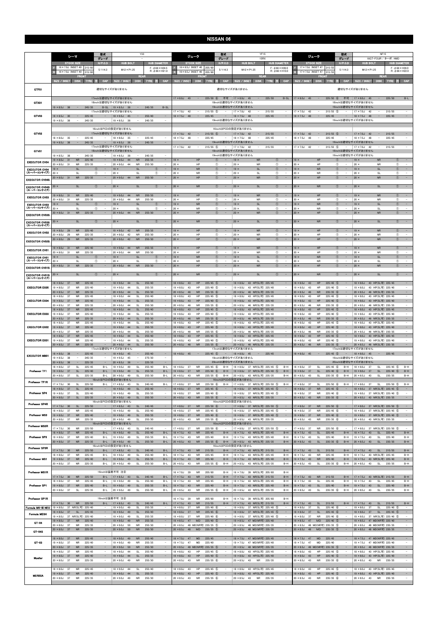|                                      | シーマ                                                                                                                                                  | 型式<br>グレード                                                     | Y33                                                                                                                |                                                        | ジューク                                                                                                                 | 型式<br>グレード                                                | YF15<br>15R <sub>x</sub>                                                                                                   |                                                                                     | ジューク                                                                                                         | 型式<br>グレード                                                          | <b>NF15</b><br>16GT-FOUR / ターボ /4WD                                                                                                                                                          |
|--------------------------------------|------------------------------------------------------------------------------------------------------------------------------------------------------|----------------------------------------------------------------|--------------------------------------------------------------------------------------------------------------------|--------------------------------------------------------|----------------------------------------------------------------------------------------------------------------------|-----------------------------------------------------------|----------------------------------------------------------------------------------------------------------------------------|-------------------------------------------------------------------------------------|--------------------------------------------------------------------------------------------------------------|---------------------------------------------------------------------|----------------------------------------------------------------------------------------------------------------------------------------------------------------------------------------------|
|                                      | <b>STOCK SIZE</b><br>16 × 7.0J INSET 40<br>215/60                                                                                                    | $H/P$ .C.D<br>5/114.3                                          | <b>HUB BOLT</b><br>$M12 \times P1.25$                                                                              | <b>HUB DIAMETER</b><br>$F: 666 \times H24.5$           | <b>STOCK SIZE</b><br>16×6.5J INSET 40                                                                                | H/P. C.D<br>205/60<br>5/114.3                             | <b>HUB BOLT</b><br>$M12 \times P1.25$                                                                                      | <b>HUB DIAMETER</b><br>$F: 666 \times H39.0$                                        | <b>STOCK SIZE</b><br>17×7.0J INSET 47 215/5                                                                  | $H/P$ .C.D<br>5/114.3                                               | <b>HUB DIAMETER</b><br><b>HUB BOLT</b><br>$F: 666 \times H39.0$<br>$M12 \times P1.25$                                                                                                        |
|                                      | 16 × 7.0J INSET 40<br>215/60<br>FRON                                                                                                                 |                                                                | <b>REAR</b>                                                                                                        | $R: \phi$ 66 $\times$ H21.0                            | 16 × 6.5J INSET 40<br>FROM                                                                                           | 205/6                                                     | <b>REAR</b>                                                                                                                | $R: \phi$ 66 $\times$ H10.0                                                         | 17×7.0J INSET 47<br>FRON                                                                                     | 215/5!                                                              | $R: \phi$ 66 $\times$ H22.0<br><b>REAR</b>                                                                                                                                                   |
| GTF01                                | SIZE / INSET<br>DISK TYRE                                                                                                                            | CAP                                                            | SIZE / INSET<br>適切なサイズがありません                                                                                       | DISK TYRE<br>注<br>CAP                                  | <b>SIZE / INSET</b><br><b>DISK</b>                                                                                   | CAP<br><b>TYRE</b><br>æ                                   | SIZE / INSET<br>適切なサイズがありません                                                                                               | DISK TYRE 注<br>CAP                                                                  | SIZE / INSET                                                                                                 | <b>CAP</b><br>DISK TYRE<br>- 33                                     | CAP<br><b>SIZE / INSET</b><br>DISK TYRE<br>注目<br>適切なサイズがありません                                                                                                                                |
|                                      |                                                                                                                                                      |                                                                | 17inchは適切なサイズがありません                                                                                                |                                                        | $17 \times 8.0$ J 45<br>$\sim$                                                                                       | $225/50$ (6)                                              | 不可   17 × 8.0J 45<br>$\sim$                                                                                                | 225/50<br>$B-SL$                                                                    | $17 \times 8.0$ J 45<br>$\sim$                                                                               | $225/50$ (6)                                                        | 不可   17 × 8.0J 45<br>225/50<br>$B-L$<br>$\sim$                                                                                                                                               |
| GTX01                                | $19 \times 8.5$ J 38<br>$\sim$<br>245/35                                                                                                             |                                                                | 18inchは適切なサイズがありません<br>$B-SL$   19 $\times$ 8.5J 38<br>$\sim$                                                      | 245/35<br>$B-SL$                                       |                                                                                                                      |                                                           | 18inchは適切なサイズがありません<br>19inchは適切なサイズがありません                                                                                 |                                                                                     |                                                                                                              | 18inchは適切なサイズがありません                                                 | 19inchは適切なサイズがありません                                                                                                                                                                          |
| GTV03                                | $18 \times 8.5$ J 30<br>225/45<br>$\sim$                                                                                                             |                                                                | 17inchは適切なサイズがありません<br>$18 \times 9.5$ J<br>45<br>۰.                                                               | 255/40                                                 | $17 \times 7.0$ J<br>42<br>$18 \times 7.5$ J<br>48<br>$\qquad \qquad -$                                              | 215/55<br>(5)<br>225/45<br>$\sim$                         | $17 \times 7.0$ J<br>42<br>$18 \times 7.5$ J<br>48<br>$\qquad \qquad -$                                                    | 215/55<br>$\overline{\phantom{a}}$<br>225/45<br>$\qquad \qquad -$                   | 17 × 7.0J<br>42<br>$18 \times 7.5J$<br>48<br>$\qquad \qquad -$                                               | 215/55<br>$\circ$<br>225/45<br>$\sim$                               | 215/55<br>$\overline{\phantom{a}}$<br>$17 \times 7.0$ J<br>42<br>$18 \times 7.5$ J<br>225/45<br>$\qquad \qquad -$<br>48<br>$\sim$                                                            |
|                                      | $19 \times 8.5$ J<br>245/35<br>- 38                                                                                                                  |                                                                | $19 \times 8.5$ J<br>38                                                                                            | 245/35<br>$\overline{\phantom{a}}$                     |                                                                                                                      |                                                           | 19inchは適切なサイズがありません                                                                                                        |                                                                                     |                                                                                                              |                                                                     | 19inchは適切なサイズがありません                                                                                                                                                                          |
| GTV02                                |                                                                                                                                                      |                                                                | 16inchはPCDの設定がありません<br>17inchは適切なサイズがありません                                                                         |                                                        | $17 \times 7.0$ J                                                                                                    | $215/55$ (5)                                              | 16inchはPCDの設定がありません<br>$17 \times 7.0$ J                                                                                   | 215/55                                                                              | $17 \times 7.0$ J<br>42                                                                                      | $215/55$ (5)<br>$\sim$                                              | $17 \times 7.0$ J<br>215/55<br>42                                                                                                                                                            |
|                                      | 225/45<br>$18 \times 8.0$ J<br>35<br>$\overline{\phantom{a}}$<br>$\sim$<br>$19 \times 8.5$ J<br>38<br>245/35                                         | $\overline{\phantom{a}}$                                       | $18 \times 8.0$ J<br>- 35<br>$\overline{\phantom{a}}$<br>$\sim$<br>$19 \times 8.5$ J<br>38                         | 225/45<br>$\sim$<br>$\sim$<br>245/35                   | $18 \times 7.5$ J<br>48                                                                                              | 225/45<br>$\sim$                                          | $18 \times 7.5$ J<br>48<br>$\overline{\phantom{a}}$<br>19inchは適切なサイズがありません                                                 | 225/45<br>$\overline{\phantom{a}}$                                                  | $18 \times 7.5$ J<br>48<br>$\overline{\phantom{a}}$                                                          | 225/45<br>$\sim$                                                    | $18 \times 7.5$ J<br>225/45<br>48<br>$\sim$<br>$\overline{\phantom{a}}$<br>19inchは適切なサイズがありません                                                                                               |
| GTV01                                |                                                                                                                                                      |                                                                | 17inchは適切なサイズがありません<br>18inchは適切なサイズがありません                                                                         |                                                        | $17 \times 7.0$ J<br>42<br>$\qquad \qquad -$                                                                         | $215/55$ (5)<br>$\sim$                                    | $17 \times 7.0$ J<br>42<br>$\overline{\phantom{a}}$<br>18inchは適切なサイズがありません                                                 | 215/55<br>$\overline{\phantom{a}}$                                                  | 17 × 7.0J<br>42<br>$\overline{\phantom{a}}$                                                                  | $215/55$ (5)<br>$\sim$                                              | $17 \times 7.0$ J<br>42<br>215/55<br>$\overline{\phantom{a}}$<br>$\overline{\phantom{a}}$<br>18inchは適切なサイズがありません                                                                             |
| <b>EXECUTOR CV04</b>                 | 245/35<br>$19 \times 8.5$ J<br>- 38<br>$\overline{\phantom{a}}$<br><b>NR</b><br>225/40<br>$19 \times 8.0$ J<br>31                                    | $\sim$<br>$\sim$                                               | $19 \times 8.5$ J<br>38<br>$\qquad \qquad =$<br><b>NR</b><br>$19 \times 9.0$ J<br>44                               | 245/35<br>255/35<br>$\sim$                             | $19 \times$<br>HP<br>$20 \times$                                                                                     | $\sim$                                                    | 19inchは適切なサイズがありません<br>$19 \times$<br><b>NR</b>                                                                            | $\circled{1}$<br>$\overline{\phantom{a}}$                                           | $19 \times$<br>HP                                                                                            | <b>T</b><br>$\sim$<br>$\bigcirc$                                    | 19inchは適切なサイズがありません<br>$19 \times$<br><b>NR</b><br>$\circled{1}$<br>$\sim$                                                                                                                   |
| <b>EXECUTOR CV04</b><br>(スーパーコンケイブ)  | $20 \times 8.0$ J<br>225/35<br>31<br><b>NR</b><br>$19 \times$<br><b>SL</b><br>$20 \times$<br>SL                                                      | $\sim$<br>$\circ$<br>$^{\circ}$                                | $20 \times 9.0J$<br><b>NR</b><br>44<br>$19 \times$<br><b>SL</b><br>$20 \times$<br>SL                               | 255/30<br>$\sim$<br>$\circ$<br>Œ                       | HP<br>$19 \times$<br><b>NR</b><br>$20 \times$<br><b>NR</b>                                                           | O<br>$\circled{1}$<br>$\overline{\phantom{a}}$            | $20 \times$<br><b>NR</b><br>$19 \times$<br><b>SL</b><br>$20 \times$<br>SL                                                  | $^{\circ}$<br>$\circledcirc$<br>$\sim$<br>$^{\circ}$                                | $20 \times$<br>HP<br>$19 \times$<br><b>NR</b><br>$20 \times$<br><b>NR</b>                                    | $\circled{1}$<br>$\sim$<br>$\circled{1}$                            | $20 \times$<br><b>NR</b><br>$\circled{1}$<br>SL<br>$19 \times$<br>$\circled{1}$<br>$\sim$<br>$^{\circ}$<br>$20 \times$<br><b>SL</b>                                                          |
| <b>EXECUTOR CV04S</b>                | $20 \times 8.0$ J 31<br>${\sf NR}$<br>225/35                                                                                                         | $\overline{\phantom{a}}$                                       | $20 \times 9.0$ J 44<br><b>NR</b>                                                                                  | 255/30<br>$\qquad \qquad -$                            | HP<br>$20 \times$                                                                                                    | ⊕<br>$\circled{1}$<br>$\overline{\phantom{a}}$            | $20 \times$<br><b>NR</b>                                                                                                   | $\circled{1}$<br>$\qquad \qquad -$                                                  | HP<br>$20 \times$                                                                                            | $\circled{1}$<br>$\overline{\phantom{a}}$                           | <b>NR</b><br>$\circled{1}$<br>$20 \times$<br>$\sim$                                                                                                                                          |
| <b>EXECUTOR CV04S</b><br>(スーパーコンケイブ) | $20 \times$<br><b>SL</b>                                                                                                                             | ⋒                                                              | $20 \times$<br><b>SL</b>                                                                                           | (T)<br>$\qquad \qquad -$                               | $20 \times$<br><b>NR</b>                                                                                             | $^{\circledR}$                                            | $20 \times$<br><b>SL</b>                                                                                                   | $^{\circledR}$                                                                      | $20 \times$<br><b>NR</b>                                                                                     | $\circledcirc$                                                      | <b>SL</b><br>$\circled{1}$<br>$20 \times$<br>$\qquad \qquad -$                                                                                                                               |
| <b>EXECUTOR CV03</b>                 | 225/40<br>$19 \times 8.0$ J<br><b>NR</b><br>31<br>$20 \times 8.0$ J<br>225/35<br>31<br><b>NR</b>                                                     |                                                                | $19 \times 9.0J$<br><b>NR</b><br>44<br>$20 \times 9.0J$<br><b>NR</b><br>44                                         | 255/35<br>$\overline{\phantom{a}}$<br>255/30           | HP<br>$19 \times$<br>$20 \times$<br>HP                                                                               | $\circled{1}$<br>$\circled{1}$                            | ${\sf NR}$<br>$19 \times$<br>$20 \times$<br><b>NR</b>                                                                      | $^{\circ}$<br>$^{\circ}$                                                            | HP<br>$19 \times$<br>$20 \times$<br>HP                                                                       | $\circled{1}$<br>$\circled{1}$                                      | ${\sf NR}$<br>$^\circledR$<br>$19 \times$<br>$\overline{\phantom{a}}$<br>$20 \times$<br><b>NR</b><br>$\circled{1}$                                                                           |
| <b>EXECUTOR CV03</b><br>(スーパーコンケイブ)  | <b>SL</b><br>$19 \times$<br>$20 \times$<br><b>SL</b>                                                                                                 | $\circled$<br>$\circled{1}$<br>$\overline{a}$                  | $19 \times$<br><b>SL</b><br>$20 \times$<br>SL                                                                      | (T)<br>Œ<br>$\sim$                                     | $19 \times$<br><b>NR</b><br>$20 \times$<br><b>NR</b>                                                                 | $\circled{0}$<br>O                                        | $19 \times$<br><b>SL</b><br>$20$ ><br><b>SL</b>                                                                            | $\circled{0}$<br>$\bar{\phantom{a}}$<br>$^{\circ}$<br>$\overline{\phantom{a}}$      | <b>NR</b><br>$19 \times$<br>$20 \times$<br><b>NR</b>                                                         | $\circled{1}$<br>$\circled{1}$                                      | <b>SL</b><br>$\circled{0}$<br>$19 \times$<br>$\overline{\phantom{a}}$<br>$20 \times$<br>$\circled{1}$<br><b>SL</b><br>$\overline{\phantom{a}}$                                               |
| <b>EXECUTOR CV03S</b>                | <b>NR</b><br>225/35<br>$20 \times 8.0$ J 31                                                                                                          |                                                                | $20 \times 9.0$ J 44<br><b>NR</b>                                                                                  | 255/30                                                 | HP<br>$20 \times$                                                                                                    | $\circled{0}$                                             | $20 \times$<br><b>NR</b>                                                                                                   | $\circled{0}$                                                                       | HP<br>$20 \times$                                                                                            | $\circled{0}$                                                       | $\circled{0}$<br>$\overline{\phantom{a}}$<br>$20 \times$<br><b>NR</b>                                                                                                                        |
| <b>EXECUTOR CV03S</b><br>(スーパーコンケイブ) | $20 \times$<br><b>SL</b>                                                                                                                             | $\bigcirc$                                                     | <b>SL</b><br>$20 \times$                                                                                           | $\sqrt{T}$<br>$\equiv$                                 | <b>NR</b><br>$20 \times$                                                                                             | $\circled{1}$                                             | <b>SL</b><br>$20 \times$                                                                                                   | $\circled{0}$                                                                       | <b>NR</b><br>$20 \times$                                                                                     | $\circled{1}$                                                       | <b>SL</b><br>$\circled{1}$<br>$\sim$<br>$20 \times$                                                                                                                                          |
| <b>EXECUTOR CV02</b>                 | $19 \times 8.0$ J<br>$\sf NR$<br>225/40<br>29<br>$20 \times 8.0$ J<br>225/35<br>29<br><b>NR</b>                                                      | $\overline{\phantom{a}}$                                       | $19 \times 9.0J$<br>42<br>${\sf NR}$<br>$20 \times 9.0J$<br>42<br><b>NR</b>                                        | 255/35<br>$\sim$<br>255/30<br>$\overline{\phantom{a}}$ | HP<br>$19 \times$<br>$20 \times$<br>HP                                                                               | $\circled{1}$<br>$^{\circ}$<br>$\overline{\phantom{a}}$   | <b>NR</b><br>$19 \times$<br>$20 \times$<br><b>NR</b>                                                                       | $\circled{1}$<br>$\overline{\phantom{a}}$<br>$^{\circ}$<br>$\overline{\phantom{a}}$ | HP<br>$19 \times$<br>$20 \times$<br>HP                                                                       | $\circled{1}$<br>$\circled{1}$<br>$\overline{\phantom{a}}$          | $19 \times$<br>${\sf NR}$<br>$\circled{1}$<br>$\sim$<br>$20 \times$<br><b>NR</b><br>$\circled{1}$<br>$\overline{\phantom{a}}$                                                                |
| <b>EXECUTOR CV02S</b>                | $20 \times 8.0$ J<br>29<br><b>NR</b><br>225/35                                                                                                       | $\sim$                                                         | <b>NR</b><br>$20 \times 9.0$ J<br>42                                                                               | 255/30<br>$\sim$                                       | HP<br>$20 \times$                                                                                                    | $\circled{1}$<br>$\overline{\phantom{a}}$                 | <b>NR</b><br>$20 \times$                                                                                                   | $\circled{0}$                                                                       | HP<br>$20 \times$                                                                                            | $\circled{1}$<br>$\sim$                                             | ${\sf NR}$<br>$\circled{1}$<br>$20 \times$<br>$\sim$                                                                                                                                         |
| <b>EXECUTOR CV01</b>                 | $19 \times 8.0$ J 31<br><b>NR</b><br>225/40<br>$20 \times 8.0$ J<br>31<br><b>NR</b><br>225/35                                                        | $\qquad \qquad -$<br>$\sim$                                    | $19 \times 9.0$ J<br><b>NR</b><br>44<br>$20 \times 9.0J$<br><b>NR</b><br>44                                        | 255/35<br>$\overline{\phantom{a}}$<br>255/30           | $19 \times$<br>HP<br>$20 \times$<br>HP                                                                               | $\circled{1}$<br>$\overline{\phantom{a}}$<br>$^{\circ}$   | $19 \times$<br><b>NR</b><br>$20 \times$<br><b>NR</b>                                                                       | $\circledcirc$<br>$\qquad \qquad -$<br>$^{\circ}$<br>$\overline{\phantom{a}}$       | $19 \times$<br>HP<br>HP<br>$20 \times$                                                                       | $\circled{1}$<br>$\hspace{0.1cm} - \hspace{0.1cm}$<br>$\circled{1}$ | $19 \times$<br><b>NR</b><br>$\circled{1}$<br>$\sim$<br>$20 \times$<br><b>NR</b><br>$\circled{1}$                                                                                             |
| <b>EXECUTOR CV01</b><br>(スーパーコンケイブ)  | $19 \times$<br><b>SL</b><br>20x<br>SL                                                                                                                | $^{\circ}$<br>$\hspace{0.1mm}-\hspace{0.1mm}$<br>$\circled{1}$ | <b>SL</b><br>$19 \times$<br>$20 \times$<br>SL                                                                      | $^{\circ}$<br>$\sim$<br>$^{\circ}$                     | <b>NR</b><br>$19 \times$<br>$20 \times$<br><b>NR</b>                                                                 | $\circled{1}$<br>$\overline{\phantom{a}}$<br>$^\circledR$ | <b>SL</b><br>$19 \times$<br>$20 \times$<br>SL                                                                              | $\circledcirc$<br>$\hspace{0.1mm}-\hspace{0.1mm}$<br>$^\circledR$                   | <b>NR</b><br>$19 \times$<br>$20 \times$<br>NR                                                                | $\circled{1}$<br>$\overline{\phantom{a}}$<br>$^{\circ}$             | SL<br>$\circled{1}$<br>$\sim$<br>$19 \times$<br>$\circled{1}$<br>$20 \times$<br><b>SL</b><br>$\overline{\phantom{a}}$                                                                        |
| <b>EXECUTOR CV01S</b>                | ${\sf NR}$<br>$20 \times 8.0$ J 31<br>225/35                                                                                                         |                                                                | 44<br>${\sf NR}$<br>$20 \times 9.0$ J                                                                              | 255/30                                                 | HP<br>$20 \times$                                                                                                    | $\circled{0}$                                             | <b>NR</b><br>$20 \times$                                                                                                   | $^{\circ}$                                                                          | HP<br>$20 \times$                                                                                            | $\circled{1}$                                                       | ${\sf NR}$<br>$\circled{0}$<br>$20 \times$                                                                                                                                                   |
| <b>EXECUTOR CV01S</b><br>(スーパーコンケイブ) | $20 \times$<br><b>SL</b>                                                                                                                             | $^{\circ}$                                                     | $20 \times$<br><b>SL</b>                                                                                           | $\sqrt{T}$                                             | <b>NR</b><br>$20 \times$                                                                                             | $\circled{1}$                                             | $20 \times$<br><b>SL</b>                                                                                                   | $\circled{0}$                                                                       | <b>NR</b><br>$20 \times$                                                                                     | $^{\circ}$                                                          | $\sim$<br>$20 \times$<br><b>SL</b><br>$\circled{1}$                                                                                                                                          |
| <b>EXECUTOR EX05</b>                 | $18 \times 8.0$ J<br><b>NR</b><br>225/45<br>37<br>225/40<br>$19 \times 8.0$ J<br>37<br><b>NR</b>                                                     | $\overline{\phantom{a}}$                                       | $18 \times 9.0J$<br>44<br><b>SL</b><br><b>SL</b><br>$19 \times 9.0$ J<br>44                                        | 255/40<br>$\overline{\phantom{a}}$<br>255/35<br>$\sim$ | $18 \times 8.0$ J<br>43<br>HP<br>$19 \times 8.0$ J<br>43<br>HP                                                       | $225/45$ (5)<br>$225/40$ (5)<br>$\overline{\phantom{a}}$  | $18 \times 8.0J$<br>43 HP(SL可) 225/45<br>$19 \times 8.0$ J<br>43 HP(SL可) 225/40                                            | $\overline{\phantom{a}}$                                                            | $18 \times 8.0$ J<br>43<br>HP<br>HP<br>$19 \times 8.0$ J<br>43                                               | $225/45$ (5)<br>$225/40$ (5)                                        | $18 \times 8.0$ J<br>43 HP(SL可) 225/45<br>$\overline{\phantom{a}}$<br>43 HP(SL可) 225/40<br>$19 \times 8.0$ J<br>$\overline{\phantom{a}}$                                                     |
|                                      | $20 \times 8.5$ J<br>37<br><b>NR</b><br>225/35<br>$18 \times 8.0$ J<br>37<br><b>NR</b><br>225/45                                                     | $\overline{\phantom{a}}$<br>$\overline{\phantom{a}}$           | $20 \times 9.0$ J<br>44<br><b>SL</b><br>$18 \times 9.0J$<br>44<br>SL                                               | 255/30<br>255/40<br>$\sim$                             | $20 \times 8.5$ J<br><b>NR</b><br>46<br>$18 \times 8.0$ J<br>43<br>HP                                                | $235/35$ 6<br>$225/45$ (5)<br>$\overline{\phantom{a}}$    | $20 \times 8.5$ J<br>46 NR(SL可) 235/35<br>$18 \times 8.0J$<br>43 HP(SL可) 225/45                                            | $\sim$<br>$\overline{\phantom{a}}$                                                  | $20 \times 8.5J$<br>46<br><b>NR</b><br>$18 \times 8.0$ J<br>43<br>HP                                         | $235/35$ 6<br>$225/45$ (5)<br>$\qquad \qquad -$                     | $\sim$<br>$20 \times 8.5$ J<br>46 NR(SL可) 235/35<br>$18 \times 8.0$ J<br>43 HP(SL可) 225/45<br>$\overline{\phantom{a}}$                                                                       |
| <b>EXECUTOR EX04</b>                 | $19 \times 8.0$<br><b>NR</b><br>225/40<br>- 37<br>225/35<br>$20 \times 8.5$ J<br>- 37<br><b>NR</b><br>225/45<br>$18 \times 8.0$<br>37<br><b>NR</b>   | $\qquad \qquad -$<br>$\qquad \qquad -$                         | $19 \times 9.0$ J<br>44<br><b>SL</b><br>$20 \times 9.0$<br>44<br><b>SI</b><br>$18 \times 9.0$ J<br>44<br><b>SL</b> | $\sim$<br>255/35<br>255/30<br>255/40<br>$\sim$         | HP<br>$19 \times 8.0$ J<br>43<br>$20 \times 8.5$ J<br><b>NR</b><br>46<br>$18 \times 8.0J$<br>43<br>HP                | $225/40$ (5)<br>$235/35$ (6)<br>$225/45$ (5)              | $19 \times 8.0$ J<br>43 HP(SL可) 225/40<br>$20 \times 8.5$ J<br>46 NR(SL可) 235/35<br>$18 \times 8.0$ J<br>43 HP(SL可) 225/45 | $\sim$<br>$\overline{\phantom{a}}$                                                  | HP<br>43<br>$19 \times 8.0$ J<br><b>NR</b><br>$20 \times 8.5$ J<br>46<br>$8 \times 8.0$<br>43<br>HP          | 225/40 (5)<br>$235/35$ (6)<br>$225/45$ (5)                          | $\sim$<br>$19 \times 8.0$ J<br>43 HP(SL可) 225/40<br>46 NR(SL可) 235/35<br>$20 \times 8.5$ J<br>$\overline{\phantom{a}}$<br>$18 \times 8.0$ J<br>43 HP(SL可) 225/45<br>$\overline{\phantom{a}}$ |
| <b>EXECUTOR EX03</b>                 | $19 \times 8.0$ J<br>37<br><b>NR</b><br>225/40<br><b>NR</b><br>$20 \times 8.5$ J<br>37<br>225/35                                                     | $\overline{\phantom{a}}$                                       | $19 \times 9.0$ J<br>44<br>SL<br><b>SL</b><br>$20 \times 9.0$ J<br>44                                              | 255/35<br>$\overline{\phantom{a}}$<br>255/30           | $19 \times 8.0$ J<br>43<br>HP<br>$20 \times 8.5J$<br>46<br><b>NR</b>                                                 | $225/40$ (5)<br>$\sim$<br>$235/35$ (6)                    | $19 \times 8.0$ J<br>43 HP(SL可) 225/40<br>$20 \times 8.5$ J<br>46 NR(SL可) 235/35                                           | $\sim$<br>$\overline{\phantom{a}}$                                                  | $19 \times 8.0$ J<br>43<br>HP<br>46<br><b>NR</b><br>$20 \times 8.5$ J                                        | $225/40$ (5)<br>$235/35$ 6                                          | $19 \times 8.0$ J<br>43 HP(SL可) 225/40<br>$\overline{\phantom{a}}$<br>$20 \times 8.5$ J<br>46 NR(SL可) 235/35<br>$\overline{\phantom{a}}$                                                     |
| <b>EXECUTOR EX02</b>                 | $18 \times 8.0$ J<br>37<br><b>NR</b><br>225/45<br>$19 \times 8.0$ J 37<br>225/40<br><b>NR</b>                                                        | $\overline{\phantom{a}}$                                       | $18 \times 9.0J$<br>44<br>SL<br>$19 \times 9.0$ J 44<br><b>SL</b>                                                  | 255/40<br>255/35<br>$\overline{\phantom{a}}$           | $18 \times 8.0$ J<br>43<br>HP<br>$19 \times 8.0$ J<br>43<br>HP                                                       | $225/45$ (5)<br>$225/40$ 5                                | $18 \times 8.0$ J<br>43 HP(SL可) 225/45<br>19 × 8.0J 43 HP(SL可) 225/40                                                      | $\overline{\phantom{a}}$<br>$\sim$                                                  | $18 \times 8.0J$<br>43<br>HP<br>$19 \times 8.0$ J<br>43<br>HP                                                | $225/45$ (5)<br>$225/40$ (5)                                        | $18 \times 8.0$ J<br>43 HP(SL可) 225/45<br>19 × 8.0J 43 HP(SL可) 225/40<br>$\overline{\phantom{a}}$                                                                                            |
|                                      | $20 \times 8.5J$<br>37<br><b>NR</b><br>225/35<br>$18 \times 8.0$ J<br>37<br><b>NR</b><br>225/45                                                      | $\sim$<br>$\overline{\phantom{a}}$                             | $20 \times 9.0$ J<br>44<br>SL<br>$18 \times 9.0J$<br>44<br><b>SL</b>                                               | 255/30<br>$\sim$<br>255/40<br>$\equiv$                 | $20 \times 8.5$ J<br>46<br><b>NR</b><br>$18 \times 8.0$ J<br>HP<br>43                                                | 235/35 6<br>$225/45$ (5)                                  | $20 \times 8.5$ J<br>46 NR(SL可) 235/35<br>$18 \times 8.0$ J<br>43 HP(SL可) 225/45                                           | $\sim$<br>$\sim$                                                                    | $20 \times 8.5$ J<br>46<br><b>NR</b><br>HP<br>$18 \times 8.0$ J<br>43                                        | $235/35$ 6<br>$225/45$ (5)                                          | $\overline{\phantom{a}}$<br>$20 \times 8.5$ J<br>46 NR(SL可) 235/35<br>$18 \times 8.0$ J<br>43 HP(SL可) 225/45<br>$\equiv$                                                                     |
| <b>EXECUTOR EX01</b>                 | $19 \times 8.0$ J<br>225/40<br>37<br><b>NR</b><br><b>NR</b><br>225/35<br>$20 \times 8.5$ J 37                                                        | $\overline{\phantom{a}}$                                       | SL<br>$19 \times 9.0$ J<br>44<br>$20 \times 9.0$ J 44<br><b>SL</b>                                                 | 255/35<br>$\overline{\phantom{a}}$<br>255/30           | HP<br>$19 \times 8.0$ J<br>43<br>$20 \times 8.5$ J 46<br><b>NR</b>                                                   | $225/40$ (5)<br>$235/35$ (6)                              | $19 \times 8.0$ J<br>43 HP(SL可) 225/40<br>20 × 8.5J 46 NR(SL可) 235/35                                                      | $\qquad \qquad -$                                                                   | 43<br>HP<br>$19 \times 8.0$ J<br><b>NR</b><br>$20 \times 8.5$ J<br>46                                        | $225/40$ (5)<br>$235/35$ (6)                                        | 43 HP(SL可) 225/40<br>$19 \times 8.0$ J<br>$\overline{\phantom{a}}$<br>20 × 8.5J 46 NR(SL可) 235/35                                                                                            |
|                                      | 18 × 8.0J 38<br>$\overline{\phantom{a}}$<br>225/45                                                                                                   |                                                                | 17inchは適切なサイズがありません<br>$18 \times 9.0$ J<br>45<br>$\overline{\phantom{a}}$                                         | $\sim$<br>255/40                                       | $18 \times 8.0$ J 45<br>$\sim$                                                                                       | 17inchは適切なサイズがありません<br>$225/45$ (5)<br>$\sim$ $-$         | $18 \times 8.0$ J<br>$\sim$ $-$<br>45                                                                                      | $\sim$<br>225/45                                                                    | $18 \times 8.0$ J 45<br>$\sim$                                                                               | 17inchは適切なサイズがありません<br>$225/45$ (5)<br>$\sim$                       | $18 \times 8.0$ J<br>45<br>$\sim$<br>$\overline{\phantom{a}}$<br>225/45                                                                                                                      |
| <b>EXECUTOR MB01</b>                 | $19 \times 8.5$ J<br>245/35<br>38<br>$\overline{\phantom{a}}$<br>$20 \times 8.5$ J<br>38<br>225/35                                                   | $\overline{\phantom{a}}$                                       | $19 \times 9.5$ J<br>45<br>$\overline{\phantom{a}}$<br>$20 \times 8.5$ J<br>38                                     | 275/30<br>$\sim$<br>$\sim$<br>225/35                   |                                                                                                                      | 19inchは適切なサイズがありません<br>20inchは適切なサイズがありません                |                                                                                                                            |                                                                                     |                                                                                                              | 19inchは適切なサイズがありません<br>20inchは適切なサイズがありません                          |                                                                                                                                                                                              |
| Professor TF1                        | $18 \times 8.0$ J<br>225/45<br>37<br>SL<br>$19 \times 8.0$ J 37<br>SL<br>225/40                                                                      | $B-L$<br>$B-L$                                                 | $18 \times 9.0$ J<br>49<br>SL<br>$19 \times 9.0J$<br><b>SL</b><br>49                                               | 255/40<br>$B-L$<br>255/35<br>$B-L$                     | <b>NR</b><br>$18 \times 8.0$ J<br>- 37<br><b>NR</b><br>$19 \times 8.0$ J<br>37                                       | $225/45$ (6)<br>B-H<br>$225/40$ (6)<br>$B-H$              | 18 × 8.0J 37 NR(SL可) 225/45 ⑤<br>19 × 8.0J 37 NR(SL可) 225/40 5                                                             | $B-H$<br>$B-H$                                                                      | SL<br>$18 \times 8.0$ J<br>37<br>$19 \times 8.0$ J<br>37<br><b>SL</b>                                        | $B-H$<br>$225/45$ (6)<br>$225/40$ 6<br>$B-H$                        | $18 \times 8.0J$<br>225/45 5<br>$B-H$<br>37<br><b>SL</b><br>$225/40$ 5<br>$B-H$<br>$19 \times 8.0$ J<br>37<br><b>SL</b>                                                                      |
| Professor TF1R                       | $20 \times 8.0$ J 37<br><b>SL</b><br>225/35                                                                                                          | $B-L$                                                          | $20 \times 9.0J$<br><b>SL</b><br>49<br>16inchはPCDの設定がありません                                                         | 255/30<br>$B-L$                                        | $20 \times 8.5$ J 43<br>NR                                                                                           | $235/35$ (6)<br>$B-H$                                     | 20 × 8.5J 43 NR(SL可) 235/35<br>16inchはPCDの設定がありません                                                                         | $B-H$                                                                               | $20 \times 8.5J$<br>SL<br>43                                                                                 | $235/35$ (6)<br>$B-H$                                               | $20 \times 8.5$ J<br>SL<br>235/35<br>43<br>$B-H$                                                                                                                                             |
|                                      | $17 \times 7.5$ J<br>30<br><b>SL</b><br>225/50<br>$18 \times 8.0$ J<br><b>SL</b><br>225/45<br>37                                                     | $B - L$                                                        | $17 \times 8.5$ J<br>43<br>SL<br>$18 \times 9.0J$<br>SL<br>49                                                      | 245/45<br>$B-L$<br>255/40<br>$\sim$                    | $17 \times 8.0$ J<br>37<br><b>NR</b><br>$18 \times 8.0$ J<br><b>NR</b><br>37                                         | $225/50$ (6)<br>$B-H$<br>$225/45$ 6                       | $17 \times 8.0$ J<br>37 NR(SL可) 225/50 5<br>$18 \times 8.0$ J<br>37 NR(SL可) 225/45 5                                       | $B-H$                                                                               | $17 \times 8.0$ J<br>37<br>SL<br><b>NR</b><br>$18 \times 8.0$ J<br>37                                        | $225/50$ (6)<br>$B-H$<br>225/45 6                                   | $17 \times 8.0$ J<br>37<br><b>SL</b><br>$225/50$ (5)<br>$B-H$<br>37 NR(SL可) 225/45 (5)<br>$18 \times 8.0$ J                                                                                  |
| Professor SP4                        | $19 \times 8.0$ J<br><b>SL</b><br>225/40<br>37<br>$20 \times 8.0$ J 37<br>SL<br>225/35                                                               | $\overline{\phantom{a}}$<br>$\overline{\phantom{a}}$           | $19 \times 9.0$ J<br>SL<br>49<br>$20 \times 9.0$ J<br>SL<br>49                                                     | 255/35<br>$\overline{\phantom{a}}$<br>255/30<br>$\sim$ | $19 \times 8.0$ J<br><b>NR</b><br>- 37<br>$20 \times 8.5$ J 43<br><b>NR</b>                                          | $225/40$ (6)<br>$235/35$ (6)                              | $19 \times 8.0$ J<br>37 NR(SL可) 225/40 5<br>20 × 8.5J 43 NR(SL可) 235/35                                                    | $\overline{\phantom{a}}$<br>$\overline{\phantom{a}}$                                | $19 \times 8.0$ J<br>37<br><b>NR</b><br>$20 \times 8.5$ J 43<br>${\sf NR}$                                   | 225/40 6<br>$235/35$ 6<br>$\sim$                                    | 19 × 8.0J 37 NR(SL可) 225/40 5<br>20 × 8.5J 43 NR(SL可) 235/35<br>$\overline{\phantom{a}}$                                                                                                     |
| Professor SP4R                       | $17 \times 7.5$ J 30<br><b>SL</b><br>225/50                                                                                                          | $\sim$                                                         | 16inchはPCDの設定がありません<br>$17 \times 8.5$ J 43<br><b>SL</b>                                                           | 245/45<br>$\sim$                                       | $17 \times 8.0$ J 37<br><b>NR</b>                                                                                    | $225/50$ (6)                                              | 16inchはPCDの設定がありません<br>17 × 8.0J 37 NR(SL可) 225/50 5                                                                       | $\sim$                                                                              | $17 \times 8.0$ J 37<br><b>NR</b>                                                                            | $225/50$ 6                                                          | $\sim$<br>17 × 8.0J 37 NR(SL可) 225/50 5                                                                                                                                                      |
| <b>Professor MS3</b>                 | 225/45<br>$18 \times 8.0$ J<br><b>NR</b><br>37<br>$19 \times 8.0$ J 37<br><b>NR</b><br>225/40                                                        |                                                                | $18 \times 9.0J$<br><b>SL</b><br>49<br>$19 \times 9.0$ J 49<br><b>SL</b>                                           | 255/40<br>$\overline{\phantom{a}}$<br>255/35<br>-      | $18 \times 8.0$ J<br><b>NR</b><br>37<br>$19 \times 8.0$ J 37<br><b>NR</b>                                            | $225/45$ 6<br>$225/40$ (6)                                | $18 \times 8.0$ J<br>37 NR(SL可) 225/45 5<br>19 × 8.0J 37 NR(SL可) 225/40 5                                                  | $\overline{\phantom{a}}$                                                            | $18 \times 8.0J$<br>37<br><b>NR</b><br>$19 \times 8.0$ J 37<br><b>NR</b>                                     | $225/45$ (6)<br>$225/40$ (6)<br>$\hspace{1.0cm} - \hspace{1.0cm}$   | $18 \times 8.0$ J<br>37 NR(SL可) 225/45 5<br>19 × 8.0J 37 NR(SL可) 225/40 5<br>$\overline{\phantom{a}}$                                                                                        |
| Professor MS3R                       | $20 \times 8.0$ J<br>37<br><b>NR</b><br>225/35                                                                                                       |                                                                | $20 \times 9.0J$<br>SL<br>49<br>16inchはPCDの設定がありません                                                                | 255/30<br>$\sim$                                       | $20 \times 8.5J$<br><b>NR</b><br>43                                                                                  | $235/35$ 6                                                | $20 \times 8.5$ J<br>43 NR(SL可) 235/35<br>16inchはPCDの設定がありません                                                              | $\overline{\phantom{a}}$                                                            | $20 \times 8.5J$<br>43<br><b>NR</b>                                                                          | $235/35$ 6<br>$\overline{\phantom{a}}$                              | 20 × 8.5J 43 NR(SL可) 235/35<br>$\overline{\phantom{a}}$                                                                                                                                      |
| Professor SP3                        | $17 \times 7.5$ J<br>30<br><b>NR</b><br>225/50<br>$18 \times 8.0$ J<br>37<br><b>NR</b><br>225/45<br>$19 \times 8.0$ J<br><b>NR</b><br>225/40<br>- 37 | $B-L$<br>$B-L$                                                 | $17 \times 8.5$ J 43<br>SL<br><b>SL</b><br>$18 \times 9.0J$<br>49<br>$19 \times 9.0$ J<br><b>SL</b><br>49          | 245/45<br>$B-L$<br>255/40<br>255/35<br>$B-L$           | $17 \times 8.0$ J<br>37<br><b>NR</b><br><b>NR</b><br>$18 \times 7.5$ J<br>43<br>$19 \times 7.5$ J<br><b>NR</b><br>43 | $225/50$ 6<br>225/45<br>$B-H$<br>225/40<br>$B-H$          | 17 × 8.0J 37 NR(SL可) 225/50 5<br>18 × 7.5J 43 NR(SL可) 225/45<br>19 × 7.5J 43 NR(SL可) 225/40                                | $B-H$<br>$B-H$                                                                      | $17 \times 8.0$ J<br>37<br><b>NR</b><br>$18 \times 7.5J$<br>43<br><b>SL</b><br>$19 \times 7.5$ J<br>43<br>SL | $225/50$ 6<br>225/45<br>$B-H$<br>225/40<br>$B-H$                    | 17 × 8.0J 37 NR(SL可) 225/50 5<br>$B-H$<br>$18 \times 7.5$ J<br>43<br><b>SL</b><br>225/45<br>$19 \times 7.5$ J<br><b>SL</b><br>225/40<br>$B-H$<br>43                                          |
|                                      | $20 \times 8.0$ J<br>37<br><b>NR</b><br>225/35                                                                                                       | $B-L$                                                          | $20 \times 9.0$ J<br>49<br><b>SL</b><br>16inchはPCDの設定がありません                                                        | 255/30<br>$B-L$                                        | ${\sf NR}$<br>$20 \times 8.5$ J<br>43                                                                                | $235/35$ 6<br>$B-H$                                       | 20 × 8.5J 43 NR(SL可) 235/35<br>16inchはPCDの設定がありません                                                                         | $B-H$                                                                               | 43<br><b>SL</b><br>$20 \times 8.5$ J                                                                         | $235/35$ 6<br>$B-H$                                                 | 235/35<br>$B-H$<br>$20 \times 8.5$ J<br>43<br><b>SL</b>                                                                                                                                      |
| Professor SP3R                       | $17 \times 7.5$ J 30<br><b>NR</b><br>225/50<br>225/45<br>$18 \times 8.0$<br>37<br><b>NR</b>                                                          | $B-L$<br>$B-I$                                                 | $17 \times 8.5$ J 43<br><b>SL</b><br>$18 \times 9.0J$<br>49<br><b>SL</b>                                           | 245/45<br>$B-L$<br>255/40<br>$B-I$                     | $17 \times 7.5$ J 43<br><b>NR</b><br>$18 \times 7.5$ J<br><b>NR</b><br>43                                            | 215/55<br>$B-H$<br>225/45<br>$B-H$                        | 17 × 7.5J 43 NR(SL可) 215/55<br>18 × 7.5J 43 NR(SL可) 225/45                                                                 | $B-H$<br>$B-H$                                                                      | $17 \times 7.5$ J<br>43<br><b>SL</b><br><b>NR</b><br>$18 \times 7.5J$<br>43                                  | 215/55<br>$B-H$<br>225/45<br>$B-H$                                  | $B-H$<br>$17 \times 7.5$ J 43<br><b>SL</b><br>215/55<br>18 × 7.5J 43 NR(SL可) 225/45<br>$B-H$                                                                                                 |
| <b>Professor MS1</b>                 | $19 \times 8.0$ J 37<br><b>NR</b><br>225/40<br>$20 \times 8.0$ J<br>37<br>225/35<br><b>NR</b>                                                        | $B-L$<br>$B-L$                                                 | <b>SL</b><br>$19 \times 9.0$ J 49<br>$20 \times 9.0J$<br>49<br><b>SL</b>                                           | 255/35<br>$B-L$<br>255/30<br>$B-L$                     | $19 \times 7.5$ J 43<br><b>NR</b><br>$20 \times 8.5J$<br>43<br><b>NR</b>                                             | 225/40<br>$B-H$<br>$235/35$ 6<br>$B-H$                    | 19 × 7.5J 43 NR(SL可) 225/40<br>$20 \times 8.5J$<br>43 NR(SL可) 235/35                                                       | $B-H$<br>$B-H$                                                                      | 43<br><b>NR</b><br>$19 \times 7.5$ J<br>$20 \times 8.5J$<br>43<br>SL                                         | 225/40<br>$B-H$<br>$235/35$ 6<br>$B-H$                              | 19 × 7.5J 43 NR(SL可) 225/40<br>$B-H$<br>$20 \times 8.5$ J<br>43<br><b>SL</b><br>235/35<br>$B-H$                                                                                              |
| Professor MS1R                       |                                                                                                                                                      |                                                                | 16inchは装着不可 注8                                                                                                     |                                                        | $16 \times 7.0$ J<br>39<br><b>NR</b>                                                                                 | 205/60<br>$B-H$                                           | 16 × 7.0J 39 NR(SL可) 205/60                                                                                                | $B-H$                                                                               |                                                                                                              |                                                                     |                                                                                                                                                                                              |
|                                      | $17 \times 7.5$ J 30<br><b>NR</b><br>225/50<br>$18 \times 8.0J$<br>225/45<br>37<br><b>NR</b>                                                         | $B-L$<br>$B - L$                                               | $17 \times 8.5$ J 43<br><b>SL</b><br>SL<br>$18 \times 9.0J$<br>49                                                  | 245/45<br>$B-L$<br>255/40<br>$B-L$                     | $17 \times 7.5$ J<br>43<br><b>NR</b><br><b>NR</b><br>$18 \times 7.5$ J<br>43                                         | 215/55<br>$B-H$<br>225/45<br>$B-H$                        | 17 × 7.5J 43 NR(SL可) 215/55<br>$18 \times 7.5$ J<br>43 NR(SL可) 225/45                                                      | $B-H$<br>$B-H$                                                                      | $17 \times 7.5$ J<br>43<br><b>NR</b><br><b>SL</b><br>$18 \times 7.5$ J<br>43                                 | 215/55<br>$B-H$<br>225/45<br>$B-H$                                  | 17 × 7.5J 43 NR(SL可) 215/55<br>$B-H$<br>225/45<br>$18 \times 7.5J$<br>$B-H$<br>43<br>SL                                                                                                      |
| Professor SP1                        | $19 \times 8.0$ J 37<br>225/40<br><b>NR</b><br>$20 \times 8.0$ J 37<br>225/35<br><b>SL</b>                                                           | $B-L$<br>$B-L$                                                 | <b>SL</b><br>$19 \times 9.0$ J 49<br>$20 \times 9.0$ J 49<br><b>SL</b>                                             | 255/35<br>$B-L$<br>255/30<br>$B-L$                     | $19 \times 7.5$ J 43<br><b>NR</b><br><b>NR</b><br>$20 \times 8.5$ J<br>43                                            | 225/40<br>$B-H$<br>235/35 6<br>$B-H$                      | 19 × 7.5J 43 NR(SL可) 225/40<br>$20 \times 8.5$ J<br>43 NR(SL可) 235/35                                                      | $B-H$<br>$B-H$                                                                      | $19 \times 7.5$ J 43<br><b>SL</b><br>$20 \times 8.5$ J 43<br>SL                                              | 225/40<br>$B-H$<br>$235/35$ 6<br>$B-H$                              | $19 \times 7.5$ J<br>43<br>SL<br>225/40<br>$B-H$<br>$20 \times 8.5$ J 43<br><b>SL</b><br>235/35<br>$B-H$                                                                                     |
| Professor SP1R                       |                                                                                                                                                      |                                                                | 16inchは装着不可 注8                                                                                                     |                                                        | $16 \times 7.0$ J<br>39<br><b>NR</b>                                                                                 | 205/60<br>$B-H$                                           | 16 × 7.0J 39 NR(SL可) 205/60                                                                                                | $B-H$                                                                               |                                                                                                              |                                                                     |                                                                                                                                                                                              |
| Formula MK-III NEO                   | $17 \times 7.5$ J 30<br><b>NR</b><br>225/50<br>$19 \times 8.0$ J<br>37 NR(SL可) 225/40                                                                | $B-L$                                                          | $17 \times 8.5$ J 43<br><b>SL</b><br>$19 \times 9.0J$<br>49<br><b>SL</b>                                           | 245/45<br>$B-L$<br>255/35<br>$\sim$                    | $17 \times 7.5$ J<br>43<br><b>NR</b><br>$19 \times 8.0$ J<br><b>NR</b><br>37                                         | 215/55<br>$B-H$<br>225/40 6                               | 17 × 7.5J 43 NR(SL可) 215/55<br>$19 \times 8.0$ J<br>37 NR(SL可) 225/40                                                      | $B-H$<br>$\overline{\phantom{a}}$                                                   | $17 \times 7.5$ J<br>43<br><b>SL</b><br>$19 \times 8.0$ J<br>37<br><b>SL</b>                                 | 215/55<br>$B-H$<br>225/40 6                                         | 215/55<br>$17 \times 7.5$ J<br>43<br><b>SL</b><br>$B-H$<br>$19 \times 8.0$ J<br><b>SL</b><br>225/40 (5<br>$\sim$<br>37                                                                       |
| <b>Formula MESH</b>                  | $18 \times 8.0$ J<br>37<br><b>SL</b><br>225/45<br>37 NR(SL可) 225/40<br>$19 \times 8.0$ J                                                             | $\overline{\phantom{a}}$                                       | SL<br>$18 \times 9.0J$<br>49<br>$19 \times 9.0$ J<br>49<br>SL                                                      | 255/40<br>$\sim$<br>255/35<br>$\sim$                   | $18 \times 8.0$ J<br>37<br><b>NR</b><br>$19 \times 8.0$ J<br>37<br><b>NR</b>                                         | $225/45$ 6<br>$225/40$ 6<br>$\qquad \qquad -$             | 18 × 8.0J 37 NR(SL可) 225/45 (5)<br>19 × 8.0J 37 NR(SL可) 225/40 5                                                           | $\sim$<br>$\overline{\phantom{a}}$                                                  | $18 \times 8.0$ J<br>37<br><b>SL</b><br>$19 \times 8.0$ J<br>37<br>NR                                        | $225/45$ 6<br>$225/40$ 6<br>$\overline{\phantom{a}}$                | $\sim$<br>$18 \times 8.0$ J<br>37<br>SL<br>$225/45$ (5)<br>19 × 8.0J 37 NR(SL可) 225/40 5<br>$\sim$                                                                                           |
| GT-04                                | $19 \times 8.0$ J<br>37<br>225/40<br><b>NR</b><br>225/35<br>$20 \times 8.0$ J 37<br><b>NR</b>                                                        | $\overline{a}$                                                 | <b>NR</b><br>$19 \times 9.0J$<br>49<br><b>NR</b><br>$20 \times 9.0$ J<br>- 50                                      | 255/35<br>$\sim$<br>255/30                             | $19 \times 8.5$ J<br>47<br>MD<br>48 MD(NR可) 235/35 5<br>$20 \times 8.5$ J                                            | 225/40 5                                                  | $19 \times 8.5$ J<br>47 MD(NR可) 225/40<br>$20 \times 8.5J$<br>48 MD(NR可) 235/35                                            | $\overline{\phantom{a}}$                                                            | <b>MD</b><br>47<br>$19 \times 8.5$ J<br>48 MD(NR可) 235/35 ⑤<br>$20 \times 8.5$ J                             | 225/40<br>$\left(5\right)$                                          | $\overline{\phantom{a}}$<br>$19 \times 8.5$ J<br>47 MD(NR可) 225/40<br>20 × 8.5J 48 MD(NR可) 235/35<br>$\overline{\phantom{a}}$                                                                |
| GT 04S                               | $20 \times 8.0$ J 37<br><b>NR</b><br>225/35                                                                                                          | $\sim$                                                         | $20 \times 9.0J$<br>50<br><b>NR</b>                                                                                | 255/30<br>$\sim$                                       | $20 \times 8.5J$<br>48<br>MD                                                                                         | $235/35$ 5                                                | $20 \times 8.5$ J<br>48 MD(NR可) 235/35                                                                                     | $\sim$                                                                              | $20 \times 8.5J$<br>48<br>MD                                                                                 | $235/35$ (5)                                                        | $\sim$<br>$20 \times 8.5J$<br>48 MD(NR可) 235/35                                                                                                                                              |
| $QT-03$                              | <b>NR</b><br>225/45<br>$18 \times 8.0$ J 37<br>$19 \times 8.0$ J<br>37<br><b>NR</b><br>225/40                                                        | $\overline{\phantom{a}}$                                       | $18 \times 9.0J$<br><b>NR</b><br>49<br>$19 \times 9.0$ J<br><b>NR</b><br>49                                        | 255/40<br>$\sim$<br>255/35<br>$\overline{\phantom{a}}$ | MD<br>$18 \times 7.5$ J<br>47<br>$19 \times 7.5$ J<br>47<br>MD                                                       | 225/45<br>225/40                                          | 18 × 7.5J 47 MD(NR可) 225/45<br>$19 \times 7.5$ J<br>47 MD(NR可) 225/40                                                      | $\sim$<br>$\overline{\phantom{a}}$                                                  | MD<br>$18 \times 7.5$ J<br>47<br>$19 \times 7.5$ J<br>47<br>MD                                               | 225/45<br>225/40                                                    | 18 × 7.5J 47 MD(NR可) 225/45<br>$\sim$<br>$19 \times 7.5$ J<br>47 MD(NR可) 225/40<br>$\overline{\phantom{a}}$                                                                                  |
|                                      | $20 \times 8.0$ J 37<br><b>NR</b><br>225/35<br>$18 \times 8.0J$<br>225/45<br>37<br><b>NR</b>                                                         | $\sim$<br>$\sim$                                               | $20 \times 9.0$ J 50<br><b>NR</b><br>$18 \times 9.0J$<br>SL<br>44                                                  | 255/30<br>$\sim$<br>255/40<br>$\sim$                   | $20 \times 8.5J$<br>48 MD(NR可) 235/35 5<br>$18 \times 8.0J$<br>43<br>HP                                              | 225/45 5                                                  | 20 × 8.5J 48 MD(NR可) 235/35<br>$18 \times 8.0J$<br>43 HP(SL可) 225/45                                                       | $\sim$<br>$\sim$                                                                    | 48 MD(NR可) 235/35 (5)<br>$20 \times 8.5$ J<br>$18 \times 8.0J$<br>43<br>HP                                   | 225/45 5                                                            | 20 × 8.5J 48 MD(NR可) 235/35<br>$\overline{\phantom{a}}$<br>÷,<br>$18 \times 8.0$ J<br>43 HP(SL可) 225/45                                                                                      |
| Mueller                              | $19 \times 8.0$ J<br>37<br><b>NR</b><br>225/40<br>$20 \times 8.0$ J<br>37<br>225/35<br><b>NR</b>                                                     | $\qquad \qquad -$<br>$\qquad \qquad =$                         | $\mathsf{SL}% _{2}\left( \mathbb{Z}\right)$<br>$19 \times 9.0$ J 44<br><b>NR</b><br>$20 \times 9.0$ J<br>49        | 255/35<br>$\overline{\phantom{a}}$<br>255/30<br>$\sim$ | $19 \times 8.0$ J<br>43<br>HP<br>$20 \times 8.5$ J<br><b>NR</b><br>43                                                | 225/40 (5)<br>235/35 6                                    | $19 \times 8.0$ J<br>43 HP(SL可) 225/40<br>$20 \times 8.5$ J<br><b>NR</b><br>43                                             | $\equiv$<br>235/35<br>$\overline{a}$                                                | $19 \times 8.0J$<br>43<br>HP<br><b>NR</b><br>$20 \times 8.5$ J<br>43                                         | 225/40 (5)<br>$235/35$ 6                                            | $19 \times 8.0$ J<br>43 HP(SL可) 225/40<br>$\overline{\phantom{a}}$<br>$20 \times 8.5J$<br>43<br><b>NR</b><br>235/35<br>$\overline{\phantom{a}}$                                              |
|                                      | $18 \times 8.0$ J<br>37<br><b>NR</b><br>225/45                                                                                                       |                                                                | $18 \times 9.0J$<br>44<br><b>SL</b>                                                                                | 255/40<br>$\sim$                                       | $18 \times 8.0$ J<br>43<br>HP                                                                                        | $225/45$ (5)                                              | $18 \times 8.0$ J<br>43 HP(SL可) 225/45                                                                                     | $\sim$                                                                              | $18 \times 8.0J$<br>43<br>HP                                                                                 | $225/45$ (5)                                                        | $18 \times 8.0$ J<br>43 HP(SL可) 225/45<br>$\overline{\phantom{a}}$                                                                                                                           |
| <b>MERISIA</b>                       | $19 \times 8.0$ J 37<br>225/40<br><b>NR</b><br>$20 \times 8.0$ J 37<br><b>NR</b><br>225/35                                                           |                                                                | $19 \times 9.0$ J 44<br><b>SL</b><br>$20 \times 9.0$ J 49<br><b>NR</b>                                             | 255/35<br>255/30<br>$\overline{\phantom{a}}$           | $19 \times 8.0$ J<br>43<br>HP<br>$20 \times 8.5J$<br>43<br><b>NR</b>                                                 | $225/40$ (5)<br>$235/35$ 6                                | 19 × 8.0J 43 HP(SL可) 225/40<br>$20 \times 8.5$ J 43<br><b>NR</b>                                                           | $\overline{\phantom{a}}$<br>235/35<br>$\overline{\phantom{a}}$                      | 43<br>HP<br>$19 \times 8.0$ J<br>$20 \times 8.5$ J<br>43<br><b>NR</b>                                        | $225/40$ (5)<br>$235/35$ 6                                          | 19 × 8.0J 43 HP(SL可) 225/40<br>$\overline{\phantom{a}}$<br>$20 \times 8.5$ J 43<br><b>NR</b><br>235/35<br>$\overline{\phantom{a}}$                                                           |
|                                      |                                                                                                                                                      |                                                                |                                                                                                                    |                                                        |                                                                                                                      |                                                           |                                                                                                                            |                                                                                     |                                                                                                              |                                                                     |                                                                                                                                                                                              |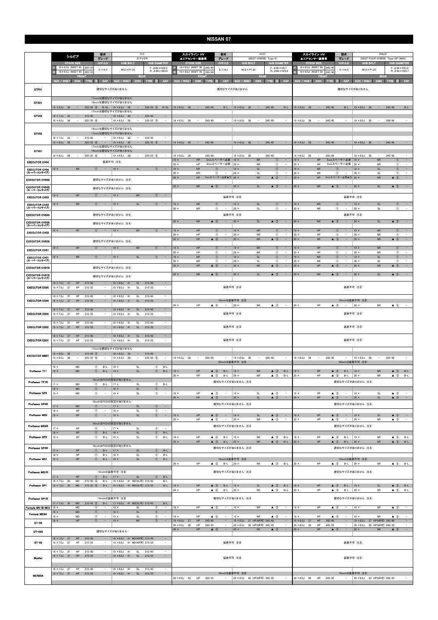|                                              | シルビア                                                                               | 型式<br>グレード                                                                                                            | <b>S15</b><br>スペックR                                    | スカイライン HV<br>型式<br>HV37<br>▲エアセンサー装着車<br>グレード<br>350GT HYBRID Type-S<br><b>HUB DIAMETER</b><br>H/P. C.D<br><b>HUB BOLT</b><br><b>STOCK SIZE</b> |                                                                                            |                                                                                        |                                                                                     |                                                                                               | 型式<br>スカイライン HV<br>HNV37<br>グレード<br>▲エアセンサー装着車<br>350GT FOUR HYBRID Type-SP (4WD)<br><b>STOCK SIZE</b><br>$H/P$ .C.D<br><b>HUB BOLT</b> |                                                                                 |                                                                             |
|----------------------------------------------|------------------------------------------------------------------------------------|-----------------------------------------------------------------------------------------------------------------------|--------------------------------------------------------|-------------------------------------------------------------------------------------------------------------------------------------------------|--------------------------------------------------------------------------------------------|----------------------------------------------------------------------------------------|-------------------------------------------------------------------------------------|-----------------------------------------------------------------------------------------------|-----------------------------------------------------------------------------------------------------------------------------------------|---------------------------------------------------------------------------------|-----------------------------------------------------------------------------|
|                                              | <b>STOCK SIZE</b><br>$16 \times 6.5$ J INSET 45<br>205/5                           | H/P. C.D<br><b>HUB BOLT</b><br>5/114.3<br>$M12 \times P1.25$                                                          | <b>HUB DIAMETER</b><br>$F: \phi 66 \times H22.0$       | $19 \times 8.5$ J INSET 50<br>245/40                                                                                                            | 5/114.3                                                                                    | $M12 \times P1.25$                                                                     | $F: 666 \times H9.7$                                                                | 19 × 8.5J INSET 50                                                                            | 245/40<br>5/114.3                                                                                                                       | $M12 \times P1.25$                                                              | <b>HUB DIAMETER</b><br>$F: \phi$ 66 $\times$ H31.0                          |
|                                              | $16 \times 6.5$ J INSET 45<br>205/5<br>FRON                                        |                                                                                                                       | $R: \phi$ 66 $\times$ H23.0<br><b>REAR</b>             | $19 \times 8.5$ J INSET 50<br>245/40<br>FRON                                                                                                    |                                                                                            |                                                                                        | $R: \phi$ 66 $\times$ H25.6<br><b>REAR</b>                                          | 19 × 8.5J INSET 50<br>FROM                                                                    | 245/40                                                                                                                                  |                                                                                 | $R: \phi$ 66 $\times$ H25.7<br><b>REAR</b>                                  |
| GTF01                                        | SIZE / INSET<br>DISK TYRE<br>ю                                                     | SIZE / INSET<br>CAP<br>適切なサイズがありません                                                                                   | DISK TYRE<br>CAP<br>m                                  | <b>SIZE / INSET</b><br><b>DISK</b><br><b>TYRE</b>                                                                                               | CAP<br>æ<br>適切なサイズがありません                                                                   | SIZE / INSET                                                                           | DISK TYRE 注<br>CAP                                                                  | SIZE / INSET                                                                                  | DISK TYRE<br>CAP                                                                                                                        | <b>SIZE / INSET</b><br>適切なサイズがありません                                             | DISK TYRE 注<br>CAP                                                          |
| GTX01                                        | 225/35 6<br>$19 \times 8.5$ J 38<br>$\sim$ $-$                                     | 17inchは適切なサイズがありません<br>18inchは適切なサイズがありません<br>$B-SL$   19 $\times$ 8.5J 38<br>$\sim$ $-$                              | $B-SL$<br>$225/35$ (5)                                 | $19 \times 8.5$ J 38 - 245/40                                                                                                                   | B-L                                                                                        | $19 \times 8.5$ J 38 -                                                                 | 245/40<br>$B-L$                                                                     | $19 \times 8.5$ J 38 -                                                                        | 245/40<br>B-L                                                                                                                           | $19 \times 8.5$ J 38<br>$\sim 1000$ m $^{-1}$                                   | 245/40<br>$B-L$                                                             |
| GTV03                                        | $18 \times 7.5$ J 43<br>215/40<br>$\sim$ $-$                                       | 17inchは適切なサイズがありません<br>$18 \times 8.5$ J 48<br>$\sim$                                                                 | 225/40<br>Ξ.                                           |                                                                                                                                                 |                                                                                            |                                                                                        |                                                                                     |                                                                                               |                                                                                                                                         |                                                                                 |                                                                             |
|                                              | $19 \times 8.5$ J<br>$225/35$ (6)<br>- 38                                          | $19 \times 8.5$ J<br>- 38                                                                                             | $225/35$ (5)<br>$\sim$                                 | 245/40<br>$19 \times 8.5$ J 38<br>$\overline{\phantom{a}}$                                                                                      |                                                                                            | $19 \times 8.5$ J 38                                                                   | 245/40<br>$\overline{\phantom{a}}$                                                  | $19 \times 8.5$ J 38<br>$\sim$                                                                | 245/40<br>$\sim$                                                                                                                        | $19 \times 8.5$ J 38                                                            | 245/40                                                                      |
| GTV02                                        | 215/40<br>$18 \times 7.5$ J<br>43<br>$\sim$                                        | 16inchは適切なサイズがありません<br>17inchは適切なサイズがありません<br>$18 \times 8.5$ J<br>$\sim$<br>48<br>$\sim$                             | 225/40<br>$\sim$                                       |                                                                                                                                                 |                                                                                            |                                                                                        |                                                                                     |                                                                                               |                                                                                                                                         |                                                                                 |                                                                             |
| GTV01                                        | $\sim$<br>$19 \times 8.5$ J<br>38<br>$225/35$ 6                                    | $\sim$<br>$\overline{\phantom{a}}$<br>$19 \times 8.5$ J<br>38<br>17inchは適切なサイズがありません<br>18inchは適切なサイズがありません           | $\sim$<br>$225/35$ (5)                                 | $19 \times 8.5$ J 38 - 245/40                                                                                                                   | $\alpha \rightarrow \beta$                                                                 | $19 \times 8.5$ J 38 -                                                                 | 245/40<br>$\sim$ $-$                                                                | $19 \times 8.5$ J 38 -                                                                        | 245/40<br>$\alpha = 1$                                                                                                                  | $19 \times 8.5$ J 38<br><b>Contract</b>                                         | $\sim$<br>245/40                                                            |
| <b>EXECUTOR CV04</b>                         | $19 \times 8.5$ J 38<br>$225/35$ 6<br>$\sim$                                       | $19 \times 8.5$ J 38<br>$\sim$<br>$\sim$<br>装着不可 注8                                                                   | 225/35 (5)<br>$\sim$                                   | $19 \times 8.5$ J<br>38<br>245/40<br>$\overline{\phantom{a}}$<br>HP<br>$19 \times$<br>$20 \times$<br>HP                                         | $\sim$<br>5mmスペーサー必要   19 ×<br>3mmスペーサー必要   20 ×                                           | $19 \times 8.5$ J<br>38<br><b>NR</b><br><b>NR</b>                                      | 245/40<br>$\overline{\phantom{a}}$<br>$\circledcirc$<br>$\sim$<br>$\circledcirc$    | $19 \times 8.5$ J<br>38<br>$\overline{\phantom{a}}$<br>HP<br>$19 \times$<br>$20 \times$<br>HP | 245/40<br>$\overline{\phantom{a}}$<br>5mmスペーサー必要   19 ×<br>3mmスペーサー必要 20 ×                                                              | $19 \times 8.5$ J<br>38<br>$\overline{\phantom{a}}$<br><b>NR</b><br><b>NR</b>   | 245/40<br>$\circled{0}$<br>$\sim$<br>$\circled$<br>$\overline{\phantom{a}}$ |
| <b>EXECUTOR CV04</b><br>(スーパーコンケイブ)          | $19 \times$<br><b>NR</b><br>$\circled{1}$                                          | $19 \times$<br><b>SL</b><br>$\overline{\phantom{a}}$                                                                  | $\left( 1\right)$                                      | $19 \times$<br><b>NR</b><br>$20 \times$<br><b>NR</b>                                                                                            | $\circled{1}$<br>$\qquad \qquad -$<br>$^{\circ}$                                           | $19 \times$<br><b>SL</b><br>$20 \times$<br><b>SL</b>                                   | $\circledcirc$<br>$\hspace{0.1mm}-\hspace{0.1mm}$<br>$^{\circ}$                     | $19 \times$<br><b>NR</b><br>20 ×<br><b>NR</b>                                                 | $\circled{1}$<br>$\overline{\phantom{a}}$<br>$^{\circ}$                                                                                 | $19 \times$<br><b>SL</b><br>$20 \times$<br>SL                                   | $\circled{1}$<br>$\sim$<br>$^{\circ}$<br>$\overline{a}$                     |
| <b>EXECUTOR CV04S</b>                        |                                                                                    | 適切なサイズがありません 注4                                                                                                       |                                                        | $20 \times$<br><b>HP</b>                                                                                                                        | 5mmスペーサー必要▲3 20 ×                                                                          | <b>NR</b>                                                                              | $\triangle$ 3<br>$\overline{\phantom{a}}$                                           | $20 \times$<br>HP                                                                             | 5mmスペーサー必要▲3 20 ×                                                                                                                       | <b>NR</b>                                                                       | $\triangle$ 3<br>$\sim$                                                     |
| EXECUTOR CV04S<br>(スーパーコンケイプ)                |                                                                                    | 適切なサイズがありません 注④                                                                                                       |                                                        | $20 \times$<br><b>NR</b>                                                                                                                        | $\triangle$ 3                                                                              | $\mathsf{SL}% _{2}\left( \mathbb{Z}\right)$<br>$20 \times$                             | $\triangle$ 3                                                                       | $20 \times$<br><b>NR</b>                                                                      | $\triangle$ 3                                                                                                                           | $20 \times$<br><b>SL</b>                                                        | $\triangle$ 3<br>$\overline{\phantom{a}}$                                   |
| <b>EXECUTOR CV03</b>                         | ${\sf HP}$<br>$\circledcirc$<br>$19 \times$                                        | <b>NR</b><br>$19 \times$<br>$\overline{\phantom{a}}$                                                                  | $\circled{1}$<br>$\overline{\phantom{a}}$              |                                                                                                                                                 | 装着不可 注8                                                                                    |                                                                                        |                                                                                     |                                                                                               |                                                                                                                                         | 装着不可 注8                                                                         |                                                                             |
| <b>EXECUTOR CV03</b><br>(スーパーコンケイブ)          | ${\sf NR}$<br>$19 \times$<br>$\circled{1}$                                         | SL<br>$19 \times$                                                                                                     | $\circled{1}$<br>$\sim$                                | $19 \times$<br><b>NR</b><br>$20 \times$<br><b>NR</b>                                                                                            | $\circled{1}$<br>$^\circledR$<br>$\overline{\phantom{0}}$                                  | <b>SL</b><br>$19 \times$<br>$20 \times$<br><b>SL</b>                                   | $\circled{0}$<br>$\overline{\phantom{a}}$<br>$^{\circ}$<br>$\overline{\phantom{a}}$ | NR<br>$19 \times$<br>$20 \times$<br>NR                                                        | $\circled{1}$<br>$\circled{1}$<br>$\sim$                                                                                                | $19 \times$<br>SL<br>$20 \times$<br>SL                                          | $\circled{1}$<br>$\sim$<br>$\circled{1}$<br>$\sim$                          |
| <b>EXECUTOR CV03S</b>                        |                                                                                    | 適切なサイズがありません 注4                                                                                                       |                                                        | <b>NR</b>                                                                                                                                       | 装着不可 注8<br>$\triangle$ 3<br>$\qquad \qquad -$                                              | <b>SL</b>                                                                              |                                                                                     | <b>NR</b>                                                                                     | $\triangle$ 3                                                                                                                           | 装着不可 注8                                                                         | $\triangle$ 3<br>$\hspace{0.1mm}-\hspace{0.1mm}$                            |
| <b>EXECUTOR CV03S</b><br>(スーパーコンケイブ)         | HP<br>$\circledcirc$<br>$19 \times$                                                | 適切なサイズがありません 注4<br>$\sim$<br><b>NR</b><br>$19 \times$                                                                 | (1)                                                    | $20 \times$<br>HP<br>$19 \times$                                                                                                                | $\circled{1}$<br>$\sim$                                                                    | $20 \times$<br>$19 \times$<br><b>NR</b>                                                | $\triangle$ 3<br>$\circled{0}$<br>$\hspace{0.1mm}-\hspace{0.1mm}$                   | $20 \times$<br>$19 \times$<br>HP                                                              | $\circled{0}$<br>$\sim$                                                                                                                 | $20 \times$<br><b>SL</b><br>$19 \times$<br><b>NR</b>                            | $\circled{1}$<br>$\sim$                                                     |
| <b>EXECUTOR CV02</b>                         |                                                                                    |                                                                                                                       |                                                        | $20 \times$<br>HP<br>HP<br>$20 \times$                                                                                                          | $^\circledR$<br>$\overline{\phantom{a}}$<br>$\triangle$ 3<br>$\overline{\phantom{a}}$      | $20 \times$<br><b>NR</b><br>$20 \times$<br><b>NR</b>                                   | $^{\circ}$<br>$\overline{\phantom{a}}$<br>$\triangle$ 3                             | $20 \times$<br>HP<br>HP<br>$20 \times$                                                        | $^{\circ}$<br>$\overline{\phantom{a}}$<br>$\triangle$ 3<br>$\sim$                                                                       | $20 \times$<br><b>NR</b><br>$20 \times$<br><b>NR</b>                            | $\circled{1}$<br>$\sim$<br>$\triangle$ 3<br>$\sim$                          |
| <b>EXECUTOR CV02S</b>                        | HP<br>$19 \times$<br>$\circled{1}$                                                 | 適切なサイズがありません 注4<br>$19 \times$<br><b>NR</b><br>$\sim$                                                                 | $\circled{1}$<br>$\sim$                                | $19 \times$<br>HP                                                                                                                               | $\circled{1}$<br>$\hspace{0.1mm}-\hspace{0.1mm}$                                           | $19 \times$<br><b>NR</b>                                                               | $\circledcirc$<br>$\hspace{0.1mm}-\hspace{0.1mm}$                                   | $19 \times$<br>HP                                                                             | $\circled{1}$<br>$\hspace{0.1mm}-\hspace{0.1mm}$                                                                                        | $19 \times$<br><b>NR</b>                                                        | $\circled{1}$<br>$\sim$                                                     |
| <b>EXECUTOR CV01</b><br><b>EXECUTOR CV01</b> | ${\sf NR}$<br>$19 \times$<br>$^{\circ}$                                            | SL<br>$\sim$<br>$19 \times$                                                                                           | $\circled{1}$<br>$\overline{\phantom{a}}$              | $20 \times$<br>HP<br>$19 \times$<br><b>NR</b>                                                                                                   | $^{\circ}$<br>$\overline{\phantom{a}}$<br>$\circled{1}$<br>$\hspace{0.1mm}-\hspace{0.1mm}$ | $20 \times$<br><b>NR</b><br>$\mathsf{SL}% _{2}\left( \mathbb{Z}\right)$<br>$19 \times$ | $^\circledR$<br>$\circled{1}$<br>$\overline{\phantom{a}}$                           | $20 \times$<br>HP<br><b>NR</b><br>$19 \times$                                                 | $^{\circ}$<br>$\circled{1}$<br>$\overline{\phantom{a}}$                                                                                 | $20 \times$<br>NR<br>$\mathsf{SL}% _{2}\left( \mathbb{Z}\right)$<br>$19 \times$ | $^{\circ}$<br>$\circled{1}$<br>$\sim$                                       |
| (スーパーコンケイブ)<br><b>EXECUTOR CV01S</b>         |                                                                                    | 適切なサイズがありません 注4                                                                                                       |                                                        | $20 \times$<br><b>NR</b><br><b>HP</b><br>$20 \times$                                                                                            | $^{\circ}$<br>$\overline{\phantom{a}}$<br>$\triangle$ 3                                    | $20 \times$<br>SL<br><b>NR</b><br>$20 \times$                                          | $^{\circ}$<br>$\triangle$ 3                                                         | $20 \times$<br>NR<br>HP<br>$20 \times$                                                        | $\circled{1}$<br>$\triangle$ 3                                                                                                          | $20 \times$<br>SL<br><b>NR</b><br>$20 \times$                                   | $\circledcirc$<br>$\sim$<br>$\triangle$ 3<br>$\overline{\phantom{a}}$       |
| <b>EXECUTOR CV01S</b>                        |                                                                                    | 適切なサイズがありません 注4                                                                                                       |                                                        | $20 \times$<br><b>NR</b>                                                                                                                        | $\triangle$ 3                                                                              | $20 \times$<br><b>SL</b>                                                               | $\triangle$ 3                                                                       | $20 \times$<br><b>NR</b>                                                                      | $\triangle$ 3                                                                                                                           | $20 \times$<br><b>SL</b>                                                        | $\triangle$ 3                                                               |
| (スーパーコンケイブ)<br><b>EXECUTOR EX05</b>          | $18 \times 7.5$ J<br>37<br>HP<br>215/40<br>$19 \times 7.5$ J<br>37<br>215/35<br>HP | $18 \times 8.0$ J<br><b>SL</b><br>41<br>$19 \times 8.0$ J<br>SL<br>$\overline{\phantom{a}}$<br>-41                    | 215/40<br>$\overline{\phantom{a}}$<br>215/35<br>$\sim$ |                                                                                                                                                 | 装着不可 注8                                                                                    |                                                                                        |                                                                                     |                                                                                               |                                                                                                                                         | 装着不可 注8                                                                         |                                                                             |
| <b>EXECUTOR EX04</b>                         | 18 × 7.5J<br>37<br>HP<br>215/40<br>$19 \times 7.5$ J<br>37<br>HP<br>215/35         | $18 \times 8.0$ J<br>41<br>SL<br>$\qquad \qquad =$<br><b>SL</b><br>$19 \times 8.0$ J<br>41<br>$\qquad \qquad -$       | 215/40<br>$\sim$<br>$\sim$<br>215/35                   |                                                                                                                                                 |                                                                                            | 19inchは装着不可 注8                                                                         |                                                                                     |                                                                                               |                                                                                                                                         | 19inchは装着不可注8                                                                   |                                                                             |
| <b>EXECUTOR EX03</b>                         | 215/40<br>$18 \times 7.5$ J<br>37<br>HP<br>$19 \times 7.5$ J<br>37<br>HP<br>215/35 | $18 \times 8.0J$<br>41<br><b>SL</b><br>$19 \times 8.0$ J<br>41<br>SL                                                  | 215/40<br>$\sim$<br>215/35<br>$\overline{\phantom{a}}$ | HP<br>$20 \times$                                                                                                                               | $\triangle$ 3<br>$\sim$<br>装着不可 注8                                                         | $20 \times$<br>NR                                                                      | $\triangle$ 3<br>$\overline{\phantom{a}}$                                           | HP<br>$20 \times$                                                                             | $\triangle$ 3<br>$\overline{\phantom{a}}$                                                                                               | $20 \times$<br><b>NR</b><br>装着不可 注8                                             | $\triangle$ 3<br>$\sim$                                                     |
| <b>EXECUTOR EX02</b>                         | $18 \times 7.5$ J 37<br>HP<br>215/40<br>$19 \times 7.5$ J 37<br>HP<br>215/35       | $18 \times 8.0$ J<br>41<br>SL<br>$19 \times 8.0$ J 41<br>SL<br>$\qquad \qquad -$                                      | 215/40<br>$\overline{\phantom{a}}$<br>215/35<br>$\sim$ |                                                                                                                                                 |                                                                                            | 装着不可 注8                                                                                |                                                                                     |                                                                                               |                                                                                                                                         | 装着不可 注8                                                                         |                                                                             |
| <b>EXECUTOR EX01</b>                         | $18 \times 7.5$ J 37<br>HP<br>215/40<br>$19 \times 7.5$ J<br>37<br>HP<br>215/35    | $18 \times 8.0J$<br>SL<br>41<br>$\overline{\phantom{a}}$<br>$19 \times 8.0$ J<br>41<br>SL<br>$\overline{\phantom{a}}$ | 215/40<br>$\sim$<br>215/35<br>$\sim$                   |                                                                                                                                                 |                                                                                            | 装着不可 注8                                                                                |                                                                                     |                                                                                               |                                                                                                                                         | 装着不可 注8                                                                         |                                                                             |
|                                              | $18 \times 8.0$ J 38<br>$215/40$ (5)<br>$\sim 1000$                                | 17inchは適切なサイズがありません<br>$18 \times 8.0$ J 38<br>$\sim$<br>$\sigma_{\rm{eff}}$                                          | 215/40<br>$\equiv$                                     |                                                                                                                                                 |                                                                                            |                                                                                        |                                                                                     |                                                                                               |                                                                                                                                         |                                                                                 |                                                                             |
| <b>EXECUTOR MB01</b>                         | $19 \times 8.5$ J 38<br>$\sim$<br>$225/35$ 6<br>$18 \times$<br>$^{\circ}$<br>MD    | $19 \times 8.5$ J 38<br>$\sim$<br>$\sim$<br>$B-L$<br>SL<br>$18 \times$                                                | $225/35$ (5)<br>$\sim$<br>$B-L$<br>$^{\circ}$          | $19 \times 8.5$ J 38<br>245/40<br>$\sim$                                                                                                        | 20inchは装着不可 注8                                                                             | $-$   19 $\times$ 8.5J 38<br>$\sim$                                                    | 245/40<br>$\overline{\phantom{a}}$                                                  | $19 \times 8.5$ J 38<br>$\sim$                                                                | 245/40<br>$\sim$                                                                                                                        | $19 \times 8.5$ J 38<br>$\sim$<br>20inchは装着不可 注8                                | 245/40<br>$\sim$                                                            |
| Professor TF1                                | $19 \times$<br>MD<br>$\circledcirc$                                                | $B-L$<br>SL<br>$ 19 \times$<br>16inchはPCDの設定がありません                                                                    | $\circledcirc$<br>$B-L$                                | $19 \times$<br>HP<br>$20 \times$<br>HP                                                                                                          | $\triangle$ 3<br>$B-L$<br>$\triangle$ 3 B-L 20 x                                           | $ 19 \times$<br><b>NR</b><br><b>NR</b>                                                 | $\triangle$ 3 B-L<br>$\triangle$ 3 B-L                                              | HP<br>$19 \times$<br>20 $\times$<br>HP                                                        | $B-L$<br>$\triangle$ 3<br>$\triangle$ 3<br>B-L $\vert$ 20 $\times$                                                                      | $ 19 \times$<br><b>NR</b><br><b>NR</b>                                          | $\triangle$ 3<br>B-L<br>$\triangle$ 3 B-L                                   |
| Professor TF1R                               | $17 \times$<br>MD<br>$^{\circ}$<br>$18 \times$<br>MD<br>$\circledcirc$             | $17 \times$<br>$B-L$<br>SL<br>$\sim$<br>$18 \times$<br>SL                                                             | $^{\circ}$<br>$B-L$<br>$\circled{0}$<br>$\sim$         |                                                                                                                                                 |                                                                                            | 適切なサイズがありません 注4                                                                        |                                                                                     |                                                                                               |                                                                                                                                         | 適切なサイズがありません 注4                                                                 |                                                                             |
| Professor SP4                                | $19 \times$<br>MD<br>$^{\circ}$                                                    | $\sim$<br>$19 \times$<br>SL<br>16inchはPCDの設定がありません                                                                    | $^\circledR$<br>$\sim$                                 | $19 \times$<br>HP<br>$20 \times$<br>HP                                                                                                          | $\triangle$ 3<br>$\overline{\phantom{a}}$<br>$\triangle$ 3 -                               | $19 \times$<br><b>SL</b><br>$20 \times$<br>SL                                          | $\triangle$ 3<br>$\overline{\phantom{a}}$<br>$\triangle$ 3<br>$\sim$                | HP<br>$19 \times$<br>$20 \times$<br>HP                                                        | $\triangle$ 3<br>$\overline{\phantom{a}}$<br>$\triangle$ 3 $-$                                                                          | $19 \times$<br>SL<br>$20 \times$<br>SL                                          | $\triangle$ 3<br>$\triangle$ 3 -                                            |
| Professor SP4R                               | <b>MD</b><br>$17 \times$<br>$18 \times$<br>HP<br>$^\circledR$                      | $\circled{1}$ -<br>$ 17 \times$<br>SL<br>$\sim$<br>$18 \times$<br>$\mathsf{SL}% _{2}\left( \mathbb{Z}\right)$         | $\circled{1}$<br>$\sim$<br>$^{\circ}$<br>$\sim$        |                                                                                                                                                 | 適切なサイズがありません 注4                                                                            |                                                                                        |                                                                                     |                                                                                               |                                                                                                                                         | 適切なサイズがありません 注④                                                                 |                                                                             |
| Professor MS3                                | HP<br>$\circled{1}$<br>$19 \times$                                                 | $\mathsf{SL}{}$<br>$\sim$<br>$19 \times$<br>16inchはPCDの設定がありません                                                       | $\circled{1}$<br>$\sim$ $-$                            | HP<br>$19 \times$<br>$20 \times$<br>HP                                                                                                          | $\triangle$ 3 -<br>$\triangle$ 3                                                           | $19 \times$<br>SL<br><b>NR</b><br>$20 \times$                                          | $\triangle$ 3<br>$\sim$<br>$\triangle$ 3                                            | HP<br>$19 \times$<br>$20 \times$<br>HP                                                        | $\triangle$ 3 -<br>$\triangle$ 3<br>$\sim$                                                                                              | SL<br>$19 \times$<br>$20 \times$<br><b>NR</b>                                   | $\triangle$ 3<br>$\alpha = 1$<br>$\triangle$ 3<br>$\sim$                    |
| Professor MS3R                               | $17 \times$<br>HP<br>$^{\circ}$<br>${\sf HP}$<br>$^{\circ}$<br>$18 \times$         | $17 \times$<br>$\sim$<br>SL<br>$B-L$<br>$\mathsf{SL}% _{2}\left( \mathbb{Z}\right)$<br>$18 \times$                    | $^{\circ}$<br>$\sim$<br>$^\circledR$<br>$B-L$          |                                                                                                                                                 | 適切なサイズがありません 注4                                                                            |                                                                                        |                                                                                     |                                                                                               |                                                                                                                                         | 適切なサイズがありません 注4                                                                 |                                                                             |
| Professor SP3                                | $19 \times$<br>HP<br>$^\circledR$                                                  | $B-L$<br>$19 \times$<br>SL<br>16inchはPCDの設定がありません                                                                     | $^{\circ}$<br>$B-L$                                    | $19 \times$<br>HP<br>HP<br>$20 \times$                                                                                                          | $\triangle$ 3<br>$B-L$<br>$\triangle$ 3<br>B-L                                             | $19 \times$<br><b>NR</b><br><b>NR</b><br>$ 20 \times$                                  | $\triangle$ 3 B-L<br>$\triangle$ 3<br>$B-L$                                         | $19 \times$<br>HP<br>HP<br>$20 \times$                                                        | $\triangle$ 3<br>$B-L$<br>$\triangle$ 3<br>$B-L$                                                                                        | $19 \times$<br><b>NR</b><br><b>NR</b><br>$ 20 \times$                           | $\triangle$ 3<br>$B-L$<br>$\triangle$ 3<br>$B-L$                            |
| Professor SP3R                               | HP<br>$\circledcirc$<br>$17 \times$<br>$18 \times$<br>HP<br>$^{\circ}$             | SL<br>$B-L$<br>$ 17 \times$<br>$B-L$<br>$18 \times$<br>$\mathsf{SL}% _{2}\left( \mathbb{Z}\right)$                    | $^{\circ}$<br>$B-L$<br>$\circledcirc$<br>$B-L$         |                                                                                                                                                 | 適切なサイズがありません 注4                                                                            |                                                                                        |                                                                                     |                                                                                               |                                                                                                                                         | 適切なサイズがありません 注4                                                                 |                                                                             |
| Professor MS1                                | HP<br>$19 \times$<br>$\circledcirc$                                                | $B-L$<br>SL<br>$ 19 \times$                                                                                           | $B-L$<br>$^{\circ}$                                    | $20 \times$<br>HP                                                                                                                               | $\triangle$ 3 B-L 20 x                                                                     | 19inchは装着不可 注8<br><b>NR</b>                                                            | $\triangle$ 3 B-L                                                                   | 20 $\times$<br>HP                                                                             | $\triangle$ 3 B-L 20 x                                                                                                                  | 19inchは装着不可 注8<br><b>NR</b>                                                     | $\triangle$ 3 B-L                                                           |
| Professor MS1R                               | HP<br>$^{\circ}$<br>$17 \times$<br>$18 \times 7.5$ J 35<br>215/40 5<br>MD          | 16inchは装着不可 注8<br>$B-L$<br>$ 17 \times$<br><b>SL</b><br>18 × 8.0J 41 MD(SL可) 215/40<br>$B-L$                          | $\circled{1}$<br>$B-L$<br>$B-L$                        |                                                                                                                                                 | 適切なサイズがありません 注④                                                                            |                                                                                        |                                                                                     |                                                                                               |                                                                                                                                         | 適切なサイズがありません 注4                                                                 |                                                                             |
| Professor SP1                                | $19 \times 7.5$ J 35<br>215/35 (5) B-L<br><b>MD</b>                                | 19 × 8.0J 41 MD(SL可) 215/35                                                                                           | $B-L$                                                  | HP<br>$19 \times$<br>$20 \times$<br>HP                                                                                                          | $\triangle$ 3 B-L<br>$\triangle$ 3 B-L                                                     | SL<br>$ 19 \times$<br><b>NR</b><br>$20 \times$                                         | $\triangle$ 3 B-L<br>$\triangle$ 3 B-L                                              | HP<br>$19 \times$<br>$20 \times$<br>HP                                                        | $\triangle$ 3 B-L<br>$\triangle$ 3<br>$B-L$                                                                                             | SL<br>$ 19 \times$<br>$20 \times$<br><b>NR</b>                                  | $\triangle$ 3 B-L<br>$\triangle$ 3<br>$B-L$                                 |
| Professor SP1R                               | MD 215/45 5<br>$17 \times 7.5$ J 35                                                | 16inchは装着不可 注8<br>$B-L$<br>  17 × 8.0J 41 MD(SL可) 215/45                                                              | $B-L$                                                  |                                                                                                                                                 | 適切なサイズがありません 注④                                                                            |                                                                                        |                                                                                     |                                                                                               |                                                                                                                                         | 適切なサイズがありません 注④                                                                 |                                                                             |
| Formula MK-III NEO                           | $19 \times$<br>MD<br>$^\circledR$<br>$^{\circ}$<br>MD<br>$18 \times$               | $\sim$<br>$19 \times$<br>SL<br>$\sim$<br>SL<br>$18 \times$                                                            | $^\circledR$<br>$\sim$<br>$\circled{1}$<br>$\sim$      | $19 \times$<br>HP                                                                                                                               | $\triangle$ 3<br>$\sim$                                                                    | <b>NR</b><br>$ 19 \times$                                                              | $\triangle$ 3<br>$\sim$                                                             | $19 \times$<br>HP                                                                             | $\triangle$ 3<br>$\sim$                                                                                                                 | $ 19 \times$<br><b>NR</b>                                                       | $\triangle$ 3<br>$\sim$                                                     |
| <b>Formula MESH</b>                          | MD<br>$^\circledR$<br>$19 \times$<br>$^{\circ}$<br>HP<br>$19 \times$               | $-$<br>$19 \times$<br>SL<br>$\sim$<br><b>NR</b><br>$19 \times$                                                        | $^{\circ}$<br>$\sim$<br>$\circled{1}$<br>$\sim$        | $19 \times$<br>HP<br>$19 \times 8.5$ J 37<br>HP                                                                                                 | $\triangle$ 3<br>$-$<br>245/40                                                             | $19 \times$<br>NR<br>19 × 8.5J 37 HP(NR可) 245/40                                       | $\triangle$ 3<br>$\sim$<br>$\sim$                                                   | $19 \times$<br>HP<br>$19 \times 8.5$ J 37<br>${\sf HP}$                                       | $\triangle$ 3<br>$\sim$<br>245/40<br>$\overline{\phantom{a}}$                                                                           | $19 \times$<br>NR<br>19 × 8.5J 37 HP(NR可) 245/40                                | $\triangle$ 3<br>$\sim$<br>$\overline{\phantom{a}}$                         |
| GT-04<br>GT-04S                              |                                                                                    | 適切なサイズがありません                                                                                                          |                                                        | HP<br>$20 \times 8.5$ J<br>- 38<br>$20 \times$<br>HP                                                                                            | 245/35<br>$\sim$<br>$\triangle$ 3<br>$\sim$                                                | 20 × 8.5J 38 HP(NR可) 245/35<br>$20 \times$<br><b>NR</b>                                | $\overline{\phantom{a}}$<br>$\sim$ $-$<br>$\triangle$ 3                             | HP<br>$20 \times 8.5$ J<br>38<br>HP<br>$20 \times$                                            | 245/35<br>$\overline{\phantom{a}}$<br>$\sim$<br>$\triangle$ 3                                                                           | $20 \times 8.5$ J<br>38 HP(NR可) 245/35<br>$20 \times$<br><b>NR</b>              | $\overline{\phantom{a}}$<br>$\sim$ $-$<br>$\triangle$ 3                     |
| GT-03                                        | $18 \times 7.5$ J 37<br>HP<br>215/40<br>$19 \times 7.5$ J<br>37<br>HP<br>215/35    | 18 × 8.0J 41 MD(NR可) 215/40<br>$\sim$<br>19 × 8.0J 41 MD(NR可) 215/35<br>$\overline{\phantom{a}}$                      | $\sim$<br>$\overline{\phantom{a}}$                     |                                                                                                                                                 |                                                                                            | 装着不可 注8                                                                                |                                                                                     |                                                                                               |                                                                                                                                         | 装着不可 注8                                                                         |                                                                             |
|                                              | $18 \times 7.5$ J 37<br>215/40<br>HP<br>$19 \times 7.5$ J 37<br>HP<br>215/35       | $18 \times 8.0$ J<br>SL<br>$\overline{\phantom{a}}$<br>41<br>$19 \times 8.0$ J 41<br>$\sim$                           | $\sim$<br>215/40<br>SL 215/35                          |                                                                                                                                                 |                                                                                            |                                                                                        |                                                                                     |                                                                                               |                                                                                                                                         |                                                                                 |                                                                             |
| Mueller                                      |                                                                                    | $\sim$                                                                                                                | $\sim$<br>$\sim$                                       |                                                                                                                                                 |                                                                                            | 装着不可 注8                                                                                |                                                                                     |                                                                                               |                                                                                                                                         | 装着不可 注8                                                                         |                                                                             |
| <b>MERISIA</b>                               | $18 \times 7.5$ J<br>37<br>HP<br>215/40<br>$19 \times 7.5$ J 37<br>HP<br>215/35    | $18 \times 8.0$ J 41<br><b>SL</b><br>$19 \times 8.0$ J 41<br>SL<br>$\overline{\phantom{a}}$                           | 215/40<br>215/35<br>$\equiv$                           | HP 245/35<br>$20 \times 8.5$ J 40                                                                                                               | $\sim$                                                                                     | 19inchは装着不可 注8<br>20 × 8.5J 40 HP(NR可) 245/35                                          | $\sim$                                                                              | $20 \times 8.5$ J 40                                                                          | HP 245/35<br>$\sim$                                                                                                                     | 19inchは装着不可 注8<br>20 × 8.5J 40 HP(NR可) 245/35                                   | $\sim$                                                                      |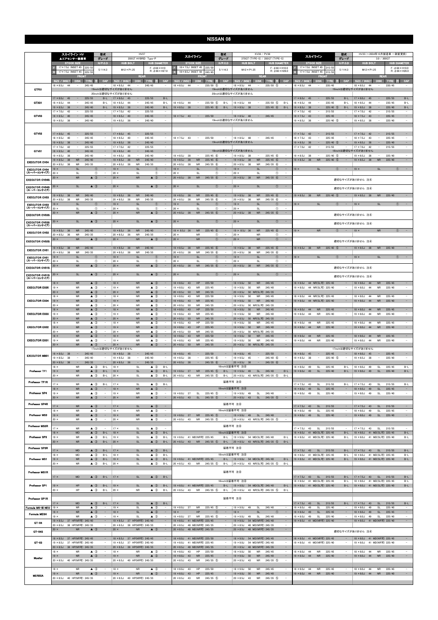|                                                | スカイライン HV<br>▲エアセンサー装着車                                                                                                               | 型式<br>グレード                                                     | <b>HV37</b><br>350GT HYBRID Type-P                                                                                                |                                                                                                  | 型式<br>スカイライン<br>グレード                                                                                                                                                                                      | KV36 / PV36<br>370GT (TYPE-S) / 350GT (TYPE-S)                                                                                                                                                                          | 型式<br>スカイライン<br>グレード                                                                                                                                                                      | HV35 (~2004年10月製造車 一部変更前)<br>3.0 / 300GT                                                                                                                                |
|------------------------------------------------|---------------------------------------------------------------------------------------------------------------------------------------|----------------------------------------------------------------|-----------------------------------------------------------------------------------------------------------------------------------|--------------------------------------------------------------------------------------------------|-----------------------------------------------------------------------------------------------------------------------------------------------------------------------------------------------------------|-------------------------------------------------------------------------------------------------------------------------------------------------------------------------------------------------------------------------|-------------------------------------------------------------------------------------------------------------------------------------------------------------------------------------------|-------------------------------------------------------------------------------------------------------------------------------------------------------------------------|
|                                                | <b>STOCK SIZE</b><br>17 × 7.5J INSET 45<br>225/5<br>17 × 7.5J INSET 45<br>225/55<br><b>FRON</b>                                       | H/P. C.D<br>5/114.3                                            | <b>HUB BOLT</b><br>$M12 \times P1.25$<br><b>REAR</b>                                                                              | <b>HUB DIAMETER</b><br>$F: \phi$ 66 $\times$ H10<br>$R: \phi$ 66 $\times$ H27.0                  | H/P. O.D<br><b>STOCK SIZE</b><br>18×7.5J INSET 45<br>225/5<br>5/114.3<br>18 × 8.5J INSET 50<br>245/4<br>FRON                                                                                              | <b>HUB BOLT</b><br><b>HUB DIAMETER</b><br>$F: 666 \times H10.0$<br>$M12 \times P1.25$<br>$R: \phi 66 \times H26.0$<br><b>REAR</b>                                                                                       | $H/P$ .C.D<br><b>STOCK SIZE</b><br>17 × 7.0J INSET 45 215/5<br>5/114.3<br>17×7.0J INSET 45<br>215/5<br><b>FRON</b>                                                                        | <b>HUB BOLT</b><br><b>HUB DIAMETER</b><br>$F: 666 \times H10.0$<br>$M12 \times P1.25$<br>$R: \phi 66 \times H26.0$<br><b>REAR</b>                                       |
|                                                | SIZE / INSI<br>DISE:<br>ma:<br>$18 \times 8.5J$<br>44<br>245/45                                                                       | CAP                                                            | SIZE / INSET<br>DIST.<br>TYR.<br>$18 \times 8.5$ J<br>44<br>245/45                                                                | CAF                                                                                              | CAP<br>912 F.A. INSEE<br><b>DISP</b><br>- 33<br>TYR.<br>$18 \times 8.5J$<br>44<br>$235/50$ (5)                                                                                                            | CAP<br>SIZE / INSET<br>m<br>DB.<br>TYRE<br>$18 \times 8.5$ J<br>44<br>$235/50$ (5)                                                                                                                                      | CAP<br>SIME Y INSEE<br>DISE.<br>TYR.<br>$18 \times 8.5J$<br>44<br>235/45                                                                                                                  | CAP<br>SIZE / INSET<br>TYR<br>$18 \times 8.5J$<br>44<br>235/45                                                                                                          |
| GTF01                                          | $17 \times 8.0$ J<br>45<br>225/55                                                                                                     | $B-L$                                                          | 19inchは適切なサイズがありません<br>20inchは適切なサイズがありません<br>$17 \times 8.0$ J<br>225/55<br>45                                                   | $B-L$                                                                                            |                                                                                                                                                                                                           | 19inchは適切なサイズがありません<br>20inchは適切なサイズがありません                                                                                                                                                                              | 225/55<br>$17 \times 8.0$ J<br>45<br>$B-L$<br>$\overline{\phantom{a}}$                                                                                                                    | 19inchは適切なサイズがありません<br>$B-L$<br>$17 \times 8.0$ J<br>45<br>225/55<br>$\overline{\phantom{a}}$                                                                           |
| GTX01                                          | $18 \times 8.5J$<br>245/45<br>44<br>$\overline{\phantom{a}}$<br>$9 \times 8.5$ J<br>245/40<br>38<br>$17 \times 7.0$ J<br>42<br>225/55 | $B-L$<br>$B-L$<br>$\overline{\phantom{a}}$                     | 245/45<br>$18 \times 8.5$ J<br>44<br>$\overline{\phantom{a}}$<br>$19 \times 8.5$ J<br>245/40<br>$17 \times 7.0$ J<br>42<br>225/55 | $B-L$<br>$B-L$                                                                                   | $235/50$ (5)<br>$18 \times 8.5$ J<br>44<br>$\sim$<br>$B-L$<br>$19 \times 8.5$ J<br>38<br>$\sim$<br>$225/45$ 6<br>$B-L$                                                                                    | $235/50$ (5)<br>$18 \times 8.5$ J<br>44<br>$\overline{\phantom{a}}$<br>$B-L$<br>$19 \times 8.5$ J<br>38<br>$\overline{\phantom{a}}$<br>$225/45$ 6<br>$B-L$                                                              | 44<br>235/45<br>$18 \times 8.5$ J<br>$\overline{\phantom{a}}$<br>$B-L$<br>38<br>225/40 (5)<br>$B-L$<br>$19 \times 8.5$ J<br>$17 \times 7.0$ J<br>42<br>215/55<br>$\overline{\phantom{m}}$ | $18 \times 8.5J$<br>235/45<br>$B-L$<br>44<br>$\sim$<br>$19 \times 8.5$ J<br>225/40<br>$B-L$<br>38<br>$17 \times 7.0$ J<br>42<br>215/55<br>٠<br>$\overline{\phantom{m}}$ |
| GTV03                                          | $18 \times 8.5$ J<br>245/45<br>40<br>$19 \times 8.5$ J<br>245/40<br>- 38                                                              |                                                                | 245/45<br>$18 \times 8.5$ J<br>40<br>$19 \times 8.5$ J<br>245/40<br>-38                                                           | $\sim$<br>$\overline{\phantom{m}}$                                                               | 225/50<br>$18 \times 7.5$ J 43<br>$\qquad \qquad -$                                                                                                                                                       | 245/45<br>$18 \times 8.5$ J<br>48<br>19inchは適切なサイズがありません                                                                                                                                                                | $18 \times 7.5$ J<br>43<br>$\overline{\phantom{a}}$<br>225/45<br>$225/40$ (5)<br>$19 \times 8.5$ J<br>38<br>$\qquad \qquad -$                                                             | $\overline{\phantom{a}}$<br>225/45<br>$18 \times 7.5$ J<br>43<br>225/40<br>$19 \times 8.5$ J<br>38<br>$\overline{\phantom{a}}$<br>$\qquad \qquad -$                     |
| GTV02                                          | $17 \times 8.0$ J<br>45<br>$\overline{\phantom{a}}$<br>225/55                                                                         |                                                                | $17 \times 8.0$ J<br>225/55<br>45                                                                                                 | $\overline{\phantom{a}}$                                                                         |                                                                                                                                                                                                           |                                                                                                                                                                                                                         | $17 \times 7.0$ J<br>215/55<br>42<br>$\hspace{0.1mm}-\hspace{0.1mm}$<br>$\overline{\phantom{a}}$                                                                                          | 215/55<br>$17 \times 7.0$ J<br>42<br>$\sim$<br>$\overline{\phantom{a}}$                                                                                                 |
|                                                | 245/45<br>$18 \times 8.5$ J<br>40<br>$9 \times 8.5$ J<br>245/40<br>38<br>$\qquad \qquad -$                                            | $\qquad \qquad -$                                              | $18 \times 8.5J$<br>245/45<br>$19 \times 8.5$ J<br>245/40<br>-38<br>$\qquad \qquad -$                                             | $\sim$<br>$\sim$                                                                                 | 225/50<br>$18 \times 7.5$ J<br>43<br>$\overline{\phantom{a}}$                                                                                                                                             | $18 \times 8.5$ J<br>48<br>245/45<br>$\overline{\phantom{a}}$<br>$\overline{\phantom{a}}$<br>19inchは適切なサイズがありません                                                                                                        | 43<br>225/45<br>$18 \times 7.5$ J<br>$\overline{\phantom{a}}$<br>$19 \times 8.5$ J<br>38<br>$\frac{1}{2}$<br>225/40 (5)<br>$\sim$                                                         | $18 \times 7.5$ J<br>225/45<br>43<br>$\overline{\phantom{a}}$<br>٠<br>$19 \times 8.5$ J<br>38<br>$\sim$<br>225/40<br>$\overline{\phantom{a}}$                           |
| GTV01                                          | $17 \times 7.0$ J<br>42<br>225/55<br>$18 \times 8.5$ J<br>40<br>$\overline{\phantom{a}}$<br>245/45<br>$19 \times 8.5$<br>245/40<br>38 | $\qquad \qquad -$                                              | $17 \times 7.0$ J<br>225/55<br>42<br>$18 \times 8.5$ J<br>40<br>$\qquad \qquad -$<br>245/45<br>$19 \times 8.5$<br>245/40<br>38    | $\sim$<br>$\overline{\phantom{a}}$<br>$\sim$                                                     | $225/45$ 6<br>$19 \times 8.5$ J<br>- 38                                                                                                                                                                   | 18inchは適切なサイズがありません<br>$19 \times 8.5$ J<br>$225/45$ (6)<br>38                                                                                                                                                          | $17 \times 7.0$ J<br>42<br>215/55<br>225/40 (5)<br>$19 \times 8.5$ J<br>38                                                                                                                | ÷,<br>$17 \times 7.0$ J<br>42<br>215/55<br>18inchは適切なサイズがありません<br>225/40<br>$\sim$<br>$19 \times 8.5$ J<br>38                                                           |
| <b>EXECUTOR CV04</b>                           | $19 \times 8.5$ J<br>38<br><b>NR</b><br>245/40<br>$20 \times 8.5J$<br><b>NR</b><br>245/35<br>- 38                                     | $\overline{\phantom{a}}$                                       | $19 \times 8.5$ J<br>38<br><b>NR</b><br>245/40<br>$20 \times 8.5J$<br>38<br><b>NR</b><br>245/35                                   | $\sim$                                                                                           | $19 \times 8.5$ J<br>38<br><b>NR</b><br>225/45<br>6<br>$20 \times 8.5J$<br>38<br><b>NR</b><br>$245/35$ 6                                                                                                  | ${\sf NR}$<br>$225/45$ 6<br>$19 \times 8.5$ J<br>38<br>$20 \times 8.5$ J<br>38<br><b>NR</b><br>$245/35$ 6<br>$\sim$                                                                                                     | <b>NR</b><br>$19 \times 8.5$ J<br>38<br>$225/40$ (5)                                                                                                                                      | ${\sf NR}$<br>225/40<br>$19 \times 8.5$ J<br>38                                                                                                                         |
| <b>EXECUTOR CV04</b><br>(スーパーコンケイブ)            | <b>SL</b><br>$19 \times$<br>$20 \times$<br><b>SL</b><br><b>NR</b><br>$\triangle$ 3<br>$20 \times$                                     | $\sim$<br>$^{\circledR}$<br>$^{\circ}$                         | $19 \times$<br><b>SL</b><br>$20 \times$<br><b>SL</b><br>$20 \times$<br><b>NR</b>                                                  | $\sim$<br>(T)<br>$^{\circ}$<br>$\sim$<br>$\triangle$ 3                                           | SL<br>$19 \times$<br>(T)<br>$\overline{\phantom{a}}$<br>$\circled{1}$<br>$20 \times$<br>SL<br>$20 \times 8.5$ J<br>38<br><b>NR</b><br>$245/35$ (6)                                                        | $19 \times$<br><b>SL</b><br>$\overline{\phantom{a}}$<br>O.<br>$\circledcirc$<br>$20$ ><br><b>SL</b><br>٠<br>$20 \times 8.5$ J<br>38<br><b>NR</b><br>$245/35$ 6<br>$\overline{\phantom{a}}$                              | SL<br>$\circled{1}$<br>$19 \times$<br>$\sim$                                                                                                                                              | $\sim$<br>$19 \times$<br><b>SL</b><br>$\circled{1}$                                                                                                                     |
| <b>EXECUTOR CV04S</b><br><b>EXECUTOR CV04S</b> | <b>SL</b><br>$\triangle$ 3<br>$20 \times$                                                                                             |                                                                | <b>SL</b><br>$20 \times$                                                                                                          | $\triangle$ 3<br>$\equiv$                                                                        | (1)<br>SI<br>$20 \times$                                                                                                                                                                                  | $\circled{0}$<br>SI<br>$\overline{\phantom{a}}$<br>$20 \times$                                                                                                                                                          |                                                                                                                                                                                           | 適切なサイズがありません 注4<br>適切なサイズがありません 注④                                                                                                                                      |
| (スーパーコンケイブ)<br><b>EXECUTOR CV03</b>            | NR<br>245/40<br>$19 \times 8.5$ J<br>38                                                                                               |                                                                | $19 \times 8.5$ J<br><b>NR</b><br>245/40<br>38                                                                                    | $\overline{\phantom{a}}$                                                                         | <b>NR</b><br>225/45<br>$19 \times 8.5$ J<br>38<br>6                                                                                                                                                       | $19 \times 8.5$ J<br>${\sf NR}$<br>$225/45$ 6<br>$\overline{\phantom{a}}$<br>38                                                                                                                                         | $19 \times 8.5$ J<br><b>NR</b><br>$225/40$ (5)<br>38<br>$\overline{\phantom{a}}$                                                                                                          | ${\sf NR}$<br>225/40<br>$19 \times 8.5$ J<br>38                                                                                                                         |
| <b>EXECUTOR CV03</b><br>(スーパーコンケイブ)            | $0 \times 8.5$ J<br><b>NR</b><br>245/35<br>38<br>$19 \times$<br><b>SL</b>                                                             | $^{\circ}$<br>$\overline{\phantom{a}}$                         | $20 \times 8.5$ J<br><b>NR</b><br>245/35<br>38<br>$19 \times$<br><b>SL</b>                                                        | $\circled{0}$<br>$\sim$<br>$\sim$                                                                | $20 \times 8.5$ J<br><b>NR</b><br>$245/35$ 6<br>38<br>$19 \times$<br>SI<br>$\sqrt{T}$                                                                                                                     | $20 \times 8.5J$<br><b>NR</b><br>$245/35$ 6<br>38<br>SL<br>$19 \times$<br>$\sqrt{1}$<br>$\overline{\phantom{a}}$                                                                                                        | $19 \times$<br>SI<br>(1)                                                                                                                                                                  | <b>SL</b><br>$19 \times$<br>(1)                                                                                                                                         |
| <b>EXECUTOR CV03S</b>                          | $20 \times$<br><b>SL</b><br><b>NR</b><br>$\triangle$ 3<br>$20 \times$                                                                 | $^{\circ}$                                                     | $20 \times$<br><b>SL</b><br>$20 \times$<br><b>NR</b>                                                                              | $^{\circ}$<br>$\triangle$ 3<br>$\overline{\phantom{a}}$                                          | $\circled$<br>$20 \times$<br>SL<br>$20 \times 8.5$ J<br><b>NR</b><br>$245/35$ (6)<br>38                                                                                                                   | $\circledcirc$<br>$20$ ><br>SI<br>$20 \times 8.5$ J<br><b>NR</b><br>$245/35$ 6<br>$\overline{\phantom{a}}$<br>38                                                                                                        |                                                                                                                                                                                           | 適切なサイズがありません 注4                                                                                                                                                         |
| <b>EXECUTOR CV03S</b><br>(スーパーコンケイブ)           | <b>SL</b><br>$\triangle$ 3<br>20 ×                                                                                                    |                                                                | $20 \times$<br><b>SL</b>                                                                                                          | $\triangle$ (3)<br>-                                                                             | $20 \times$<br><b>SL</b><br>(T)                                                                                                                                                                           | $20 \times$<br><b>SL</b><br>Œ<br>$\qquad \qquad =$                                                                                                                                                                      |                                                                                                                                                                                           | 適切なサイズがありません 注4                                                                                                                                                         |
| <b>EXECUTOR CV02</b>                           | $9 \times 8.5$ J<br><b>NR</b><br>245/40<br>36<br>$20 \times 8.5$ J<br><b>NR</b><br>245/35<br>36                                       |                                                                | $19 \times 8.5$ J<br><b>NR</b><br>245/40<br>36<br>$20 \times 8.5$ J<br>36<br><b>NR</b><br>245/35                                  | $\overline{\phantom{m}}$                                                                         | $225/45$ (6)<br>$19 \times 8.5$ J<br><b>NR</b><br>36<br>$20 \times$<br><b>NR</b><br>$\circled$                                                                                                            | $19 \times 8.5$ J<br><b>NR</b><br>$225/45$ 6<br>36<br>$\qquad \qquad -$<br>$20 \times$<br><b>NR</b><br>$\circledcirc$<br>$\overline{a}$                                                                                 | <b>NR</b><br>$\circled{1}$<br>$19 \times$                                                                                                                                                 | <b>NR</b><br>$\circled{1}$<br>$19 \times$                                                                                                                               |
| <b>EXECUTOR CV02S</b>                          | <b>NR</b><br>20 ×<br>$\blacktriangle$                                                                                                 | $\mathcal{C}$                                                  | $20 \times$<br><b>NR</b>                                                                                                          | $\triangle$ 3                                                                                    | $20 \times$<br><b>NR</b><br>$\sqrt{T}$                                                                                                                                                                    | <b>NR</b><br>$20 \times$<br>(1)                                                                                                                                                                                         | $\sim$                                                                                                                                                                                    | 適切なサイズがありません 注4                                                                                                                                                         |
| <b>EXECUTOR CV01</b><br><b>EXECUTOR CV01</b>   | $9 \times 8.5$ J<br><b>NR</b><br>245/40<br>38<br><b>NR</b><br>245/35<br>$20 \times 8.5$ J<br>38<br><b>SL</b><br>19 ×                  | $\sim$<br>$\sim$<br>(1)                                        | $19 \times 8.5$ J<br>38<br><b>NR</b><br>245/40<br>$20 \times 8.5J$<br><b>NR</b><br>245/35<br>38<br>$19 \times$<br><b>SL</b>       | $\overline{\phantom{a}}$<br>$\sim$<br>$\overline{\phantom{a}}$<br>(T)                            | $19 \times 8.5$ J<br>38<br><b>NR</b><br>$225/45$ (6)<br><b>NR</b><br>$245/35$ 6<br>$20 \times 8.5$ J<br>38<br>$\overline{\phantom{a}}$<br>SI<br>$\overline{\phantom{a}}$<br>$19 \times$<br>$\sqrt{1}$     | $19 \times 8.5$ J<br>38<br><b>NR</b><br>$225/45$ 6<br>$\qquad \qquad -$<br>$20 \times 8.5J$<br><b>NR</b><br>$245/35$ 6<br>38<br>$\overline{\phantom{a}}$<br>$\overline{\phantom{a}}$<br>$19 \times$<br><b>SL</b><br>(1) | <b>NR</b><br>$225/40$ (5)<br>$19 \times 8.5$ J 38<br>$\circled{1}$<br>$19 \times$<br><b>SI</b><br>$\sim$                                                                                  | $19 \times 8.5$ J<br>38<br><b>NR</b><br>225/40<br>SI<br>$\sim$<br>$19 \times$<br>$\left( 1\right)$                                                                      |
| (スーパーコンケイブ)                                    | $20 \times$<br>SL<br><b>NR</b><br>$\triangle$ (3)<br>$20 \times$                                                                      | $^{\circ}$<br>$\overline{\phantom{a}}$                         | $20 \times$<br>SL<br><b>NR</b><br>$20 \times$                                                                                     | $^\circledR$<br>$\sim$<br>$\triangle$ (3)                                                        | $^\circledR$<br>$20 \times$<br>SI<br>$\qquad \qquad -$<br><b>NR</b><br>$245/35$ 6<br>$20 \times 8.5$ J<br>38                                                                                              | $\circled{1}$<br>$20 \times$<br><b>SL</b><br>$\overline{\phantom{a}}$<br>${\sf NR}$<br>$245/35$ 6<br>$20 \times 8.5$ J<br>$\overline{\phantom{a}}$<br>38                                                                |                                                                                                                                                                                           |                                                                                                                                                                         |
| <b>EXECUTOR CV01S</b><br><b>EXECUTOR CV01S</b> | $20 \times$<br><b>SL</b><br>$\triangle$ 3                                                                                             |                                                                | SL<br>$20 \times$                                                                                                                 | $\triangle$ 3<br>$\sim$                                                                          | $20 \times$<br><b>SL</b><br>$\circled{1}$                                                                                                                                                                 | <b>SL</b><br>$\sim$<br>$20 \times$<br>$\circled{0}$                                                                                                                                                                     |                                                                                                                                                                                           | 適切なサイズがありません 注④<br>適切なサイズがありません 注4                                                                                                                                      |
| (スーパーコンケイブ)                                    | <b>NR</b><br>$\triangle$ 3<br>$18 \times$                                                                                             |                                                                | $18 \times$<br><b>NR</b>                                                                                                          | $\triangle$ 3                                                                                    | $18 \times 8.0$ J<br>HP<br>225/50<br>43                                                                                                                                                                   | $18 \times 9.0$ J<br>50<br><b>NR</b><br>245/45<br>$\equiv$                                                                                                                                                              | $18 \times 8.0$ J<br>44 NR(SL可) 225/45<br>$\qquad \qquad -$                                                                                                                               | $18 \times 8.0$ J<br>44<br><b>NR</b><br>225/45<br>$\qquad \qquad -$                                                                                                     |
| <b>EXECUTOR EX05</b>                           | $19 \times$<br><b>NR</b><br>$\triangle$ 3<br>$0 \times$<br><b>NR</b><br>$\triangle$ 3                                                 |                                                                | $19 \times$<br><b>NR</b><br>$20 \times$<br><b>NR</b>                                                                              | $\triangle$ 3<br>$\sim$<br>$\triangle$ 3<br>$\equiv$                                             | 225/45<br>$19 \times 8.0$ J<br>43<br><b>NR</b><br>$\overline{\phantom{a}}$<br>$20 \times 8.5$ J<br>50<br><b>NR</b><br>245/35<br>$\overline{\phantom{a}}$                                                  | $19 \times 9.0$ J<br>245/40<br>50<br><b>NR</b><br>$\hspace{0.1mm}-\hspace{0.1mm}$<br>$20 \times 8.5$ J<br>50 NR(SL可) 245/35<br>$\sim$                                                                                   | 44 NR(SL可) 225/40<br>$19 \times 8.0$ J<br>$\overline{\phantom{m}}$                                                                                                                        | 225/40<br>$19 \times 8.0$ J<br>44<br><b>NR</b><br>$\overline{\phantom{a}}$<br>$\sim$                                                                                    |
| <b>EXECUTOR EX04</b>                           | $\triangle$ 3<br>$18 \times$<br><b>NR</b><br>$19 \times$<br><b>NR</b><br>$\triangle$ 3<br>$20 \times$<br><b>NR</b><br>$\triangle$ 3   | $\qquad \qquad =$                                              | $18 \times$<br><b>NR</b><br><b>NR</b><br>$19 \times$<br>$20 \times$<br><b>NR</b>                                                  | $\blacktriangle$ 3<br>$\triangle$ 3<br>$\overline{\phantom{a}}$<br>$\triangle$ 3                 | $18 \times 8.0J$<br>43<br><b>NR</b><br>225/50<br>43<br><b>NR</b><br>225/45<br>$19 \times 8.0$ J<br>$20 \times 8.5$<br>50<br><b>NR</b><br>245/35                                                           | $18 \times 9.0J$<br>50<br>245/45<br>$\overline{\phantom{a}}$<br><b>NR</b><br>245/40<br>$19 \times 9.0$ J<br>50<br><b>NR</b><br>$\overline{\phantom{a}}$<br>50 NR(SL可) 245/35<br>$20 \times 8.5$ J                       | $18 \times 8.0$ J<br>44 NR(SL可) 225/45<br>44 NR(SL可) 225/40<br>$19 \times 8.0$ J<br>-                                                                                                     | 225/45<br>$18 \times 8.0$ J<br>44<br>NR<br>$\equiv$<br>$19 \times 8.0$ J<br>44<br><b>NR</b><br>225/40                                                                   |
| <b>EXECUTOR EX03</b>                           | $18 \times$<br><b>NR</b><br>$\triangle$ 3<br>$19 \times$<br><b>NR</b><br>$\triangle$ 3                                                |                                                                | $18 \times$<br><b>NR</b><br>$19 \times$<br><b>NR</b>                                                                              | $\triangle$ 3<br>$\triangle$ 3                                                                   | $18 \times 8.0$ J<br>43<br>HP<br>225/50<br>$19 \times 8.0$ J<br>43<br><b>NR</b><br>225/45                                                                                                                 | $18 \times 9.0$ J<br>50<br><b>NR</b><br>245/45<br>$\overline{\phantom{a}}$<br>$19 \times 9.0$ J<br>50<br><b>NR</b><br>245/40                                                                                            | $18 \times 8.0$<br>44<br><b>NR</b><br>225/45<br>44<br><b>NR</b><br>225/40<br>$19 \times 8.0$ J                                                                                            | $18 \times 8.0$ J<br>44<br>225/45<br><b>NR</b><br>$19 \times 8.0$ J<br>44<br><b>NR</b><br>225/40<br>$\overline{\phantom{a}}$                                            |
|                                                | X U<br><b>NK</b><br>$18 \times$<br><b>NR</b><br>$\triangle$ 3                                                                         | $\sim$ $-$                                                     | $20 \times$<br><b>NK</b><br>$18 \times$<br><b>NR</b>                                                                              | $\blacktriangle$ 3<br>$\triangle$ 3                                                              | 20 × 8.5J 50<br><b>NR</b><br>245/35<br>$18 \times 8.0J$<br>43<br>HP<br>225/50                                                                                                                             | ZU X 8.5J 5U NR(SLFIJ) 245/35<br>$18 \times 9.0$ J<br>50<br><b>NR</b><br>245/45<br>$\overline{\phantom{a}}$                                                                                                             | $18 \times 8.0J$<br>44<br><b>NR</b><br>225/45                                                                                                                                             | $18 \times 8.0$ J<br>44<br><b>NR</b><br>225/45                                                                                                                          |
| <b>EXECUTOR EX02</b>                           | $19 \times$<br><b>NR</b><br>$\triangle$ 3<br>$20 \times$<br>NR<br><b>NR</b><br>$\triangle$ 3<br>$18 \times$                           | $\triangle$ 3<br>$\sim$<br>$\sim$                              | $19 \times$<br><b>NR</b><br>$20 \times$<br>NR<br>$18 \times$<br>${\sf NR}$                                                        | $\triangle$ 3<br>$\sim$<br>$\triangle$ 3<br>$\sim$<br>$\triangle$ 3                              | 225/45<br>$19 \times 8.0$ J<br>43<br>HP<br>$20 \times 8.5$ J<br>50<br>NR<br>245/35<br>$\sim$<br>$18 \times 8.0J$<br>43<br><b>NR</b><br>225/50                                                             | 245/40<br>$\sim$<br>$19 \times 9.0J$<br>50<br><b>NR</b><br>$20 \times 8.5$ J<br>50 NR(SL可) 245/35<br>$\sim$<br>$18 \times 9.0J$<br>245/45<br>50<br><b>NR</b>                                                            | 225/40<br>$19 \times 8.0$ J 44<br><b>NR</b><br>$\equiv$<br>225/45<br>$18 \times 8.0J$<br>44<br><b>NR</b><br>$\qquad \qquad -$                                                             | $\equiv$<br>225/40<br>$19 \times 8.0$ J 44<br><b>NR</b><br>$\sim$<br>$18 \times 8.0$ J<br>44<br>225/45<br><b>NR</b>                                                     |
| <b>EXECUTOR EX01</b>                           | $\triangle$ 3<br>$19 \times$<br><b>NR</b><br><b>NR</b><br>$20 \times$<br>$\triangle$ 3                                                | $\overline{\phantom{a}}$                                       | $19 \times$<br><b>NR</b><br><b>NR</b><br>$20 \times$                                                                              | $\triangle$ 3<br>$\overline{\phantom{a}}$<br>$\triangle$ 3<br>$\sim$                             | 225/45<br>$19 \times 8.0$ J<br>43<br><b>NR</b><br>$\qquad \qquad -$<br>$20 \times 8.5$ J 50<br><b>NR</b><br>245/35                                                                                        | 245/40<br>$19 \times 9.0$ J<br>50<br><b>NR</b><br>$-$<br>20 × 8.5J 50 NR(SL可) 245/35                                                                                                                                    | 225/40<br>$19 \times 8.0$ J<br>44<br><b>NR</b><br>$\overline{\phantom{a}}$                                                                                                                | $19 \times 8.0$ J<br><b>NR</b><br>225/40<br>44<br>$\overline{\phantom{a}}$                                                                                              |
| <b>EXECUTOR MB01</b>                           | 245/45<br>$18 \times 8.0$ J 38<br>$\sim$                                                                                              |                                                                | 17inchは適切なサイズがありません<br>245/45<br>$18 \times 8.0$ J 38<br>$\sim$                                                                   | $\sim$                                                                                           | $18 \times 8.0$ J 45<br>$\sim$<br>225/50                                                                                                                                                                  | 225/50<br>$18 \times 8.0$ J<br>45<br>$\sim$<br>$\sim$                                                                                                                                                                   | 225/45<br>$18 \times 8.0$ J 45<br>$\sim$ $ \sim$<br>$\sim$                                                                                                                                | 17inchは適切なサイズがありません<br>225/45<br>$18 \times 8.0$ J 45<br>$\sim$<br>$\sim$                                                                                               |
|                                                | $19 \times 8.5$ J<br>245/40<br>38<br>$20 \times 8.5$ J 38<br>$\overline{\phantom{a}}$<br>245/35<br>$18 \times$<br><b>NR</b>           | $\sim$<br>$B-L$<br>$\triangle$ 3                               | $19 \times 8.5$ J<br>245/40<br>38<br>$20 \times 8.5$ J 38<br>$\sim$<br>245/35<br>$18 \times$<br>SL                                | $\sim$<br>$\triangle$ 3<br>$B-L$                                                                 | $19 \times 8.5$ J<br>38<br>$225/45$ 6<br>$\overline{\phantom{a}}$<br>$\overline{\phantom{a}}$<br>$20 \times 8.5$ J 38<br>$\sim$<br>$245/35$ (6)<br>$\sim$                                                 | $19 \times 9.5$ J<br>$245/40$ (6)<br>45<br>$\overline{\phantom{a}}$<br>$\overline{\phantom{m}}$<br>$20 \times 8.5$ J 38<br>$\sim$<br>$245/35$ (6)<br>$\sim$<br>18inchは装着不可 注8                                           | $19 \times 8.5$ J<br>38<br>225/40 (5)<br>225/45<br>$18 \times 8.0$ J<br>49<br>SL<br>$B-L$                                                                                                 | $19 \times 8.5$ J<br>225/40<br>38<br>$\overline{\phantom{a}}$<br>$\overline{\phantom{a}}$<br>$18 \times 8.0$ J<br>225/45<br>$B-L$<br>49<br>SL                           |
| Professor TF1                                  | $19 \times$<br><b>NR</b><br>$20 \times$<br><b>NR</b><br>$\triangle$ 3                                                                 | $\triangle$ 3<br>$B-L$<br>$B-L$                                | $19 \times$<br>SL<br>$20 \times$<br>SL                                                                                            | $\triangle$ 3<br>$B-L$<br>$\triangle$ 3<br>$B-L$                                                 | $225/45$ (5)<br>$19 \times 8.0$ J 37<br><b>NR</b><br>B-L<br>$20 \times 8.5$ J 43<br><b>NR</b><br>$245/35$ (5)<br>B-L                                                                                      | 19 × 9.0J 49 SL<br>245/40<br>$B-L$<br>20 × 8.5J 43 NR(SL可) 245/35 ⑤<br>$B-L$                                                                                                                                            | $19 \times 8.0$ J 49<br>SL<br>225/40<br>$B-L$                                                                                                                                             | $19 \times 8.0$ J 49<br>SL<br>225/40<br>$B-L$                                                                                                                           |
| Professor TF1R                                 | $17 \times$<br>$\triangle$ 3<br><b>NR</b><br>$18 \times$<br><b>NR</b>                                                                 | $B-L$<br>$\triangle$ 3                                         | $17 \times$<br><b>SL</b><br>$18 \times$<br><b>NR</b>                                                                              | $\triangle$ 3<br>$B-L$<br>$\triangle$ 3<br>$\overline{\phantom{a}}$                              |                                                                                                                                                                                                           | 装着不可 注8<br>18inchは装着不可 注8                                                                                                                                                                                               | $17 \times 7.5$ J 43<br>215/55<br>SL<br>$B-L$<br>$18 \times 8.0$ J<br>49<br>SL<br>225/45                                                                                                  | $17 \times 7.5$ J 43<br>215/55<br>$B-L$<br><b>SL</b><br>$18 \times 8.0$ J<br>49<br><b>SL</b><br>225/45                                                                  |
| Professor SP4                                  | $19 \times$<br>$\triangle$ 3<br>NR<br>$20 \times$<br><b>NR</b><br>$\triangle$ 3                                                       | $\overline{\phantom{a}}$<br>$\overline{\phantom{a}}$           | $19 \times$<br><b>NR</b><br>$20 \times$<br><b>NR</b>                                                                              | $\triangle$ 3<br>$\sim$<br>$\triangle$ 3<br>$\sim$                                               | SL<br>$225/45$ (5)<br>$19 \times 8.0$ J<br>37<br>$\sim$<br>$20 \times 8.5$ J 43<br>SL<br>$245/35$ (5)<br>$\sim$                                                                                           | $19 \times 9.0$ J 49<br><b>SL</b><br>245/40<br>$\sim$<br>$20 \times 8.5$ J 43<br>SL<br>$245/35$ (5)                                                                                                                     | $19 \times 8.0$ J<br>49<br>225/40<br>SL<br>$\overline{\phantom{a}}$                                                                                                                       | $19 \times 8.0$ J<br>SL<br>225/40<br>49<br>$\overline{\phantom{a}}$                                                                                                     |
| Professor SP4R                                 | ${\sf NR}$<br>$17 \times$<br>$18 \times$<br><b>NR</b>                                                                                 | $\triangle$ 3<br>$\triangle$ 3<br>$\overline{\phantom{a}}$     | $17 \times$<br><b>SL</b><br>$18 \times$<br><b>NR</b>                                                                              | $\triangle$ 3<br>$\sim$<br>$\triangle$ 3<br>$\overline{\phantom{a}}$                             |                                                                                                                                                                                                           | 装着不可 注8<br>18inchは装着不可 注8                                                                                                                                                                                               | 215/55<br>$17 \times 7.5$ J 43<br>SL<br>$18 \times 8.0J$<br>SL<br>225/45<br>49<br>$\overline{\phantom{a}}$                                                                                | $\sim$<br>$17 \times 7.5$ J 43<br><b>SL</b><br>215/55<br>$18 \times 8.0$ J<br>225/45<br>49<br>SL                                                                        |
| Professor MS3                                  | ${\sf NR}$<br>$\triangle$ 3<br>$19 \times$<br>$\triangle$ 3<br>$20 \times$<br><b>NR</b>                                               | $\sim$<br>$\overline{\phantom{a}}$                             | $19 \times$<br><b>NR</b><br>$20 \times$<br>NR                                                                                     | $\sim$<br>$\triangle$ 3<br>$\triangle$ 3<br>$\sim$                                               | NR 225/45 5<br>$19 \times 8.0$ J 37<br>$245/35$ (5)<br>$20 \times 8.5$ J 43<br><b>NR</b><br>$\alpha \rightarrow \beta \gamma$                                                                             | $-$ 19 × 9.0J 49 SL 245/40<br>20 × 8.5J 43 NR(SL可) 245/35 5                                                                                                                                                             | $19 \times 8.0$ J 49<br>SL<br>225/40<br>$\sim$                                                                                                                                            | $\sim$<br>$19 \times 8.0$ J 49<br>SL<br>225/40                                                                                                                          |
| Professor MS3R                                 | 17 x<br><b>NR</b><br>$\triangle$ 3<br>$18 \times$<br><b>MD</b><br>$\triangle$ 3                                                       | $\sim$<br>$B-L$                                                | $17 \times$<br><b>SL</b><br>$18 \times$<br>SL                                                                                     | $\triangle$ 3<br>$\overline{\phantom{a}}$<br>$\triangle$ 3<br>$B-L$                              |                                                                                                                                                                                                           | 装着不可 注8<br>18inchは装着不可 注8                                                                                                                                                                                               | 17 × 7.5J 43 SL 215/55<br>18 × 8.0J 41 MD(SL可) 225/45<br>$B-L$                                                                                                                            | $17 \times 7.5$ J 43<br>SL<br>215/55<br>18 × 8.0J 41 MD(SL可) 225/45<br>$B-L$                                                                                            |
| Professor SP3                                  | $19 \times$<br><b>NR</b><br>$\triangle$ 3<br>$20 \times$<br><b>NR</b><br>$\triangle$ 3                                                | $B-L$<br>$B-L$                                                 | $19 \times$<br><b>SL</b><br>$20 \times$<br>SL                                                                                     | $\triangle$ 3<br>$B-L$<br>$\triangle$ 3<br>$B-L$                                                 | 19 × 8.0J 41 MD(NR可) 225/45                                                                                                                                                                               | B-L   19 × 9.0J 54 MD(SL可) 245/40<br>$B-L$<br>20 × 8.5J 43 NR 245/35 5 B-L 20 × 8.5J 43 NR(SL可) 245/35 5 B-L                                                                                                            | 19 × 8.0J 41 MD(SL可) 225/40<br>$B-L$                                                                                                                                                      | 19 × 8.0J 41 MD(SL可) 225/40<br>$B-L$                                                                                                                                    |
| Professor SP3R                                 | MD<br>$17 \times$<br>$18 \times$<br>$\triangle$ 3<br>MD                                                                               | $\triangle$ 3<br>$B-L$<br>$B-L$                                | $17 \times$<br>SL<br>$18 \times$<br>SL                                                                                            | $\triangle$ 3<br>$B-L$<br>$\triangle$ 3<br>$B-L$                                                 |                                                                                                                                                                                                           | 装着不可 注8<br>18inchは装着不可 注8                                                                                                                                                                                               | 17 × 7.5J 43 SL 215/55<br>$B-L$<br>41 MD(SL可) 225/45<br>$18 \times 8.0J$<br>$B-L$                                                                                                         | 17 × 7.5J 43 SL 215/55<br>$B-L$<br>18 × 8.0J 41 MD(SL可) 225/45<br>$B-L$                                                                                                 |
| Professor MS1                                  | $19 \times$<br><b>NR</b><br>$20 \times$<br><b>NR</b>                                                                                  | $\triangle$ 3<br>$B-L$<br>$\triangle$ 3<br>$B-L$               | SL<br>$19 \times$<br>$20 \times$<br>SL                                                                                            | $\triangle$ 3<br>B-L<br>$\triangle$ 3<br>$B-L$                                                   | 19 × 8.0J 41 MD(NR可) 225/45<br>20 × 8.5J 43 NR 245/35 5<br>B-L                                                                                                                                            | B-L   19 × 9.0J 54 MD(SL可) 245/40<br>$B-L$<br>20 × 8.5J 43 NR(SL可) 245/35 ⑤<br>$B-L$                                                                                                                                    | 19 × 8.0J 41 MD(SL可) 225/40<br>$B-L$                                                                                                                                                      | 19 × 8.0J 41 MD(SL可) 225/40<br>$B-L$                                                                                                                                    |
| Professor MS1R                                 | MD<br>$17 \times$                                                                                                                     | $\triangle$ 3<br>$B-L$                                         | SL<br>$17 \times$                                                                                                                 | $\triangle$ 3<br>$B-L$                                                                           |                                                                                                                                                                                                           | 装着不可 注8                                                                                                                                                                                                                 | $17 \times 7.5$ J 43<br>SL.<br>215/55<br>$B-L$                                                                                                                                            | $B-L$<br>$17 \times 7.5$ J 43<br>SL<br>215/55                                                                                                                           |
| Professor SP1                                  | HP<br>$19 \times$<br>$20 \times$<br>HP                                                                                                | $\triangle$ 3<br>$B-L$<br>$\triangle$ 3<br>B-L                 | SL<br>$19 \times$<br>$20 \times$<br>NR                                                                                            | $\triangle$ 3<br>$B-L$<br>$\triangle$ 3<br>$B-L$                                                 | 19 × 8.0J 41 MD(NR可) 225/45<br>20 × 8.5J 43 NR 245/35 ⑤ B-L 20 × 8.5J 43 NR(SL可) 245/35 ⑤                                                                                                                 | 18inchは装着不可 注8<br>B-L   19 × 9.0J 54 MD(SL可) 245/40<br>$B-L$<br>$B-L$                                                                                                                                                   | 18 × 8.0J 41 MD(SL可) 225/45<br>$B-L$<br>19 × 8.0J 41 MD(SL可) 225/40                                                                                                                       | 18 × 8.0J 41 MD(SL可) 225/45<br>$B-L$<br>B-L   19 × 8.0J 41 MD(SL可) 225/40<br>$B-L$                                                                                      |
| Professor SP1R                                 |                                                                                                                                       |                                                                |                                                                                                                                   |                                                                                                  |                                                                                                                                                                                                           | 装着不可 注8                                                                                                                                                                                                                 |                                                                                                                                                                                           |                                                                                                                                                                         |
| Formula MK-III NEO                             | $17 \times$<br><b>MD</b><br>$\triangle$ 3<br>$19 \times$<br><b>NR</b><br>$\triangle$ 3                                                | $\triangle$ 3<br>$B-L$                                         | $ 17 \times$<br><b>SL</b><br>$19 \times$<br><b>SL</b>                                                                             | $\triangle$ 3<br>$B-L$<br>$\triangle$ 3<br>$\sim$                                                | $225/45$ (5)<br>$19 \times 8.0$ J 37<br><b>NR</b><br>$\overline{\phantom{a}}$<br>(1)<br>$\sim$                                                                                                            | $19 \times 9.0$ J 49<br>SL<br>245/40                                                                                                                                                                                    | $17 \times 7.5$ J 43<br>SL<br>215/55<br>$B-L$<br>$19 \times 8.0$ J<br>49<br>SL<br>225/40                                                                                                  | $17 \times 7.5$ J 43<br>SL<br>215/55<br>$B-L$<br>$19 \times 8.0$ J<br>49<br>SL<br>225/40                                                                                |
| Formula MESH                                   | <b>NR</b><br>$18 \times$<br>$19 \times$<br>NR<br>$\triangle$ 3<br>19 × 8.5J 37 HP(NR可) 245/40                                         | $\overline{\phantom{a}}$                                       | $18 \times$<br>SL<br>$19 \times$<br>SL<br>19 × 8.5J 37 HP(NR可) 245/40                                                             | $\triangle$ 3<br>$\sim$<br>$\triangle$ 3<br>$\overline{\phantom{a}}$                             | $18 \times$<br><b>HP</b><br>$225/45$ (5)<br>$19 \times 8.0$ J 37<br>NR<br>41 MD(NR可) 225/45<br>$19 \times 8.0$ J                                                                                          | $18 \times$<br><b>SL</b><br>$\sim$<br>$\circ$<br>245/40<br>$19 \times 9.0$ J 49<br><b>SL</b><br>$19 \times 9.0$ J<br>54 MD(NR可) 245/40<br>п.                                                                            | $18 \times 8.0$ J<br>49<br>SL<br>225/45<br>$\sim$<br>$19 \times 8.0$ J<br>49<br>SL<br>225/40<br>19 × 8.0J 41 MD(NR可) 225/40                                                               | $18 \times 8.0$ J<br>49<br><b>SL</b><br>225/45<br>$\sim$<br>$19 \times 8.0$ J 49<br><b>SL</b><br>225/40<br>19 × 8.0J 41 MD(NR可) 225/40<br>$\equiv$                      |
| GT-04                                          | 20 × 8.5J 38 HP(NR可) 245/35<br>$20 \times$<br><b>NR</b><br>$\triangle$ 3                                                              | $\overline{\phantom{a}}$                                       | $20 \times 8.5J$<br>38 HP(NR可) 245/35<br>$20 \times$<br><b>NR</b>                                                                 | $\sim$<br>$\triangle$ 3                                                                          | $20 \times 8.5$ J<br>48 MD(NR可) 245/35<br>20 × 8.5J 48 MD(NR可) 245/35                                                                                                                                     | 20 × 8.5J 48 MD(NR可) 245/35<br>20 × 8.5J 48 MD(NR可) 245/35<br>$\sim$                                                                                                                                                    |                                                                                                                                                                                           |                                                                                                                                                                         |
| GT-04S                                         | 18 × 8.5J 37 HP(NR可) 245/45                                                                                                           |                                                                | 18 × 8.5J 37 HP(NR可) 245/45                                                                                                       | $\sim$                                                                                           | 18 × 8.0J 41 MD(NR可) 225/50                                                                                                                                                                               | 18 × 9.0J 54 MD(NR可) 245/45<br>$\sim$                                                                                                                                                                                   | 18 × 8.0J 41 MD(NR可) 225/45                                                                                                                                                               | 適切なサイズがありません 注4<br>18 × 8.0J 41 MD(NR可) 225/45<br>$\sim$                                                                                                                |
| $QT - 03$                                      | 19 × 8.5J 37 HP(NR可) 245/40<br>20 × 8.5J 38 HP(NR可) 245/35                                                                            | $\sim$                                                         | 19 × 8.5J 37 HP(NR可) 245/40<br>20 × 8.5J 38 HP(NR可) 245/35                                                                        | $\sim$                                                                                           | 19 × 8.0J 41 MD(NR可) 225/45<br>$20 \times 8.5$ J<br>48 MD(NR可) 245/35                                                                                                                                     | $19 \times 9.0$ J<br>54 MD(NR可) 245/40<br>$\sim$<br>$20 \times 8.5$ J<br>48 MD(NR可) 245/35                                                                                                                              | $19 \times 8.0$ J<br>41 MD(NR可) 225/40<br>$\sim$                                                                                                                                          | 19 × 8.0J 41 MD(NR可) 225/40<br>$\overline{\phantom{a}}$                                                                                                                 |
| Mueller                                        | $18 \times$<br><b>NR</b><br>$\triangle$ 3<br><b>NR</b><br>$\triangle$ 3<br>$19 \times$<br>20 × 8.5J 40 HP(NR可) 245/35                 | $\sim$<br>$\overline{\phantom{a}}$<br>$\overline{\phantom{a}}$ | $18 \times$<br><b>NR</b><br><b>NR</b><br>$19 \times$<br>20 × 8.5J 40 HP(NR可) 245/35                                               | $\triangle$ 3<br>$\sim$<br>$\overline{\phantom{a}}$<br>$\triangle$ 3<br>$\overline{\phantom{m}}$ | 43<br>HP<br>225/50<br>$18 \times 8.0$ J<br>$\overline{\phantom{a}}$<br>$19 \times 8.0$ J<br>43<br><b>NR</b><br>225/45<br>$245/35$ (5)<br>$20 \times 8.5$ J<br>43<br><b>NR</b><br>$\overline{\phantom{a}}$ | $18 \times 9.0J$<br>245/45<br>50<br><b>NR</b><br>$\sim$<br>$\equiv$<br>245/40<br>$19 \times 9.0$ J<br>50<br><b>NR</b><br>$245/35$ (5)<br>$20 \times 8.5$ J 43<br><b>NR</b><br>$\sim$                                    | 225/45<br>$18 \times 8.0$ J<br>44<br>NR<br>$\sim$<br>$19 \times 8.0$ J 44<br>NR 225/40<br>$\equiv$                                                                                        | 225/45<br>$18 \times 8.0$ J<br>44<br>NR<br>$\sim$<br>$\overline{\phantom{a}}$<br>$19 \times 8.0$ J 44<br>225/40<br><b>NR</b>                                            |
| <b>MERISIA</b>                                 | $18 \times$<br><b>NR</b><br>$\triangle$ 3<br><b>NR</b><br>$\triangle$ 3<br>$19 \times$<br>20 × 8.5J 40 HP(NR可) 245/35                 | $\sim$                                                         | $18 \times$<br><b>NR</b><br>$19 \times$<br><b>NR</b><br>20 × 8.5J 40 HP(NR可) 245/35                                               | $\triangle$ 3<br>$\overline{\phantom{a}}$<br>$\triangle$ 3<br>$\sim$                             | $18 \times 8.0$ J<br>43<br>HP<br>225/50<br>$19 \times 8.0$ J 43<br>HP<br>225/45<br>$20 \times 8.5$ J 43<br><b>NR</b><br>$245/35$ (5)                                                                      | $18 \times 9.0$ J 50<br><b>NR</b><br>245/45<br>$\overline{\phantom{a}}$<br>$19 \times 9.0$ J 50<br><b>NR</b><br>245/40<br>$\sim$<br>$20 \times 8.5$ J 43<br><b>NR</b><br>$245/35$ (5)<br>$\overline{\phantom{a}}$       | $18 \times 8.0$ J 44<br><b>NR</b><br>225/45<br>$19 \times 8.0$ J 44<br><b>NR</b><br>225/40<br>$\sim$                                                                                      | $18 \times 8.0$ J 44<br><b>NR</b><br>225/45<br>$19 \times 8.0$ J 44<br><b>NR</b><br>225/40<br>$\sim$                                                                    |
|                                                |                                                                                                                                       |                                                                |                                                                                                                                   |                                                                                                  |                                                                                                                                                                                                           |                                                                                                                                                                                                                         |                                                                                                                                                                                           |                                                                                                                                                                         |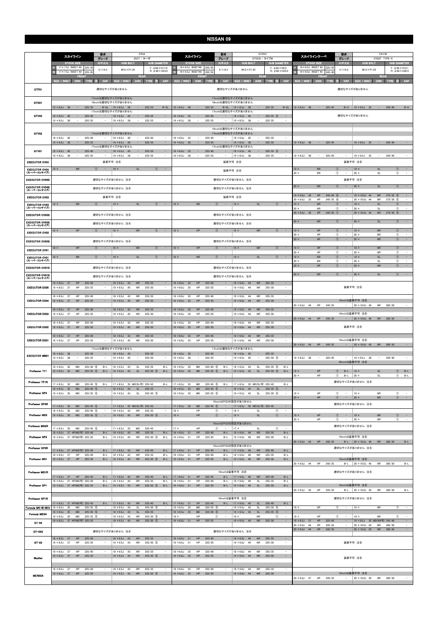|                                      | 型式<br>スカイライン<br>グレード                                                                                                                         | ER34<br>25GT / ターボ                                                                                                                           | 型式<br>スカイライン<br>グレード                                                                                                             | ECR33<br>GTS25t / タイプM                                                                                                                                                      | 型式<br>CKV36<br>スカイラインクーペ<br>グレード<br>370GT TYPE-S                                                                                 |                                                                                                                                      |
|--------------------------------------|----------------------------------------------------------------------------------------------------------------------------------------------|----------------------------------------------------------------------------------------------------------------------------------------------|----------------------------------------------------------------------------------------------------------------------------------|-----------------------------------------------------------------------------------------------------------------------------------------------------------------------------|----------------------------------------------------------------------------------------------------------------------------------|--------------------------------------------------------------------------------------------------------------------------------------|
|                                      | $H/P$ .C.D<br><b>STOCK SIZE</b><br>17 × 7.5J INSET 40<br>225/45                                                                              | <b>HUB DIAMETER</b><br><b>HUB BOLT</b><br>$F: 666 \times H11.0$                                                                              | H/P. C.D<br><b>STOCK SIZE</b><br>$16 \times 6.5$ J INSET40<br>205/5                                                              | <b>HUB BOLT</b><br><b>HUB DIAMETER</b><br>$F:$ $\phi$ 66 $\times$ H9.5                                                                                                      | $H/P$ .C.D<br><b>STOCK SIZE</b><br>19 × 8.5J INSET 43 225/45                                                                     | <b>HUB BOLT</b><br><b>HUB DIAMETER</b><br>$F: \phi 66 \times H10.1$                                                                  |
|                                      | 5/114.3<br>17 × 7.5J INSET 40<br>225/45<br>FRON                                                                                              | $M12 \times P1.25$<br>$R: \phi$ 66 $\times$ H23.0<br><b>REAR</b>                                                                             | 5/114.3<br>16 × 6.5J INSET40<br>205/5<br>FRON                                                                                    | $M12 \times P1.25$<br>$R: \phi$ 66 × H23.0<br><b>REAR</b>                                                                                                                   | 5/114.3<br>19 × 9.0J INSET 45<br>245/40<br>FRON                                                                                  | $M12 \times P1.25$<br>$R: \phi$ 66 $\times$ H26.5<br><b>REAR</b>                                                                     |
|                                      | SIZE / INSET<br>DISK TYRE<br>CAP                                                                                                             | SIZE / INSET<br>DISK TYRE<br>井<br>CAP                                                                                                        | <b>SIZE / INSET</b><br><b>DISK</b><br>CAP<br>TYRE<br>æ                                                                           | DISK TYRE 注<br>CAP<br>SIZE / INSET                                                                                                                                          | SIZE / INSET<br><b>DISK</b><br>CAP<br><b>TYRE</b>                                                                                | DISK TYRE 注<br>CAP<br><b>SIZE / INSET</b>                                                                                            |
| GTF01                                |                                                                                                                                              | 適切なサイズがありません                                                                                                                                 |                                                                                                                                  | 適切なサイズがありません                                                                                                                                                                |                                                                                                                                  | 適切なサイズがありません                                                                                                                         |
| GTX01                                |                                                                                                                                              | 17inchは適切なサイズがありません<br>18inchは適切なサイズがありません                                                                                                   |                                                                                                                                  | 17inchは適切なサイズがありません<br>18inchは適切なサイズがありません                                                                                                                                  |                                                                                                                                  |                                                                                                                                      |
|                                      | $19 \times 8.5$ J 38<br>$-$<br>225/35                                                                                                        | $B-SL$   19 $\times$ 8.5J 38<br>$\sim$<br>225/35<br>$B-SL$<br>17inchは適切なサイズがありません                                                            | $19 \times 8.5$ J 38<br>$\sim$<br>225/35                                                                                         | B-SL   19 × 8.5J 38<br>$\sim$<br>225/35<br>$B-SL$<br>17inchは適切なサイズがありません                                                                                                    | $19 \times 8.5$ J 38<br>$\sim$<br>225/45                                                                                         | $B-H$   19 × 9.5J 35<br>245/40<br>$B-H$<br>$\sim$                                                                                    |
| GTV03                                | $18 \times 8.5$ J 40<br>225/40<br>$\sim$<br>$19 \times 8.5$ J<br>225/35<br>- 38                                                              | $18 \times 9.5$ J 45<br>255/35<br>$\sim$<br>$\overline{\phantom{a}}$<br>225/35<br>$19 \times 8.5$ J<br>38                                    | $18 \times 8.0$ J 35<br>225/40<br>$\overline{\phantom{a}}$<br>$19 \times 8.5$ J<br>38<br>225/35                                  | $18 \times 9.5$ J 45<br>$255/35$ (5)<br>$\sim$<br>$\overline{\phantom{a}}$<br>$19 \times 8.5$ J<br>$\sim$<br>- 38<br>225/35                                                 |                                                                                                                                  | 適切なサイズがありません                                                                                                                         |
|                                      |                                                                                                                                              |                                                                                                                                              |                                                                                                                                  | 16inchは適切なサイズがありません                                                                                                                                                         |                                                                                                                                  |                                                                                                                                      |
| GTV02                                | $18 \times 8.5$ J<br>225/40<br>40<br>$\sim$<br>$\overline{\phantom{a}}$                                                                      | 17inchは適切なサイズがありません<br>$18 \times 8.5$ J<br>225/40<br>40<br>$\sim$<br>$\sim$                                                                 | $18 \times 8.0$ J<br>35<br>225/40<br>$\sim$<br>$\sim$                                                                            | 17inchは適切なサイズがありません<br>$18 \times 9.0$ J<br>255/35<br>$\sim$<br>45<br>$\sim$                                                                                                |                                                                                                                                  |                                                                                                                                      |
|                                      | $\sim$<br>$19 \times 8.5$ J<br>38<br>225/35<br>$\overline{\phantom{a}}$                                                                      | $\sim$<br>$\sim$<br>$19 \times 8.5$ J<br>38<br>225/35<br>17inchは適切なサイズがありません                                                                 | $\sim$<br>$19 \times 8.5$ J<br>38<br>225/35<br>$\overline{\phantom{a}}$                                                          | $\sim$<br>$\overline{\phantom{a}}$<br>$19 \times 8.5$ J<br>38<br>225/35<br>17inchは適切なサイズがありません                                                                              | $19 \times 8.5$ J 38 -<br>225/45<br>$\alpha = 1$                                                                                 | $19 \times 9.5$ J 35 -<br>245/40<br>$\sim$                                                                                           |
| GTV01                                | $18 \times 8.5$ J 40<br>$\sim$<br>225/40<br>$19 \times 8.5$ J<br>38<br>$\overline{\phantom{a}}$<br>225/35<br>$\sim$                          | 255/35<br>$18 \times 9.5$ J 45<br>$\sim$<br>$\overline{\phantom{a}}$<br>$19 \times 8.5$ J 38<br>$\sim$<br>225/35<br>$\overline{\phantom{a}}$ | $18 \times 8.0$ J 35<br>225/40<br>$\qquad \qquad -$<br>$19 \times 8.5$ J<br>- 38<br>225/35<br>$\sim$<br>$\overline{\phantom{a}}$ | $18 \times 9.5$ J 45<br>$255/35$ (5)<br>$\hspace{0.1mm}-\hspace{0.1mm}$<br>$\sim$<br>$19 \times 8.5$ J 38<br>$\overline{\phantom{a}}$<br>225/35<br>$\overline{\phantom{a}}$ | $19 \times 8.5$ J 38<br>225/45<br>$\sim$<br>$\overline{\phantom{a}}$                                                             | $19 \times 9.5$ J 35<br>245/40<br>$\sim$                                                                                             |
| <b>EXECUTOR CV04</b>                 |                                                                                                                                              | 装着不可 注8                                                                                                                                      |                                                                                                                                  | 装着不可 注8                                                                                                                                                                     |                                                                                                                                  | 装着不可 注8                                                                                                                              |
| <b>EXECUTOR CV04</b><br>(スーパーコンケイブ)  | <b>NR</b><br>$\circled{1}$<br>$19 \times$<br>$\overline{a}$                                                                                  | $19 \times$<br><b>SL</b><br>$\circled{1}$<br>$\alpha=1$                                                                                      |                                                                                                                                  | 装着不可 注8                                                                                                                                                                     | $19 \times$<br><b>NR</b><br>$\circled{1}$<br>$\sim$<br><b>NR</b><br>$\circled{1}$<br>$20 \times$                                 | $19 \times$<br><b>SL</b><br>$\circled{1}$<br>$\sim$<br>$20 \times$<br>$^{\circ}$<br>SL<br>$\overline{\phantom{a}}$                   |
| <b>EXECUTOR CV04S</b>                |                                                                                                                                              | 適切なサイズがありません 注4                                                                                                                              |                                                                                                                                  | 適切なサイズがありません 注4                                                                                                                                                             |                                                                                                                                  | 装着不可 注8                                                                                                                              |
| <b>EXECUTOR CV04S</b><br>(スーパーコンケイブ) |                                                                                                                                              | 適切なサイズがありません 注4                                                                                                                              |                                                                                                                                  | 適切なサイズがありません 注4                                                                                                                                                             | <b>NR</b><br>$\circled{1}$<br>$20 \times$                                                                                        | $\circled{0}$<br><b>SL</b><br>$20 \times$<br>$\qquad \qquad -$                                                                       |
| <b>EXECUTOR CV03</b>                 |                                                                                                                                              | 装着不可 注8                                                                                                                                      |                                                                                                                                  | 装着不可 注8                                                                                                                                                                     | $245/40$ 6<br>$19 \times 9.0J$<br>HP<br>36<br>$20 \times 9.0J$<br>33<br>HP<br>$245/35$ 6                                         | $275/35$ (5)<br>19 × 10.0J 44<br><b>NR</b><br>20 × 10.0J 44<br><b>NR</b><br>$275/30$ (5)                                             |
| <b>EXECUTOR CV03</b><br>(スーパーコンケイブ)  | <b>NR</b><br>$\circled{1}$<br>$19 \times$                                                                                                    | SL<br>$19 \times$<br>$\circled{0}$<br>$\sim$                                                                                                 | <b>NR</b><br>$19 \times$<br>$\circled{1}$                                                                                        | <b>SL</b><br>$19 \times$<br>$\circled{1}$                                                                                                                                   | <b>NR</b><br>O<br>$19 \times$<br>$\circled{1}$<br>$20 \times$<br><b>NR</b>                                                       | <b>SL</b><br>$19 \times$<br>$^{\circ}$<br>$\overline{\phantom{a}}$<br>$\circled{1}$<br>$20 \times$<br>SL<br>$\overline{\phantom{a}}$ |
| <b>EXECUTOR CV03S</b>                |                                                                                                                                              | 適切なサイズがありません 注4                                                                                                                              |                                                                                                                                  | 適切なサイズがありません 注4                                                                                                                                                             | $20 \times 9.0$ J 36<br>HP<br>$245/35$ (1)                                                                                       | $\overline{\phantom{a}}$<br>20 × 10.0J 44<br><b>NR</b><br>$275/30$ (5)                                                               |
| <b>EXECUTOR CV03S</b><br>(スーパーコンケイブ) |                                                                                                                                              | 適切なサイズがありません 注④                                                                                                                              |                                                                                                                                  | 適切なサイズがありません 注4                                                                                                                                                             | $\circled{1}$<br><b>NR</b><br>$20 \times$                                                                                        | $\circled{0}$<br><b>SL</b><br>$\sim$<br>$20 \times$                                                                                  |
| <b>EXECUTOR CV02</b>                 | HP<br>$\circled{1}$<br>$\sim$<br>$19 \times$                                                                                                 | <b>NR</b><br>$\circ$<br>$\sim$<br>$19 \times$                                                                                                | HP<br>$\circled{0}$<br>$19 \times$<br>$\overline{\phantom{a}}$                                                                   | <b>NR</b><br>(1)<br>$19 \times$                                                                                                                                             | HP<br>$\circled{1}$<br>$19 \times$<br>$\overline{\phantom{a}}$<br>$20 \times$<br>HP<br>$\circled{1}$<br>$\overline{\phantom{a}}$ | $19 \times$<br>${\sf NR}$<br>$\circled{1}$<br>$\sim$<br>$\circled{1}$<br>$20 \times$<br><b>NR</b><br>$\overline{\phantom{a}}$        |
| <b>EXECUTOR CV02S</b>                |                                                                                                                                              | 適切なサイズがありません 注4                                                                                                                              |                                                                                                                                  | 適切なサイズがありません 注4                                                                                                                                                             | HP<br>$\circled{1}$<br>$20 \times$<br>$\sim$                                                                                     | $20 \times$<br>${\sf NR}$<br>$\circled{1}$<br>$\sim$                                                                                 |
| <b>EXECUTOR CV01</b>                 | $19 \times$<br>HP<br>$\circled{1}$<br>$\sim$                                                                                                 | $19 \times$<br><b>NR</b><br>$\circled{0}$<br>$\sim$                                                                                          | $19 \times$<br>HP<br>$\circled{1}$<br>$\sim$                                                                                     | $19 \times$<br><b>NR</b><br>$\circled{0}$                                                                                                                                   | $19 \times$<br>HP<br>$\circled{1}$<br>$\overline{\phantom{a}}$<br>HP<br>$\circled{1}$<br>$20 \times$<br>$\overline{\phantom{a}}$ | $19 \times$<br><b>NR</b><br>$\circled{1}$<br>$\hspace{0.1mm}-\hspace{0.1mm}$<br>$20 \times$<br>NR<br>$\circled{1}$                   |
| <b>EXECUTOR CV01</b><br>(スーパーコンケイブ)  | $19 \times$<br>${\sf NR}$<br>$^{\circ}$<br>$\hspace{0.1mm}-\hspace{0.1mm}$                                                                   | SL<br>$\circled{1}$<br>$19 \times$<br>$\sim$                                                                                                 | <b>NR</b><br>$\circled{1}$<br>$19 \times$<br>$\overline{\phantom{a}}$                                                            | SL<br>$\circledcirc$<br>$19 \times$<br>$\sim$                                                                                                                               | ${\sf NR}$<br>$\circled{1}$<br>$19 \times$<br>$\overline{\phantom{a}}$<br>$\circled{1}$<br>$20 \times$<br>NR                     | $\mathsf{SL}% _{2}\left( \mathbb{Z}\right)$<br>$\circled{1}$<br>$19 \times$<br>$\sim$<br>$\circled{1}$<br>$20 \times$<br><b>SL</b>   |
| <b>EXECUTOR CV01S</b>                |                                                                                                                                              | 適切なサイズがありません 注4                                                                                                                              |                                                                                                                                  | 適切なサイズがありません 注4                                                                                                                                                             | HP<br>$\circled{1}$<br>$20 \times$                                                                                               | ${\sf NR}$<br>$^{\circ}$<br>$20 \times$                                                                                              |
| <b>EXECUTOR CV01S</b><br>(スーパーコンケイブ) |                                                                                                                                              | 適切なサイズがありません 注4                                                                                                                              |                                                                                                                                  | 適切なサイズがありません 注4                                                                                                                                                             | $20 \times$<br><b>NR</b><br>$\circled{1}$                                                                                        | $20 \times$<br><b>SL</b><br>$\circled{1}$                                                                                            |
| <b>EXECUTOR EX05</b>                 | $18 \times 8.5$ J<br>37<br>HP<br>225/40<br>$19 \times 8.5$ J<br>37<br>225/35<br>HP<br>$\sim$                                                 | $18 \times 9.5$ J<br>43<br><b>NR</b><br>255/35<br>$\overline{\phantom{a}}$<br><b>NR</b><br>255/30<br>$19 \times 9.5$ J<br>45<br>$\sim$       | 225/40<br>$18 \times 8.0$ J<br>35<br>HP<br>$19 \times 8.0$ J<br>35<br>HP<br>225/35<br>$\overline{\phantom{a}}$                   | $18 \times 9.0J$<br>44<br><b>NR</b><br>255/35<br>$\overline{\phantom{a}}$<br>$19 \times 9.0J$<br><b>NR</b><br>255/30<br>-44<br>$\overline{\phantom{a}}$                     |                                                                                                                                  | 装着不可 注8                                                                                                                              |
| <b>EXECUTOR EX04</b>                 | $18 \times 8.5$ J<br>37<br>HP<br>225/40<br>$\overline{\phantom{a}}$<br>$19 \times 8.5$ J<br>37<br>HP<br>225/35<br>$\qquad \qquad -$          | $18 \times 9.5$ J<br>43<br><b>NR</b><br>255/35<br>$\sim$<br><b>NR</b><br>255/30<br>$\sim$<br>$19 \times 9.5$ J<br>45                         | $18 \times 8.0$ J<br>35<br>HP<br>225/40<br><b>HP</b><br>35<br>$19 \times 8.0$ J<br>225/35                                        | $18 \times 9.0J$<br>44<br>NR<br>255/35<br>$\overline{\phantom{a}}$<br>$\overline{\phantom{a}}$<br><b>NR</b><br>255/30<br>$19 \times 9.0$ J<br>44                            |                                                                                                                                  | 19inchは装着不可 注8                                                                                                                       |
|                                      | 225/40<br>$18 \times 8.5$ J<br>37<br>HP                                                                                                      | 255/35<br>$18 \times 9.5$ J<br>43<br><b>NR</b>                                                                                               | 225/40<br>$18 \times 8.0$ J<br>35<br>HP                                                                                          | 255/35<br>$18 \times 9.0J$<br>44<br><b>NR</b><br>$\overline{\phantom{a}}$                                                                                                   | 44<br><b>HP</b><br>245/35<br>$20 \times 9.0$ J<br>$\overline{\phantom{0}}$                                                       | <b>NR</b><br>285/30<br>$20 \times 10.0$ J 49                                                                                         |
| <b>EXECUTOR EX03</b>                 | $19 \times 8.5$ J<br>37<br>HP<br>225/35                                                                                                      | $19 \times 9.5$ J<br>45<br><b>NR</b><br>255/30<br>$\overline{\phantom{a}}$                                                                   | $19 \times 8.0$ J<br>35<br>HP<br>225/35                                                                                          | $19 \times 9.0J$<br>44<br><b>NR</b><br>255/30<br>$\overline{\phantom{a}}$                                                                                                   | 20 × 9.0J 44 HP 245/35<br>$\qquad \qquad -$                                                                                      | 19inchは装着不可 注8<br>$20 \times 10.0$ J 49<br><b>NR</b><br>285/30                                                                       |
| <b>EXECUTOR EX02</b>                 | $18 \times 8.5$ J<br>37<br>225/40<br>HP<br>$19 \times 8.5$ J 37<br>HP<br>225/35<br>$\qquad \qquad -$                                         | $18 \times 9.5$ J<br>43<br><b>NR</b><br>255/35<br>$19 \times 9.5$ J 45<br><b>NR</b><br>255/30<br>$\overline{\phantom{a}}$                    | $18 \times 8.0$ J<br>35<br>225/40<br>HP<br>$19 \times 8.0$ J 35<br>HP<br>225/35                                                  | $18 \times 9.0$ J<br>44<br><b>NR</b><br>255/35<br>$\sim$<br>$19 \times 9.0$ J 44<br><b>NR</b><br>255/30<br>$\overline{\phantom{a}}$                                         |                                                                                                                                  | 装着不可 注8                                                                                                                              |
| <b>EXECUTOR EX01</b>                 | $18 \times 8.5$ J 37<br>225/40<br>HP<br>$\overline{\phantom{a}}$<br>$19 \times 8.5$ J<br>37<br>HP<br>225/35<br>$\qquad \qquad -$             | $18 \times 9.5$ J<br>43<br><b>NR</b><br>255/35<br>$\sim$<br>$19 \times 9.5$ J<br>45<br><b>NR</b><br>255/30<br>$\qquad \qquad -$              | $18 \times 8.0$ J<br>HP<br>225/40<br>35<br>$19 \times 8.0$ J<br>35<br>HP<br>225/35<br>$\qquad \qquad -$                          | $18 \times 9.0$ J 44<br>255/35<br><b>NR</b><br>$\sim$<br>$19 \times 9.0$ J<br><b>NR</b><br>255/30<br>44<br>$\overline{\phantom{a}}$                                         |                                                                                                                                  | 19inchは装着不可 注8                                                                                                                       |
|                                      |                                                                                                                                              | 17inchは適切なサイズがありません                                                                                                                          |                                                                                                                                  | 17inchは適切なサイズがありません                                                                                                                                                         | 20 × 9.0J 44 HP 245/35<br>$\sim$                                                                                                 | 20 × 10.0J 49<br>NR 285/30                                                                                                           |
| <b>EXECUTOR MB01</b>                 | $18 \times 8.0$ J 38<br>225/40<br>$\sim$<br>$19 \times 8.5$ J 38<br>225/35<br>$\overline{\phantom{a}}$                                       | $18 \times 9.0$ J 45<br>$\sim$<br>$\equiv$<br>255/35<br>$19 \times 9.5$ J<br>255/30<br>- 45<br>$\overline{\phantom{a}}$<br>$\sim$            | $18 \times 8.0$ J 38<br>225/40<br>$\sim$<br>$19 \times 8.5$ J<br>38<br>225/35<br>$\overline{\phantom{a}}$                        | $18 \times 9.0$ J 45<br>255/35<br>$\overline{\phantom{a}}$<br>$\sim$<br>$19 \times 9.5$ J<br>255/30 5<br>$\sim$<br>45<br>$\overline{\phantom{a}}$                           | $19 \times 8.5$ J<br>225/45<br>38<br>$\sim$<br>$\sim$                                                                            | $19 \times 9.5$ J 38<br>245/40<br>$\overline{\phantom{a}}$<br>$\sim$<br>20inchは装着不可 注8                                               |
| Professor TF1                        | $18 \times 8.5$ J<br>$225/40$ (5)<br>$B-L$<br>35<br>MD<br>$19 \times 8.5$ J 35<br>MD<br>$225/35$ 5                                           | $18 \times 9.5$ J<br>255/35<br>43<br>SL<br>$B-L$<br>$19 \times 9.5$ J 43<br><b>SL</b><br>$255/30$ (5)<br>$B-L$                               | 225/40 (5)<br>$B-L$<br>$18 \times 8.5$ J<br>35<br><b>MD</b><br>$19 \times 8.5$ J 35                                              | $255/35$ (5)<br>$18 \times 9.5$ J<br>43<br>SL<br>$B-L$<br>$19 \times 9.5$ J 43<br>$\mathsf{SL}% _{2}\left( \mathbb{Z}\right)$                                               | $\circled{1}$<br>HP                                                                                                              | $\circledcirc$<br>$B-L$<br><b>SL</b>                                                                                                 |
|                                      | $B-L$                                                                                                                                        |                                                                                                                                              | MD<br>$225/35$ (5)<br>$B-L$                                                                                                      | $255/30$ (5)<br>$B-L$                                                                                                                                                       | $B-L$<br>$19 \times$<br>$20 \times$<br>HP<br>$\circled{1}$<br>$B-L$                                                              | $19 \times$<br>$\circled{1}$ B-L<br>$20 \times$<br>SL                                                                                |
| Professor TF1R                       | $17 \times 8.5$ J 35<br>$225/45$ (5)<br><b>MD</b><br>$B-L$<br>$18 \times 8.5$ J<br><b>MD</b><br>225/40 (5)<br>35<br>$\overline{\phantom{a}}$ | 17 × 8.5J 35 MD(SL可) 225/45<br>$B-L$<br>$18 \times 9.5$ J<br>43<br>SL<br>255/35<br>$\sim$                                                    | $17 \times 8.5$ J<br>35<br>MD<br>$225/45$ (5)<br>$B-L$<br>$18 \times 8.5$ J<br>35<br><b>MD</b><br>$225/40$ (5)                   | 17 × 8.5J 35 MD(SL可) 225/45<br>$B-L$<br>$18 \times 9.5$ J<br>43<br><b>SL</b><br>$255/35$ (5)<br>$\sim$                                                                      |                                                                                                                                  | 適切なサイズがありません 注4                                                                                                                      |
| Professor SP4                        | $19 \times 8.5$ J<br>35<br>MD<br>$225/35$ 5                                                                                                  | $19 \times 9.5$ J<br><b>SL</b><br>255/30 5<br>43<br>$\sim$                                                                                   | $19 \times 8.5$ J<br>35<br>MD<br>$225/35$ (5)                                                                                    | $19 \times 9.5$ J<br>43<br><b>SL</b><br>255/30 (5)<br>$\overline{\phantom{a}}$                                                                                              | $19 \times$<br>HP<br>$\circled{1}$<br>$\sim$<br>$20 \times$<br>HP<br>$\circled{1}$<br>$\sim$                                     | $19 \times$<br>NR<br>$\circled{1}$<br>$\overline{\phantom{a}}$<br>$\circled{1}$<br>$\sim$<br>$20 \times$<br><b>NR</b>                |
| Professor SP4R                       | $17 \times 8.5$ J 35<br>$225/45$ (5)<br><b>MD</b><br>$\sim$ $-$                                                                              | 17 × 8.5J 35 MD(SL可) 225/45<br>$\sim$                                                                                                        | $225/45$ (5)<br>$17 \times 8.5$ J 35<br><b>MD</b><br>$\sim$ $-$                                                                  | 16inchはPCDの設定がありません<br>  17 × 8.5J 35 MD(SL可) 225/45<br>$\sim$                                                                                                              |                                                                                                                                  | 適切なサイズがありません 注4                                                                                                                      |
| <b>Professor MS3</b>                 | $18 \times 8.5J$<br>225/40 5<br>35<br>MD<br>$19 \times 8.5$ J 35<br>MD<br>$225/35$ (5)<br>$\hspace{0.1mm}-\hspace{0.1mm}$                    | $18 \times 9.5$ J<br>43<br><b>NR</b><br>255/35<br>$19 \times 9.5$ J 43<br><b>NR</b><br>$255/30$ (5)<br>$\sim$                                | HP<br>$18 \times$<br>$^\circledR$<br>HP<br>$\circledcirc$<br>$19 \times$<br>$\overline{\phantom{a}}$                             | $^{\circ}$<br>$\overline{\phantom{a}}$<br>$18 \times$<br><b>SL</b><br>SL<br>$\mathcal{L} = \mathcal{L}$<br>$19 \times$<br>$\circled{1}$                                     | HP<br>$\circledcirc$<br>$19 \times$<br>$\alpha = 1$                                                                              | $\circledcirc$ -<br><b>NR</b><br>$19 \times$                                                                                         |
| Professor MS3R                       |                                                                                                                                              |                                                                                                                                              |                                                                                                                                  | 16inchはPCDの設定がありません                                                                                                                                                         | HP<br>$\circled{1}$<br>$20 \times$<br>$\sim$                                                                                     | <b>NR</b><br>$^{\circ}$<br>$\sim$<br>$20 \times$<br>適切なサイズがありません 注4                                                                  |
|                                      | $17 \times 8.5$ J 35<br><b>MD</b><br>$225/45$ (5)<br>18 × 8.5J 37 HP(MD可) 225/40<br>$B-L$                                                    | $17 \times 8.5$ J 35<br>MD<br>225/45<br>$\sim$<br>$18 \times 9.5$ J<br><b>NR</b><br>$B-L$<br>43<br>255/35                                    | $17 \times$<br>HP<br>$\circled{1}$<br>$\sim$<br>HP<br>225/40<br>$B-L$<br>$18 \times 8.0$ J 31                                    | $17 \times$<br>SL<br>$\circled{1}$<br>$\overline{\phantom{a}}$<br>${\sf NR}$<br>255/35<br>$B-L$<br>18 × 9.0J 49                                                             |                                                                                                                                  |                                                                                                                                      |
| Professor SP3                        | 19 × 8.5J 37 HP(MD可) 225/35<br>$B-L$                                                                                                         | $19 \times 9.5$ J 43<br><b>NR</b><br>255/30 (5)<br>$B-L$                                                                                     | $19 \times 8.0$ J<br>HP<br>225/35<br>31<br>$B-L$                                                                                 | $19 \times 9.0$ J 49<br>NR<br>255/30<br>$B-L$                                                                                                                               | 20 × 9.0J 44 HP 245/35                                                                                                           | 19inchは装着不可 注8<br>B-L 20 × 10.0J 49<br>NR 285/30<br>$B-L$                                                                            |
| Professor SP3R                       | 17 × 8.5J 37 HP(MD可) 225/45<br>$B-L$                                                                                                         | $17 \times 9.5$ J 43<br>${\sf NR}$<br>255/40<br>$B-L$                                                                                        | $17 \times 8.0$ J 31<br>HP<br>225/45<br>$B-L$                                                                                    | 16inchはPCDの設定がありません<br>$17 \times 9.0$ J 49<br><b>NR</b><br>255/40<br>$B-L$                                                                                                 |                                                                                                                                  | 適切なサイズがありません 注4                                                                                                                      |
| Professor MS1                        | $18 \times 8.5J$<br>37<br>HP<br>225/40<br>$B-L$<br>$19 \times 8.5$ J 37<br>HP<br>225/35<br>$B-L$                                             | $18 \times 9.5$ J 43<br><b>NR</b><br>255/35<br>$B-L$<br><b>NR</b><br>$255/30$ (5)<br>$19 \times 9.5$ J 43<br>$B-L$                           | $18 \times 8.0$ J<br>HP<br>225/40<br>31<br>$B-L$<br>HP<br>$19 \times 8.0$ J 31<br>225/35<br>$B-L$                                | $18 \times 9.0$ J 49<br>NR<br>255/35<br>$B-L$<br>$19 \times 9.0$ J 49<br><b>NR</b><br>255/30<br>$B-L$                                                                       |                                                                                                                                  | 19inchは装着不可 注8                                                                                                                       |
|                                      |                                                                                                                                              |                                                                                                                                              |                                                                                                                                  |                                                                                                                                                                             | $20 \times 9.0$ J 44<br>HP<br>245/35<br>$B-L$                                                                                    | $20 \times 10.0$ J 49<br><b>NR</b><br>285/30<br>$B-L$                                                                                |
| Professor MS1R                       | $17 \times 8.5$ J 37<br>HP 225/45<br>$B-L$                                                                                                   | $17 \times 9.5$ J 43<br><b>NR</b><br>255/40<br>$B-L$                                                                                         | $17 \times 8.0$ J 31<br>HP<br>225/45<br>B-L                                                                                      | 16inchは装着不可 注8<br>$17 \times 9.0$ J 49<br><b>NR</b><br>255/40<br>$B-L$                                                                                                      |                                                                                                                                  | 適切なサイズがありません 注4                                                                                                                      |
| Professor SP1                        | $18 \times 8.5J$<br>37 HP(MD可) 225/40<br>$B-L$<br>19 × 8.5J 37 HP(MD可) 225/35<br>$B-L$                                                       | $18 \times 9.5$ J<br><b>NR</b><br>255/35<br>$B-L$<br>43<br>$255/30$ (5)<br>$19 \times 9.5$ J 43<br><b>NR</b><br>$B-L$                        | 225/40<br>$18 \times 8.0$ J<br>$B-L$<br>31<br>HP<br>$19 \times 8.0$ J 31<br>HP<br>225/35<br>$B-L$                                | $18 \times 9.0J$<br><b>SL</b><br>255/35<br>$B-L$<br>49<br>$19 \times 9.0$ J 49<br>SL<br>255/30<br>$B-L$                                                                     | HP<br>245/35                                                                                                                     | 19inchは装着不可 注8<br><b>NR</b><br>285/30                                                                                                |
| Professor SP1R                       |                                                                                                                                              |                                                                                                                                              |                                                                                                                                  | 16inchは装着不可 注8                                                                                                                                                              | $20 \times 9.0$ J 44                                                                                                             | B-L 20 $\times$ 10.0J 49<br>$B-L$<br>適切なサイズがありません 注④                                                                                 |
| Formula MK-III NEO                   | 17 × 8.5J 37 HP(MD可) 225/45<br>$B-L$<br>$19 \times 8.5$ J<br><b>MD</b><br>$225/35$ 5<br>35<br>$\sim$                                         | 255/40<br>$17 \times 9.5$ J 43<br><b>NR</b><br>$B-L$<br>$19 \times 9.5$ J<br>43<br><b>SL</b><br>255/30 5<br>$\sim$                           | HP<br>225/45<br>$17 \times 8.0$ J 31<br>$B-L$<br>$19 \times 8.5$ J<br>35<br>MD<br>$225/35$ (5)                                   | 255/40<br>$17 \times 9.0$ J 49<br>SL<br>$B-L$<br>$19 \times 9.5$ J<br><b>SL</b><br>255/30 5<br>$\sim$<br>43                                                                 | $19 \times$<br>HP<br>$\circled{1}$<br>$\overline{\phantom{a}}$                                                                   | <b>NR</b><br>$19 \times$<br>$\circled{1}$<br>$\overline{\phantom{a}}$                                                                |
| <b>Formula MESH</b>                  | $18 \times 8.5$ J<br>35<br>${\sf MD}$<br>225/40 (5)<br>$\overline{\phantom{a}}$<br>$19 \times 8.5$ J<br>35<br>MD<br>$225/35$ (5)<br>$\sim$   | $18 \times 9.5$ J<br>255/35<br>$\sim$<br>43<br><b>SL</b><br>255/30 (5)<br>$19 \times 9.5$ J<br>43<br>NR<br>$\sim$                            | $225/40$ (5)<br>$18 \times 8.5J$<br>35<br>MD<br>HP<br>$^{\circ}$<br>$19 \times$<br>$\overline{\phantom{a}}$                      | $\sim$<br><b>SL</b><br>$255/35$ 5<br>$18 \times 9.5$ J<br>43<br>$19 \times$<br><b>NR</b><br>$^{\circ}$<br>$\sim$                                                            | HP<br>$\circled{1}$<br>$19 \times$<br>$\sim$                                                                                     | $\circled{1}$<br>$\sim$<br>$19 \times$<br><b>NR</b>                                                                                  |
| $GT-04$                              | 19 × 8.5J 37 HP(MD可) 225/35                                                                                                                  | $19 \times 9.5$ J<br><b>NR</b><br>255/30 (5)<br>43                                                                                           | HP<br>225/35<br>$19 \times 8.0$ J 31                                                                                             | <b>NR</b><br>255/30<br>$19 \times 9.0$ J 49<br>$\overline{\phantom{a}}$                                                                                                     | 225/45<br>37<br>${\sf HP}$<br>$19 \times 8.5$ J<br>$\sim$<br>HP<br>245/35<br>$20 \times 9.0$ J 44<br>$\qquad \qquad -$           | 19 × 9.5J 35 MD(NR可) 245/40<br>$\overline{\phantom{a}}$<br>285/30<br>$20 \times 10.0$ J 50<br><b>NR</b>                              |
| GT 04S                               |                                                                                                                                              | 適切なサイズがありません 注4                                                                                                                              |                                                                                                                                  | 適切なサイズがありません 注4                                                                                                                                                             | $20 \times 9.0$ J 44<br>HP<br>245/35                                                                                             | $20 \times 10.0$ J 50<br>${\sf NR}$<br>285/30<br>$\sim$                                                                              |
| GT-03                                | $18 \times 8.5$ J 37<br>HP<br>225/40<br>$\overline{\phantom{a}}$<br>$19 \times 8.5$ J<br>37<br>225/35<br>HP                                  | <b>NR</b><br>255/35<br>$18 \times 9.5$ J<br>43<br>$\sim$<br>$19 \times 9.5$ J<br>43<br><b>NR</b><br>255/30 (5)<br>$\overline{\phantom{a}}$   | $18 \times 8.0$ J<br>HP<br>225/40<br>31<br>$19 \times 8.0$ J<br>31<br>HP<br>225/35                                               | <b>NR</b><br>255/35<br>$\sim$<br>$18 \times 9.0$ J 49<br>$19 \times 9.0J$<br>49<br><b>NR</b><br>255/30<br>$\overline{\phantom{a}}$                                          |                                                                                                                                  | 装着不可 注8                                                                                                                              |
|                                      | $18 \times 8.5$ J 37<br>225/40<br>HP<br>٠                                                                                                    | $18 \times 9.5$ J 43<br>255/35<br><b>NR</b><br>$\sim$                                                                                        | 225/40<br>$18 \times 8.0$ J<br>HP<br>35                                                                                          | $\sim$<br>$18 \times 9.0J$<br>NR<br>255/35<br>44                                                                                                                            |                                                                                                                                  |                                                                                                                                      |
| Mueller                              | $19 \times 8.5$ J 37<br>HP<br>225/35<br>$\overline{\phantom{a}}$                                                                             | $19 \times 9.5$ J 43<br><b>NR</b><br>$255/30$ (5)<br>$\sim$                                                                                  | $19 \times 8.0$ J 35<br>HP<br>225/35                                                                                             | $19 \times 9.0$ J 44<br><b>NR</b><br>255/30<br>$\sim$                                                                                                                       |                                                                                                                                  | 装着不可 注8                                                                                                                              |
|                                      | $18 \times 8.5$ J<br>37<br>HP<br>225/40                                                                                                      | $18 \times 9.5$ J<br>43<br><b>NR</b><br>255/35                                                                                               | 225/40<br>$18 \times 8.0$ J<br>35<br>HP                                                                                          | $18 \times 9.0J$<br>44<br><b>NR</b><br>255/35<br>$\sim$                                                                                                                     |                                                                                                                                  |                                                                                                                                      |
| <b>MERISIA</b>                       | $19 \times 8.5$ J 37<br>HP<br>225/35<br>$\sim$                                                                                               | $19 \times 9.5$ J 43<br><b>NR</b><br>$255/30$ (5)<br>$\sim$                                                                                  | $19 \times 8.0$ J 35<br>HP<br>225/35                                                                                             | $19 \times 9.0$ J 44<br><b>NR</b><br>255/30<br>$\sim$                                                                                                                       | $20 \times 9.0$ J 47<br>HP<br>245/35<br>$\overline{\phantom{a}}$                                                                 | 19inchは装着不可 注8<br>$\sim$<br>$20 \times 10.0$ J 49<br><b>NR</b><br>285/30                                                             |
|                                      |                                                                                                                                              |                                                                                                                                              |                                                                                                                                  |                                                                                                                                                                             |                                                                                                                                  |                                                                                                                                      |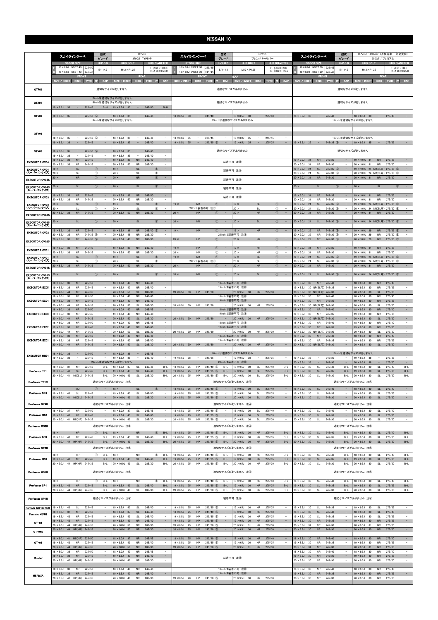|                                                | 型式<br>スカイラインクーペ<br>グレード                                                                                                                                                                           | CKV36<br>370GT TYPE-P                                                                                                                                                                                        | 型式<br>スカイラインクーペ<br>グレード                                                                                                                                              | CPV35<br>ブレンボキャリパー                                                                                                                                                           | 型式<br>スカイラインクーペ<br>グレード                                                                                                                                                                  | CPV35(~2004年10月製造車 一部変更前)<br>350GT / プレミアム                                                                                                                                                                    |  |
|------------------------------------------------|---------------------------------------------------------------------------------------------------------------------------------------------------------------------------------------------------|--------------------------------------------------------------------------------------------------------------------------------------------------------------------------------------------------------------|----------------------------------------------------------------------------------------------------------------------------------------------------------------------|------------------------------------------------------------------------------------------------------------------------------------------------------------------------------|------------------------------------------------------------------------------------------------------------------------------------------------------------------------------------------|---------------------------------------------------------------------------------------------------------------------------------------------------------------------------------------------------------------|--|
|                                                | $H/P$ .C.D<br><b>STOCK SIZE</b><br>18 × 8.0J INSET 43<br>225/50<br>5/114.3                                                                                                                        | <b>HUB BOLT</b><br><b>HUB DIAMETER</b><br>$F: 666 \times H10.0$<br>$M12 \times P1.25$                                                                                                                        | $H/P$ .C.D<br><b>STOCK SIZE</b><br>18×8.0J INSET 30<br>225/4<br>5/114.3                                                                                              | <b>HUB BOLT</b><br><b>HUB DIAMETER</b><br>$F: A66 \times H98$<br>$M12 \times P1.25$                                                                                          | $H/P$ .C.D<br><b>STOCK SIZE</b><br>18 × 8.0J INSET 30<br>225/4<br>5/114.3                                                                                                                | <b>HUB DIAMETER</b><br><b>HUB BOLT</b><br>$F:$ $\phi$ 66 $\times$ H9.6<br>$M12 \times P1.25$                                                                                                                  |  |
|                                                | $18 \times 8.0$ J INSET 43<br>245/45<br><b>FRONT</b><br>Size / Inset<br>CAP<br>083<br>- TYRR                                                                                                      | $R: \phi$ 66 $\times$ H26.0<br><b>REAR</b><br>CAP<br>SIZE / INSET<br>m<br>DIST.<br>in Yele                                                                                                                   | $18 \times 8.0$ J INSET 30<br>245/4<br>自己の計<br>CAP<br>SIZE / INSET<br>DISK:<br>TYR:<br>æ                                                                             | $R: \phi$ 66 × H25.5<br>EAR<br>CAP<br>SIZE / INSET<br> D <br>TYRE<br>œ                                                                                                       | 18 × 8.0 J INSET 30<br>245/4<br>FRONT<br>CAP<br>SIZE / INSET<br>DISK:<br>TYR:                                                                                                            | $R: \phi$ 66 $\times$ H25.8<br><b>REAR</b><br>CAP<br><b>SIZE / INSET</b><br><b>TYRE</b><br>æ<br>DISE.                                                                                                         |  |
| GTF01                                          |                                                                                                                                                                                                   | 適切なサイズがありません                                                                                                                                                                                                 |                                                                                                                                                                      | 適切なサイズがありません                                                                                                                                                                 |                                                                                                                                                                                          | 適切なサイズがありません                                                                                                                                                                                                  |  |
| GTX01                                          | $19 \times 8.5$ J 38<br><b>Contract</b><br>225/45                                                                                                                                                 | 17inchは適切なサイズがありません<br>18inchは適切なサイズがありません<br>$B-H$   19 $\times$ 9.5J 35<br>$\alpha \rightarrow \alpha \beta$<br>245/40<br>$B-H$                                                                            |                                                                                                                                                                      | 適切なサイズがありません                                                                                                                                                                 |                                                                                                                                                                                          | 適切なサイズがありません                                                                                                                                                                                                  |  |
| GTV03                                          | $18 \times 8.0$ J 35<br>$225/50$ (5)<br>$\qquad \qquad -$                                                                                                                                         | 245/45<br>$18 \times 8.0$ J 35<br>$\overline{\phantom{a}}$<br>19inchは適切なサイズがありません                                                                                                                            | 245/40<br>$18 \times 8.5$ J 30<br>$\sim$                                                                                                                             | 275/40<br>$18 \times 8.5$ J 30<br>$\sim$<br>$\qquad \qquad =$<br>19inchは適切なサイズがありません                                                                                         | $18 \times 8.5$ J 30<br>$\sim$<br>245/40                                                                                                                                                 | $18 \times 8.5$ J 30<br>275/40<br>$\overline{\phantom{a}}$<br>19inchは適切なサイズがありません                                                                                                                             |  |
| GTV02                                          | $225/50$ (5)<br>$18 \times 8.0$ J<br>35                                                                                                                                                           | $18 \times 8.0$ J<br>245/45<br>35<br>$\overline{\phantom{a}}$                                                                                                                                                | $18 \times 8.0$ J<br>35<br>225/45                                                                                                                                    | $18 \times 8.0J$<br>245/45<br>35<br>$\overline{\phantom{a}}$                                                                                                                 |                                                                                                                                                                                          | 18inchは適切なサイズがありません                                                                                                                                                                                           |  |
| GTV01                                          | $19 \times 8.5$ J 38<br>$\sim$<br>225/45<br>$\sim$<br>$18 \times 8.0$ J<br>$225/50$ (5)<br>35<br>$\overline{\phantom{a}}$                                                                         | $19 \times 9.5$ J 35<br>$\overline{a}$<br>245/40<br>$\sim$<br>$18 \times 9.0$ J<br>245/45<br>$\equiv$<br>- 35<br>$\overline{\phantom{a}}$                                                                    | $19 \times 8.5$ J 25<br>$\sim$<br>$245/35$ (5)<br>$\sim$                                                                                                             | $19 \times 9.5$ J 35<br>$\sim$<br>275/35<br>$\sim$<br>適切なサイズがありません                                                                                                           | $19 \times 8.5$ J 25 -<br>$245/35$ (5)<br>$\alpha$ , $\alpha$ , $\alpha$ , $\alpha$                                                                                                      | $19 \times 9.5$ J 35<br>$\sim$<br>275/35<br>適切なサイズがありません                                                                                                                                                      |  |
| <b>EXECUTOR CV04</b>                           | $19 \times 8.5$ J<br>-38<br>225/45<br>$19 \times 8.5$ J<br>38<br><b>NR</b><br>225/45<br>$20 \times 8.5J$<br><b>NR</b><br>245/35<br>$\overline{\phantom{a}}$<br>38                                 | $19 \times 9.5$ J<br>245/40<br>-35<br>$\overline{\phantom{a}}$<br>$19 \times 9.5$ J<br>38<br><b>NR</b><br>245/40<br>$20 \times 9.5J$<br><b>NR</b><br>285/30<br>$\overline{\phantom{a}}$<br>- 50              |                                                                                                                                                                      | 装着不可 注8                                                                                                                                                                      | 245/35<br>$19 \times 9.0J$<br>31<br><b>NR</b><br>$20 \times 9.0J$<br><b>NR</b><br>245/30<br>31                                                                                           | 19 × 10.0J 31<br><b>NR</b><br>275/35<br>20 × 10.0J 31<br><b>NR</b><br>275/30<br>$\overline{\phantom{a}}$                                                                                                      |  |
| <b>EXECUTOR CV04</b><br>(スーパーコンケイブ)            | <b>SL</b><br>$\sim$<br>$19 \times$<br>$\circ$<br>$20 \times$<br>$^{\circ}$<br><b>SL</b><br>$\overline{\phantom{a}}$                                                                               | $\sim$<br>$19 \times$<br><b>SL</b><br>(T)<br>$20 \times$<br>SL<br>O<br>$\overline{\phantom{a}}$                                                                                                              |                                                                                                                                                                      | 装着不可 注8                                                                                                                                                                      | $19 \times 9.0J$<br><b>SL</b><br>$245/35$ (6)<br>24<br>$20 \times 9.0$ J<br>24<br>SL<br>$245/30$ 6<br>$\overline{\phantom{a}}$                                                           | $\sim$<br>19 × 10.0J 24 NR(SL可) 275/35 6<br>20 × 10.0J 24 NR(SL可) 275/30 6<br>$\overline{\phantom{a}}$                                                                                                        |  |
| <b>EXECUTOR CV048</b><br><b>EXECUTOR CV04S</b> | $\circled{0}$<br><b>NR</b><br>$\overline{\phantom{a}}$<br>$20 \times$<br><b>SL</b><br>(1)<br>$20 \times$                                                                                          | (1)<br>$\overline{\phantom{a}}$<br>$20 \times$<br><b>NR</b><br><b>SL</b><br>$\circled{0}$<br>$\sim$<br>$20 \times$                                                                                           |                                                                                                                                                                      | 装着不可 注8                                                                                                                                                                      | <b>NR</b><br>245/30<br>$20 \times 9.0$ J<br>31<br>(1)<br><b>SL</b><br>$20 \times$                                                                                                        | $\sim$<br>20 × 10.0J 31<br><b>NR</b><br>275/30<br>$\sim$<br>$\circled{0}$<br><b>SL</b><br>$20 \times$                                                                                                         |  |
| (スーパーコンケイブ)<br><b>EXECUTOR CV03</b>            | ${\sf NR}$<br>225/45<br>$19 \times 8.5$ J<br>38                                                                                                                                                   | $19 \times 9.5$ J<br>NR<br>245/40<br>$\sim$<br>38                                                                                                                                                            |                                                                                                                                                                      | 装着不可 注⑧<br>装着不可 注8                                                                                                                                                           | <b>NR</b><br>245/35<br>$19 \times 9.0$<br>31                                                                                                                                             | $19 \times 10.0$ J 31<br><b>NR</b><br>275/35<br>$\sim$                                                                                                                                                        |  |
| <b>EXECUTOR CV03</b><br>(スーパーコンケイブ)            | <b>NR</b><br>245/35<br>$20 \times 8.5$ J<br>- 38<br>$19 \times$<br><b>SL</b><br>(1)<br>$\overline{\phantom{a}}$                                                                                   | $20 \times 9.5J$<br><b>NR</b><br>285/30<br>50<br><b>SL</b><br>$\sim$<br>$19 \times$<br>$\sqrt{T}$                                                                                                            | <b>NR</b><br>$19 \times$<br>(1)                                                                                                                                      | <b>SL</b><br>$19 \times$<br>$^{\circ}$                                                                                                                                       | $20 \times 9.0J$<br>245/30<br>31<br><b>NR</b><br>$245/35$ 6<br>$19 \times 9.0J$<br>24<br><b>SL</b>                                                                                       | 20 × 10.0J 31<br><b>NR</b><br>275/30<br>19 × 10.0J 24 NR(SL可) 275/35 6<br>$\overline{\phantom{a}}$                                                                                                            |  |
| <b>EXECUTOR CV03S</b>                          | $20 \times$<br>O<br>SL<br>$20 \times 8.5$ J 38<br><b>NR</b><br>245/35<br>$\overline{\phantom{a}}$                                                                                                 | $20 \times$<br>SL<br>Œ<br>$20 \times 9.5$ J 50<br><b>NR</b><br>285/30<br>$\sim$                                                                                                                              | フロント装着不可 注8<br>$20 \times$<br>HP<br>$\circled{1}$<br>$\overline{\phantom{a}}$                                                                                        | $20 \times$<br>$^\circledR$<br>SL<br>$20 \times$<br><b>NR</b><br>$\circled{1}$<br>$\overline{\phantom{a}}$                                                                   | $245/30$ 6<br>$20 \times 9.0$ J<br>24<br>SL<br>$20 \times 9.0J$<br>31<br><b>NR</b><br>245/30                                                                                             | 20×10.0J 24 NR(SL可) 275/30 6<br>20 × 10.0J 31<br><b>NR</b><br>275/30<br>$\sim$                                                                                                                                |  |
| <b>EXECUTOR CV03S</b><br>(スーパーコンケイブ)           | $20 \times$<br><b>SL</b><br>$\left( \mathbf{r}\right)$                                                                                                                                            | $20 \times$<br><b>SL</b><br>$\sqrt{T}$<br>$\qquad \qquad -$                                                                                                                                                  | $20 \times$<br><b>NR</b><br>$\circ$                                                                                                                                  | $20 \times$<br><b>SL</b><br>$\circ$                                                                                                                                          | $20 \times 9.0$ J<br>24<br><b>SL</b><br>$245/30$ 6                                                                                                                                       | 20×10.0J 24 NR(SL可) 275/30 6<br>$\overline{\phantom{a}}$                                                                                                                                                      |  |
| <b>EXECUTOR CV02</b>                           | $19 \times 8.5$ J<br>$\sf NR$<br>225/45<br>36<br>$20 \times 8.5J$<br><b>NR</b><br>$245/35$ (5)<br>36                                                                                              | $19 \times 9.5$ J<br><b>NR</b><br>$245/40$ (5)<br>36<br>$\overline{\phantom{a}}$<br>$20 \times 9.5J$<br><b>NR</b><br>285/30<br>48                                                                            | HP<br>$19 \times$<br>$\circled{1}$                                                                                                                                   | ${\sf NR}$<br>$\circled{0}$<br>$19 \times$<br>20inchは装着不可 注8                                                                                                                 | $19 \times 9.0J$<br><b>NR</b><br>$245/35$ (5)<br>29<br>$20 \times 9.0J$<br><b>NR</b><br>$245/30$ (5)<br>29                                                                               | $19 \times 10.0$ J 29<br>$275/35$ (5)<br><b>NR</b><br>20 × 10.0J 29<br><b>NR</b><br>$275/30$ (5)<br>$\overline{\phantom{a}}$                                                                                  |  |
| <b>EXECUTOR CV025</b>                          | $20 \times 8.5$ J<br>36<br><b>NR</b><br>$245/35$ (5)<br>$19 \times 8.5$ J<br><b>NR</b><br>245/40<br>38                                                                                            | $20 \times 9.5$ J<br>48<br><b>NR</b><br>285/30<br>$19 \times 9.5$ J<br>38<br><b>NR</b><br>245/40<br>$\sim$                                                                                                   | $20 \times$<br>HP<br>(1)<br>$19 \times$<br>HP<br>$\circled{1}$<br>$\overline{\phantom{a}}$                                                                           | $20 \times$<br><b>NR</b><br>$\circled{1}$<br><b>NR</b><br>$\circled{1}$<br>$\sim$<br>$19 \times$                                                                             | $20 \times 9.0J$<br>29<br><b>NR</b><br>$245/30$ (5)<br>$19 \times 9.0J$<br><b>NR</b><br>245/35<br>31                                                                                     | $275/30$ (5)<br>20 × 10.0J 29<br><b>NR</b><br>19 × 10.0J 31<br><b>NR</b><br>275/35                                                                                                                            |  |
| <b>EXECUTOR CV01</b><br><b>EXECUTOR CV01</b>   | <b>NR</b><br>245/35<br>$20 \times 8.5$ J<br>- 38<br>$\sim$<br>SI<br>$\overline{\phantom{a}}$<br>$19 \times$<br>$\bigcap$                                                                          | $20 \times 9.5J$<br><b>NR</b><br>50<br>285/30<br>$\sim$<br><b>SL</b><br>$\sim$<br>$19 \times$<br>$\sqrt{T}$                                                                                                  | $20 \times$<br>HP<br>$\circled{1}$<br>$\overline{\phantom{a}}$<br><b>NR</b><br>$19 \times$<br>$\circled{0}$                                                          | $20 \times$<br><b>NR</b><br>$\circled{1}$<br>$\overline{\phantom{a}}$<br><b>SL</b><br>$\circled{0}$<br>$19 \times$<br>$\overline{\phantom{a}}$                               | <b>NR</b><br>245/30<br>$20 \times 9.0$ J<br>31<br>245/35 6<br><b>SL</b><br>$19 \times 9.0$ J<br>24<br>$\overline{\phantom{a}}$                                                           | 20 × 10.0J 31<br><b>NR</b><br>275/30<br>$\overline{\phantom{a}}$<br>$\sim$<br>19 × 10.0J 24 NR(SL可) 275/35 6                                                                                                  |  |
| (スーパーコンケイブ)<br><b>EXECUTOR CV01S</b>           | $^{\circ}$<br>$20 \times$<br>SL<br>$\overline{\phantom{a}}$<br><b>NR</b><br>$20 \times 8.5$ J 38<br>245/35                                                                                        | $20 \times$<br>SL<br>$^\circledR$<br>$\sim$<br><b>NR</b><br>285/30<br>$20 \times 9.5$ J<br>50                                                                                                                | フロント装着不可 注8<br>HP<br>$20 \times$<br>$\bigcap$                                                                                                                        | $^{\circ}$<br>$20 \times$<br>SL<br>$\overline{\phantom{a}}$<br>$20 \times$<br><b>NR</b><br>$\circled{0}$                                                                     | $20 \times 9.0$ J<br>- 24<br>SL<br>$245/30$ 6<br>$\sim$<br><b>NR</b><br>245/30<br>$20 \times 9.0J$<br>31                                                                                 | 20 × 10.0J 24 NR(SL可) 275/30 6<br>$\overline{\phantom{a}}$<br>$\overline{\phantom{a}}$<br>20 × 10.0J 31<br><b>NR</b><br>275/30                                                                                |  |
| <b>EXECUTOR CV01S</b><br>(スーパーコンケイブ)           | <b>SL</b><br>$\circled{0}$<br>$\overline{\phantom{a}}$<br>$20 \times$                                                                                                                             | $20 \times$<br><b>SL</b><br>(T)<br>$\sim$                                                                                                                                                                    | $20 \times$<br><b>NR</b><br>$\circled{1}$                                                                                                                            | $20 \times$<br><b>SL</b><br>$\circled{0}$<br>$\sim$                                                                                                                          | $245/30$ 6<br>$20 \times 9.0J$<br>24<br><b>SL</b>                                                                                                                                        | 20 × 10.0J 24 NR(SL可) 275/30 6<br>$\sim$                                                                                                                                                                      |  |
| <b>EXECUTOR EX05</b>                           | $18 \times 8.0$ J<br><b>NR</b><br>225/50<br>38<br>$19 \times 8.5$ J<br>225/45<br>38<br><b>NR</b><br>$\overline{\phantom{a}}$                                                                      | $18 \times 9.0J$<br>40<br><b>NR</b><br>245/45<br>$\overline{\phantom{a}}$<br>$19 \times 9.5$ J<br>40<br><b>NR</b><br>245/40                                                                                  |                                                                                                                                                                      | 18inchは装着不可 注8<br>19inchは装着不可 注8                                                                                                                                             | $18 \times 8.5$ J<br><b>NR</b><br>245/40<br>30<br>30 NR(SL可) 245/35<br>$19 \times 8.5$ J<br>$\overline{\phantom{a}}$                                                                     | $18 \times 9.5$ J<br><b>NR</b><br>275/40<br>30<br>$\overline{\phantom{a}}$<br>$19 \times 9.5$ J<br><b>NR</b><br>275/35<br>30<br>$\overline{\phantom{a}}$                                                      |  |
|                                                | $20 \times 9.0$ J<br>44<br><b>NR</b><br>245/35<br>$\sim$<br>$18 \times 8.0$ J<br>38<br><b>NR</b><br>225/50                                                                                        | $20 \times 9.5$ J 50<br><b>SL</b><br>285/30<br>$\sim$<br>$18 \times 9.0$ J<br>40<br><b>NR</b><br>245/45<br>$\sim$                                                                                            | $20 \times 8.5$ J 30<br>HP 245/30<br>$\sim$                                                                                                                          | $20 \times 9.5$ J 30<br>NR 275/30<br>$\sim$<br>18inchは装着不可 注3                                                                                                                | $20 \times 8.5$ J<br>30 NR(SL可) 245/30<br>$\equiv$<br>$18 \times 8.5$ J<br>30<br>NR<br>245/40                                                                                            | $20 \times 9.5$ J 30<br><b>SL</b><br>275/30<br>$\sim$<br>$18 \times 9.5$ J<br>30<br><b>NR</b><br>275/40<br>$\overline{\phantom{a}}$                                                                           |  |
| <b>EXECUTOR EX04</b>                           | <b>NR</b><br>225/45<br>$19 \times 8.5$ J<br>38<br>$\qquad \qquad -$<br>$20 \times 9.0$<br><b>NR</b><br>245/35<br>44<br>$18 \times 8.0J$<br>38<br><b>NR</b><br>225/50                              | $19 \times 9.5$ J<br><b>NR</b><br>245/40<br>- 40<br>$\overline{\phantom{a}}$<br>$20 \times 9.5$ J<br>50<br>SI.<br>285/30<br>$18 \times 9.0J$<br>40<br><b>NR</b><br>245/45                                    | <b>HP</b><br>$20 \times 8.5$ J 30<br>245/30                                                                                                                          | 19inchは装着不可注8<br>$20 \times 9.5$ J<br><b>NR</b><br>- 30<br>275/30<br>18inchは装着不可 注8                                                                                          | <b>NR</b><br>245/35<br>$19 \times 8.5$ J<br>30<br>30 NR(SL可) 245/30<br>$20 \times 8.5$ J<br>$18 \times 8.5J$<br>30 <sup>°</sup><br>245/40<br><b>NR</b>                                   | $19 \times 9.5$ J<br><b>NR</b><br>275/35<br>$\overline{\phantom{a}}$<br>30<br>$20 \times 9.5$ J<br><b>SI</b><br>275/30<br>-30<br>$18 \times 9.5$ J<br>30<br><b>NR</b><br>275/40                               |  |
| <b>EXECUTOR EX03</b>                           | $19 \times 8.5$ J<br>38<br><b>NR</b><br>225/45<br>20 X 9.00 44<br><b>NK</b><br>245/35                                                                                                             | $19 \times 9.5$ J<br>40<br><b>NR</b><br>245/40<br>$\overline{\phantom{a}}$<br>20 × 9.50 50<br>5L<br>285/30                                                                                                   | 20 × 8.5J 30 HP 245/30                                                                                                                                               | 19inchは装着不可 注8<br>$20 \times 9.50$ 30 NR 2/5/30                                                                                                                              | $19 \times 8.5$ J<br>30<br><b>NR</b><br>245/35<br>?0 × 8.5J 30 NR(SLFII) 245/30                                                                                                          | $19 \times 9.5$ J<br>30<br><b>NR</b><br>275/35<br>$20 \times 9.50$ $30$<br>5L.<br>273730                                                                                                                      |  |
| <b>EXECUTOR EX02</b>                           | $18 \times 8.0$ J<br>38<br><b>NR</b><br>225/50<br>$19 \times 8.5$ J 38<br><b>NR</b><br>225/45                                                                                                     | $18 \times 9.0J$<br>40<br><b>NR</b><br>245/45<br>$19 \times 9.5$ J 40<br>245/40<br>$\sim$<br><b>NR</b>                                                                                                       |                                                                                                                                                                      | 18inchは装着不可 注8<br>19inchは装着不可 注8                                                                                                                                             | $18 \times 8.5J$<br>30<br><b>NR</b><br>245/40<br><b>NR</b><br>$19 \times 8.5$ J<br>30<br>245/35                                                                                          | $18 \times 9.5$ J<br>30<br><b>NR</b><br>275/40<br>$19 \times 9.5$ J<br>30<br><b>NR</b><br>275/35                                                                                                              |  |
| <b>EXECUTOR EX01</b>                           | $20 \times 9.0$ J<br>44<br>NR<br>245/35<br>$\sim$<br>$18 \times 8.0$ J<br>225/50<br>38<br><b>NR</b><br>$19 \times 8.5$ J 38<br>225/45<br><b>NR</b><br>$\overline{\phantom{a}}$                    | $20 \times 9.5$ J<br>50<br>SL<br>285/30<br>$\sim$<br>$18 \times 9.0J$<br>${\sf NR}$<br>245/45<br>$\sim$<br>40<br><b>NR</b><br>245/40<br>$19 \times 9.5$ J 40<br>$\overline{\phantom{a}}$                     | $20 \times 8.5$ J 30<br>HP<br>245/30                                                                                                                                 | $-$ 20 $\times$ 9.5J 30<br>NR 275/30<br>18inchは装着不可 注8<br>19inchは装着不可注8                                                                                                      | 30 NR(SL可) 245/30<br>$20 \times 8.5$ J<br>$\sim$<br>$18 \times 8.5J$<br>245/40<br>30<br><b>NR</b><br><b>NR</b><br>245/35<br>$19 \times 8.5$ J<br>- 30<br>$\sim$                          | $20 \times 9.5$ J<br>30<br>SL<br>275/30<br>$\sim$<br>$\overline{\phantom{a}}$<br>$18 \times 9.5J$<br>${\sf NR}$<br>275/40<br>30<br>$19 \times 9.5$ J<br><b>NR</b><br>275/35<br>30<br>$\overline{\phantom{a}}$ |  |
|                                                | $20 \times 9.0$ J 44<br><b>NR</b><br>245/35                                                                                                                                                       | 285/30<br>$\sim$<br>$20 \times 9.5$ J 50<br>SL                                                                                                                                                               | 20 × 8.5J 30 HP 245/30                                                                                                                                               | 20 × 9.5J 30 NR 275/30                                                                                                                                                       | 20 × 8.5J 30 NR(SL可) 245/30                                                                                                                                                              | SL<br>$\sim$<br>$20 \times 9.5$ J 30<br>275/30                                                                                                                                                                |  |
| <b>EXECUTOR MB01</b>                           | $18 \times 8.0$ J 38<br>$\sim$<br>225/50<br>$\overline{\phantom{a}}$<br>$19 \times 8.5$ J<br>225/45<br>-38<br>$18 \times 8.0$ J<br>225/50<br>- 37<br><b>NR</b><br>$B-L$                           | $18 \times 9.0$ J 38<br>$\sim$<br>245/45<br>$\sim$<br>$19 \times 9.5$ J<br>- 38<br>245/40<br>$\overline{\phantom{a}}$<br>20inchは適切なサイズがありません<br>$18 \times 9.0$ J<br>SL<br>245/45<br>$B-L$<br>37             | $19 \times 8.5$ J<br>38<br>245/35<br>$\sim$<br>$\sim$<br>$18 \times 8.5$ J<br>HP<br>245/40 (5)<br>25<br>$B-L$                                                        | 18inchは適切なサイズがありません<br>$19 \times 9.5$ J<br>38<br>275/35<br>$\sim$<br>$\sim$<br>20inchは装着不可 注8<br>$18 \times 9.5$ J<br>SL<br>275/40<br>$B-L$<br>30                           | $19 \times 8.5$ J<br>38<br>245/35<br>$\overline{\phantom{a}}$<br>$20 \times 8.5$ J<br>38<br>$\sim$<br>245/30<br>SL<br>245/40<br>$18 \times 8.5$ J<br>30<br>$B-L$                         | 18inchは適切なサイズがありません<br>$19 \times 9.5$ J<br>38<br>275/35<br>$\sim$<br>$\sim$<br>$20 \times 9.5$ J 38<br>275/30<br>$\sim$<br>$\sim$<br>$B-L$<br>$18 \times 9.5$ J<br>SL<br>275/40<br>30                        |  |
| Professor TF1                                  | $19 \times 8.5$ J 43<br><b>SL</b><br>225/45<br>$B-L$<br>20 × 9.0J 41 MD(SL) 245/35<br>$B-L$                                                                                                       | $19 \times 9.5$ J 43<br><b>SL</b><br>245/40<br>$B-L$<br>20 × 10.0J 49<br><b>SL</b><br>285/30<br>$B-L$                                                                                                        | $245/35$ (5)<br>$19 \times 8.5$ J 25<br>HP<br>$B-L$<br>$20 \times 8.5J$<br>HP<br>$245/30$ (5)<br>25<br>$B-L$                                                         | $19 \times 9.5$ J 30<br><b>SL</b><br>275/35<br>$B-L$<br>$20 \times 9.5$ J<br>SL<br>275/30<br>30<br>$B-L$                                                                     | $19 \times 8.5$ J 30<br><b>SL</b><br>245/35<br>$B-L$<br>$20 \times 8.5$ J<br>30<br>SL<br>245/30<br>$B-L$                                                                                 | SL<br>$19 \times 9.5$ J 30<br>275/35<br>$B-L$<br>$20 \times 9.5$ J<br>SL<br>275/30<br>$B-L$<br>30                                                                                                             |  |
| Professor TF1R                                 | <b>MD</b><br>$\circ$<br>$18 \times$<br>$\sim$                                                                                                                                                     | 適切なサイズがありません 注4<br>$18 \times$<br><b>SL</b><br>$\sim$<br>(1)                                                                                                                                                 | $18 \times 8.5$ J 25<br>HP<br>$245/40$ (5)                                                                                                                           | 適切なサイズがありません 注4<br>$18 \times 9.5$ J 30<br>SL<br>275/40<br>$\overline{\phantom{a}}$                                                                                          | $18 \times 8.5$ J 30<br>SL<br>245/40                                                                                                                                                     | 適切なサイズがありません 注4<br>$18 \times 9.5$ J 30<br>SL<br>275/40                                                                                                                                                       |  |
| Professor SP4<br>Professor SP4R                | $19 \times 8.5$ J<br><b>SL</b><br>225/45<br>43<br>$\sim$<br>20 × 9.0J 41 MD(SL) 245/35<br>$\overline{\phantom{a}}$                                                                                | $19 \times 9.5$ J 43<br><b>SL</b><br>245/40<br>$\sim$<br>20 × 10.0J 49<br>$\mathsf{SL}% _{2}\left( \mathbb{Z}\right)$<br>285/30<br>$\sim$<br>適切なサイズがありません 注4                                                 | $19 \times 8.5$ J<br>HP<br>$245/35$ (5)<br>25<br>$20 \times 8.5$ J<br>25<br>HP<br>$245/30$ (5)                                                                       | $19 \times 9.5$ J<br><b>SL</b><br>275/35<br>- 30<br>$\overline{a}$<br>$\sim$<br>$20 \times 9.5$ J<br>30<br>SL<br>275/30<br>適切なサイズがありません 注4                                   | $19 \times 8.5$ J<br>30<br>SL<br>245/35<br>$\sim$<br>$20 \times 8.5J$<br>30<br><b>SL</b><br>245/30                                                                                       | $19 \times 9.5$ J<br><b>SL</b><br>275/35<br>- 30<br>$\sim$<br>$\sim$<br>$20 \times 9.5$ J 30<br>SL<br>275/30<br>適切なサイズがありません 注4                                                                               |  |
| <b>Professor MS3</b>                           | 225/50<br>$18 \times 8.0$ J<br><b>NR</b><br>37<br>$19 \times 8.5$ J 43<br>225/45                                                                                                                  | $18 \times 9.0$ J 37<br>245/45<br><b>SL</b><br>$\overline{\phantom{a}}$<br>245/40<br>$\sim$<br>$19 \times 9.5$ J 43<br><b>SL</b>                                                                             | $18 \times 8.5J$<br>$245/40$ (5)<br>25<br>HP<br>HP<br>$19 \times 8.5$ J 25<br>$245/35$ (5)<br>$\sim$                                                                 | $18 \times 9.5$ J 30<br>275/40<br><b>SL</b><br>$\sim$<br><b>SL</b><br>275/35<br>$\sim$<br>$19 \times 9.5$ J<br>30                                                            | $18 \times 8.5J$<br>245/40<br>30<br><b>SL</b><br>$\sim$<br>$19 \times 8.5$ J 30<br><b>SL</b><br>245/35<br>$\sim$                                                                         | $18 \times 9.5$ J 30<br>275/40<br>SL<br>SL<br>$\overline{\phantom{a}}$<br>$19 \times 9.5$ J<br>30<br>275/35                                                                                                   |  |
| <b>Professor MS3R</b>                          | <b>NR</b><br>20 × 9.0J 41 MD(NR) 245/35<br>$\sim$                                                                                                                                                 | 20 × 10.0J 49<br>SL<br>285/30<br>適切なサイズがありません 注4                                                                                                                                                             | $20 \times 8.5$ J 25<br>HP<br>$245/30$ (5)<br>$\overline{\phantom{m}}$                                                                                               | $20 \times 9.5$ J 30<br>SL<br>275/30<br>$\overline{\phantom{a}}$<br>適切なサイズがありません 注4                                                                                          | $20 \times 8.5$ J 30<br>SL<br>245/30<br>$\sim$                                                                                                                                           | $20 \times 9.5$ J 30<br>SL<br>275/30<br>$\sim$<br>適切なサイズがありません 注4                                                                                                                                             |  |
| Professor SP3                                  | HP<br>$18 \times$<br>(1)<br>$B-L$<br>$19 \times 8.5$ J 43<br><b>NR</b><br>225/45<br>$B-L$                                                                                                         | <b>NR</b><br>$18 \times$<br>(1)<br>$B-L$<br>$19 \times 9.5$ J<br>43<br>SL<br>245/40<br>$B-L$                                                                                                                 | $245/40$ (5)<br>$18 \times 8.5$ J 25<br>HP<br>$B-L$<br>$19 \times 8.5$ J<br>25<br>ΗP<br>$245/35$ (5)<br>$B-L$                                                        | $18 \times 9.5$ J 30<br><b>NR</b><br>275/40<br>$B-L$<br>$19 \times 9.5$ J<br><b>NR</b><br>275/35<br>$B-L$<br>30                                                              | $18 \times 8.5$ J 30<br>SL.<br>245/40<br>$B-L$<br>$19 \times 8.5$ J<br>30<br>SL<br>245/35<br>$B-L$                                                                                       | $18 \times 9.5$ J 30<br>SL<br>275/40<br>$B-L$<br>$19 \times 9.5$ J<br><b>SL</b><br>275/35<br>$B-L$<br>30                                                                                                      |  |
| Professor SP3R                                 | 20 × 9.0J 44 HP(NR) 245/35                                                                                                                                                                        | B-L 20 $\times$ 10.0J 49<br>SL<br>285/30<br>$B-L$<br>適切なサイズがありません 注4                                                                                                                                         | HP<br>$245/30$ (5)<br>$20 \times 8.5$ J 25<br>B-L                                                                                                                    | <b>NR</b><br>$20 \times 9.5$ J 30<br>275/30<br>$B-L$<br>適切なサイズがありません 注4                                                                                                      | $20 \times 8.5$ J 30<br>SL<br>245/30                                                                                                                                                     | SL<br>$B-L$<br>B-L $\left  20 \times 9.5 \right $ 30<br>275/30<br>適切なサイズがありません 注4                                                                                                                             |  |
| <b>Professor MS1</b>                           | HP<br>$\circled{1}$<br>$B-L$<br>$18 \times$<br>$19 \times 8.5$ J 43<br><b>NR</b><br>225/45<br>$B-L$<br>20 × 9.0J 44 HP(NR) 245/35<br>$B-L$                                                        | <b>NR</b><br>$^{\circ}$<br>$B-L$<br>$18 \times$<br>$19 \times 9.5$ J 43<br>SL<br>245/40<br>$B-L$<br>20 × 10.0J 49<br>SL<br>285/30<br>$B-L$                                                                   | $18 \times 8.5J$<br>25<br>HP<br>$245/40$ (5)<br>$B-L$<br>$19 \times 8.5$ J 25<br>HP<br>$245/35$ (5)<br>$B-L$<br>$20 \times 8.5$ J 25<br>HP<br>$245/30$ (5)<br>$B-L$  | <b>NR</b><br>275/40<br>$18 \times 9.5$ J<br>30<br>$B-I$<br><b>NR</b><br>275/35<br>$B-L$<br>$19 \times 9.5$ J 30<br>$20 \times 9.5$ J 30<br><b>NR</b><br>275/30<br>$B-L$      | $18 \times 8.5J$<br>SL<br>245/40<br>30<br>$B-L$<br>$19 \times 8.5$ J<br>30<br>SL<br>245/35<br>$B-L$<br>$20 \times 8.5$ J<br>30<br>SL<br>245/30<br>$B-L$                                  | $18 \times 9.5$ J<br>SL<br>275/40<br>$B-L$<br>30<br>$19 \times 9.5$ J 30<br>SL<br>275/35<br>$B-L$<br>$20 \times 9.5$ J 30<br><b>SL</b><br>275/30<br>$B-L$                                                     |  |
| Professor MS1R                                 |                                                                                                                                                                                                   | 適切なサイズがありません 注4                                                                                                                                                                                              |                                                                                                                                                                      | 適切なサイズがありません 注4                                                                                                                                                              |                                                                                                                                                                                          | 適切なサイズがありません 注4                                                                                                                                                                                               |  |
| Professor SP1                                  | $18 \times$<br>HP<br>$^{\circ}$<br>$B-L$<br>$19 \times 8.5$ J 43<br><b>NR</b><br>225/45<br>$B-L$<br>20 × 9.0J 44 HP(NR) 245/35<br>$B-L$                                                           | <b>NR</b><br>$18 \times$<br>$^{\circ}$<br>$B-L$<br>SL<br>245/40<br>$19 \times 9.5$ J 43<br>$B-L$<br>20 × 10.0J 49<br>SL<br>285/30<br>$B-L$                                                                   | $245/40$ (5)<br>$18 \times 8.5$ J<br>HP<br>$B-L$<br>25<br>HP<br>$19 \times 8.5$ J 25<br>$245/35$ (5)<br>$B-L$<br>$20 \times 8.5$ J 25<br>HP<br>$245/30$ (5)<br>$B-L$ | 275/40<br>$18 \times 9.5$ J<br><b>NR</b><br>- 30<br>$B-L$<br><b>NR</b><br>275/35<br>$19 \times 9.5$ J<br>30<br>$B-L$<br>$20 \times 9.5$ J 30<br><b>NR</b><br>275/30<br>$B-L$ | 245/40<br>$18 \times 8.5J$<br><b>SL</b><br>$B-L$<br>- 30<br>$19 \times 8.5$ J 30<br>245/35<br><b>SL</b><br>$B-L$<br>$20 \times 8.5$ J 30<br>245/30<br>SL<br>B-L                          | $18 \times 9.5$ J<br><b>SL</b><br>275/40<br>$B-L$<br>30<br><b>SL</b><br>275/35<br>$B-L$<br>$19 \times 9.5$ J<br>30<br>$20 \times 9.5$ J 30<br>SL<br>275/30<br>$B-L$                                           |  |
| Professor SP1R<br>Formula MK-III NEO           | $19 \times 8.5$ J 43<br><b>SL</b><br>225/45                                                                                                                                                       | 適切なサイズがありません 注4<br>$19 \times 9.5$ J<br>43<br><b>SL</b><br>245/40                                                                                                                                            | $19 \times 8.5$ J<br>25<br>HP<br>$245/35$ (5)                                                                                                                        | 装着不可 注8<br>$19 \times 9.5$ J<br>30<br><b>NR</b><br>275/35                                                                                                                    | $19 \times 8.5$ J<br>30<br>SL<br>245/35<br>$\sim$                                                                                                                                        | 適切なサイズがありません 注4<br>$19 \times 9.5$ J<br>30<br>SL<br>275/35                                                                                                                                                    |  |
| <b>Formula MESH</b>                            | $18 \times 8.0$ J<br>37<br><b>NR</b><br>225/50<br>$\sim$<br>$19 \times 8.5$ J<br>43<br>NR<br>225/45                                                                                               | 245/45<br>$18 \times 9.0$ J 37<br>SL<br>$\sim$<br>$19 \times 9.5$ J<br>43<br>SL<br>245/40                                                                                                                    | HP<br>$245/40$ (5)<br>$18 \times 8.5$ J<br>25<br>$\sim$<br>$245/35$ 5<br>$19 \times 8.5$ J<br>25<br>HP                                                               | ${\sf NR}$<br>275/40<br>$18 \times 9.5$ J<br>30<br>$\sim$<br>$19 \times 9.5$ J<br>30<br>NR<br>275/35<br>$\overline{\phantom{a}}$                                             | 245/40<br>$18 \times 8.5J$<br>30<br><b>SL</b><br>$\sim$<br>$19 \times 8.5$ J<br>30<br>SL<br>245/35                                                                                       | $\sim$<br>$18 \times 9.5$ J<br>30<br>SL<br>275/40<br>$19 \times 9.5$ J<br>30<br>SL<br>275/35<br>$\overline{\phantom{a}}$                                                                                      |  |
| GT-04                                          | $19 \times 8.5$ J<br>225/45<br>43<br><b>NR</b><br>$\hspace{0.1mm}-\hspace{0.1mm}$<br>20 × 9.0J 44 HP(NR) 245/35                                                                                   | $19 \times 9.5$ J 43<br>${\sf NR}$<br>245/40<br>$\sim$<br>$20 \times 10.0$ J 50<br><b>NR</b><br>285/30                                                                                                       | $19 \times 8.5$ J<br>25<br>HP<br>$245/35$ (5)<br>$20 \times 8.5J$<br>HP<br>245/30 (5)<br>25                                                                          | $19 \times 9.5$ J<br>${\sf NR}$<br>275/35<br>30<br>$\sim$<br>$20 \times 9.5J$<br><b>NR</b><br>31<br>275/30                                                                   | $19 \times 8.5$ J<br>30<br><b>NR</b><br>245/35<br><b>NR</b><br>245/30<br>$20 \times 8.5$ J<br>31                                                                                         | $19 \times 9.5$ J 30<br>${\sf NR}$<br>275/35<br>$\equiv$<br>$20 \times 9.5$ J<br><b>NR</b><br>275/30<br>$\sim$<br>31                                                                                          |  |
| GT 04S                                         | 20 × 9.0J 44 HP(NR) 245/35<br>$\overline{\phantom{a}}$<br>18 × 8.0J 41 MD(NR) 225/50                                                                                                              | $20 \times 10.0$ J 50<br><b>NR</b><br>285/30<br>$\sim$<br>245/45<br>$18 \times 9.0$ J 37<br><b>NR</b><br>$\sim$                                                                                              | $20 \times 8.5$ J 25<br>HP<br>245/30 (5)<br>$18 \times 8.5$ J 25<br>$245/40$ (5)<br>HP                                                                               | $20 \times 9.5$ J 30<br><b>NR</b><br>275/30<br>$\equiv$<br>$18 \times 9.5$ J<br>${\sf NR}$<br>275/40<br>30<br>$\sim$                                                         | $20 \times 8.5$ J 30<br>${\sf NR}$<br>245/30<br>$18 \times 8.5$ J 30<br>245/40<br><b>NR</b>                                                                                              | $\equiv$<br>$20 \times 9.5$ J 30<br><b>NR</b><br>275/30<br>$18 \times 9.5$ J 30<br>275/40<br>$\overline{\phantom{a}}$<br><b>NR</b>                                                                            |  |
| GT-03                                          | $19 \times 8.5$ J<br>225/45<br>43<br><b>NR</b><br>$\overline{\phantom{a}}$<br>$20 \times 9.0$ J<br>44<br>HP(NR)<br>245/35                                                                         | $19 \times 9.5$ J<br><b>NR</b><br>245/40<br>43<br>$\sim$<br>$20 \times 10.0$ J 50<br><b>NR</b><br>285/30                                                                                                     | $19 \times 8.5$ J<br>HP<br>$245/35$ (5)<br>- 25<br>$\overline{\phantom{a}}$<br>$20 \times 8.5$ J 25<br>HP<br>$245/30$ (5)<br>$\sim$                                  | $19 \times 9.5$ J<br><b>NR</b><br>275/35<br>- 30<br>$\sim$<br>$20 \times 9.5$ J 31<br><b>NR</b><br>275/30<br>$\sim$                                                          | $19 \times 8.5$ J<br>30<br><b>NR</b><br>245/35<br>$\overline{\phantom{a}}$<br>$20 \times 8.5J$<br><b>NR</b><br>245/30<br>31                                                              | $19 \times 9.5$ J<br>30<br><b>NR</b><br>275/35<br>$\overline{\phantom{a}}$<br>$\sim$<br>$20 \times 9.5$ J<br><b>NR</b><br>275/30<br>31                                                                        |  |
| Mueller                                        | $18 \times 8.0$ J<br>225/50<br>38<br><b>NR</b><br>$\overline{\phantom{0}}$<br>$19 \times 8.5$ J<br>38<br><b>NR</b><br>225/45<br>$20 \times 8.5$ J 40<br>HP(NR) 245/35<br>$\overline{\phantom{a}}$ | $18 \times 9.0J$<br><b>NR</b><br>245/45<br>40<br>$\sim$<br>$\equiv$<br>245/40<br>$19 \times 9.5$ J 40<br><b>NR</b><br>20 × 10.0J 49<br><b>NR</b><br>285/30<br>$\overline{\phantom{a}}$                       |                                                                                                                                                                      | 装着不可 注8                                                                                                                                                                      | <b>NR</b><br>245/40<br>$18 \times 8.5$ J<br>30<br>$\sim$<br>$19 \times 8.5$ J<br>30<br><b>NR</b><br>245/35<br>$20 \times 8.5$ J<br><b>NR</b><br>245/30<br>30<br>$\overline{\phantom{a}}$ | $18 \times 9.5$ J<br>275/40<br>30<br>NR.<br>$\sim$<br>$\equiv$<br>275/35<br>$19 \times 9.5$ J<br>30<br><b>NR</b><br>$20 \times 9.5$ J 30<br><b>NR</b><br>275/30<br>$\overline{\phantom{m}}$                   |  |
| <b>MERISIA</b>                                 | $18 \times 8.0$ J<br>38<br><b>NR</b><br>225/50<br>$19 \times 8.5$ J 38<br><b>NR</b><br>225/45<br>20 × 8.5J 40 HP(NR) 245/35                                                                       | $18 \times 9.0$ J 40<br><b>NR</b><br>245/45<br>$\overline{\phantom{a}}$<br>$19 \times 9.5$ J 40<br><b>NR</b><br>245/40<br>$\sim$<br>$20 \times 10.0$ J 49<br><b>NR</b><br>285/30<br>$\overline{\phantom{a}}$ | $245/30$ (5)<br>$20 \times 8.5$ J 28<br>HP<br>$\sim$ $-$                                                                                                             | 18inchは装着不可 注8<br>19inchは装着不可 注8<br>$20 \times 9.5$ J 30<br><b>NR</b><br>275/30                                                                                              | 245/40<br>$18 \times 8.5J$<br>30<br><b>NR</b><br>$19 \times 8.5$ J 30<br><b>NR</b><br>245/35<br>$20 \times 8.5$ J 30<br><b>NR</b><br>245/30                                              | $18 \times 9.5$ J 30<br><b>NR</b><br>275/40<br>$\overline{\phantom{a}}$<br>$19 \times 9.5$ J 30<br><b>NR</b><br>275/35<br>$\sim$<br>$20 \times 9.5$ J<br>30<br><b>NR</b><br>275/30                            |  |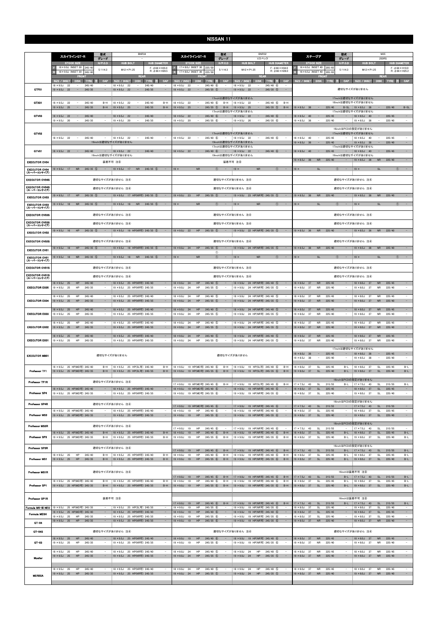|                                      | 型式<br>スカイラインGT-R<br>グレード                                                                                                    | <b>BNR34</b>                                                                                                                          | 型式<br>スカイラインGT-R<br>グレード                                                                                                        | <b>BNR32</b><br>Vスペック                                                                                                              | 型式<br>ステージア<br>グレード                                                                                                                            | M35<br>250RS                                                                                                                                             |
|--------------------------------------|-----------------------------------------------------------------------------------------------------------------------------|---------------------------------------------------------------------------------------------------------------------------------------|---------------------------------------------------------------------------------------------------------------------------------|------------------------------------------------------------------------------------------------------------------------------------|------------------------------------------------------------------------------------------------------------------------------------------------|----------------------------------------------------------------------------------------------------------------------------------------------------------|
|                                      | <b>STOCK SIZE</b><br>H/P. C.D<br>18 × 9.0J INSET 30 245/4                                                                   | <b>HUB BOLT</b><br><b>HUB DIAMETER</b>                                                                                                | <b>STOCK SIZE</b><br>H/P. C.D<br>17×8.0J INSET 30 225/5                                                                         | <b>HUB BOLT</b><br><b>HUB DIAMETER</b><br>$F: \phi$ 66 $\times$ H34.0                                                              | <b>STOCK SIZE</b><br>$H/P$ .C.D<br>16 × 6.5J INSET 40 205/6<br><b>F</b>                                                                        | <b>HUB BOLT</b><br><b>HUB DIAMETER</b>                                                                                                                   |
|                                      | 5/114.3<br>18 × 9.0J INSET 30<br>245/4<br><b>FRONT</b>                                                                      | $F: \phi 66 \times H35.0$<br>$M12 \times P1.25$<br>$R: \phi$ 66 $\times$ H28.5<br><b>REAR</b>                                         | 5/114.3<br>17 × 8.0J INSET 30<br>225/5<br><b>FRON</b>                                                                           | $M12 \times P1.25$<br>$R: \phi$ 66 $\times$ H28.0<br><b>REAR</b>                                                                   | 5/114.3<br>$\mathbb{R}$<br>16 × 6.5J INSET 40<br>205/6<br><b>FRON</b>                                                                          | $F: \phi 66 \times H10.0$<br>$M12 \times P1.25$<br>$R: \phi 66 \times H25.2$<br><b>REAR</b>                                                              |
|                                      | CAP<br>SIZE / INSET<br>DISK TYRE<br>$18 \times 9.5$ J<br>245/40<br>- 22<br>$\qquad \qquad -$                                | CAP<br>SIZE / INSET<br><b>DISK</b><br><b>TYRE</b><br>$18 \times 9.5$ J<br>245/40<br>22                                                | <b>CAP</b><br>SIZE / INSET<br><b>DISK</b><br>TYRE<br>B.<br>$245/40$ (6)<br>$18 \times 9.5$ J<br>22<br>$\equiv$                  | CAP<br><b>DISK</b><br>SIZE / INSET<br>TYRE 注<br>$18 \times 9.5$ J<br>$245/40$ 6<br>22                                              | <b>CAP</b><br><b>SIZE / INSET</b><br><b>DISK</b><br><b>TYRE</b>                                                                                | CAP<br>SIZE / INSET<br>DISK  <br>TYRE 注                                                                                                                  |
| GTF01                                | $19 \times 9.5$ J 22<br>$\sim$<br>245/35                                                                                    | $19 \times 9.5$ J 22<br>$\sim$<br>245/35<br>$\sim$                                                                                    | $\sim$<br>$245/35$ (5)<br>$19 \times 9.5$ J 22<br>$\overline{\phantom{a}}$                                                      | $19 \times 9.5$ J<br>22<br>$245/35$ (5)<br>$\hspace{0.1mm}-\hspace{0.1mm}$<br>$\sim$                                               |                                                                                                                                                | 適切なサイズがありません                                                                                                                                             |
| GTX01                                | $18 \times 9.5$ J<br>22<br>245/40<br>$B-H$                                                                                  | $18 \times 9.5$ J<br>22<br>245/40<br>$B-H$                                                                                            | $18 \times 9.5$ J<br>22<br>$245/40$ (6)<br>$\overline{\phantom{a}}$<br>$B-H$                                                    | 17inchは適切なサイズがありません<br>$18 \times 9.5J$<br>$245/40$ (6)<br>$B-H$<br>22<br>$\sim$                                                   |                                                                                                                                                | 17inchは適切なサイズがありません<br>18inchは適切なサイズがありません                                                                                                               |
|                                      | $19 \times 9.5$ J<br>245/35<br>$B-H$<br>25<br>$\overline{\phantom{a}}$                                                      | $19 \times 9.5$ J<br>245/35<br>25<br>$\overline{\phantom{a}}$<br>$B-H$                                                                | $245/35$ (5)<br>$19 \times 9.5$ J<br>25<br>$\overline{\phantom{a}}$<br>$B-H$                                                    | $245/35$ (5)<br>$B-H$<br>$19 \times 9.5$ J<br>25<br>$\sim$<br>17inchは適切なサイズがありません                                                  | $19 \times 8.5$ J 38<br>225/40<br>$\sim$                                                                                                       | 225/40<br>$B-SL$<br>B-SL   19 × 8.5J 38<br>$\sim$<br>17inchは適切なサイズがありません                                                                                 |
| GTV03                                | $18 \times 9.5$ J 22<br>245/40<br>$\overline{\phantom{a}}$<br>$19 \times 9.5$ J<br>20<br>245/35<br>$\overline{\phantom{a}}$ | $18 \times 9.5$ J 22<br>245/40<br>$\overline{\phantom{a}}$<br>$\overline{\phantom{a}}$<br>$19 \times 9.5$ J<br>20<br>245/35<br>$\sim$ | $18 \times 9.5$ J 22<br>$245/40$ 6<br>$\overline{\phantom{a}}$<br>$19 \times 9.5$ J<br>20<br>$245/35$ (6)                       | $18 \times 9.5$ J<br>22<br>$245/40$ 6<br>$\overline{\phantom{a}}$<br>$\equiv$<br>$19 \times 9.5$ J<br>20<br>$245/35$ 6             | $18 \times 8.5$ J 40<br>225/45<br>$\overline{\phantom{a}}$<br>$19 \times 8.5$ J<br>38<br>225/40                                                | $18 \times 8.5$ J<br>40<br>225/45<br>$\overline{\phantom{a}}$<br>$19 \times 8.5$ J<br>38<br>225/40<br>$\overline{\phantom{a}}$                           |
|                                      |                                                                                                                             |                                                                                                                                       |                                                                                                                                 |                                                                                                                                    |                                                                                                                                                | 16inchはPCDの設定がありません                                                                                                                                      |
| GTV02                                | $18 \times 9.5$ J 22<br>245/40                                                                                              | $18 \times 9.5$ J<br>22<br>245/40                                                                                                     | $18 \times 9.5$ J 22<br>$\overline{\phantom{a}}$<br>$245/40$ (6)                                                                | 17inchは適切なサイズがありません<br>$18 \times 9.5$ J<br>22<br>$\overline{\phantom{a}}$<br>$245/40$ 6                                           | 225/45<br>$18 \times 8.5$ J<br>40<br>$\overline{\phantom{a}}$                                                                                  | 17inchは適切なサイズがありません<br>$18 \times 8.5$ J<br>40<br>225/45<br>$\sim$                                                                                       |
|                                      |                                                                                                                             | 19inchは適切なサイズがありません                                                                                                                   |                                                                                                                                 | 19inchは適切なサイズがありません<br>17inchは適切なサイズがありません                                                                                         | 225/40<br>$19 \times 8.5$ J<br>38                                                                                                              | 225/40<br>$\overline{\phantom{a}}$<br>$19 \times 8.5$ J<br>38<br>17inchは適切なサイズがありません                                                                     |
| GTV01                                | $18 \times 9.5$ J 22<br>245/40<br>$\sim$                                                                                    | 245/40<br>$18 \times 9.5$ J<br>22<br>$\sim$<br>19inchは適切なサイズがありません                                                                    | $18 \times 9.5$ J 22<br>$\sim$<br>$245/40$ 6<br>$\sim$                                                                          | $245/40$ 6<br>$18 \times 9.5$ J 22<br>$\sim$<br>19inchは適切なサイズがありません                                                                | $18 \times 8.5$ J 40<br>$\sim$<br>225/45<br>$\sim$                                                                                             | 225/45<br>$\overline{\phantom{a}}$<br>$18 \times 8.5$ J 40<br>$\sim$<br>19inchは適切なサイズがありません                                                              |
| <b>EXECUTOR CV04</b>                 |                                                                                                                             | 装着不可 注8                                                                                                                               |                                                                                                                                 | 装着不可 注8                                                                                                                            | ${\sf NR}$<br>225/40<br>$19 \times 8.5$ J<br>38                                                                                                | 225/40<br>$19 \times 8.5$ J<br><b>NR</b><br>38                                                                                                           |
| <b>EXECUTOR CV04</b><br>(スーパーコンケイブ)  | $245/35$ (5)<br>$19 \times 9.5$ J 17<br><b>NR</b>                                                                           | $19 \times 9.5$ J 17<br><b>NR</b><br>$245/35$ (5)                                                                                     | $19 \times$<br><b>NR</b><br>$\bigcirc$<br>$\overline{\phantom{a}}$                                                              | $19 \times$<br><b>NR</b><br>(1)                                                                                                    | $19 \times$<br>SI<br>(1)                                                                                                                       | $19 \times$<br>SI<br>(1)                                                                                                                                 |
| <b>EXECUTOR CV04S</b>                |                                                                                                                             | 適切なサイズがありません 注4                                                                                                                       |                                                                                                                                 | 適切なサイズがありません 注4                                                                                                                    |                                                                                                                                                | 適切なサイズがありません 注4                                                                                                                                          |
| <b>EXECUTOR CV04S</b><br>(スーパーコンケイプ) |                                                                                                                             | 適切なサイズがありません 注4                                                                                                                       |                                                                                                                                 | 適切なサイズがありません 注4                                                                                                                    |                                                                                                                                                | 適切なサイズがありません 注4                                                                                                                                          |
| <b>EXECUTOR CV03</b>                 | $19 \times 9.5$ J 17<br>HP<br>245/35<br>(5)                                                                                 | $19 \times 9.5$ J<br>17 HP(NR可) 245/35 (5)<br>$\qquad \qquad -$                                                                       | $19 \times 9.0J$<br>23<br>HP<br>$245/35$ (5)                                                                                    | 19 × 9.0J 23 HP(NR可) 245/35 5<br>$\overline{\phantom{m}}$                                                                          | $19 \times 8.5$ J<br>${\sf NR}$<br>38<br>225/40                                                                                                | $19 \times 8.5$ J<br>38<br><b>NR</b><br>225/40                                                                                                           |
| <b>EXECUTOR CV03</b><br>(スーパーコンケイブ)  | $19 \times 9.5$ J 18<br>$245/35$ (5)<br><b>NR</b>                                                                           | $19 \times 9.5$ J<br><b>NR</b><br>$245/35$ (5)<br>18                                                                                  | $19 \times$<br><b>NR</b><br>$\bigcirc$                                                                                          | $19 \times$<br><b>NR</b><br>$\bigcap$                                                                                              | $19 \times$<br>SI<br>$\bigcap$                                                                                                                 | $19 \times$<br>SI                                                                                                                                        |
| <b>EXECUTOR CV03S</b>                |                                                                                                                             | 適切なサイズがありません 注4                                                                                                                       |                                                                                                                                 | 適切なサイズがありません 注4                                                                                                                    |                                                                                                                                                | 適切なサイズがありません 注4                                                                                                                                          |
| <b>EXECUTOR CV03S</b><br>(スーパーニンケイブ) |                                                                                                                             | 適切なサイズがありません 注4                                                                                                                       |                                                                                                                                 | 適切なサイズがありません 注4                                                                                                                    |                                                                                                                                                | 適切なサイズがありません 注4                                                                                                                                          |
| <b>EXECUTOR CV02</b>                 | $19 \times 9.5$ J 16<br>HP<br>$245/35$ (5)                                                                                  | 19 × 9.5J 16 HP(NR可) 245/35 5                                                                                                         | $245/35$ (5)<br>$19 \times 9.0$ J 22<br>HP<br>$\sim$                                                                            | 19 × 9.0J 22 HP(NR可) 245/35 5                                                                                                      | <b>NR</b><br>225/40<br>$19 \times 8.5$ J<br>36                                                                                                 | $19 \times 8.5$ J 36<br><b>NR</b><br>225/40                                                                                                              |
| <b>EXECUTOR CV02S</b>                |                                                                                                                             | 適切なサイズがありません 注④                                                                                                                       |                                                                                                                                 | 適切なサイズがありません 注4                                                                                                                    |                                                                                                                                                | 適切なサイズがありません 注4                                                                                                                                          |
| <b>EXECUTOR CV01</b>                 | $245/35$ (5)<br>$19 \times 9.5$ J 18<br>HP                                                                                  | $19 \times 9.5$ J<br>18 HP(NR可) 245/35 (5)                                                                                            | HP<br>$245/35$ (5)<br>$19 \times 9.0$ J 24<br>$\bigcirc$                                                                        | 19 × 9.0J 24 HP(NR可) 245/35 5                                                                                                      | ${\sf NR}$<br>225/40<br>$19 \times 8.5$ J 38                                                                                                   | $19 \times 8.5$ J<br>${\sf NR}$<br>225/40<br>38                                                                                                          |
| <b>EXECUTOR CV01</b><br>(スーパーコンケイブ)  | $19 \times 9.5$ J 18<br><b>NR</b><br>$245/35$ (5)                                                                           | $19 \times 9.5$ J<br><b>NR</b><br>$245/35$ (5)<br>18<br>$\sim$                                                                        | $19 \times$<br><b>NR</b><br>$\circled{1}$                                                                                       | <b>NR</b><br>$\circled{1}$<br>$19 \times$<br>$\qquad \qquad -$                                                                     | $19 \times$<br><b>SL</b><br>$\circ$<br>$\sim$                                                                                                  | $19 \times$<br><b>SL</b><br>$\circled{1}$                                                                                                                |
| <b>EXECUTOR CV01S</b>                |                                                                                                                             | 適切なサイズがありません 注4                                                                                                                       |                                                                                                                                 | 適切なサイズがありません 注4                                                                                                                    |                                                                                                                                                | 適切なサイズがありません 注4                                                                                                                                          |
| <b>EXECUTOR CV01S</b><br>(スーパーコンケイブ) |                                                                                                                             | 適切なサイズがありません 注4                                                                                                                       |                                                                                                                                 | 適切なサイズがありません 注4                                                                                                                    |                                                                                                                                                | 適切なサイズがありません 注4                                                                                                                                          |
| <b>EXECUTOR EX05</b>                 | 245/40<br>$18 \times 9.5$ J<br>25<br>HP<br>$19 \times 9.5$ J<br>25<br>HP<br>245/35                                          | $18 \times 9.5$ J<br>25 HP(NR可) 245/40<br>25 HP(NR可) 245/35<br>$\overline{\phantom{a}}$<br>$19 \times 9.5$ J                          | $245/40$ (5)<br>$18 \times 9.0$ J<br>24<br>HP<br>$19 \times 9.0$ J<br>24<br>HP<br>$245/35$ (5)                                  | $18 \times 9.0J$<br>24 HP(NR可) 245/40 (5)<br>$19 \times 9.0J$<br>24 HP(NR可) 245/35 (5)                                             | 225/45<br>$18 \times 8.0$ J<br>37<br><b>NR</b><br>$19 \times 8.0$ J<br>37<br><b>NR</b><br>225/40                                               | 225/45<br>$18 \times 8.0$ J<br>37<br><b>NR</b><br>$19 \times 8.0$ J<br>37<br><b>NR</b><br>225/40                                                         |
|                                      | 245/40<br>$18 \times 9.5$ J<br>25<br>HP                                                                                     | 25 HP(NR可) 245/40<br>$\overline{\phantom{a}}$<br>$18 \times 9.5$ J                                                                    | HP<br>245/40 (5)<br>$18 \times 9.0$ J<br>24                                                                                     | $18 \times 9.0$ J<br>24 HP(NR可) 245/40 (5<br>$\hspace{0.1mm}-\hspace{0.1mm}$                                                       | $18 \times 8.0$ J<br><b>NR</b><br>225/45<br>37                                                                                                 | $18 \times 8.0J$<br>225/45<br>$\omega$<br>37<br><b>NR</b>                                                                                                |
| <b>EXECUTOR EX04</b>                 | $19 \times 9.5$ J<br>25<br><b>HP</b><br>245/35<br>245/40<br>$18 \times 9.5$ J<br>25<br>HP                                   | $\sim$<br>$19 \times 9.5$ J<br>25 HP(NR可) 245/35<br>$18 \times 9.5$ J<br>25 HP(NR可) 245/40                                            | HP<br>$19 \times 9.0$ J<br>24<br>$245/35$ (5)<br>$18 \times 9.0J$<br>HP<br>$245/40$ (5)<br>24                                   | $19 \times 9.0$ J<br>24 HP(NR可) 245/35 ⑤<br>$\overline{\phantom{a}}$<br>$18 \times 9.0J$<br>24 HP(NR可) 245/40 5                    | $19 \times 8.0$ J<br>37<br><b>NR</b><br>225/40<br>۰<br>225/45<br>$18 \times 80J$<br><b>NR</b><br>37                                            | $\overline{\phantom{a}}$<br>225/40<br>$19 \times 8.0$ J<br>37<br><b>NR</b><br>225/45<br>$18 \times 8.0$ J<br><b>NR</b><br>$\overline{\phantom{a}}$<br>37 |
| <b>EXECUTOR EX03</b>                 | $19 \times 9.5$ J<br>25<br>HP<br>245/35                                                                                     | 19 × 9.5J 25 HP(NR可) 245/35<br>$\sim$                                                                                                 | HP<br>$245/35$ (5)<br>$19 \times 9.0$ J<br>24                                                                                   | 24 HP(NR可) 245/35 ⑤<br>$19 \times 9.0$ J                                                                                           | $19 \times 8.0$<br>37<br><b>NR</b><br>225/40                                                                                                   | $19 \times 8.0$ J<br>225/40<br>37<br><b>NR</b>                                                                                                           |
| <b>EXECUTOR EX02</b>                 | $18 \times 9.5$ J 25<br>HP<br>245/40<br>$19 \times 9.5$ J 25<br>HP<br>245/35                                                | 18 × 9.5J 25 HP(NR可) 245/40<br>19 × 9.5J 25 HP(NR可) 245/35<br>$\sim$                                                                  | $18 \times 9.0$ J 24<br>HP<br>$245/40$ (5)<br>$19 \times 9.0$ J 24<br>HP<br>$245/35$ 5<br>$\sim$ $-$                            | 18 × 9.0J 24 HP(NR可) 245/40 ⑤<br>19 × 9.0J 24 HP(NR可) 245/35 5                                                                     | $18 \times 8.0J$<br>37<br><b>NR</b><br>225/45<br>$19 \times 8.0$ J 37<br><b>NR</b><br>225/40<br>$\sim$                                         | $18 \times 8.0$ J 37<br><b>NR</b><br>225/45<br>$19 \times 8.0$ J 37<br><b>NR</b><br>225/40<br>$\sim$                                                     |
| <b>EXECUTOR EX01</b>                 | $18 \times 9.5$ J 25<br>HP<br>245/40<br>$\sim$<br>$19 \times 9.5$ J<br>25<br>245/35<br>HP<br>$\qquad \qquad -$              | 18 × 9.5J 25 HP(NR可) 245/40<br>$\sim$<br>19 × 9.5J 25 HP(NR可) 245/35<br>$\overline{\phantom{a}}$                                      | $18 \times 9.0$ J 24<br>HP<br>$245/40$ (5)<br>$\overline{\phantom{a}}$<br>HP<br>$245/35$ (5)<br>$19 \times 9.0$ J<br>24         | 18 × 9.0J 24 HP(NR可) 245/40 ⑤<br>$\sim$ $-$<br>19 × 9.0J 24 HP(NR可) 245/35 5                                                       | $18 \times 8.0$ J 37<br><b>NR</b><br>225/45<br>$\overline{\phantom{a}}$<br>37<br><b>NR</b><br>225/40<br>$19 \times 8.0$ J<br>$\qquad \qquad -$ | $18 \times 8.0$ J<br>37<br><b>NR</b><br>225/45<br>$\sim$<br>$19 \times 8.0$ J<br>37<br>225/40<br><b>NR</b><br>$\overline{\phantom{a}}$                   |
|                                      |                                                                                                                             |                                                                                                                                       |                                                                                                                                 |                                                                                                                                    | $18 \times 8.0$ J 38<br>225/45<br>$\sim$ $-$<br>$\sim$                                                                                         | 17inchは適切なサイズがありません<br>$18 \times 8.0$ J 38<br>225/45<br>$\equiv$<br>$\sim$                                                                              |
| <b>EXECUTOR MB01</b>                 |                                                                                                                             | 適切なサイズがありません                                                                                                                          |                                                                                                                                 | 適切なサイズがありません                                                                                                                       | $19 \times 8.5$ J<br>38<br>225/40                                                                                                              | $19 \times 8.5$ J<br>225/40<br>$\overline{\phantom{m}}$<br>- 38                                                                                          |
| Professor TF1                        | 18 × 9.5J 25 HP(MD可) 245/40<br>$B-H$<br>19 × 9.5J 25 HP(MD可) 245/35<br>$B-H$                                                | 18 × 9.5J 25 HP(SL可) 245/40<br>$B-H$<br>19 × 9.5J 25 HP(SL可) 245/35<br>$B-H$                                                          | 18 × 9.0J 19 HP(MD可) 245/40 ⑥<br>$B-H$<br>19 × 9.0J 19 HP(MD可) 245/35 6<br>$B-H$                                                | $18 \times 9.0J$<br>19 HP(SL可) 245/40 6<br>$B-H$<br>19 × 9.0J 19 HP(SL可) 245/35 6<br>$B-H$                                         | $18 \times 8.0J$<br><b>SL</b><br>225/45<br>$B-L$<br>37<br>$19 \times 8.0$ J 37<br><b>SL</b><br>225/40<br>$B-L$                                 | $18 \times 8.0$ J<br>225/45<br>$B-L$<br>- 37<br><b>SL</b><br>$19 \times 8.0$ J<br>37<br><b>SL</b><br>225/40<br>$B-L$                                     |
| Professor TF1R                       |                                                                                                                             | 適切なサイズがありません 注4                                                                                                                       | 17×9.0J 19 HP(MD可) 245/45 ⑥<br>$B-H$                                                                                            | 17 × 9.0J 19 HP(SL可) 245/45 6<br>$B-H$                                                                                             | SL<br>215/55<br>$17 \times 7.5$ J<br>43<br>B-L                                                                                                 | 16inchはPCDの設定がありません<br>215/55<br>$17 \times 7.5$ J<br>SL<br>$B-L$<br>43                                                                                  |
| Professor SP4                        | 18 × 9.5J 25 HP(MD可) 245/40<br>19 × 9.5J 25 HP(MD可) 245/35<br>$\overline{\phantom{a}}$                                      | 18 × 9.5J 25 HP(NR可) 245/40<br>19 × 9.5J 25 HP(NR可) 245/35<br>$\sim$                                                                  | $18 \times 9.0J$<br>19 HP(MD可) 245/40 6<br>$19 \times 9.0$ J<br>19 HP(MD可) 245/35 6                                             | 18 × 9.0J 19 HP(NR可) 245/40 6<br>19 × 9.0J 19 HP(NR可) 245/35 6<br>$\overline{\phantom{a}}$                                         | $18 \times 8.0J$<br>37<br><b>SL</b><br>225/45<br>$19 \times 8.0$ J<br>37<br>SL<br>225/40<br>$\overline{\phantom{a}}$                           | $18 \times 8.0$ J<br>37<br><b>SL</b><br>225/45<br>$\sim$<br>$19 \times 8.0$ J 37<br>SL<br>225/40<br>$\overline{\phantom{a}}$                             |
|                                      |                                                                                                                             |                                                                                                                                       |                                                                                                                                 |                                                                                                                                    |                                                                                                                                                | 16inchはPCDの設定がありません                                                                                                                                      |
| Professor SP4R                       | 18 × 9.5J 25 HP(MD可) 245/40<br>$\sim$                                                                                       | 適切なサイズがありません 注4<br>18 × 9.5J 25 HP(NR可) 245/40                                                                                        | 17 × 9.0J 19 HP(MD可) 245/45 6<br>$18 \times 9.0J$<br>HP<br>245/40 6<br>19                                                       | 17 × 9.0J 19 HP(NR可) 245/45 6<br>$18 \times 9.0J$<br>19 HP(NR可) 245/40 6                                                           | $17 \times 7.5$ J 43<br>SL<br>215/55<br>$-$<br>225/45<br>$18 \times 8.0$ J<br>37<br>SL                                                         | $17 \times 7.5$ J 43<br><b>SL</b><br>215/55<br>$\sim$<br>÷,<br>$18 \times 8.0$ J<br>37<br>SL<br>225/45                                                   |
| Professor MS3                        | 19 × 9.5J 25 HP(MD可) 245/35<br>$\sim$                                                                                       | 19 × 9.5J 25 HP(NR可) 245/35<br>$\sim$                                                                                                 | $19 \times 9.0J$<br>19<br>HP<br>$245/35$ 6                                                                                      | 19 × 9.0J 19 HP(NR可) 245/35 6<br>$\overline{\phantom{a}}$                                                                          | $19 \times 8.0$ J 37<br>SL<br>225/40<br>$\equiv$                                                                                               | $19 \times 8.0$ J 37<br>SL<br>225/40<br>$\sim$                                                                                                           |
| Professor MS3R                       |                                                                                                                             | 適切なサイズがありません 注4                                                                                                                       | $17 \times 9.0$ J 19<br>$245/45$ 6<br>HP                                                                                        | 17 × 9.0J 19 HP(NR可) 245/45 6                                                                                                      | $17 \times 7.5$ J<br>SL<br>215/55<br>43                                                                                                        | 16inchはPCDの設定がありません<br>$17 \times 7.5$ J 43<br>215/55<br>SL                                                                                              |
| Professor SP3                        | 18 × 9.5J 25 HP(MD可) 245/40<br>$B-H$<br>19 × 9.5J 25 HP(MD可) 245/35<br>$B-H$                                                | 18 × 9.5J 25 HP(NR可) 245/40<br>$B-H$<br>19 × 9.5J 25 HP(NR可) 245/35<br>$B-H$                                                          | $18 \times 9.0J$<br>$B-H$<br>19<br>HP<br>$245/40$ (6)<br>$19 \times 9.0$ J<br>19<br>HP<br>$245/35$ 6<br>$B-H$                   | $B-H$<br>18 × 9.0J 19 HP(NR可) 245/40 6<br>19 × 9.0J 19 HP(NR可) 245/35 6<br>$B-H$                                                   | $18 \times 8.0J$<br>225/45<br>$B-L$<br>37<br>SL<br>$19 \times 8.0$ J<br>37<br><b>SL</b><br>225/40<br>$B-L$                                     | $18 \times 8.0$ J 37<br>225/45<br>$B-L$<br><b>SL</b><br>$19 \times 8.0$ J<br>37<br>SL<br>225/40<br>$B-L$                                                 |
| Professor SP3R                       |                                                                                                                             | 適切なサイズがありません 注4                                                                                                                       |                                                                                                                                 |                                                                                                                                    |                                                                                                                                                | 16inchはPCDの設定がありません                                                                                                                                      |
|                                      | 245/40<br>$18 \times 9.5$ J<br>HP<br>25<br>$B-H$                                                                            | 18 × 9.5J 25 HP(NR可) 245/40<br>$B-H$                                                                                                  | $245/45$ 6<br>$17 \times 9.0$ J<br>19<br>HP<br>$B-H$<br>HP<br>$245/40$ (6)<br>$B-H$<br>$18 \times 9.0$ J<br>19                  | 17 × 9.0J 19 HP(NR可) 245/45 6<br>$B-H$<br>$18 \times 9.0J$<br>$B-H$<br>19 HP(NR可) 245/40 6                                         | 215/55<br>$17 \times 7.5$ J 43<br><b>SL</b><br>$B-L$<br>$18 \times 8.0J$<br>SL<br>225/45<br>37<br>$B-L$                                        | $17 \times 7.5$ J 43<br>215/55<br>SL<br>$B-L$<br>$18 \times 8.0J$<br>225/45<br>37<br><b>SL</b><br>$B-L$                                                  |
| Professor MS1                        | $19 \times 9.5$ J 25<br>HP<br>245/35<br>$B-H$                                                                               | 19 × 9.5J 25 HP(NR可) 245/35<br>$B-H$                                                                                                  | $19 \times 9.0$ J<br>19<br>HP<br>$245/35$ 6<br>$B-H$                                                                            | 19 × 9.0J 19 HP(NR可) 245/35 6<br>$B-H$                                                                                             | $19 \times 8.0$ J 37<br><b>SL</b><br>225/40<br>$B-L$                                                                                           | $19 \times 8.0$ J 37<br><b>SL</b><br>225/40<br>$B-L$                                                                                                     |
| Professor MS1R                       |                                                                                                                             | 適切なサイズがありません 注4                                                                                                                       | $17 \times 9.0J$<br>HP<br>$245/45$ 6<br>$B-H$<br>19                                                                             | 17 × 9.0J 19 HP(NR可) 245/45 6<br>$B-H$                                                                                             | $17 \times 7.5$ J 43<br>SL<br>215/55<br>$B-L$                                                                                                  | 16inchは装着不可 注8<br>$17 \times 7.5$ J 43<br>SL<br>215/55<br>$B-L$                                                                                          |
| Professor SP1                        | 18 × 9.5J 25 HP(MD可) 245/40<br>$B-H$<br>19 × 9.5J 25 HP(MD可) 245/35<br>$B-H$                                                | 18 × 9.5J 25 HP(NR可) 245/40<br>$B-H$<br>19 × 9.5J 25 HP(NR可) 245/35<br>$B-H$                                                          | $18 \times 9.0J$<br>HP<br>$245/40$ (6)<br>$B-H$<br>19<br>HP<br>$245/35$ 6<br>$19 \times 9.0$ J<br>19<br>$B-H$                   | $18 \times 9.0J$<br>19 HP(NR可) 245/40 6<br>$B-H$<br>19 × 9.0J 19 HP(NR可) 245/35 6<br>$B-H$                                         | $18 \times 8.0J$<br>37<br><b>SL</b><br>225/45<br>$B-L$<br>SL<br>225/40<br>$B-L$<br>$19 \times 8.0$ J 37                                        | $18 \times 8.0$ J<br>37<br><b>SL</b><br>225/45<br>$B-L$<br>$19 \times 8.0$ J 37<br>SL<br>225/40<br>$B-L$                                                 |
| Professor SP1R                       |                                                                                                                             | 装着不可 注8                                                                                                                               |                                                                                                                                 |                                                                                                                                    |                                                                                                                                                | 16inchは装着不可 注8                                                                                                                                           |
| Formula MK-III NEO                   | 25 HP(MD可) 245/35<br>$19 \times 9.5$ J                                                                                      | 19 × 9.5J 25 HP(SL可) 245/35<br>$\sim$                                                                                                 | $245/45$ (6)<br>$17 \times 9.0J$<br>HP<br>$B-H$<br>19<br>$19 \times 9.0$ J<br>19<br>HP<br>$245/35$ 6                            | 17 × 9.0J 19 HP(NR可) 245/45 6<br>$B-H$<br>$19 \times 9.0$ J<br>19 HP(NR可) 245/35 6                                                 | 215/55<br>$17 \times 7.5$ J 43<br><b>SL</b><br>$19 \times 8.0$ J<br>37<br><b>SL</b><br>225/40                                                  | 215/55<br>B-L   $17 \times 7.5$ J 43<br>SL<br>$B-L$<br>$19 \times 8.0$ J<br>37<br>SL<br>225/40<br>$\sim$                                                 |
| Formula MESH                         | 25 HP(MD可) 245/40<br>$18 \times 9.5$ J<br>$\sim$<br>$19 \times 9.5$ J<br>HP<br>25<br>245/35<br>$\sim$                       | $\equiv$<br>18 × 9.5J 25 HP(NR可) 245/40<br>19 × 9.5J 25 HP(NR可) 245/35<br>$\overline{\phantom{a}}$                                    | $18 \times 9.0J$<br>HP<br>$245/40$ (6)<br>19<br>HP<br>245/35 6<br>$19 \times 9.0$ J<br>19<br>$\overline{\phantom{a}}$           | $18 \times 9.0J$<br>19 HP(NR可) 245/40 6<br>$\equiv$<br>$19 \times 9.0$ J<br>19 HP(NR可) 245/35 6<br>$\hspace{0.1mm}-\hspace{0.1mm}$ | $18 \times 8.0$ J<br>SL<br>37<br>225/45<br>$\sim$<br>225/40<br>$19 \times 8.0$ J<br>37<br>SL<br>$\sim$                                         | $18 \times 8.0J$<br>225/45<br>$\equiv$<br>37<br><b>SL</b><br>$19 \times 8.0$ J<br><b>SL</b><br>225/40<br>37<br>$\sim$                                    |
| GT-04                                | HP<br>245/35<br>$19 \times 9.5$ J 25                                                                                        | $\sim$<br>19 × 9.5J 25 HP(NR可) 245/35                                                                                                 | HP<br>$245/35$ 6<br>$19 \times 9.0J$<br>19<br>$\sim$                                                                            | 19 × 9.0J 19 HP(NR可) 245/35 6                                                                                                      | ${\sf NR}$<br>225/40<br>$\sim$<br>$19 \times 8.0$ J 37                                                                                         | $\sim$<br>$19 \times 8.0$ J 37<br>${\sf NR}$<br>225/40                                                                                                   |
| GT-04S                               |                                                                                                                             | 適切なサイズがありません 注4                                                                                                                       |                                                                                                                                 | 適切なサイズがありません 注4                                                                                                                    |                                                                                                                                                | 適切なサイズがありません 注4                                                                                                                                          |
| $QT - 03$                            | $18 \times 9.5$ J 25<br>HP<br>245/40<br>$19 \times 9.5$ J<br>25<br>HP<br>245/35<br>$\overline{\phantom{a}}$                 | 18 × 9.5J 25 HP(NR可) 245/40<br>$\sim$<br>19 × 9.5J 25 HP(NR可) 245/35<br>$\sim$                                                        | $18 \times 9.0J$<br>${\sf HP}$<br>$245/40$ 6<br>19<br>$19 \times 9.0$ J<br>19<br>HP<br>$245/35$ (6)<br>$\overline{\phantom{a}}$ | 18 × 9.0J 19 HP(NR可) 245/40 6<br>$19 \times 9.0$ J<br>19 HP(NR可) 245/35 6<br>$\hspace{0.1mm}-\hspace{0.1mm}$                       | $18 \times 8.0J$<br>37<br><b>NR</b><br>225/45<br>$19 \times 8.0$ J<br>37<br><b>NR</b><br>225/40                                                | $18 \times 8.0$ J 37<br>${\sf NR}$<br>225/45<br>$\sim$<br>$19 \times 8.0$ J<br>37<br><b>NR</b><br>225/40<br>$\overline{\phantom{a}}$                     |
|                                      | $18 \times 9.5$ J 25<br>HP<br>245/40<br>$\sim$                                                                              | 18 × 9.5J 25 HP(NR可) 245/40<br>$\sim$                                                                                                 | $18 \times 9.0$ J 24<br>HP<br>245/40 (5)                                                                                        | $18 \times 9.0J$<br>24<br>HP<br>245/40 5<br>$\sim$                                                                                 | $18 \times 8.0J$<br>37<br><b>NR</b><br>225/45                                                                                                  | $18 \times 8.0$ J 37<br><b>NR</b><br>225/45<br>$\overline{\phantom{a}}$                                                                                  |
| Mueller                              | $19 \times 9.5$ J 25<br>HP<br>245/35<br>$\overline{\phantom{a}}$                                                            | 19 × 9.5J 25 HP(NR可) 245/35<br>$\sim$                                                                                                 | $19 \times 9.0$ J 24<br>HP<br>$245/35$ (5)<br>$\overline{\phantom{a}}$                                                          | $19 \times 9.0$ J 24<br>HP<br>$245/35$ (5)<br>$\hspace{0.1mm}-\hspace{0.1mm}$                                                      | $19 \times 8.0$ J 37<br>${\sf NR}$<br>225/40<br>$\equiv$                                                                                       | $19 \times 8.0$ J 37<br><b>NR</b><br>225/40<br>$\sim$                                                                                                    |
|                                      | $18 \times 9.5$ J<br>245/40<br>25<br>HP                                                                                     | 18 × 9.5J 25 HP(NR可) 245/40<br>$\overline{\phantom{a}}$                                                                               | $18 \times 9.0$ J 24<br>245/40 (5)<br>HP                                                                                        | $18 \times 9.0$ J 24<br>HP<br>245/40 (5)<br>$\qquad \qquad -$                                                                      | $18 \times 8.0$ J<br>225/45<br>37<br>NR                                                                                                        | $18 \times 8.0$ J 37<br>225/45<br><b>NR</b>                                                                                                              |
| <b>MERISIA</b>                       | $19 \times 9.5$ J 25<br>HP<br>245/35<br>$\sim$                                                                              | 19 × 9.5J 25 HP(NR可) 245/35<br>$\sim$                                                                                                 | HP<br>$19 \times 9.0$ J 24<br>$245/35$ 5<br>$\overline{\phantom{a}}$                                                            | HP<br>$19 \times 9.0$ J 24<br>$245/35$ (5)<br>$\sim$                                                                               | $19 \times 8.0$ J 37<br><b>NR</b><br>225/40<br>$\sim$                                                                                          | $19 \times 8.0$ J 37<br><b>NR</b><br>225/40<br>$\sim$                                                                                                    |
|                                      |                                                                                                                             |                                                                                                                                       |                                                                                                                                 |                                                                                                                                    |                                                                                                                                                |                                                                                                                                                          |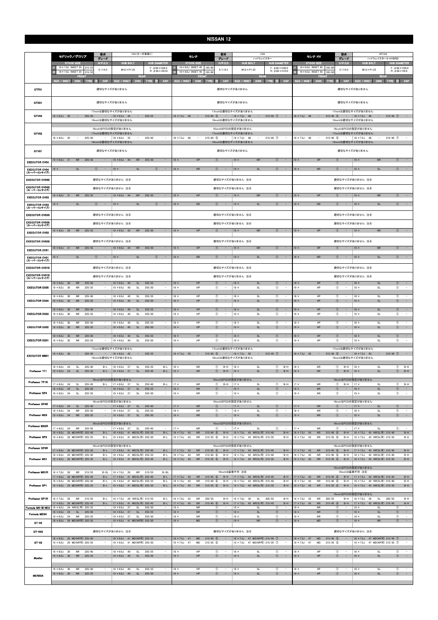|                                                | 型式<br>Y34(ターボ車除く)<br>セドリック/グロリア<br>グレード                                                          |                                                 |                                              |                                                                                                 | 型式<br>C <sub>26</sub><br>セレナ<br>グレード<br>ハイウェイスター<br>HUB BOLT<br><b>HUB DIAMETER</b><br><b>STOCK SIZE</b> |                                                                         |                                     | 型式<br>セレナ HV<br><b>STOCK SIZE</b>                                                       |                                                                       | グレード                                                                                      | HFC26<br>ハイウェイスターS-HYBRID                                                    |                                                                            |                                                                                       |                                                                                        |                                                                    |                                                                                         |                                                    |
|------------------------------------------------|--------------------------------------------------------------------------------------------------|-------------------------------------------------|----------------------------------------------|-------------------------------------------------------------------------------------------------|----------------------------------------------------------------------------------------------------------|-------------------------------------------------------------------------|-------------------------------------|-----------------------------------------------------------------------------------------|-----------------------------------------------------------------------|-------------------------------------------------------------------------------------------|------------------------------------------------------------------------------|----------------------------------------------------------------------------|---------------------------------------------------------------------------------------|----------------------------------------------------------------------------------------|--------------------------------------------------------------------|-----------------------------------------------------------------------------------------|----------------------------------------------------|
|                                                | <b>STOCK SIZE</b><br>16 × 7.0J INSET 35 215/55                                                   | H/P. C.D<br>5/114.3                             |                                              | <b>HUB BOLT</b><br>$M12 \times P1.25$                                                           | <b>HUB DIAMETER</b><br>$F: 666 \times H24.5$                                                             |                                                                         | 16×6.0J INSET 45 195/60             | $H/P$ .C.D<br>5/114.3                                                                   | $M12 \times P1.25$                                                    |                                                                                           | $F: \phi$ 66 $\times$ H39.0                                                  | 16 × 6.0J INSET 45                                                         | 195/60                                                                                | $H/P$ .C.D<br>5/114.3                                                                  | <b>HUB BOLT</b><br>$M12 \times P1.25$                              |                                                                                         | <b>HUB DIAMETER</b><br>$F: \phi$ 66 $\times$ H39.0 |
|                                                | 16 × 7.0J INSET 35<br>215/55<br><b>FRONT</b>                                                     |                                                 |                                              | <b>REAR</b>                                                                                     | $R: \phi$ 66 $\times$ H23.0                                                                              | R<br>16 × 6.0J INSET 45                                                 | 195/60<br><b>FRONT</b>              |                                                                                         |                                                                       | <b>REAR</b>                                                                               | $R: \phi 66 \times H10.0$                                                    | $\mathbb{R}$<br>$16 \times 6.0$ J INSET 45                                 | 195/60<br><b>FRONT</b>                                                                |                                                                                        |                                                                    | <b>REAR</b>                                                                             | $R: \phi 66 \times H9.6$                           |
| GTF01                                          | SIZE / INSET<br>DISK TYRE                                                                        | CAP                                             | SIZE / INSET<br>適切なサイズがありません                 |                                                                                                 | DISK TYRE<br>CAP<br>139                                                                                  | <b>SIZE / INSET</b>                                                     | DISK TYRE                           | CAP<br>- 19                                                                             | SIZE / INSET<br>適切なサイズがありません                                          | <b>DISK</b><br><b>TYRE</b>                                                                | CAP<br>BB                                                                    | SIZE / INSET                                                               | <b>DISK</b><br><b>TYR</b>                                                             | CAP                                                                                    | SIZE / INSET<br>適切なサイズがありません                                       | <b>DISK</b><br>225<br><b>TYRE</b>                                                       | CAP                                                |
| GTX01                                          |                                                                                                  |                                                 | 適切なサイズがありません                                 |                                                                                                 |                                                                                                          |                                                                         |                                     |                                                                                         | 適切なサイズがありません                                                          |                                                                                           |                                                                              |                                                                            |                                                                                       |                                                                                        | 適切なサイズがありません                                                       |                                                                                         |                                                    |
| GTV03                                          | $18 \times 8.5$ J 30<br>$\alpha = 0.01$<br>225/40                                                | 17inchは適切なサイズがありません<br>19inchは適切なサイズがありません      | $-$ 18 $\times$ 9.5J 45                      | $\sim$                                                                                          | 255/35<br>$\hspace{1.0cm} - \hspace{1.0cm}$                                                              | $18 \times 7.5$ J 48                                                    | $\alpha = 1$                        | $215/40$ (5)<br>$\sim$ 100 $\pm$                                                        | 17inchは適切なサイズがありません<br>$18 \times 7.5$ J<br>48<br>19inchは適切なサイズがありません | $215/40$ $\circled{7}$<br>$\sim$                                                          | $\sim$                                                                       | 18 × 7.5J 48                                                               | $215/40$ (5)<br>$\alpha \rightarrow \alpha$                                           | $\sim$ $-$                                                                             | 17inchは適切なサイズがありません<br>$18 \times 7.5$ J 48<br>19inchは適切なサイズがありません | $215/40$ (7) –<br>$\alpha = 1$                                                          |                                                    |
|                                                |                                                                                                  | 16inchはPCDの設定がありません                             |                                              |                                                                                                 |                                                                                                          |                                                                         |                                     |                                                                                         | 16inchはPCDの設定がありません                                                   |                                                                                           |                                                                              |                                                                            |                                                                                       |                                                                                        | 16inchはPCDの設定がありません                                                |                                                                                         |                                                    |
| GTV02                                          | $18 \times 8.0$ J 35<br>225/40<br>$\sim$                                                         | 17inchは適切なサイズがありません                             | $-$   18 $\times$ 8.0J 35                    | $\sim$                                                                                          | 225/40<br>$\overline{\phantom{a}}$                                                                       | $18 \times 7.5$ J<br>48                                                 | $\sim$                              | $215/40$ (5)<br>$\sim$                                                                  | 17inchは適切なサイズがありません<br>18 × 7.5J<br>48                                | $215/40$ (7)<br>$\sim$                                                                    | $\overline{\phantom{a}}$                                                     | $18 \times 7.5$ J<br>48                                                    | $215/40$ (5)<br>$\overline{\phantom{a}}$                                              | $\sim$                                                                                 | 17inchは適切なサイズがありません<br>18 × 7.5J<br>48                             | $215/40$ (7)<br>$\sim$                                                                  | $\sim$                                             |
| GTV01                                          |                                                                                                  | 19inchは適切なサイズがありません                             | 適切なサイズがありません                                 |                                                                                                 |                                                                                                          |                                                                         |                                     |                                                                                         | 19inchは適切なサイズがありません<br>適切なサイズがありません                                   |                                                                                           |                                                                              |                                                                            |                                                                                       |                                                                                        | 19inchは適切なサイズがありません<br>適切なサイズがありません                                |                                                                                         |                                                    |
| <b>EXECUTOR CV04</b>                           | $19 \times 8.0$ J 31<br><b>NR</b><br>225/35                                                      |                                                 | $19 \times 9.0$ J 44                         | <b>NR</b>                                                                                       | 255/30<br>$\overline{\phantom{a}}$                                                                       | $19 \times$                                                             | HP                                  | $\circled{1}$<br>$\sim$                                                                 | $19 \times$                                                           | ${\sf NR}$                                                                                | $\circled{1}$<br>$\overline{\phantom{a}}$                                    | $19 \times$                                                                | HP                                                                                    | $\circled{1}$<br>$\sim$                                                                | $19 \times$                                                        | <b>NR</b><br>$\circled{1}$                                                              | $\sim$                                             |
| <b>EXECUTOR CV04</b><br>(スーパーコンケイブ)            | $19 \times$<br><b>SL</b>                                                                         | $\circled{1}$<br>$\overline{\phantom{a}}$       | $19 \times$                                  | <b>SL</b>                                                                                       | $\circled{1}$<br>$\sim$                                                                                  | $19 \times$                                                             | <b>NR</b>                           | $\circled{1}$<br>$\overline{\phantom{a}}$                                               | $19 \times$                                                           | <b>SL</b>                                                                                 | $\circled{1}$<br>$\overline{\phantom{a}}$                                    | $19 \times$                                                                | <b>NR</b>                                                                             | $\circled{1}$<br>$\sim$                                                                | $19 \times$                                                        | <b>SL</b><br>(1)                                                                        |                                                    |
| <b>EXECUTOR CV04S</b>                          |                                                                                                  | 適切なサイズがありません 注4                                 |                                              |                                                                                                 |                                                                                                          |                                                                         |                                     |                                                                                         | 適切なサイズがありません 注4                                                       |                                                                                           |                                                                              |                                                                            |                                                                                       |                                                                                        | 適切なサイズがありません 注4                                                    |                                                                                         |                                                    |
| <b>EXECUTOR CV04S</b><br>(スーパーコンケイブ)           |                                                                                                  | 適切なサイズがありません 注④                                 |                                              |                                                                                                 |                                                                                                          |                                                                         |                                     |                                                                                         | 適切なサイズがありません 注④                                                       |                                                                                           |                                                                              |                                                                            |                                                                                       |                                                                                        | 適切なサイズがありません 注4                                                    |                                                                                         |                                                    |
| <b>EXECUTOR CV03</b>                           | $19 \times 8.0$ J 31<br><b>NR</b><br>225/35<br><b>SL</b><br>$19 \times$                          | (1)                                             | $19 \times 9.0$ J 44<br>$19 \times$          | <b>NR</b><br><b>SL</b>                                                                          | 255/30<br>$\overline{\phantom{a}}$<br>$\sqrt{T}$                                                         | $19 \times$<br>$19 \times$                                              | HP<br>${\sf NR}$                    | $\circled{1}$<br>$\overline{\phantom{a}}$<br>$\circled{1}$                              | $19 \times$<br>$19 \times$                                            | ${\sf NR}$<br><b>SL</b>                                                                   | (1)<br>(1)                                                                   | $19 \times$<br>$19 \times$                                                 | HP<br><b>NR</b>                                                                       | $\circled{1}$<br>$\overline{\phantom{a}}$<br>$\circled{1}$                             | $19 \times$<br>$19 \times$                                         | <b>NR</b><br>$\circled{1}$<br>SL                                                        |                                                    |
| <b>EXECUTOR CV03</b><br>(スーパーコンケイブ)            |                                                                                                  |                                                 |                                              |                                                                                                 |                                                                                                          |                                                                         |                                     |                                                                                         |                                                                       |                                                                                           |                                                                              |                                                                            |                                                                                       |                                                                                        |                                                                    |                                                                                         |                                                    |
| <b>EXECUTOR CV03S</b><br><b>EXECUTOR CV03S</b> |                                                                                                  | 適切なサイズがありません 注4<br>適切なサイズがありません 注④              |                                              |                                                                                                 |                                                                                                          |                                                                         |                                     |                                                                                         | 適切なサイズがありません 注4<br>適切なサイズがありません 注④                                    |                                                                                           |                                                                              |                                                                            |                                                                                       |                                                                                        | 適切なサイズがありません 注4<br>適切なサイズがありません 注④                                 |                                                                                         |                                                    |
| (スーパーコンケイブ)<br><b>EXECUTOR CV02</b>            | $19 \times 8.0$ J 29<br><b>NR</b><br>225/35                                                      |                                                 | $19 \times 9.0$ J 42                         | <b>NR</b>                                                                                       | 255/30<br>$\equiv$                                                                                       | $19 \times$                                                             | HP                                  | $\circ$<br>$\overline{\phantom{a}}$                                                     | $19 \times$                                                           | <b>NR</b>                                                                                 | $\circ$<br>$\sim$                                                            | $19 \times$                                                                | HP                                                                                    | $\circ$<br>$\sim$                                                                      | $19 \times$                                                        | <b>NR</b><br>$\circ$                                                                    | $\sim$                                             |
| <b>EXECUTOR CV02S</b>                          |                                                                                                  | 適切なサイズがありません 注4                                 |                                              |                                                                                                 |                                                                                                          |                                                                         |                                     |                                                                                         | 適切なサイズがありません 注④                                                       |                                                                                           |                                                                              |                                                                            |                                                                                       |                                                                                        | 適切なサイズがありません 注4                                                    |                                                                                         |                                                    |
| <b>EXECUTOR CV01</b>                           | 225/35<br>$19 \times 8.0$ J 31<br><b>NR</b>                                                      |                                                 | $19 \times 9.0$ J 44                         | <b>NR</b>                                                                                       | 255/30<br>$\overline{\phantom{a}}$                                                                       | $19 \times$                                                             | HP                                  | $\circled{1}$<br>$\overline{\phantom{a}}$                                               | $19 \times$                                                           | <b>NR</b>                                                                                 | (1)                                                                          | $19 \times$                                                                | HP                                                                                    | $\circled{1}$<br>$\sim$                                                                | $19 \times$                                                        | <b>NR</b><br>$\circled{1}$                                                              |                                                    |
| <b>EXECUTOR CV01</b><br>(スーパーコンケイブ)            | $19 \times$<br>SL                                                                                | $\circ$<br>$\overline{\phantom{a}}$             | $19 \times$                                  | <b>SL</b>                                                                                       | $\hspace{0.1mm}-\hspace{0.1mm}$<br>$\circ$                                                               | $19 \times$                                                             | ${\sf NR}$                          | $\circled{1}$<br>$\sim$                                                                 | $19 \times$                                                           | <b>SL</b>                                                                                 | $\circ$<br>$\qquad \qquad -$                                                 | $19 \times$                                                                | ${\sf NR}$                                                                            | $\circled{1}$<br>$\alpha=1$                                                            | $19 \times$                                                        | $\mathsf{SL}% _{2}\left( \mathbb{Z}\right)$<br>$\circled{1}$                            | $\sim$                                             |
| <b>EXECUTOR CV01S</b>                          |                                                                                                  | 適切なサイズがありません 注4                                 |                                              |                                                                                                 |                                                                                                          |                                                                         |                                     |                                                                                         | 適切なサイズがありません 注④                                                       |                                                                                           |                                                                              |                                                                            |                                                                                       |                                                                                        | 適切なサイズがありません 注4                                                    |                                                                                         |                                                    |
| <b>EXECUTOR CV01S</b><br>(スーパーコンケイブ)           |                                                                                                  | 適切なサイズがありません 注4                                 |                                              |                                                                                                 |                                                                                                          | 適切なサイズがありません 注4                                                         |                                     |                                                                                         |                                                                       |                                                                                           |                                                                              |                                                                            |                                                                                       | 適切なサイズがありません 注4                                                                        |                                                                    |                                                                                         |                                                    |
| <b>EXECUTOR EX05</b>                           | $18 \times 8.0$ J<br>30<br><b>NR</b><br>225/40<br>$19 \times 8.0$ J<br>30<br>225/35<br><b>NR</b> | $\sim$                                          | $18 \times 9.0J$<br>$19 \times 9.0J$         | 40<br>$\mathsf{SL}% _{2}\left( \mathbb{Z}\right)$<br>SL<br>40                                   | 255/35<br>255/30<br>$\sim$                                                                               | $18 \times$<br>$19 \times$                                              | HP<br>HP                            | $\circled{1}$<br>$\circled{1}$<br>$\overline{\phantom{a}}$                              | $18 \times$<br>$19 \times$                                            | <b>SL</b><br><b>SL</b>                                                                    | $\circled{0}$<br>$^{\circ}$<br>$\overline{\phantom{a}}$                      | $18 \times$<br>$19 \times$                                                 | HP<br>HP                                                                              | $\circled{1}$<br>$\equiv$<br>$^{\circ}$<br>$\overline{\phantom{a}}$                    | $18 \times$<br>$19 \times$                                         | <b>SL</b><br>$\circled{0}$<br><b>SL</b><br>$\circled{1}$                                | $\sim$<br>$\sim$                                   |
| <b>EXECUTOR EX04</b>                           | 225/40<br>$8 \times 8.0$<br>30<br>NR<br>$19 \times 8.0$ J<br>30<br><b>NR</b><br>225/35           | $\overline{\phantom{a}}$                        | $18 \times 9.0J$<br>$19 \times 9.0$ J        | 40<br>SL<br>40<br><b>SL</b>                                                                     | 255/35<br>$\overline{\phantom{a}}$<br>$\sim$<br>255/30                                                   | $18 \times$<br>$19 \times$                                              | HP<br>HP                            | $\circled{1}$<br>$\overline{\phantom{m}}$<br>$\circled{1}$<br>$\overline{\phantom{a}}$  | $18 \times$<br>$19 \times$                                            | SL<br>SI                                                                                  | $^{\circ}$<br>$\overline{\phantom{a}}$<br>$\circled{1}$<br>$\qquad \qquad -$ | $18 \times$<br>$19 \times$                                                 | HP<br>HP                                                                              | $^{\circ}$<br>$\circled{1}$<br>$\sim$                                                  | $18 \times$<br>$19 \times$                                         | $^{\circ}$<br>SL<br><b>SL</b>                                                           | $\sim$<br>$\sim$<br>$\circled{1}$                  |
| <b>EXECUTOR EX03</b>                           | 225/40<br>$18 \times 8.0$ J<br>30<br><b>NR</b><br>$19 \times 8.0$ J<br>30<br><b>NR</b><br>225/35 |                                                 | $18 \times 9.0J$<br>$19 \times 9.0J$         | 40<br><b>SL</b><br>40<br>SL                                                                     | 255/35<br>$\sim$<br>255/30<br>$\overline{\phantom{a}}$                                                   | $18 \times$<br>$19 \times$                                              | HP<br>HP                            | $\circled{1}$<br>$\circled{1}$                                                          | $18 \times$<br>$19 \times$                                            | <b>SL</b><br><b>SL</b>                                                                    | $\circled{0}$<br>$\circled{1}$<br>$\overline{\phantom{a}}$                   | $18 \times$<br>$19 \times$                                                 | HP<br>HP                                                                              | (1)<br>$^{\circ}$                                                                      | $18 \times$<br>$19 \times$                                         | SL<br>$\circled{1}$<br>$\circled{1}$<br><b>SL</b>                                       | $\sim$<br>$\overline{\phantom{a}}$                 |
| <b>EXECUTOR EX02</b>                           | $18 \times 8.0$ J<br>30<br>225/40<br><b>NR</b><br>$19 \times 8.0$ J 30<br>225/35<br><b>NR</b>    |                                                 | $18 \times 9.0J$<br>$19 \times 9.0$ J 40     | SL<br>40<br>SL                                                                                  | 255/35<br>255/30<br>$\sim$                                                                               | $18 \times$<br>$19 \times$                                              | HP<br>HP                            | $^{\circ}$<br>$\sim$<br>$\circled{1}$<br>$\sim$                                         | $18 \times$<br>$19 \times$                                            | <b>SL</b><br><b>SL</b>                                                                    | $^{\circ}$<br>$\sim$<br>$\circled{1}$<br>$\sim$                              | $18 \times$<br>$19 \times$                                                 | HP<br>HP                                                                              | $\circledcirc$<br>$\hspace{0.1mm}-\hspace{0.1mm}$<br>$\circled{1}$<br>$\sim$           | $18 \times$<br>$19 \times$                                         | <b>SL</b><br>$\circled{1}$<br><b>SL</b><br>$\circled{1}$                                | $\sim$                                             |
| <b>EXECUTOR EX01</b>                           | $18 \times 8.0$ J 30<br>225/40<br><b>NR</b><br>$19 \times 8.0$ J<br>30<br><b>NR</b><br>225/35    |                                                 | $18 \times 9.0J$<br>$19 \times 9.0$ J        | 40<br><b>SL</b><br>40<br>SL                                                                     | 255/35<br>$\sim$<br>255/30<br>$\overline{\phantom{a}}$                                                   | $18 \times$<br>$19 \times$                                              | HP<br>HP                            | $\circled{1}$<br>$\overline{\phantom{a}}$<br>$\circledcirc$<br>$\overline{\phantom{a}}$ | $18 \times$<br>$19 \times$                                            | SL<br><b>SL</b>                                                                           | $\circled{1}$<br>$\sim$<br>$\circled{1}$<br>$\overline{\phantom{a}}$         | $18 \times$<br>$19 \times$                                                 | HP<br>HP                                                                              | $\circled{1}$<br>$\overline{\phantom{a}}$<br>$\circled{1}$<br>$\overline{\phantom{a}}$ | $18 \times$<br>$19 \times$                                         | $\circled{1}$<br><b>SL</b><br>$\circled{1}$<br><b>SL</b>                                | $\sim$<br>$\sim$                                   |
| <b>EXECUTOR MB01</b>                           | 225/40<br>$18 \times 8.0$ J 38 -                                                                 | 17inchは適切なサイズがありません<br>19inchは適切なサイズがありません      | $-$ 18 $\times$ 9.0J 45                      | $\sim$ $ \sim$                                                                                  | 255/35<br>$\sim$                                                                                         |                                                                         |                                     | $18 \times 7.5$ J 50 - 215/40 (5) - 18 × 7.5J 50                                        | 17inchは適切なサイズがありません<br>19inchは適切なサイズがありません                            | $-215/40$ (7) $-$                                                                         |                                                                              |                                                                            |                                                                                       |                                                                                        | 17inchは適切なサイズがありません<br>19inchは適切なサイズがありません                         | $18 \times 7.5$ 50 - 215/40 (5) - 18 $\times 7.5$ 50 - 215/40 (7) -                     |                                                    |
| Professor TF1                                  | $18 \times 8.0$ J 24<br>225/40<br>SL<br>$19 \times 8.0$ J 24<br>SL<br>225/35                     | B-L<br>$B-L$                                    | $18 \times 9.0$ J<br>$19 \times 9.0$ J 37    | - 37<br>SL<br>SL                                                                                | 255/35<br>$B-L$<br>255/30<br>$B-L$                                                                       | $18 \times$<br>$19 \times$                                              | <b>NR</b><br><b>NR</b>              | $^{\circ}$<br>$B-H$<br>$\circled{1}$<br>$B-H$                                           | $18 \times$<br>$19 \times$                                            | SL<br><b>SL</b>                                                                           | $B-H$<br>$^{\circ}$<br>$\circled{1}$<br>$B-H$                                | $18 \times$<br>$19 \times$                                                 | <b>NR</b><br><b>NR</b>                                                                | $B-H$<br>$^{\circ}$<br>$\circledcirc$<br>$B-H$                                         | $18 \times$<br>$19 \times$                                         | SL<br>SI                                                                                | $B-H$<br>$^{\circ}$<br>$\circled{1}$ B-H           |
| Professor TF1R                                 | $17 \times 8.0$ J 24<br>225/45<br><b>SL</b>                                                      | 16inchはPCDの設定がありません<br>$B-L$                    | $17 \times 9.0$ J                            | SL<br>- 37                                                                                      | 255/40<br>$B-L$                                                                                          | $17 \times$                                                             | <b>NR</b>                           | $\circled{1}$<br>$B-H$                                                                  | 16inchはPCDの設定がありません<br>$17 \times$                                    | <b>SL</b>                                                                                 | $\circled{1}$<br>$B-H$                                                       | $17 \times$                                                                | <b>NR</b>                                                                             | $\circled{1}$<br>$B-H$                                                                 | 16inchはPCDの設定がありません<br>$17 \times$                                 | $\circled{1}$<br><b>SL</b>                                                              | $B-H$                                              |
| Professor SP4                                  | $18 \times 8.0$ J 24<br><b>SL</b><br>225/40<br>$19 \times 8.0$ J<br>24<br><b>SL</b><br>225/35    | $\overline{\phantom{a}}$<br>16inchはPCDの設定がありません | $18 \times 9.0J$<br>$19 \times 9.0J$         | SL<br>37<br>37<br>SL                                                                            | 255/35<br>$\sim$<br>255/30<br>$\overline{\phantom{a}}$                                                   | $18 \times$<br>$19 \times$                                              | <b>NR</b><br><b>NR</b>              | $\circled{1}$<br>$\sim$<br>$^\circledR$<br>$\overline{\phantom{a}}$                     | $18 \times$<br>$19 \times$<br>16inchはPCDの設定がありません                     | <b>SL</b><br><b>SL</b>                                                                    | $\circled{1}$<br>$\sim$<br>$^{\circ}$<br>$\overline{\phantom{a}}$            | $18 \times$<br>$19 \times$                                                 | <b>NR</b><br><b>NR</b>                                                                | $\circled{1}$<br>$\sim$<br>$\circledcirc$<br>$\sim$                                    | $18 \times$<br>$19 \times$<br>16inchはPCDの設定がありません                  | SL<br>$\circled{1}$<br><b>SL</b><br>$\circled{1}$                                       | $\sim$<br>$\sim$                                   |
| Professor SP4R                                 | $17 \times 8.0$ J 24<br>SL<br>225/45<br>225/40<br>$18 \times 8.0$ J<br>24<br><b>NR</b>           | $\sim$ $-$                                      | $17 \times 9.0$ J 37<br>$18 \times 9.0J$     | <b>SL</b><br>37<br>SL                                                                           | 255/40<br>$\sim$<br>255/35<br>$\sim$                                                                     | $17 \times$<br>$18 \times$                                              | <b>NR</b><br><b>NR</b>              | (1)<br>$\sim$<br>$\circledcirc$                                                         | $17 \times$<br>$18 \times$                                            | <b>SL</b><br><b>SL</b>                                                                    | $\circled{1}$<br>$\sim$<br>$\circled{1}$                                     | $17 \times$<br>$18 \times$                                                 | <b>NR</b><br><b>NR</b>                                                                | $\circ$<br>$\sim$<br>$\circled{1}$<br>$\sim$                                           | $ 17 \times$<br>$18 \times$                                        | $\circled{1}$<br><b>SL</b><br>$\circled{1}$<br><b>SL</b>                                | $\sim$<br>$\sim$                                   |
| <b>Professor MS3</b>                           | $19 \times 8.0$ J 24<br><b>NR</b><br>225/35                                                      | ۰.<br>16inchはPCDの設定がありません                       | $19 \times 9.0$ J 37                         | SL                                                                                              | 255/30<br>$\sim$                                                                                         | $19 \times$                                                             | <b>NR</b>                           | $\circled{1}$<br>$\sim$                                                                 | $19 \times$<br>16inchはPCDの設定がありません                                    | SL                                                                                        | $\circled{1}$<br>$\sim$                                                      | $19 \times$                                                                | <b>NR</b>                                                                             | $\sim$<br>$\circled{1}$                                                                | $19 \times$<br>16inchはPCDの設定がありません                                 | SL                                                                                      | $\circled{1}$<br>$\sim$                            |
| Professor MS3R                                 | $17 \times 8.0$ J 24<br><b>NR</b><br>225/45<br>18 × 8.0J 29 MD(NR可) 225/40                       | $\sim$<br>$B-L$                                 | $17 \times 9.0$ J 37                         | SL<br>18 × 9.0J 41 MD(SL可) 255/35                                                               | 255/40<br>$\overline{\phantom{a}}$<br>$B-L$                                                              | $17 \times$<br>$18 \times 7.5$ J 43                                     | <b>NR</b><br>${\sf NR}$             | $\circled{1}$<br>$\sim$<br>$215/40$ 6<br>$B-H$                                          | $17 \times$                                                           | <b>SL</b><br>18 × 7.5J 43 NR(SL可) 215/40                                                  | $\circled{1}$<br>$\overline{\phantom{a}}$<br>$B-H$                           | $17 \times$<br>$18 \times 7.5$ J 43                                        | <b>NR</b><br>${\sf NR}$<br>$215/40$ 6                                                 | $\circled{1}$<br>$\sim$<br>$B-H$                                                       | $17 \times$                                                        | $\circled{1}$<br><b>SL</b><br>18 × 7.5J 43 NR(SL可) 215/40                               | $\sim$<br>$B-H$                                    |
| Professor SP3                                  | 19 × 8.0J 29 MD(NR可) 225/35                                                                      | $B-L$<br>16inchはPCDの設定がありません                    |                                              | 19 × 9.0J 41 MD(SL可) 255/30                                                                     | $B-L$                                                                                                    | $19 \times 7.5$ J<br>43                                                 | <b>NR</b>                           | $215/35$ 6<br>$B-H$                                                                     | 16inchはPCDの設定がありません                                                   | 19 × 7.5J 43 NR(SL可) 215/35                                                               | $B-H$                                                                        | $19 \times 7.5$ J<br>43                                                    | <b>NR</b><br>$215/35$ 6                                                               | $B-H$                                                                                  | 16inchはPCDの設定がありません                                                | 19 × 7.5J 43 NR(SL可) 215/35                                                             | $B-H$                                              |
| Professor SP3R<br>Professor MS1                | 17 × 8.0J 29 MD(NR可) 225/45<br>18 × 8.0J 29 MD(NR可) 225/40<br>19 × 8.0J 29 MD(NR可) 225/35        | $B-L$<br>$B-L$                                  |                                              | B-L   17 × 9.0J 41 MD(SL可) 255/40<br>18 × 9.0J 41 MD(SL可) 255/35<br>19 × 9.0J 41 MD(SL可) 255/30 | $B-L$<br>$B-I$<br>$B-L$                                                                                  | $17 \times 7.5$ J 43<br>$18 \times 7.5$ J<br>43<br>$19 \times 7.5$ J 43 | <b>NR</b><br><b>NR</b><br><b>NR</b> | $215/45$ (6)<br>$B-H$<br>$215/40$ (6)<br>$B-H$<br>$215/35$ (6)<br>$B-H$                 |                                                                       | 17 × 7.5J 43 NR(SL可) 215/45<br>18 × 7.5J 43 NR(SL可) 215/40<br>19 × 7.5J 43 NR(SL可) 215/35 | $B-H$<br>$B-H$<br>$B-H$                                                      | $17 \times 7.5$ J<br>43<br>$18 \times 7.5$ J<br>43<br>$19 \times 7.5$ J 43 | ${\sf NR}$<br>$215/45$ (6)<br><b>NR</b><br>$215/40$ (6)<br>${\sf NR}$<br>$215/35$ (6) | $B-H$<br>$B-H$<br>$B-H$                                                                |                                                                    | 17×7.5J 43 NR(SL可) 215/45<br>18 × 7.5J 43 NR(SL可) 215/40<br>19 × 7.5J 43 NR(SL可) 215/35 | $B-H$<br>$B-H$<br>$B-H$                            |
| Professor MS1R                                 | 16 × 7.0J 26<br>NR 215/55<br>17 × 8.0J 29 MD(NR可) 225/45                                         | $B-SL$                                          |                                              | 16 × 7.0J 26 NR                                                                                 | $B-SL$<br>215/55                                                                                         | $17 \times 7.5$ J 43                                                    | <b>NR</b>                           | $B-H$                                                                                   | 16inchは装着不可 注8                                                        |                                                                                           |                                                                              | $17 \times 7.5$ J<br>43                                                    | <b>NR</b>                                                                             |                                                                                        | 15inchはPCDの設定がありません<br>16inchは装着不可 注8                              |                                                                                         |                                                    |
| Professor SP1                                  | $18 \times 8.0$ J<br>29 MD(NR可) 225/40<br>19 × 8.0J 29 MD(NR可) 225/35                            | $B-L$<br>$B-L$<br>$B-L$                         |                                              | 17 × 9.0J 41 MD(SL可) 255/40<br>18 × 9.0J 41 MD(SL可) 255/35<br>19 × 9.0J 41 MD(SL可) 255/30       | $B-L$<br>$B-L$<br>$B-L$                                                                                  | 43<br>$18 \times 7.5$ J<br>$19 \times 7.5$ J 43                         | <b>NR</b><br><b>NR</b>              | $215/45$ (6)<br>$215/40$ 6<br>$B-H$<br>$215/35$ 6<br>$B-H$                              | $18 \times 7.5$ J                                                     | 17 × 7.5J 43 NR(SL可) 215/45<br>43 NR(SL可) 215/40<br>19 × 7.5J 43 NR(SL可) 215/35           | $B-H$<br>$B-H$<br>$B-H$                                                      | $18 \times 7.5J$<br>43<br>$19 \times 7.5$ J 43                             | $215/45$ 6<br><b>NR</b><br>215/40 6<br>$215/35$ 6<br><b>NR</b>                        | $B-H$<br>$B-H$                                                                         | $18 \times 7.5$ J                                                  | B-H   17 × 7.5J 43 NR(SL可) 215/45<br>43 NR(SL可) 215/40<br>19 × 7.5J 43 NR(SL可) 215/35   | $B-H$<br>$B-H$<br>$B-H$                            |
| Professor SP1R                                 | $16 \times 7.0$ J 26<br><b>NR</b><br>215/55                                                      | $B-L$                                           |                                              | 16 × 7.0J 26 NR(SL可) 215/55                                                                     | $B-L$                                                                                                    | $16 \times 7.0$ J 52                                                    | <b>NR</b><br>205/55                 | $B-H$                                                                                   | $16 \times 7.0$ J<br>39                                               | <b>SL</b><br>205/55                                                                       | $B-H$                                                                        | $16 \times 7.0$ J 52                                                       | <b>NR</b><br>205/55                                                                   | $B-H$                                                                                  | 15inchはPCDの設定がありません<br>$16 \times 7.0$ J<br>39                     | SL<br>205/55                                                                            | $B-H$                                              |
| Formula MK-III NEO                             | 17 × 8.0J 29 MD(NR可) 225/45<br>$19 \times 8.0$ J<br>24 NR(SL可) 225/35                            | $B-L$<br>$\sim$                                 | $19 \times 9.0$ J                            | 17 × 9.0J 41 MD(SL可) 255/40<br>- 37<br><b>SL</b>                                                | $B-L$<br>255/30<br>$\sim$                                                                                | $17 \times 7.5$ J<br>43<br>$19 \times$                                  | ${\sf NR}$<br><b>NR</b>             | $215/45$ (6)<br>$B-H$<br>$\circled{1}$<br>$\overline{\phantom{a}}$                      | $17 \times 7.5$ J<br>$19 \times$                                      | 43 NR(SL可) 215/45<br>SL                                                                   | $B-H$<br>$\sim$<br>$\bigcirc$                                                | $17 \times 7.5$ J 43<br>$19 \times$                                        | ${\sf NR}$<br>$215/45$ (6)<br><b>NR</b>                                               | $B-H$<br>$\circled{1}$<br>$\sim$                                                       | $19 \times$                                                        | 17 × 7.5J 43 NR(SL可) 215/45<br><b>SL</b><br>$^{\circ}$                                  | $B-H$<br>$\sim$                                    |
| Formula MESH                                   | $18 \times 8.0$ J<br>24<br>SL<br>225/40<br>$19 \times 8.0$ J 24<br>NR<br>225/35                  | $\sim$<br>$\sim$                                | $18 \times 9.0$ J 37<br>$19 \times 9.0$ J 37 | <b>SL</b><br>SL                                                                                 | $\sim$<br>255/35<br>255/30<br>$\sim$                                                                     | $18 \times$<br>$19 \times$                                              | <b>NR</b><br><b>NR</b>              | $\circled{1}$<br>$\sim$<br>$^{\circ}$<br>$\overline{\phantom{a}}$                       | $18 \times$<br>$19 \times$                                            | <b>SL</b><br>SL                                                                           | $\sim$<br>$\circled{0}$<br>$\circled{1}$<br>$\sim$                           | $18 \times$<br>$19 \times$                                                 | <b>NR</b><br><b>NR</b>                                                                | $\sim$<br>$\circled{1}$<br>$\circled{1}$<br>$\sim$                                     | $18 \times$<br>$19 \times$                                         | SL<br>$\circled{1}$<br>$^{\circ}$<br>SL                                                 | $\sim$ $-$<br>$\sim$                               |
| GT-04                                          | 19 × 8.0J 29 MD(NR可) 225/35                                                                      |                                                 |                                              | 19 × 9.0J 41 MD(NR可) 255/30                                                                     | $\sim$                                                                                                   | $19 \times$                                                             | MD                                  | $\circled{1}$                                                                           | $19 \times$                                                           | ${\sf NR}$                                                                                | $\circled{0}$<br>$\sim$                                                      | $19 \times$                                                                | MD                                                                                    | $\circled{1}$<br>$\sim$                                                                | $19 \times$                                                        | $\circled{1}$<br><b>NR</b>                                                              | $\sim$                                             |
| GT-04S                                         |                                                                                                  | 適切なサイズがありません 注4                                 |                                              |                                                                                                 |                                                                                                          |                                                                         |                                     |                                                                                         | 適切なサイズがありません 注4                                                       |                                                                                           |                                                                              |                                                                            |                                                                                       |                                                                                        | 適切なサイズがありません 注4                                                    |                                                                                         |                                                    |
| $QT - 03$                                      | 18 × 8.0J 29 MD(NR可) 225/40<br>$19 \times 8.0$ J<br>29 MD(NR可) 225/35                            |                                                 |                                              | 18 × 9.0J 41 MD(NR可) 255/35<br>19 × 9.0J 41 MD(NR可) 255/30                                      | $\sim$<br>$\sim$                                                                                         | $18 \times 7.5$ J 47<br>$19 \times 7.5$ J<br>47                         | MD<br>MD                            | $215/40$ (5)<br>$\sim$<br>$215/35$ (5)<br>$\overline{\phantom{a}}$                      |                                                                       | 18 × 7.5J 47 MD(NR可) 215/40 ⑦<br>19 × 7.5J 47 MD(NR可) 215/35 ⑦                            | $\sim$<br>$\overline{\phantom{a}}$                                           | $18 \times 7.5$ J 47<br>$19 \times 7.5$ J<br>47                            | MD<br>$215/40$ (5)<br>MD<br>$215/35$ 5                                                | $\sim$<br>$\sim$                                                                       |                                                                    | 18 × 7.5J 47 MD(NR可) 215/40 ⑦<br>19 × 7.5J 47 MD(NR可) 215/35 ⑦                          | $\alpha = 1$                                       |
| Mueller                                        | $18 \times 8.0$ J<br>225/40<br>30<br><b>NR</b><br>$19 \times 8.0$ J 30<br><b>NR</b><br>225/35    | $\overline{\phantom{a}}$                        | $18 \times 9.0$ J<br>$19 \times 9.0$ J 40    | 40<br><b>SL</b><br>SL                                                                           | 255/35<br>$\sim$<br>255/30<br>$\sim$                                                                     | $18 \times$<br>$19 \times$                                              | HP<br>HP                            | $\circled{1}$<br>$\circledcirc$<br>$\sim$                                               | $18 \times$<br>$19 \times$                                            | SL<br>SL                                                                                  | $^{\circ}$<br>$\sim$<br>$\circled{1}$<br>$\sim$                              | $18 \times$<br>$19 \times$                                                 | HP<br>HP                                                                              | $^{\circ}$<br>$\overline{\phantom{a}}$<br>$\circled{1}$<br>$\sim$                      | $18 \times$<br>$19 \times$                                         | <b>SL</b><br>$^{\circ}$<br>$\circled{1}$<br>SL                                          | $\overline{\phantom{a}}$<br>$\sim$                 |
|                                                | $18 \times 8.0$ J<br>30<br><b>NR</b><br>225/40<br>$19 \times 8.0$ J 30<br><b>NR</b><br>225/35    |                                                 | $18 \times 9.0J$<br>$19 \times 9.0$ J 40     | 40<br>SL<br>SL                                                                                  | 255/35<br>$\sim$<br>255/30<br>$\sim$                                                                     | $18 \times$<br>$19 \times$                                              | HP<br>HP                            | $\circled{1}$<br>$\overline{\phantom{a}}$<br>$\circled{1}$<br>$\sim$ $ \sim$            | $18 \times$<br>$19 \times$                                            | <b>SL</b><br><b>SL</b>                                                                    | $\circled{1}$<br>$\sim$<br>$\circled{1}$<br>$\sim$                           | $18 \times$<br>$19 \times$                                                 | HP<br>HP                                                                              | $\circled{1}$<br>$\sim$<br>$\sim$ $-$<br>$\circled{1}$                                 | $18 \times$<br>$19 \times$                                         | SL<br>$\circled{1}$<br>SL                                                               | $\sim$<br>$\circled{1}$<br>$\sim$                  |
| <b>MERISIA</b>                                 |                                                                                                  |                                                 |                                              |                                                                                                 |                                                                                                          |                                                                         |                                     |                                                                                         |                                                                       |                                                                                           |                                                                              |                                                                            |                                                                                       |                                                                                        |                                                                    |                                                                                         |                                                    |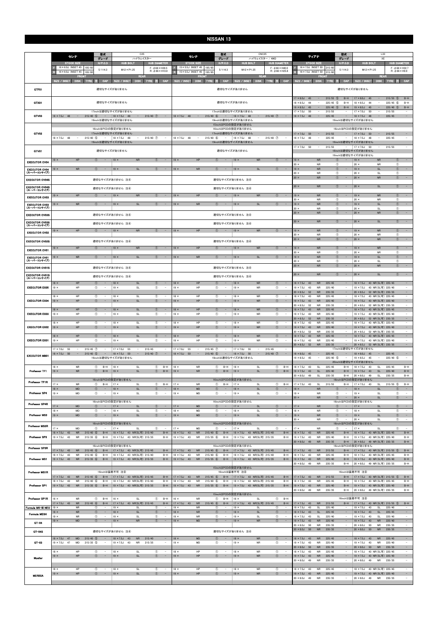|                                               | セレナ                                                |                                                  | 型式<br>C <sub>25</sub><br>グレード<br>ハイウェイスター                                    |                                           | 型式<br>セレナ<br>グレード<br><b>STOCK SIZE</b>                     |                                                                             |                                    | CNC <sub>25</sub><br>ハイウェイスター / 4WD<br><b>HUB BOLT</b>   |                                    |                                                | ティアナ                                          |                                                   |                                                            | 型式<br>グレード                                                                                                    |                                                                                                                                                                                                                                                                | L33<br>XE            |                                                          |                                              |                                                      |                                                               |                                                                                                      |                                            |                                                                                            |
|-----------------------------------------------|----------------------------------------------------|--------------------------------------------------|------------------------------------------------------------------------------|-------------------------------------------|------------------------------------------------------------|-----------------------------------------------------------------------------|------------------------------------|----------------------------------------------------------|------------------------------------|------------------------------------------------|-----------------------------------------------|---------------------------------------------------|------------------------------------------------------------|---------------------------------------------------------------------------------------------------------------|----------------------------------------------------------------------------------------------------------------------------------------------------------------------------------------------------------------------------------------------------------------|----------------------|----------------------------------------------------------|----------------------------------------------|------------------------------------------------------|---------------------------------------------------------------|------------------------------------------------------------------------------------------------------|--------------------------------------------|--------------------------------------------------------------------------------------------|
|                                               | <b>STOCK SIZE</b><br>$16 \times 6.0$ J INSET 45    | 195/60                                           | H/P. C.D<br>5/114.3                                                          |                                           | <b>HUB BOLT</b><br>$M12 \times P1.25$                      | <b>HUB DIAMETER</b><br>$F: 666 \times H39.5$<br>$R: \phi$ 66 $\times$ H10.0 |                                    | $15 \times 5.5$ J INSET 45<br>$15 \times 5.5$ J INSET 45 |                                    | 195/65                                         | H/P. C.D<br>5/114.3                           |                                                   | $M12 \times P1.25$                                         | <b>HUB DIAMETER</b><br>$F: 666 \times H40.0$<br>$R: \phi$ 66 $\times$ H25.8                                   | R                                                                                                                                                                                                                                                              | <b>STOCK SIZE</b>    |                                                          | 16 × 7.0J INSET 50 215/60                    | $H/P$ .C.D<br>5/114.3                                |                                                               | <b>HUB BOLT</b><br>$M12 \times P1.25$                                                                |                                            | <b>HUB DIAMETER</b><br>$F: \phi 66 \times H32.7$<br>$R: \phi$ 66 $\times$ H9.9             |
|                                               | 16 × 6.0J INSET 45<br>SIZE / INSET                 | 195/60<br><b>FRON</b><br>DISK TYRE               | CAP                                                                          | SIZE / INSET                              | <b>REAR</b><br>DISK TYRE                                   | - 33                                                                        | CAP                                | SIZE / INSET                                             | FRON<br>DISK TYRE                  | 195/6<br><b>BEE</b>                            | CAP                                           | SIZE / INSET                                      | <b>REAR</b><br><b>DISK</b><br><b>TYRE</b>                  | CAP<br>産                                                                                                      | SIZE / INSET                                                                                                                                                                                                                                                   | 16 × 7.0J INSET 50   | FRON<br><b>DISK</b>                                      | 215/6<br><b>TYRE</b>                         | CAP                                                  | SIZE / INSET                                                  | <b>REAR</b><br>DISK TYRE                                                                             | <b>FREE</b>                                | CAP                                                                                        |
| GTF01                                         |                                                    |                                                  |                                                                              | 適切なサイズがありません                              |                                                            |                                                                             |                                    |                                                          |                                    |                                                |                                               | 適切なサイズがありません                                      |                                                            |                                                                                                               | 適切なサイズがありません                                                                                                                                                                                                                                                   |                      |                                                          |                                              |                                                      |                                                               |                                                                                                      |                                            |                                                                                            |
| GTX01                                         |                                                    |                                                  | 17inchは適切なサイズがありません                                                          | 適切なサイズがありません                              |                                                            |                                                                             |                                    |                                                          |                                    |                                                |                                               | 適切なサイズがありません<br>17inchは適切なサイズがありません               |                                                            |                                                                                                               | $17 \times 8.0$ J<br>$18 \times 8.5J$<br>$19 \times 8.5$ J                                                                                                                                                                                                     | 45<br>44<br>45       | $\sim$<br>$\overline{\phantom{a}}$<br>$\frac{1}{2}$      | $215/55$ (5)<br>$225/45$ (5)<br>$225/40$ (5) | $B-H$<br>$B-H$<br>$B-H$                              | $17 \times 8.0$ J<br>$18 \times 8.5J$<br>$19 \times 8.5$ J 45 | 45<br>$\sim$<br>44<br>$\overline{\phantom{a}}$<br>$\sim$                                             | $215/55$ (5)<br>$225/45$ (6)<br>225/40 (5) | $B-H$<br>$B-H$<br>$B-H$                                                                    |
| GTV03                                         | $18 \times 7.5$ J 48                               | $215/40$ (5)<br>$\sim$                           | $\sim$ $-$<br>19inchは適切なサイズがありません                                            | $18 \times 7.5$ J 48                      | $\sim$                                                     | $215/40$ $\circled{7}$                                                      | $\sim$                             | $18 \times 7.5$ J 48                                     | $\alpha=1$                         | $215/40$ (6)                                   | $\sim$                                        | $18 \times 7.5$ J<br>19inchは適切なサイズがありません          | $215/40$ <sup>7</sup><br>48<br>$\sim$                      |                                                                                                               | $17 \times 7.0$ J<br>215/55<br>$17 \times 7.0$ J<br>215/55<br>50<br>50<br>$18 \times 7.5$ J<br>48<br>$18 \times 7.5$ J<br>225/45<br>$\sim$<br>48<br>225/45<br>$\overline{\phantom{a}}$<br>$\qquad \qquad -$<br>$\overline{\phantom{a}}$<br>19inchは適切なサイズがありません |                      |                                                          |                                              |                                                      |                                                               |                                                                                                      |                                            |                                                                                            |
|                                               |                                                    |                                                  | 16inchはPCDの設定がありません                                                          |                                           |                                                            |                                                                             |                                    |                                                          |                                    |                                                |                                               | 15inchはPCDの設定がありません<br>16inchはPCDの設定がありません        |                                                            |                                                                                                               | 16inchはPCDの設定がありません                                                                                                                                                                                                                                            |                      |                                                          |                                              |                                                      |                                                               |                                                                                                      |                                            |                                                                                            |
| GTV02                                         | $18 \times 7.5$ J<br>- 48                          | $215/40$ (5)<br>$\sim$                           | 17inchは適切なサイズがありません<br>$\sim$                                                | $18 \times 7.5$ J                         | 48<br>$\sim$                                               | 215/40 7                                                                    | $\sim$                             | $18 \times 7.5$ J<br>48                                  | $\sim$                             | $215/40$ 6                                     | $\sim$                                        | 17inchは適切なサイズがありません<br>$18 \times 7.5$ J          | 48<br>$215/40$ 7<br>$\sim$                                 | $\hspace{0.1mm}-\hspace{0.1mm}$                                                                               | $17 \times 7.0J$<br>$18 \times 7.5$ J                                                                                                                                                                                                                          | 50<br>48             | $\sim$<br>$\overline{\phantom{a}}$                       | 215/55<br>225/45                             | $\sim$                                               | $17 \times 7.0$ J<br>$18 \times 7.5$ J                        | 50<br>$\overline{\phantom{a}}$<br>48<br>$\overline{\phantom{a}}$                                     | 215/55<br>225/45                           | $\overline{\phantom{a}}$                                                                   |
|                                               |                                                    |                                                  | 19inchは適切なサイズがありません                                                          |                                           |                                                            |                                                                             |                                    |                                                          |                                    |                                                |                                               | 19inchは適切なサイズがありません                               |                                                            |                                                                                                               | 19inchは適切なサイズがありません<br>$17 \times 7.0$ J<br>215/55<br>$17 \times 7.0$ J<br>50<br>$\sim$<br>215/55<br>$\overline{\phantom{a}}$<br>50<br>$\overline{\phantom{a}}$<br>$\overline{\phantom{a}}$<br>18inchは適切なサイズがありません                                             |                      |                                                          |                                              |                                                      |                                                               |                                                                                                      |                                            |                                                                                            |
| GTV01                                         | $19 \times$                                        | HP                                               | $\circled{1}$<br>$\sim$                                                      | 適切なサイズがありません<br>$19 \times$               | <b>NR</b>                                                  | $\circled{1}$                                                               |                                    | $19 \times$                                              | HP                                 | $\circled{1}$                                  | $\sim$                                        | 適切なサイズがありません<br>$19 \times$                       | <b>NR</b>                                                  | $\circled{1}$<br>$\sim$                                                                                       | $19 \times$                                                                                                                                                                                                                                                    |                      | <b>NR</b>                                                | $\circled{0}$                                | $\equiv$                                             | 19inchは適切なサイズがありません<br>$19 \times$                            | <b>NR</b>                                                                                            | $\circled{1}$                              | $\sim$                                                                                     |
| <b>EXECUTOR CV04</b><br><b>EXECUTOR CV04</b>  | $19 \times$                                        | <b>NR</b>                                        | $\circled{1}$<br>$\qquad \qquad =$                                           | $19 \times$                               | <b>SL</b>                                                  | $\circled{1}$                                                               | $\sim$                             | $19 \times$                                              | <b>NR</b>                          | $\circled{1}$                                  | $\qquad \qquad -$                             | $19 \times$                                       | <b>SL</b>                                                  | $\circled{1}$<br>$\overline{\phantom{a}}$                                                                     | $20 \times$<br>$19 \times$                                                                                                                                                                                                                                     |                      | <b>NR</b><br><b>NR</b>                                   | $\circledcirc$<br>$\circled{1}$              |                                                      | $20 \times$<br>$19 \times$                                    | <b>NR</b><br>SL                                                                                      | $^{\circ}$<br>$\circled{1}$                | $\sim$                                                                                     |
| (スーパーコンケイブ)<br><b>EXECUTOR CV04S</b>          |                                                    |                                                  | 適切なサイズがありません 注4                                                              |                                           |                                                            |                                                                             |                                    |                                                          |                                    |                                                |                                               | 適切なサイズがありません 注4                                   |                                                            |                                                                                                               | $20$ ><br>$20 \times$                                                                                                                                                                                                                                          |                      | <b>NR</b><br><b>NR</b>                                   | $\circledcirc$<br>$\circled{0}$              | ٠                                                    | $20 \times$<br>$20 \times$                                    | SL<br>${\sf NR}$                                                                                     | $\circled$<br>$\circled{1}$                | $\sim$                                                                                     |
| <b>EXECUTOR CV04S</b><br>(スーパーコンケイブ)          |                                                    |                                                  | 適切なサイズがありません 注④                                                              |                                           |                                                            |                                                                             |                                    | 適切なサイズがありません 注4                                          |                                    |                                                |                                               |                                                   |                                                            | $20 \times$                                                                                                   |                                                                                                                                                                                                                                                                | <b>NR</b>            | $^{\circ}$                                               |                                              | $20 \times$                                          | $\mathsf{SL}% _{2}\left( \mathbb{Z}\right)$                   | $\circled{1}$                                                                                        |                                            |                                                                                            |
| <b>EXECUTOR CV03</b>                          | $9 \times$                                         | HP                                               | $\circled{1}$                                                                | $19 \times$                               | <b>NR</b>                                                  | (1)                                                                         |                                    | $19 \times$                                              | HP                                 | $\circled{1}$                                  |                                               | $19 \times$                                       | ${\sf NR}$                                                 | $\circled{1}$                                                                                                 | $19 \times$<br>$20 \times$                                                                                                                                                                                                                                     |                      | ${\sf NR}$<br><b>NR</b>                                  | $\circled{1}$<br>$\circled{1}$               |                                                      | $19 \times$<br>$20 \times$                                    | <b>NR</b><br><b>NR</b>                                                                               | $\circled{1}$<br>$\circled{1}$             | $\overline{\phantom{a}}$                                                                   |
| <b>EXECUTOR CV03</b><br>(スーパーコンケイブ)           | $19 \times$                                        | <b>NR</b>                                        | $\circled{1}$                                                                | $19 \times$                               | SL                                                         | $\circled{1}$                                                               | $\sim$                             | $19 \times$                                              | <b>NR</b>                          | $\circled{1}$                                  |                                               | $19 \times$                                       | <b>SL</b>                                                  | $\circled{1}$                                                                                                 | $19 \times$<br>$20$ >                                                                                                                                                                                                                                          |                      | <b>NR</b><br><b>NR</b>                                   | $\circled{1}$<br>$\circledcirc$              |                                                      | $19 \times$<br>$20 \times$                                    | SL<br>SL                                                                                             | $\circled{0}$<br>$\circled{1}$             |                                                                                            |
| <b>EXECUTOR CV03S</b>                         |                                                    |                                                  | 適切なサイズがありません 注4                                                              |                                           |                                                            |                                                                             |                                    |                                                          |                                    |                                                |                                               | 適切なサイズがありません 注4                                   |                                                            |                                                                                                               | $20 \times$                                                                                                                                                                                                                                                    |                      | <b>NR</b>                                                | $\circled{1}$                                |                                                      | $20 \times$                                                   | <b>NR</b>                                                                                            | $\circled{0}$                              | $\hspace{0.1mm}-\hspace{0.1mm}$                                                            |
| <b>EXECUTOR CV03S</b><br>(スーパーコンケイブ)          | $19 \times$                                        | <b>HP</b>                                        | 適切なサイズがありません 注④<br>$\circled{1}$<br>$\sim$                                   | $19 \times$                               | <b>NR</b>                                                  | $\circ$                                                                     |                                    | $19 \times$                                              | <b>HP</b>                          | $\circ$                                        | $\overline{\phantom{a}}$                      | 適切なサイズがありません 注④<br>$19 \times$                    | <b>NR</b>                                                  | $\circ$<br>$\overline{\phantom{a}}$                                                                           | $20 \times$<br>$19 \times$                                                                                                                                                                                                                                     |                      | <b>NR</b><br><b>NR</b>                                   | $\circled{1}$<br>$\circled{1}$               |                                                      | $20 \times$<br>$19 \times$                                    | SL<br><b>NR</b>                                                                                      | $\circled{0}$<br>$\circled{1}$             | $\overline{\phantom{a}}$<br>$\sim$                                                         |
| <b>EXECUTOR CV02</b>                          |                                                    |                                                  |                                                                              |                                           |                                                            |                                                                             |                                    |                                                          |                                    |                                                |                                               |                                                   |                                                            |                                                                                                               | $20 \times$<br>$20 \times$                                                                                                                                                                                                                                     |                      | <b>NR</b><br><b>NR</b>                                   | $\circled{1}$<br>$\circled{1}$               |                                                      | $20 \times$<br>$20 \times$                                    | <b>NR</b><br><b>NR</b>                                                                               | $\circled{1}$<br>$\circled{1}$             | $\sim$                                                                                     |
| <b>EXECUTOR CV02S</b><br><b>EXECUTOR CV01</b> | $19 \times$                                        | HP                                               | 適切なサイズがありません 注④<br>$\circled{1}$<br>$\frac{1}{2}$                            | $19 \times$                               | <b>NR</b>                                                  | $\circled{1}$                                                               | $\sim$                             | $19 \times$                                              | HP                                 | $\circled{1}$                                  | $\overline{\phantom{a}}$                      | 適切なサイズがありません 注4<br>$19 \times$                    | NR                                                         | $\circled{1}$                                                                                                 | $19 \times$                                                                                                                                                                                                                                                    |                      | <b>NR</b>                                                | $\circled{1}$                                |                                                      | $19 \times$                                                   | <b>NR</b>                                                                                            | $\circled{1}$                              | $\sim$                                                                                     |
| <b>EXECUTOR CV01</b><br>(スーパーコンケイブ)           | $19 \times$                                        | <b>NR</b>                                        | $\circled{1}$<br>$\sim$                                                      | $19 \times$                               | SL                                                         | $\circled{1}$                                                               | $\sim$                             | $19 \times$                                              | <b>NR</b>                          | $\circled{1}$                                  | $\overline{\phantom{a}}$                      | $19 \times$                                       | SL                                                         | $\circledcirc$<br>$\sim$                                                                                      | $20 \times$<br>$19 \times$                                                                                                                                                                                                                                     |                      | <b>NR</b><br>${\sf NR}$                                  | $\circledcirc$<br>$\circled{1}$              |                                                      | $20 \times$<br>$19 \times$                                    | <b>NR</b><br>$\mathsf{SL}% _{2}\left( \mathbb{Z}\right)$                                             | $\circled$<br>$\circled{1}$                | $\overline{\phantom{a}}$                                                                   |
| <b>EXECUTOR CV01S</b>                         |                                                    |                                                  | 適切なサイズがありません 注4                                                              |                                           |                                                            |                                                                             |                                    |                                                          |                                    |                                                |                                               | 適切なサイズがありません 注4                                   |                                                            |                                                                                                               | $20 \times$<br>$20 \times$                                                                                                                                                                                                                                     |                      | NR<br><b>NR</b>                                          | $^{\circ}$<br>$\circled{0}$                  |                                                      | $20 \times$<br>$20 \times$                                    | SL<br><b>NR</b>                                                                                      | $^{\circ}$<br>$\circled{0}$                |                                                                                            |
| <b>EXECUTOR CV01S</b><br>(スーパーコンケイブ)          |                                                    |                                                  | 適切なサイズがありません 注4                                                              |                                           |                                                            |                                                                             |                                    |                                                          |                                    |                                                |                                               | 適切なサイズがありません 注4                                   |                                                            |                                                                                                               | $20 \times$                                                                                                                                                                                                                                                    |                      | <b>NR</b>                                                | $\circled{1}$                                |                                                      | $20 \times$                                                   | <b>SL</b>                                                                                            | $\circled{1}$                              | $\sim$                                                                                     |
| <b>EXECUTOR EX05</b>                          | $18 \times$<br>$19 \times$                         | HP<br>HP                                         | $^{\circ}$<br>$^{\circ}$<br>$\overline{\phantom{a}}$                         | $18 \times$<br>$19 \times$                | $\mathsf{SL}% _{2}\left( \mathbb{Z}\right)$<br>SL          | $\circled{0}$<br>$^{\circ}$                                                 | $\sim$                             | $18 \times$<br>$19 \times$                               | HP<br>HP                           | $\circled$<br>$^\circledR$                     | $\overline{\phantom{a}}$                      | $18 \times$<br>$19 \times$                        | NR<br><b>NR</b>                                            | $\circled{0}$<br>$^{\circ}$<br>$\overline{\phantom{a}}$                                                       | $18 \times 7.5J$<br>$19 \times 7.5$ J<br>20 × 8.5J                                                                                                                                                                                                             | 43<br>43<br>52       | <b>NR</b><br><b>NR</b><br><b>NR</b>                      | 225/45<br>225/40<br>235/35                   | ٠<br>$\qquad \qquad -$                               | $18 \times 7.5$ J<br>$19 \times 7.5$ J<br>$20 \times 8.5$ J   | 43 NR(SL可) 225/45<br>43 NR(SL可) 225/40<br>52 NR(SL可) 235/35                                          |                                            | $\overline{\phantom{a}}$<br>$\overline{\phantom{a}}$<br>$\sim$                             |
| <b>EXECUTOR EX04</b>                          | $18 \times$<br>$19 \times$                         | HP<br>HP                                         | $^\circledR$<br>$\qquad \qquad -$<br>$\circled{1}$<br>$\equiv$               | $18 \times$<br>$19 \times$                | SL<br>SL                                                   | $^{\circ}$<br>$\circled{1}$                                                 | $\sim$<br>÷                        | $18 \times$<br>$19 \times$                               | HP<br>HP                           | $^\circledR$<br>$\circled{1}$                  | $\qquad \qquad -$<br>$\overline{\phantom{a}}$ | $18 \times$<br>$19 \times$                        | <b>NR</b><br><b>NR</b>                                     | $^{\circ}$<br>$\overline{\phantom{a}}$<br>$\circled{1}$<br>$\overline{\phantom{a}}$                           | 18 × 7.5J<br>$19 \times 7.5$ J                                                                                                                                                                                                                                 | 43<br>43             | NR<br><b>NR</b>                                          | 225/45<br>225/40<br>235/35                   | $\sim$<br>۰                                          | $18 \times 7.5J$<br>$19 \times 7.5$ J                         | 43 NR(SL可) 225/45<br>43 NR(SL可) 225/40                                                               |                                            | $\overline{\phantom{a}}$<br>$\sim$                                                         |
| <b>EXECUTOR EX03</b>                          | $18 \times$<br>$19 \times$                         | HP<br>HP                                         | $\circled{0}$<br>$^{\circ}$                                                  | $18 \times$<br>$19 \times$                | SL<br>SL                                                   | $\circled{0}$<br>$\circled{1}$                                              | $\overline{\phantom{a}}$           | $18 \times$<br>$19 \times$                               | HP<br>HP                           | $\circled{1}$<br>$\circled{1}$                 |                                               | $18 \times$<br>$19 \times$                        | ${\sf NR}$<br><b>NR</b>                                    | $\circled{0}$<br>$\overline{\phantom{a}}$<br>$\circled{1}$<br>$\overline{\phantom{a}}$                        | $20 \times 8.5$ J<br>$18 \times 7.5J$<br>$19 \times 7.5$ J<br>$20 \times 8.5$ J                                                                                                                                                                                | 52<br>43<br>43<br>52 | <b>NR</b><br><b>NR</b><br><b>NR</b><br><b>NR</b>         | 225/45<br>225/40<br>235/35                   | $\overline{\phantom{a}}$<br>$\overline{\phantom{a}}$ | $20 \times 8.5$ J<br>$18 \times 7.5$ J                        | 52 NR(SL可) 235/35<br>43 NR(SL可) 225/45<br>19 × 7.5J 43 NR(SL可) 225/40<br>20 × 8.5J 52 NR(SL可) 235/35 |                                            | $\overline{\phantom{a}}$<br>$\sim$<br>$\overline{\phantom{a}}$<br>$\overline{\phantom{a}}$ |
| <b>EXECUTOR EX02</b>                          | $18 \times$<br>$19 \times$                         | HP<br>HP                                         | $^{\circ}$<br>$\overline{\phantom{a}}$<br>$\circledcirc$<br>$\sim$           | $18 \times$<br>$19 \times$                | SL<br>SL                                                   | $^{\circ}$<br>$\circled{1}$                                                 | $\sim$<br>$\sim$                   | $18 \times$<br>$19 \times$                               | HP<br>HP                           | $^{\circ}$<br>$\circled{1}$                    | $\overline{\phantom{a}}$<br>$\sim$            | $18 \times$<br>$19 \times$                        | <b>NR</b><br>${\sf NR}$                                    | $^{\circ}$<br>$\sim$<br>$\circled{1}$<br>$\sim$                                                               | $18 \times 7.5J$<br>$19 \times 7.5$ J                                                                                                                                                                                                                          | 43<br>43             | <b>NR</b><br><b>NR</b>                                   | 225/45<br>225/40                             | $\overline{\phantom{a}}$                             |                                                               | 18 × 7.5J 43 NR(SL可) 225/45<br>19 × 7.5J 43 NR(SL可) 225/40                                           |                                            | $\overline{\phantom{a}}$                                                                   |
| <b>EXECUTOR EX01</b>                          | $18 \times$<br>$19 \times$                         | HP<br>HP                                         | $^{\circ}$<br>$\circled{1}$<br>$\overline{a}$                                | $18 \times$<br>$19 \times$                | SL<br>SL                                                   | $\circled{1}$<br>$\circled{1}$                                              | $\overline{\phantom{a}}$<br>$\sim$ | $18 \times$<br>$19 \times$                               | HP<br>HP                           | $\circled{1}$<br>$\circled{1}$                 | $\overline{a}$                                | $18 \times$<br>$19 \times$                        | ${\sf NR}$<br><b>NR</b>                                    | $\circled{1}$<br>$\sim$<br>$\circled{1}$<br>$\overline{\phantom{a}}$                                          | $20 \times 8.5$ J<br>$18 \times 7.5$ J<br>$19 \times 7.5$ J                                                                                                                                                                                                    | 52<br>43<br>43       | <b>NR</b><br><b>NR</b><br><b>NR</b>                      | 235/35<br>225/45<br>225/40                   | $\sim$<br>$\sim$                                     | $20 \times 8.5$ J<br>$18 \times 7.5$ J<br>$19 \times 7.5$ J   | 52 NR(SL可) 235/35<br>43 NR(SL可) 225/45<br>43 NR(SL可) 225/40                                          |                                            | $\sim$<br>۰.<br>$\sim$                                                                     |
| <b>EXECUTOR MB01</b>                          | $17 \times 7.0$ J<br>55<br>$18 \times 7.5$ J 50    | $215/45$ (7)<br>$\sim$<br>$\sim$<br>$215/40$ (5) | $\sim$                                                                       | $17 \times 7.0$ J<br>$18 \times 7.5$ J    | 55<br>$\sim$<br>$\sim$<br>50                               | 215/45<br>$215/40$ <sup>7</sup>                                             | $\sim$ $-$                         | $17 \times 7.0$ J 55<br>$18 \times 7.5$ J 50             | $\overline{\phantom{a}}$<br>$\sim$ | $215/45$ (7)<br>$215/40$ (5)                   | $\sim$ $-$                                    | $17 \times 7.0$ J<br>$18 \times 7.5$ J            | 215/45<br>55<br>$\sim$<br>$\sim$<br>$215/40$ (7)<br>50     | $\sim$ $-$                                                                                                    | $20 \times 8.5$ J 52<br>$18 \times 8.0$ J 45                                                                                                                                                                                                                   |                      | <b>NR</b><br>$\sim$                                      | 235/35<br>225/45                             | $\sim$                                               | 17inchは適切なサイズがありません<br>$18 \times 8.0$ J                      | 20 × 8.5J 52 NR(SL可) 235/35<br>45<br>$\sim$                                                          | 225/45                                     | $\equiv$<br>$\equiv$                                                                       |
|                                               |                                                    |                                                  | 19inchは適切なサイズがありません                                                          |                                           |                                                            |                                                                             |                                    |                                                          | <b>NR</b>                          |                                                |                                               | 19inchは適切なサイズがありません                               |                                                            | $B-H$                                                                                                         | $19 \times 8.5$ J                                                                                                                                                                                                                                              | 45                   | $\sim$                                                   | $225/40$ (5)                                 | $\overline{\phantom{a}}$<br>$B-H$                    | $19 \times 8.5$ J<br>20inchは適切なサイズがありません<br>$18 \times 7.5$ J | 45<br>$\overline{\phantom{a}}$<br>43                                                                 | 225/40 5                                   | $\sim$<br>$B-H$                                                                            |
| Professor TF1                                 | $18 \times$<br>$19 \times$                         | NR<br><b>NR</b>                                  | $^{\circ}$<br>$B-H$<br>$^{\circ}$<br>$B-H$                                   | $18 \times$<br>$19 \times$                | SL<br><b>SL</b>                                            | $^{\circ}$<br>$\circled{1}$                                                 | $B-H$<br>$B-H$                     | $18 \times$<br>$19 \times$                               | <b>NR</b>                          | $^\circledR$<br>$\circledcirc$                 | $B-H$<br>$B-H$                                | $18 \times$<br>$19 \times$                        | <b>SL</b><br><b>SL</b>                                     | $^{\circ}$<br>$\circled{1}$<br>$B-H$                                                                          | $18 \times 7.5$ J<br>$19 \times 7.5$ J<br>$20 \times 8.0J$                                                                                                                                                                                                     | 43<br>43<br>49       | SL<br>SL<br>$\mathsf{SL}% _{2}\left( \mathcal{M}\right)$ | 225/45<br>225/40<br>235/35                   | $B-H$<br>$B-H$                                       | $19 \times 7.5$ J<br>$20 \times 8.0$ J                        | SL<br>43<br><b>SL</b><br><b>SL</b><br>49                                                             | 225/45<br>225/40<br>235/35                 | $B-H$<br>$B-H$                                                                             |
| Professor TF1R                                | 17 x<br>$18 \times$                                | <b>NR</b><br>MD                                  | 16inchはPCDの設定がありません<br>$\circled{1}$<br>$B-H$<br>$\circled{1}$<br>$\sim$     | $17 \times$<br>$18 \times$                | SL<br>SL                                                   | $^{\circ}$<br>$\circled{1}$                                                 | $B-H$<br>$\sim$                    | 17 x<br>$18 \times$                                      | <b>NR</b><br><b>MD</b>             | $\circled{1}$<br>$\circled{1}$                 | $B-H$<br>$\sim$                               | 16inchはPCDの設定がありません<br>$17 \times$<br>$18 \times$ | <b>SL</b><br><b>SL</b>                                     | $\circled{1}$<br>$B-H$<br>$\circled{1}$<br>$\overline{\phantom{a}}$                                           | $17 \times 7.5$ J<br>$18 \times$                                                                                                                                                                                                                               | 43                   | SL<br><b>NR</b>                                          | 215/55<br>$\circled{0}$                      | $B-H$<br>$\sim$                                      | 16inchはPCDの設定がありません<br>$17 \times 7.5$ J<br>$18 \times$       | 43<br>SL<br><b>SL</b>                                                                                | $215/55$ (5)<br>$\sqrt{T}$                 | $B-H$<br>$\sim$                                                                            |
| Professor SP4                                 | $19 \times$                                        | MD                                               | $^{\circ}$<br>$\sim$<br>16inchはPCDの設定がありません                                  | $19 \times$                               | SL                                                         | $^{\circ}$                                                                  | $\sim$                             | $19 \times$                                              | MD                                 | $^{\circ}$                                     | $\overline{\phantom{a}}$                      | $19 \times$<br>16inchはPCDの設定がありません                | <b>SL</b>                                                  | $^{\circ}$<br>$\hspace{0.1mm}-\hspace{0.1mm}$                                                                 | $19 \times$<br>$20 \times$                                                                                                                                                                                                                                     |                      | <b>NR</b><br><b>NR</b>                                   | $\circled{1}$<br>$\circled{1}$               | $\sim$<br>$\sim$                                     | $19 \times$<br>$20 \times$<br>16inchはPCDの設定がありません             | SL<br>SL                                                                                             | $\circled{1}$<br>$\circled{1}$             | $\overline{\phantom{a}}$<br>$\sim$                                                         |
| Professor SP4R                                | $17 \times$<br>$18 \times$                         | MD<br>MD                                         | $\circ$<br>$\frac{1}{2}$<br>$^{\circ}$                                       | $17 \times$<br>$18 \times$                | <b>SL</b><br>SL                                            | $\circled{1}$<br>$^{\circ}$                                                 | $\sim$<br>$\overline{a}$           | $17 \times$<br>$18 \times$                               | <b>MD</b><br>MD                    | $\circ$<br>$\circled{1}$                       | $\sim$                                        | $17 \times$<br>$18 \times$                        | <b>SL</b><br>SL                                            | $\circled{1}$<br>$\sim$<br>$\circled{1}$<br>$\sim$                                                            | $17 \times$<br>$18 \times$                                                                                                                                                                                                                                     |                      | <b>NR</b><br><b>NR</b>                                   | $\circ$<br>$^{\circ}$                        | $\sim$                                               | $17 \times$<br>$18 \times$                                    | <b>SL</b><br>SL                                                                                      | $\circled{1}$<br>$\circled{1}$             | $\sim$<br>$\sim$                                                                           |
| Professor MS3                                 | $19 \times$                                        | MD                                               | $\circled{1}$<br>$\overline{\phantom{a}}$                                    | $19 \times$                               | SL                                                         | $\circled{1}$                                                               | $\overline{\phantom{a}}$           | $19 \times$                                              | MD                                 | $\circled{1}$                                  | $\overline{\phantom{a}}$                      | $19 \times$                                       | <b>SL</b>                                                  | $\circled{1}$<br>$\sim$                                                                                       | $19 \times$<br>$20 \times$                                                                                                                                                                                                                                     |                      | <b>NR</b><br><b>NR</b>                                   | $\circled{1}$<br>$\bigcirc$                  | $\equiv$                                             | $19 \times$<br>$20 \times$                                    | <b>SL</b><br><b>SL</b>                                                                               | $\circled{1}$<br>$\circled{1}$             | $\sim$<br>$\sim$                                                                           |
| Professor MS3R                                | $17 \times$<br>$18 \times 7.5$ J 43                | MD<br><b>NR</b><br>$215/40$ (6)                  | 16inchはPCDの設定がありません<br>$\circled{1}$<br>$\sim$<br>$B-H$                      | $17 \times$                               | SL<br>18 × 7.5J 43 NR(SL可) 215/40                          | $\circled{1}$                                                               | $\overline{\phantom{a}}$<br>$B-H$  | $17 \times$                                              | MD<br><b>NR</b>                    | $\circled{1}$<br>$215/40$ (6)                  | $\overline{\phantom{a}}$<br>$B-H$             | 16inchはPCDの設定がありません<br>$17 \times$                | <b>SL</b><br>18 × 7.5J 43 NR(SL可) 215/40                   | $\circled{1}$<br>$B-H$                                                                                        | $17 \times$                                                                                                                                                                                                                                                    |                      | <b>NR</b><br><b>NR</b>                                   | $\circled{1}$<br>225/45                      | $\overline{\phantom{a}}$<br>$B-H$                    | 16inchはPCDの設定がありません<br>$17 \times$                            | <b>SL</b><br>18 × 7.5J 43 NR(SL可) 225/45                                                             | $\circled{1}$                              | $\sim$<br>$B-H$                                                                            |
| Professor SP3                                 | $19 \times 7.5$ J<br>43                            | <b>NR</b><br>$215/35$ 6                          | $B-H$                                                                        |                                           | 19 × 7.5J 43 NR(SL可) 215/35                                |                                                                             | $B-H$                              | $18 \times 7.5$ J 43<br>$19 \times 7.5$ J<br>43          | <b>NR</b>                          | $215/35$ 6                                     | $B-H$                                         |                                                   | 19 × 7.5J 43 NR(SL可) 215/35                                | $B-H$                                                                                                         | $18 \times 7.5$ J 43<br>$19 \times 7.5$ J<br>$20 \times 8.0$ J 49                                                                                                                                                                                              | 43                   | <b>NR</b><br><b>NR</b>                                   | 225/40<br>235/35                             | $B-H$<br>$B-H$                                       |                                                               | 19 × 7.5J 43 NR(SL可) 225/40<br>20 × 8.0J 49 NR(SL可) 235/35                                           |                                            | $B-H$<br>$B-H$                                                                             |
| Professor SP3R                                | $17 \times 7.5$ J<br>43<br>$18 \times 7.5$ J<br>43 | <b>NR</b><br>$215/45$ (6)<br>NR<br>$215/40$ (6)  | 16inchはPCDの設定がありません<br>$B-H$<br>$B-H$                                        |                                           | 17 × 7.5J 43 NR(SL可) 215/45<br>18 × 7.5J 43 NR(SL可) 215/40 |                                                                             | $B-H$<br>$B-H$                     | $17 \times 7.5$ J<br>43<br>$18 \times 7.5$ J<br>43       | <b>NR</b><br>NR                    | $215/45$ (6)<br>$215/40$ (6)                   | $B-H$<br>$B-H$                                | 16inchはPCDの設定がありません                               | 17 × 7.5J 43 NR(SL可) 215/45<br>18 × 7.5J 43 NR(SL可) 215/40 | $B-H$<br>$B-H$                                                                                                | $17 \times 7.5J$<br>$18 \times 7.5J$                                                                                                                                                                                                                           | 43<br>43             | <b>NR</b><br><b>NR</b>                                   | 215/55<br>225/45                             | $B-H$<br>$B-H$                                       | 16inchはPCDの設定がありません<br>$18 \times 7.5$ J                      | 17×7.5J 43 NR(SL可) 215/55 5<br>43 NR(SL可) 225/45                                                     |                                            | $B-H$<br>$B-H$                                                                             |
| Professor MS1                                 | $19 \times 7.5$ J 43                               | <b>NR</b><br>$215/35$ (6)                        | $B-H$                                                                        |                                           | 19 × 7.5J 43 NR(SL可) 215/35                                |                                                                             | $B-H$                              | $19 \times 7.5$ J 43                                     | <b>NR</b>                          | $215/35$ (6)                                   | $B-H$                                         | 15inchはPCDの設定がありません                               | 19 × 7.5J 43 NR(SL可) 215/35                                | $B-H$                                                                                                         | $19 \times 7.5$ J<br>$20 \times 8.0$ J                                                                                                                                                                                                                         | 43<br>49             | <b>NR</b><br><b>NR</b>                                   | 225/40<br>235/35                             | $B-H$<br>$B-H$                                       | $20 \times 8.0$ J                                             | 19 × 7.5J 43 NR(SL可) 225/40<br>49 NR(SL可) 235/35                                                     |                                            | $B-H$<br>$B-H$                                                                             |
| Professor MS1R                                | $17 \times 7.5$ J 43                               | N <sub>R</sub><br>$215/45$ (6)                   | $B-H$                                                                        | 16inchは装着不可 注8                            | 17 × 7.5J 43 NR(SL可) 215/45                                |                                                                             | $B-H$                              | $17 \times 7.5$ J 43                                     | <b>NR</b>                          | $215/45$ 6                                     | $B-H$                                         | 16inchは装着不可 注8                                    | 17 × 7.5J 43 NR(SL可) 215/45                                | $B-H$                                                                                                         | $17 \times 7.5$ J                                                                                                                                                                                                                                              | 43                   | <b>NR</b>                                                | 215/55                                       | $B-H$                                                | 16inchは装着不可 注8                                                | 17 × 7.5J 43 NR(SL可) 215/55 5                                                                        |                                            | $B-H$                                                                                      |
| Professor SP1                                 | $18 \times 7.5$ J<br>43<br>$19 \times 7.5$ J 43    | <b>NR</b><br>215/40<br><b>NR</b><br>$215/35$ 6   | $B-H$<br>$\circledast$<br>$B-H$                                              | $18 \times 7.5$ J                         | 43 NR(SL可) 215/40<br>19 × 7.5J 43 NR(SL可) 215/35           |                                                                             | $B-H$<br>$B-H$                     | $18 \times 7.5$ J<br>43<br>$19 \times 7.5$ J 43          | <b>NR</b><br><b>NR</b>             | $215/40$ 6<br>$215/35$ 6                       | $B-H$<br>$B-H$                                | $18 \times 7.5$ J                                 | 43 NR(SL可) 215/40<br>19 × 7.5J 43 NR(SL可) 215/35           | $B-H$<br>$B-H$                                                                                                | $18 \times 7.5J$<br>$19 \times 7.5$ J 43<br>$20 \times 8.0$ J 49                                                                                                                                                                                               | 43                   | <b>NR</b><br><b>NR</b><br><b>NR</b>                      | 225/45<br>225/40<br>235/35                   | $B-H$<br>$B-H$<br>$B-H$                              | $18 \times 7.5$ J                                             | 43 NR(SL可) 225/45<br>19 × 7.5J 43 NR(SL可) 225/40<br>20 × 8.0J 49 NR(SL可) 235/35                      |                                            | $B-H$<br>$B-H$<br>$B-H$                                                                    |
| Professor SP1R                                | $16 \times$                                        | <b>NR</b>                                        | $^{\circ}$<br>$B-H$                                                          | $16 \times$                               | SL                                                         | $^{\circ}$                                                                  | $B-H$                              | $16 \times$                                              | NR                                 | $\circled{1}$                                  | $B-H$                                         | 15inchはPCDの設定がありません<br>$16 \times$                | <b>SL</b>                                                  | $\circled{1}$<br>$B-H$                                                                                        |                                                                                                                                                                                                                                                                |                      |                                                          |                                              |                                                      | 16inchは装着不可 注8                                                |                                                                                                      |                                            |                                                                                            |
| Formula MK-III NEO                            | $17 \times 7.5$ J 43<br>$19 \times$                | <b>NR</b><br>$215/45$ (6)<br><b>NR</b>           | $B-H$<br>$^{\circ}$<br>$\overline{\phantom{a}}$<br>$\sim$                    | $19 \times$                               | 17 × 7.5J 43 NR(SL可) 215/45<br>SL                          | $^{\circ}$                                                                  | $B-H$<br>$\sim$                    | $17 \times 7.5$ J 43<br>$19 \times$                      | <b>NR</b><br><b>NR</b>             | $215/45$ (6)<br>$\circled{1}$                  | $B-H$<br>$\overline{\phantom{a}}$<br>$\sim$   | $19 \times$                                       | 17 × 7.5J 43 NR(SL可) 215/45<br><b>SL</b>                   | $B-H$<br>$^{\circ}$<br>$\overline{\phantom{a}}$                                                               | $17 \times 7.5$ J 43<br>$19 \times 7.5$ J                                                                                                                                                                                                                      | 43                   | <b>NR</b><br>SL                                          | 215/55<br>225/40                             | $\sim$                                               | $19 \times 7.5$ J                                             | B-H   17 × 7.5J 43 NR(SL可) 215/55 ⑤<br>43<br>SL                                                      | 225/40                                     | $B-H$<br>$\overline{\phantom{a}}$<br>$\sim$                                                |
| Formula MESH                                  | $18 \times$<br>$19 \times$<br>$19 \times$          | <b>NR</b><br>NR<br>MD                            | $\circled{1}$<br>$\circled{1}$<br>$\sim$<br>$^{\circ}$                       | $18 \times$<br>$19 \times$<br>$19 \times$ | SL<br>SL<br><b>NR</b>                                      | $\circled{1}$<br>$^{\circ}$<br>$\circled{1}$                                | $\sim$<br>$\sim$<br>$\overline{a}$ | $18 \times$<br>$19 \times$<br>$19 \times$                | <b>NR</b><br><b>NR</b><br>MD       | $\circled{1}$<br>$^\circledR$<br>$\circled{1}$ | $\sim$<br>$\overline{\phantom{a}}$            | $18 \times$<br>$19 \times$<br>$19 \times$         | <b>SL</b><br>SL<br>${\sf NR}$                              | $\circled{1}$<br>$\hspace{0.1cm}$ $\hspace{0.1cm}$<br>$^{\circ}$<br>$\overline{\phantom{a}}$<br>$\circled{1}$ | $18 \times 7.5J$<br>$19 \times 7.5$ J<br>$19 \times 7.5$ J                                                                                                                                                                                                     | 43<br>43<br>43       | <b>SL</b><br>SL<br>${\sf NR}$                            | 225/45<br>225/40<br>225/40                   | $\sim$<br>$\overline{\phantom{a}}$                   | $18 \times 7.5$ J<br>$19 \times 7.5$ J<br>$19 \times 7.5$ J   | 43<br><b>SL</b><br>SL<br>43<br><b>NR</b><br>43                                                       | 225/45<br>225/40<br>225/40                 | $\sim$<br>$\sim$                                                                           |
| GT-04<br>GT-04S                               |                                                    |                                                  | 適切なサイズがありません 注4                                                              |                                           |                                                            |                                                                             |                                    |                                                          |                                    |                                                |                                               | 適切なサイズがありません 注4                                   |                                                            |                                                                                                               | $20 \times 8.0$ J<br>$20 \times 8.0$ J                                                                                                                                                                                                                         | 50<br>50             | <b>NR</b><br><b>NR</b>                                   | 235/35<br>235/35                             | $\sim$                                               | $20 \times 8.0$ J<br>$20 \times 8.0$ J 50                     | 50<br><b>NR</b><br><b>NR</b>                                                                         | 235/35<br>235/35                           | $\sim$<br>$\sim$                                                                           |
| $QT - 03$                                     | $18 \times 7.5$ J<br>47<br>$19 \times 7.5$ J<br>47 | MD<br>$215/40$ (5)<br>MD<br>$215/35$ (5)         |                                                                              | $18 \times 7.5J$<br>$19 \times 7.5$ J     | <b>NR</b><br>43<br>43<br><b>NR</b>                         | 215/40<br>215/35                                                            | $\overline{\phantom{a}}$<br>$\sim$ | $18 \times$<br>$19 \times$                               | <b>MD</b><br>MD                    | $\circled{1}$<br>$\circled{1}$                 | $\sim$<br>$\overline{\phantom{a}}$            | $18 \times$<br>$19 \times$                        | ${\sf NR}$<br><b>NR</b>                                    | $\circled{1}$<br>$\sim$<br>$^{\circ}$<br>$\hspace{0.1mm}-\hspace{0.1mm}$                                      | $18 \times 7.5$ J<br>$19 \times 7.5$ J                                                                                                                                                                                                                         | 43<br>43             | <b>NR</b><br><b>NR</b>                                   | 225/45<br>225/40                             |                                                      | $18 \times 7.5$ J<br>$19 \times 7.5$ J                        | 43<br><b>NR</b><br>43<br><b>NR</b>                                                                   | 225/45<br>225/40                           | $\sim$<br>$\overline{\phantom{a}}$                                                         |
|                                               | $18 \times$                                        | HP                                               | $^{\circ}$                                                                   | $18 \times$                               | SL                                                         | $^{\circ}$                                                                  | $\sim$                             | $18 \times$                                              | HP                                 | $\circled{1}$                                  |                                               | $18 \times$                                       | <b>NR</b>                                                  | $\circled{1}$                                                                                                 | $20 \times 8.0$ J<br>$18 \times 7.5$ J                                                                                                                                                                                                                         | 50<br>43             | <b>NR</b><br><b>NR</b>                                   | 235/35<br>225/45                             |                                                      | $20 \times 8.0$ J 50<br>$18 \times 7.5$ J                     | <b>NR</b><br>43 NR(SL可) 225/45                                                                       | 235/35                                     | $\sim$<br>$\sim$                                                                           |
| Mueller                                       | $19 \times$                                        | HP                                               | $\circled{1}$<br>$\sim$                                                      | $19 \times$                               | SL                                                         | $\circled{1}$                                                               | $\sim$                             | $19 \times$                                              | HP                                 | $\circled{1}$                                  | $\sim$                                        | $19 \times$                                       | <b>NR</b>                                                  | $\circled{1}$<br>$\sim$                                                                                       | $19 \times 7.5$ J<br>$20 \times 8.0$ J                                                                                                                                                                                                                         | 43<br>49             | <b>NR</b><br><b>NR</b>                                   | 225/40<br>235/35                             | $\overline{\phantom{a}}$                             | $19 \times 7.5$ J<br>$20 \times 8.0$ J                        | 43 NR(SL可) 225/40<br>49<br><b>NR</b>                                                                 | 235/35                                     | $\sim$<br>$\overline{\phantom{a}}$                                                         |
| <b>MERISIA</b>                                | $18 \times$<br>$19 \times$                         | HP<br>HP                                         | $^{\circ}$<br>$\hspace{0.1mm}-\hspace{0.1mm}$<br>$\circled{1}$<br>$\sim$ $-$ | $18 \times$<br>$19 \times$                | SL<br>SL                                                   | $^{\circ}$<br>$\circled{1}$                                                 | $\sim$<br>$\sim$                   | $18 \times$<br>$19 \times$                               | HP<br>HP                           | $\circled{1}$<br>$\circled{1}$                 | $\overline{\phantom{a}}$<br>$\sim$ $-$        | $18 \times$<br>$19 \times$                        | <b>NR</b><br><b>NR</b>                                     | $\circled{1}$<br>$\overline{\phantom{a}}$<br>$\sim$<br>$\circled{1}$                                          | $18 \times 7.5$ J<br>$19 \times 7.5$ J<br>$20 \times 8.0J$                                                                                                                                                                                                     | 43<br>43<br>49       | <b>NR</b><br><b>NR</b><br><b>NR</b>                      | 225/45<br>225/40<br>235/35                   | $\equiv$                                             | $18 \times 7.5$ J<br>$20 \times 8.0J$                         | 43 NR(SL可) 225/45<br>19 × 7.5J 43 NR(SL可) 225/40<br>49<br><b>NR</b>                                  | 235/35                                     | $\sim$<br>$\equiv$<br>$\overline{\phantom{a}}$                                             |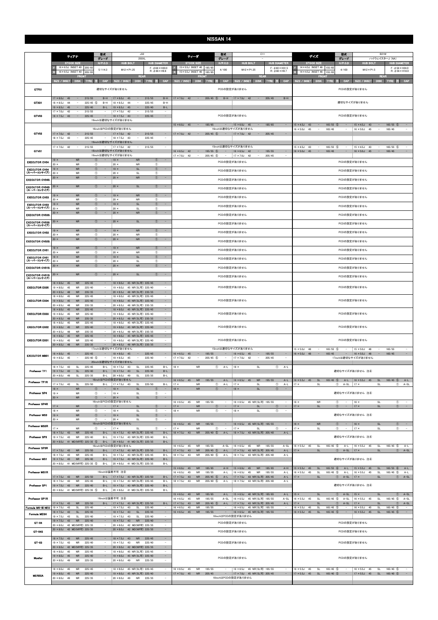|                                      | ティアナ                                                                                                                                 | 型式<br>グレード                                                        | J32<br>250XL                                                                                                                                          | ティーダ                                                                         | 型式<br>グレード                                                       | C11                                                                                                                       | デイズ                                                                                                             | 型式<br><b>B21W</b><br>グレード<br>ハイウェイスターJ (NA)                                                                                                                                                                    |  |  |  |  |
|--------------------------------------|--------------------------------------------------------------------------------------------------------------------------------------|-------------------------------------------------------------------|-------------------------------------------------------------------------------------------------------------------------------------------------------|------------------------------------------------------------------------------|------------------------------------------------------------------|---------------------------------------------------------------------------------------------------------------------------|-----------------------------------------------------------------------------------------------------------------|----------------------------------------------------------------------------------------------------------------------------------------------------------------------------------------------------------------|--|--|--|--|
|                                      | <b>STOCK SIZE</b>                                                                                                                    | H/P.0.D                                                           | <b>HUB DIAMETER</b><br><b>HUB BOLT</b>                                                                                                                | <b>STOCK SIZE</b>                                                            | H/P.0.D                                                          | <b>HUB BOLT</b><br><b>HUB DIAMETER</b>                                                                                    | <b>STOCK SIZE</b>                                                                                               | $H/P$ .C.D<br><b>HUB BOLT</b><br><b>HUB DIAMETER</b>                                                                                                                                                           |  |  |  |  |
|                                      | 16 × 6.5J INSET 40<br>205/65<br>16 × 6.5J INSET 40<br>205/65                                                                         | 5/114.3                                                           | $F: \phi$ 66 $\times$ H30.0<br>$M12 \times P1.25$<br>$R: \phi$ 66 $\times$ H9.8                                                                       | 15×5.5J INSET 40 185/65<br>$15 \times 5.5$ J INSET 40                        | 4/100<br>185/65                                                  | $F: \phi$ 60 × H31.5<br>$M12 \times P1.25$<br>$R: \phi$ 60 $\times$ H9.7                                                  | 14 × 4.5J INSET 46 155/6<br>14 × 4.5J INSET 46 155/6<br>R                                                       | $F: \phi 56 \times H24.0$<br>4/100<br>$M12 \times P1.5$<br>$R: \phi$ 56 × H18.0                                                                                                                                |  |  |  |  |
|                                      | <b>FRONT</b><br>SIZE / INSET<br>DISK TYRE 注                                                                                          | CAP                                                               | <b>REAR</b><br>SIZE / INSET<br>DISK TYRE 注<br>CAP                                                                                                     | <b>FRONT</b><br>SIZE / INSET<br>DISK TYRE 注                                  | CAP                                                              | <b>REAR</b><br>SIZE / INSET<br>DISK TYRE 注<br>CAP                                                                         | <b>FRONT</b><br>SIZE / INSET<br>DISK TYRE                                                                       | <b>REAR</b><br>CAP<br>SIZE / INSET<br>DISK TYRE 注 CAP                                                                                                                                                          |  |  |  |  |
| GTF01                                |                                                                                                                                      |                                                                   | 適切なサイズがありません                                                                                                                                          |                                                                              |                                                                  |                                                                                                                           |                                                                                                                 |                                                                                                                                                                                                                |  |  |  |  |
|                                      |                                                                                                                                      |                                                                   |                                                                                                                                                       |                                                                              | PCDの設定がありません                                                     |                                                                                                                           |                                                                                                                 | PCDの設定がありません                                                                                                                                                                                                   |  |  |  |  |
| GTX01                                | $17 \times 8.0$ J<br>215/55<br>45<br>$\overline{\phantom{a}}$<br>$225/45$ (5)<br>$18 \times 8.5$ J<br>44<br>$\overline{\phantom{a}}$ | $B-H$<br>$B-H$                                                    | $17 \times 8.0$ J<br>215/55<br>$B-H$<br>45<br>$\overline{\phantom{a}}$<br>$18 \times 8.5J$<br>225/45<br>44<br>$B-H$<br>$\overline{\phantom{a}}$       | $17 \times 7.0$ J 42<br>$\sim$                                               | $205/45$ (5)<br>$B-H$                                            | $B-H$<br>$17 \times 7.0$ J 42<br>205/45<br>$\sim$                                                                         |                                                                                                                 | 適切なサイズがありません                                                                                                                                                                                                   |  |  |  |  |
|                                      | $19 \times 8.5$ J 45<br>225/40<br>$\overline{\phantom{a}}$<br>$17 \times 7.0$ J<br>42<br>$\sim$<br>215/55                            | $B-L$                                                             | $19 \times 8.5$ J 45<br>225/40<br>$\overline{\phantom{a}}$<br>$B-L$<br>$17 \times 7.0$ J<br>42<br>215/55<br>$\overline{\phantom{a}}$                  |                                                                              |                                                                  |                                                                                                                           |                                                                                                                 |                                                                                                                                                                                                                |  |  |  |  |
| GTV03                                | $18 \times 7.5$ J 43<br>$\hspace{0.1mm}-\hspace{0.1mm}$<br>225/45                                                                    | $\sim$                                                            | $18 \times 7.5$ J<br>$\sim$<br>225/45<br>$\overline{\phantom{a}}$<br>43<br>19inchは適切なサイズがありません                                                        |                                                                              | PCDの設定がありません                                                     |                                                                                                                           |                                                                                                                 | PCDの設定がありません                                                                                                                                                                                                   |  |  |  |  |
|                                      |                                                                                                                                      |                                                                   |                                                                                                                                                       | $15 \times 6.0$ J 45<br>$\sim$                                               | 185/65                                                           | 185/65<br>$15 \times 6.0$ J 45<br>$\sim$<br>$\overline{\phantom{a}}$                                                      | $15 \times 4.5$ J<br>$165/55$ (5)<br>43<br>$\overline{\phantom{a}}$                                             | $165/55$ (5)<br>$15 \times 4.5$ J<br>43<br>$\sim$<br>$\sim$                                                                                                                                                    |  |  |  |  |
| GTV02                                | $17 \times 7.0$ J 42<br>$\alpha = 1$<br>215/55                                                                                       |                                                                   | 16inchはPCDの設定がありません<br>$17 \times 7.0$ J 42<br>$\sim$<br>215/55<br>$\equiv$                                                                           | $17 \times 7.0$ J 42<br>$\sim$ $ \sim$                                       | 16inchは適切なサイズがありません                                              | $205/45$ (5) - $17 \times 7.0$ 42 -<br>205/45<br>$\overline{\phantom{a}}$                                                 | $16 \times 5.0$ J<br>45<br>$\overline{\phantom{a}}$<br>165/45                                                   | $16 \times 5.0$ J<br>45<br>$\sim$<br>165/45<br>$\qquad \qquad -$<br>$\overline{\phantom{a}}$                                                                                                                   |  |  |  |  |
|                                      | $18 \times 7.5$ J<br>225/45<br>43<br>$\sim$                                                                                          | $\sim$                                                            | $18 \times 7.5$ J 43<br>$\sim$<br>225/45<br>$\sim$<br>19inchは適切なサイズがありません                                                                             |                                                                              |                                                                  |                                                                                                                           |                                                                                                                 |                                                                                                                                                                                                                |  |  |  |  |
| GTV01                                | $17 \times 7.0$ J 42<br>$\sim$<br>215/55                                                                                             | $\sim$                                                            | $17 \times 7.0$ J 42<br>215/55<br>$\overline{\phantom{a}}$<br>$\sim$<br>18inchは適切なサイズがありません                                                           | $16 \times 6.5$ J 42<br>$\alpha = 1$                                         | 15inchは適切なサイズがありません<br>$195/55$ (5)<br>$\sim$                    | $16 \times 6.5$ J 42<br>195/55<br>$\sim$<br>$\sim$                                                                        | $165/55$ (5)<br>$15 \times 4.5$ J<br>43<br>$\overline{\phantom{a}}$<br>$16 \times 5.0$ J 45<br>$\sim$<br>165/45 | $165/55$ (5)<br>$15 \times 4.5$ J<br>43<br>$\overline{\phantom{a}}$<br>$\overline{\phantom{a}}$<br>$\sim$<br>$16 \times 5.0$ J 45<br>165/45<br>٠<br>$\sim$<br>$\overline{\phantom{a}}$                         |  |  |  |  |
|                                      |                                                                                                                                      | $\circled{0}$                                                     | 19inchは適切なサイズがありません<br>$19 \times$<br>$\circled{1}$<br>$\sim$                                                                                         | $17 \times 7.0$ J 42<br>$\sim$                                               | $205/45$ (5)<br>$\sim$                                           | $17 \times 7.0$ J 42<br>$\overline{\phantom{a}}$<br>205/45                                                                |                                                                                                                 |                                                                                                                                                                                                                |  |  |  |  |
| <b>EXECUTOR CV04</b>                 | 19 ×<br><b>NR</b><br>$20 \times$<br>NR                                                                                               | $^{\circ}$                                                        | <b>NR</b><br>$\circledcirc$<br>$20 \times$<br><b>NR</b>                                                                                               |                                                                              | PCDの設定がありません                                                     |                                                                                                                           |                                                                                                                 | PCDの設定がありません                                                                                                                                                                                                   |  |  |  |  |
| <b>EXECUTOR CV04</b><br>(スーパーコンケイブ)  | ${\sf NR}$<br>$19 \times$<br>$20 \times$<br><b>NR</b>                                                                                | $^{\circ}$<br>$^{\circ}$                                          | $19 \times$<br>$\mathsf{SL}% _{2}(k)$<br>$^\circledR$<br>-<br>$\circled{1}$<br>$20 \times$<br>SL                                                      |                                                                              | PCDの設定がありません                                                     |                                                                                                                           |                                                                                                                 | PCDの設定がありません                                                                                                                                                                                                   |  |  |  |  |
| <b>EXECUTOR CV04S</b>                | <b>NR</b><br>20 ×                                                                                                                    | $\circled{0}$                                                     | <b>NR</b><br>$\circled{1}$<br>$20 \times$<br>$\qquad \qquad -$                                                                                        |                                                                              | PCDの設定がありません                                                     |                                                                                                                           |                                                                                                                 | PCDの設定がありません                                                                                                                                                                                                   |  |  |  |  |
| <b>EXECUTOR CV04S</b><br>(スーパーコンケイブ) | <b>NR</b><br>$20 \times$                                                                                                             | $\circled{1}$                                                     | SL<br>$\circled{1}$<br>$20 \times$<br>$\sim$                                                                                                          |                                                                              | PCDの設定がありません                                                     |                                                                                                                           | PCDの設定がありません                                                                                                    |                                                                                                                                                                                                                |  |  |  |  |
| <b>EXECUTOR CV03</b>                 | <b>NR</b><br>19 ×<br>$20 \times$                                                                                                     | $^{\circ}$                                                        | $19 \times$<br><b>NR</b><br>$\circled{1}$<br>$\sim$                                                                                                   |                                                                              | PCDの設定がありません                                                     |                                                                                                                           | PCDの設定がありません                                                                                                    |                                                                                                                                                                                                                |  |  |  |  |
| <b>EXECUTOR CV03</b>                 | <b>NR</b><br><b>NR</b><br>19 ×                                                                                                       | $^{\circ}$<br>$\circled{1}$                                       | $\circled{1}$<br>$20 \times$<br>NR<br>$\circled{1}$<br>$19 \times$<br><b>SL</b><br>$\sim$                                                             |                                                                              | PCDの設定がありません                                                     |                                                                                                                           |                                                                                                                 | PCDの設定がありません                                                                                                                                                                                                   |  |  |  |  |
| (スーパーコンケイブ)<br><b>EXECUTOR CV03S</b> | $20 \times$<br><b>NR</b><br><b>NR</b><br>$20 \times$                                                                                 | $\circled{1}$<br>$\circled{0}$                                    | $\circled{1}$<br>$20 \times$<br>SL<br>$\circled{1}$<br>$20 \times$<br><b>NR</b><br>$\sim$                                                             |                                                                              | PCDの設定がありません                                                     |                                                                                                                           |                                                                                                                 | PCDの設定がありません                                                                                                                                                                                                   |  |  |  |  |
| <b>EXECUTOR CV03S</b>                | <b>NR</b><br>$20 \times$                                                                                                             | $\circled{1}$<br>$\hspace{0.1mm}-\hspace{0.1mm}$                  | SL<br>$\circled{1}$<br>$20 \times$<br>$\sim$                                                                                                          |                                                                              | PCDの設定がありません                                                     |                                                                                                                           |                                                                                                                 | PCDの設定がありません                                                                                                                                                                                                   |  |  |  |  |
| (スーパーコンケイブ)                          | <b>NR</b><br>19 ×                                                                                                                    | $\circled{1}$<br>$\overline{\phantom{a}}$                         | $\circled{1}$<br>$19 \times$<br><b>NR</b><br>$\overline{\phantom{a}}$                                                                                 |                                                                              |                                                                  |                                                                                                                           |                                                                                                                 |                                                                                                                                                                                                                |  |  |  |  |
| <b>EXECUTOR CV02</b>                 | $20 \times$<br>NR                                                                                                                    | $^{\circ}$<br>$\circled{1}$                                       | $^{\circ}$<br>$20 \times$<br>NR<br>${\sf NR}$<br>$\circled{1}$<br>$\sim$                                                                              |                                                                              | PCDの設定がありません                                                     |                                                                                                                           |                                                                                                                 | PCDの設定がありません                                                                                                                                                                                                   |  |  |  |  |
| <b>EXECUTOR CV02S</b>                | <b>NR</b><br>$20 \times$                                                                                                             |                                                                   | $20 \times$                                                                                                                                           |                                                                              | PCDの設定がありません                                                     |                                                                                                                           |                                                                                                                 | PCDの設定がありません                                                                                                                                                                                                   |  |  |  |  |
| <b>EXECUTOR CV01</b>                 | ${\sf NR}$<br>19 ×<br>$20 \times$<br><b>NR</b>                                                                                       | $\circled{0}$<br>$\circled{0}$                                    | <b>NR</b><br>$^{\circ}$<br>$19 \times$<br>-<br>$^{\circ}$<br>$20 \times$<br><b>NR</b>                                                                 |                                                                              | PCDの設定がありません                                                     |                                                                                                                           |                                                                                                                 | PCDの設定がありません                                                                                                                                                                                                   |  |  |  |  |
| <b>EXECUTOR CV01</b><br>(スーパーコンケイブ)  | <b>NR</b><br>$19 \times$<br>$20 \times$<br><b>NR</b>                                                                                 | $\circled{0}$<br>$\circledcirc$                                   | $\circled{1}$<br>$19 \times$<br>SL<br>$\qquad \qquad =$<br>$20 \times$<br>SL<br>$\circled{1}$                                                         |                                                                              | PCDの設定がありません                                                     |                                                                                                                           |                                                                                                                 | PCDの設定がありません                                                                                                                                                                                                   |  |  |  |  |
| <b>EXECUTOR CV01S</b>                | <b>NR</b><br>$20 \times$                                                                                                             | $\circled{0}$                                                     | $\circled{0}$<br><b>NR</b><br>$20 \times$<br>$\sim$                                                                                                   |                                                                              | PCDの設定がありません                                                     |                                                                                                                           | PCDの設定がありません                                                                                                    |                                                                                                                                                                                                                |  |  |  |  |
| <b>EXECUTOR CV01S</b><br>(スーパーコンケイブ) | <b>NR</b><br>$20 \times$                                                                                                             | $\circ$<br>$\sim$                                                 | $\circled{1}$<br>$\sim$<br>$20 \times$<br><b>SL</b>                                                                                                   |                                                                              | PCDの設定がありません                                                     |                                                                                                                           | PCDの設定がありません                                                                                                    |                                                                                                                                                                                                                |  |  |  |  |
| <b>EXECUTOR EX05</b>                 | ${\sf NR}$<br>225/45<br>$18 \times 8.0$ J<br>45<br>$19 \times 8.0$ J<br>45<br><b>NR</b><br>225/40                                    | $\qquad \qquad -$                                                 | 45 NR(SL可) 225/45<br>$\sim$<br>$18 \times 8.0J$<br>19 × 8.0J 45 NR(SL可) 225/40<br>$\qquad \qquad -$                                                   |                                                                              | PCDの設定がありません                                                     |                                                                                                                           |                                                                                                                 | PCDの設定がありません                                                                                                                                                                                                   |  |  |  |  |
|                                      | $20 \times 8.5$ J<br>48<br><b>NR</b><br>235/35<br>$18 \times 8.0$ J<br>45<br><b>NR</b><br>225/45                                     | $\sim$                                                            | 20 × 8.5J 48 NR(SL可) 235/35<br>$\sim$<br>18 × 8.0J 45 NR(SL可) 225/45<br>$\overline{\phantom{a}}$                                                      |                                                                              |                                                                  |                                                                                                                           |                                                                                                                 |                                                                                                                                                                                                                |  |  |  |  |
| <b>EXECUTOR EX04</b>                 | $19 \times 8.0$ J<br>45<br>225/40<br><b>NR</b><br>$20 \times 8.5$ J<br>48<br><b>NR</b><br>235/35                                     | $\overline{\phantom{a}}$                                          | 19 × 8.0J 45 NR(SL可) 225/40<br>$\sim$<br>$20 \times 8.5$ J<br>48 NR(SL可) 235/35                                                                       |                                                                              | PCDの設定がありません                                                     |                                                                                                                           |                                                                                                                 | PCDの設定がありません                                                                                                                                                                                                   |  |  |  |  |
|                                      | 45<br><b>NR</b><br>225/45<br>$18 \times 8.0$ J                                                                                       |                                                                   | $\sim$<br>18 × 8.0J 45 NR(SL可) 225/45                                                                                                                 |                                                                              |                                                                  |                                                                                                                           |                                                                                                                 |                                                                                                                                                                                                                |  |  |  |  |
| <b>EXECUTOR EX03</b>                 | $19 \times 8.0$ J<br>45<br><b>NR</b><br>225/40<br>$20 \times 8.5$ J 48<br><b>NR</b><br>235/35                                        | $\qquad \qquad -$<br>$\qquad \qquad -$                            | 19 × 8.0J 45 NR(SL可) 225/40<br>$\sim$<br>20 × 8.5J 48 NR(SL可) 235/35<br>$\qquad \qquad -$                                                             |                                                                              | PCDの設定がありません                                                     |                                                                                                                           |                                                                                                                 | PCDの設定がありません                                                                                                                                                                                                   |  |  |  |  |
| <b>EXECUTOR EX02</b>                 | $18 \times 8.0$ J<br>225/45<br>45<br><b>NR</b><br>$19 \times 8.0$ J<br>45<br><b>NR</b><br>225/40                                     |                                                                   | 45 NR(SL可) 225/45<br>$18 \times 8.0$ J<br>19 × 8.0J 45 NR(SL可) 225/40<br>$\overline{\phantom{a}}$                                                     |                                                                              | PCDの設定がありません                                                     |                                                                                                                           |                                                                                                                 | PCDの設定がありません                                                                                                                                                                                                   |  |  |  |  |
|                                      | $20 \times 8.5$ J<br>48<br><b>NR</b><br>235/35<br>$18 \times 8.0$ J<br>45<br><b>NR</b><br>225/45                                     |                                                                   | 20 × 8.5J 48 NR(SL可) 235/35<br>$\overline{\phantom{a}}$<br>18 × 8.0J 45 NR(SL可) 225/45<br>$\equiv$                                                    |                                                                              |                                                                  |                                                                                                                           |                                                                                                                 |                                                                                                                                                                                                                |  |  |  |  |
| <b>EXECUTOR EX01</b>                 | $19 \times 8.0$ J<br>45<br><b>NR</b><br>225/40<br>$20 \times 8.5J$<br>48<br><b>NR</b><br>235/35                                      | $\overline{\phantom{a}}$<br>$\sim$                                | 19 × 8.0J 45 NR(SL可) 225/40<br>$\sim$<br>$\sim$<br>$20 \times 8.5$ J<br>48 NR(SL可) 235/35                                                             |                                                                              | PCDの設定がありません                                                     |                                                                                                                           |                                                                                                                 | PCDの設定がありません                                                                                                                                                                                                   |  |  |  |  |
|                                      | $18 \times 8.0$ J 45<br>$\sim$<br>225/45                                                                                             | $\sim 100$                                                        | 17inchは適切なサイズがありません<br>$18 \times 8.0$ J 45<br>$\sim$<br>$\sim$<br>225/45                                                                             | $16 \times 6.5$ J 45<br>$\sim$                                               | 15inchは適切なサイズがありません<br>195/55                                    | $16 \times 6.5$ J 45<br>$\sim$<br>195/55<br>$\sim$                                                                        | $15 \times 5.0$ J 48<br>$165/55$ (5)<br>$\sim$<br>$16 \times 5.0$ J 48<br>$\sim$<br>165/45                      | $15 \times 5.0$ J<br>48<br>165/55<br>$\alpha \rightarrow \beta \gamma$<br>$\sim$<br>$\overline{\phantom{a}}$<br>$16 \times 5.0$ J<br>$\sim$<br>165/45<br>$\sim$<br>$\sim$ $-$<br>48                            |  |  |  |  |
| <b>EXECUTOR MB01</b>                 | $19 \times 8.5$ J 45<br>$225/40$ (5)<br>$\overline{\phantom{a}}$                                                                     | $\sim$                                                            | $19 \times 8.5$ J 45<br>225/40<br>$\sim$<br>$\sim$<br>20inchは適切なサイズがありません                                                                             | $17 \times 7.0$ J 42<br>$\sim$                                               | $205/45$ (5)<br>$\sim$                                           | $17 \times 7.0$ J 42<br>$\sim$<br>205/45<br>$\sim$                                                                        |                                                                                                                 | 17inchは適切なサイズがありません                                                                                                                                                                                            |  |  |  |  |
| Professor TF1                        | $18 \times 7.5$ J 43<br>SL<br>225/45<br>$19 \times 7.5$ J 43<br>SL<br>225/40                                                         | $B-L$<br>$B-L$                                                    | $18 \times 7.5$ J 43<br>SL<br>225/45<br>$B-L$<br>$19 \times 7.5$ J 43<br>SL<br>225/40<br>$B-L$                                                        | <b>NR</b><br>$18 \times$                                                     | $\circled{1}$<br>$A-L$                                           | <b>SL</b><br>$\circled{1}$<br>$A-L$<br>$18 \times$                                                                        |                                                                                                                 | 適切なサイズがありません 注4                                                                                                                                                                                                |  |  |  |  |
|                                      | $20 \times 8.0 J$<br>49<br><b>SL</b><br>225/35                                                                                       | $B-L$                                                             | $20 \times 8.0$ J<br>49<br>SL<br>225/35<br>$B-L$<br>16inchはPCDの設定がありません                                                                               | $16 \times 6.5$ J 45<br><b>NR</b>                                            | 195/55<br>$A-L$                                                  | 195/55<br>$16 \times 6.5$ J 45<br>${\sf NR}$<br>$A-L$                                                                     | $16 \times 5.5$ J 45<br>$\mathsf{SL}% _{2}\left( \mathbb{Z}\right)$<br>$165/45$ (5)                             | $16 \times 5.5$ J 45<br>$\mathsf{SL}% _{2}\left( \mathcal{M}\right)$<br>$165/45$ (5)<br>$A-L$<br>A-L                                                                                                           |  |  |  |  |
| Professor TF1R                       | 225/50<br>$17 \times 7.5$ J<br>43<br><b>SL</b>                                                                                       | $B-L$                                                             | $17 \times 7.5$ J<br>SL<br>225/50<br>$B-L$<br>43                                                                                                      | $17 \times$<br><b>NR</b>                                                     | $\circled{1}$<br>$A-L$                                           | $\circled{1}$<br>$17 \times$<br><b>SL</b><br>$A-L$                                                                        | $17 \times$<br>SL                                                                                               | $\circled{1}$<br>$17 \times$<br>$\mathsf{SL}% _{2}\left( \mathbb{Z}\right)$<br>$(1)$ A-SL<br>A-SL                                                                                                              |  |  |  |  |
| Professor SP4                        | <b>NR</b><br>$18 \times$<br><b>NR</b><br>$19 \times$                                                                                 | $^{\circ}$<br>$\circled{1}$<br>$\overline{\phantom{a}}$           | $18 \times$<br>$\mathsf{SL}% _{2}\left( \mathbb{Z}\right)$<br>$^{\circ}$<br>$\overline{\phantom{a}}$<br>$\circledcirc$<br>$19 \times$<br>SL<br>$\sim$ | <b>NR</b><br>$18 \times$                                                     | $\circled{1}$<br>$\overline{\phantom{a}}$                        | <b>SL</b><br>$\circled{1}$<br>$18 \times$<br>$\bar{\phantom{a}}$                                                          |                                                                                                                 | 適切なサイズがありません 注4                                                                                                                                                                                                |  |  |  |  |
| Professor SP4R                       | ${\sf NR}$<br>$20 \times$                                                                                                            | $\circled{1}$<br>$\overline{\phantom{a}}$                         | $\mathsf{SL}% _{2}\left( \mathbb{Z}\right)$<br>$\circled{1}$<br>$\sim$<br>$20 \times$<br>16inchはPCDの設定がありません                                          | $16 \times 6.5$ J<br>NR<br>45                                                | 195/55                                                           | $16 \times 6.5$ J<br>45 NR(SL可) 195/55<br>$\overline{\phantom{a}}$                                                        | $16 \times$<br><b>NR</b>                                                                                        | $\circled{1}$<br>$16 \times$<br>SL<br>$\circled{1}$<br>$\sim$<br>$\sim$ $-$                                                                                                                                    |  |  |  |  |
|                                      | <b>NR</b><br>$17 \times$<br>$18 \times$<br><b>NR</b>                                                                                 | $\circled{1}$<br>$^{\circ}$<br>$\sim$                             | SL<br>$\circled{1}$<br>$\sim$<br>$17 \times$<br>$\circledcirc$<br>$18 \times$<br><b>SL</b><br>$\sim$                                                  | <b>NR</b><br>$17 \times$<br><b>NR</b><br>$18 \times$                         | $\circled{1}$<br>$\circled{1}$<br>$\sim$                         | $\sim$<br>$17 \times$<br><b>SL</b><br>$\circled{1}$<br>$18 \times$<br><b>SL</b><br>$^{\circ}$<br>$\overline{\phantom{a}}$ | $17 \times$<br>SL                                                                                               | $\sim$ $-$<br>$\circled{1}$<br>$\sim$<br>$17 \times$<br>$\mathsf{SL}% _{2}\left( \mathcal{M}\right)$<br>$\circled{1}$                                                                                          |  |  |  |  |
| Professor MS3                        | $19 \times$<br><b>NR</b><br>$20 \times$<br><b>NR</b>                                                                                 | $\overline{\phantom{a}}$<br>$^{\circ}$<br>$\circled{1}$<br>$\sim$ | $\overline{\phantom{a}}$<br>$\circled{1}$<br>$19 \times$<br><b>SL</b><br>$20 \times$<br>SL<br>$^{\circ}$<br>$\sim$                                    |                                                                              |                                                                  |                                                                                                                           |                                                                                                                 | 適切なサイズがありません 注4                                                                                                                                                                                                |  |  |  |  |
| Professor MS3R                       | NR<br>$17 \times$                                                                                                                    | $\circledcirc$<br>$-$                                             | 16inchはPCDの設定がありません<br>$^{\circ}$<br>$17 \times$<br>SL<br>$\sim$                                                                                      | $16 \times 6.5$ J 45<br><b>NR</b><br>$17 \times$<br><b>NR</b>                | 195/55<br>$\equiv$<br>$\circledcirc$<br>$\overline{\phantom{a}}$ | 16 × 6.5J 45 NR(SL可) 195/55<br>$\sim$<br>$17 \times$<br><b>SL</b><br>$^{\circ}$<br>$\overline{\phantom{a}}$               | <b>NR</b><br>$16 \times$<br>$17 \times$<br>SL                                                                   | $\circled{1}$<br>SL<br>$\alpha=1$<br>$\alpha=1$<br>$\circled{1}$<br>$16 \times$<br>$17 \times$<br>$\mathsf{SL}% _{2}\left( \mathcal{M}\right)$<br>$\circledcirc$<br>$\circledcirc$<br>$\sim$ $-$<br>$\sim$ $-$ |  |  |  |  |
| Professor SP3                        | $18 \times 7.5$ J 43<br>${\sf NR}$<br>225/45<br>$19 \times 7.5$ J<br><b>NR</b><br>225/40<br>43                                       | $B-L$<br>$B-L$                                                    | 18 × 7.5J 43 NR(SL可) 225/45<br>$B-L$<br>19 × 7.5J 43 NR(SL可) 225/40<br>$B-I$                                                                          | $18 \times 7.5$ J 43<br><b>NR</b>                                            | $205/40$ (5)<br>$A-L$                                            | 18 × 7.5J 43 NR(SL可) 205/40<br>$A-L$                                                                                      |                                                                                                                 | 適切なサイズがありません 注4                                                                                                                                                                                                |  |  |  |  |
|                                      | 20 × 8.0J 41 MD(NR可) 225/35 ⑤                                                                                                        |                                                                   | B-L 20 × 8.0J 41 MD (SL可) 225/35<br>$B-L$<br>16inchはPCDの設定がありません                                                                                      | $16 \times 6.5$ J<br>45<br><b>NR</b>                                         | 195/55<br>$A-SL$                                                 | $16 \times 6.5$ J<br>45<br><b>NR</b><br>195/55<br>$A-SL$                                                                  | SL<br>$165/45$ (5)                                                                                              | SL<br>$165/45$ (5)                                                                                                                                                                                             |  |  |  |  |
| Professor SP3R                       | $17 \times 7.5$ J 43<br><b>NR</b><br>225/50                                                                                          |                                                                   | B-L   17 × 7.5J 43 NR(SL可) 225/50<br>$B-L$                                                                                                            | $17 \times 7.5$ J 43<br><b>NR</b>                                            | $205/45$ (5)<br>$A-L$                                            | 17 × 7.5J 43 NR(SL可) 205/45<br>$A-L$                                                                                      | $16 \times 5.5$ J<br>45<br>$17 \times$<br>SL                                                                    | $A-L$<br>$16 \times 5.5$ J 45<br>A-L<br>$\circled{1}$ A-SL<br>$ 17 \times$<br>$\mathsf{SL}% _{2}\left( \mathbb{Z}\right)$<br>$\circled{1}$ A-SL                                                                |  |  |  |  |
| Professor MS1                        | $18 \times 7.5$ J<br>43<br><b>NR</b><br>225/45<br>$19 \times 7.5$ J 43<br><b>NR</b><br>225/40                                        | $B-L$<br>$B-L$                                                    | 18 × 7.5J 43 NR(SL可) 225/45<br>$B-L$<br>19 × 7.5J 43 NR(SL可) 225/40<br>$B-L$                                                                          | $18 \times 7.5$ J<br>43<br><b>NR</b>                                         | 205/40 (5)<br>$A-L$                                              | $18 \times 7.5$ J<br>43 NR(SL可) 205/40<br>$A-L$                                                                           |                                                                                                                 | 適切なサイズがありません 注4                                                                                                                                                                                                |  |  |  |  |
|                                      | 20 × 8.0J 41 MD(NR可) 225/35 5                                                                                                        | B-L                                                               | 20 × 8.0J 41 MD (SL可) 225/35<br>$B-L$                                                                                                                 | $15 \times 6.0$ J 45<br><b>NR</b>                                            | 185/65<br>$A-H$                                                  | $15 \times 6.0J$<br>${\sf NR}$<br>185/65<br>45<br>$A-H$                                                                   | $15 \times 5.5$ J<br>45<br>SL<br>165/55 6                                                                       | $15 \times 5.5$ J<br>SL<br>$165/55$ 6<br>$A-L$<br>45<br>$A-L$                                                                                                                                                  |  |  |  |  |
| <b>Professor MS1R</b>                | $17 \times 7.5$ J 43<br><b>NR</b><br>225/50                                                                                          |                                                                   | 16inchは装着不可 注8<br>B-L   17 × 7.5J 43 NR(SL可) 225/50<br>$B-L$                                                                                          | $16 \times 6.5$ J<br>45<br><b>NR</b><br>$17 \times 7.5$ J<br>43<br><b>NR</b> | 195/55<br>$A-L$<br>$205/45$ (5)<br>$A-L$                         | $16 \times 6.5$ J<br><b>NR</b><br>195/55<br>45<br>$A-L$<br>17 × 7.5J 43 NR(SL可) 205/45<br>$A-L$                           | $165/45$ (5)<br>$16 \times 5.5$ J<br>45<br>SL<br>$17 \times$<br>SL                                              | $16 \times 5.5$ J<br>$165/45$ (5)<br>$A-L$<br>45<br>SL<br>$A-L$<br>$\circled{1}$ A-SL<br>$\circled{1}$<br>$A-SL$<br>$ 17 \times$<br>SL                                                                         |  |  |  |  |
| Professor SP1                        | $18 \times 7.5$ J<br><b>NR</b><br>225/45<br>43<br>$19 \times 7.5$ J<br>43<br>${\sf NR}$<br>225/40                                    | $B-L$<br>$B-L$                                                    | 43 NR(SL可) 225/45<br>$18 \times 7.5$ J<br>$B-L$<br>19 × 7.5J 43 NR(SL可) 225/40<br>$B-L$                                                               | <b>NR</b><br>$18 \times 7.5$ J<br>43                                         | $205/40$ (5)<br>$A-L$                                            | 43 NR(SL可) 205/40<br>$18 \times 7.5$ J<br>$A-L$                                                                           |                                                                                                                 | 適切なサイズがありません 注④                                                                                                                                                                                                |  |  |  |  |
|                                      | 20 × 8.0J 41 MD(NR可) 225/35 5                                                                                                        | $B-L$                                                             | 20 × 8.0J 41 MD (SL可) 225/35<br>$B-L$                                                                                                                 | <b>NR</b><br>$15 \times 6.5$ J 40                                            | 185/65<br>$A-L$                                                  | 15 × 6.5J 40 NR(SL可) 185/65<br>$A-L$                                                                                      | $15 \times$<br>SL                                                                                               | SL<br>$\circled{1}$ A-SL<br>$\circled{1}$ A-SL<br>$15 \times$                                                                                                                                                  |  |  |  |  |
| Professor SP1R                       | <b>NR</b><br>$17 \times 7.5$ J 43<br>225/50                                                                                          |                                                                   | 16inchは装着不可 注8<br>B-L   17 × 7.5J 43 NR(SL可) 225/50<br>$B-L$                                                                                          | $16 \times 6.5$ J<br>45<br><b>NR</b><br>$17 \times 7.5$ J<br>43<br><b>NR</b> | 195/55<br>$A-SL$<br>205/45 5<br>$A-L$                            | 16 × 6.5J 45 NR(SL可) 195/55<br>$A-SL$<br>17 × 7.5J 43 NR(SL可) 205/45<br>$A-L$                                             | $\mathsf{SL}% _{2}\left( \mathcal{M}\right)$<br>$165/45$ (5)<br>$16 \times 5.5$ J<br>45<br>SL<br>$17 \times$    | $16 \times 5.5$ J 45<br>$\mathsf{SL}% _{2}\left( \mathbb{Z}\right)$<br>$165/45$ (5)<br>$A-SL$<br>$A-SL$<br>$\circled{1}$<br>SL<br>$\circled{1}$<br>$A-SL$<br>$17 \times$<br>$A-SL$                             |  |  |  |  |
| Formula MK-III NEO                   | $19 \times 7.5$ J<br>225/40<br>43<br><b>SL</b><br>$18 \times 7.5$ J<br>43<br><b>SL</b><br>225/45                                     | $\sim$                                                            | $19 \times 7.5$ J<br>SL<br>225/40<br>43<br>$\overline{\phantom{m}}$<br>$18 \times 7.5$ J<br>SL<br>225/45<br>$\sim$<br>43                              | 45<br>$16 \times 6.5$ J<br><b>NR</b><br>$16 \times 6.5$ J 45<br><b>NR</b>    | 195/55<br>195/55                                                 | 45 NR(SL可) 195/55<br>$16 \times 6.5$ J<br>$\overline{\phantom{m}}$<br>16 × 6.5J 45 NR(SL可) 195/55<br>$\sim$               | $16 \times 5.5$ J<br>SL<br>$165/45$ (5)<br>45<br>$16 \times 5.5$ J 45<br>SL<br>$165/45$ (5)                     | $16 \times 5.5$ J<br>$\mathsf{SL}% _{2}\left( \mathbb{Z}\right)$<br>$165/45$ (5)<br>45<br>$\overline{\phantom{a}}$<br>$16 \times 5.5$ J 45<br>$\sim$<br>SL<br>$165/45$ (5)<br>$\sim$                           |  |  |  |  |
| <b>Formula MESH</b>                  | $19 \times 7.5$ J<br>43<br><b>SL</b><br>225/40<br>$19 \times 7.5$ J<br>43<br><b>NR</b><br>225/40                                     | $\sim$<br>$\sim$                                                  | $19 \times 7.5$ J<br>43<br>SL<br>225/40<br>$\overline{\phantom{a}}$<br>$19 \times 7.5$ J<br>43<br>NR<br>225/40<br>$\sim$                              |                                                                              | 18inchはPCDの設定がありません                                              |                                                                                                                           |                                                                                                                 |                                                                                                                                                                                                                |  |  |  |  |
| GT-04                                | $20 \times 8.0$ J<br>42 MD(NR可) 225/35                                                                                               |                                                                   | $20 \times 8.0J$<br>42 MD(NR可) 225/35<br>$\overline{\phantom{a}}$                                                                                     |                                                                              | PCDの設定がありません                                                     |                                                                                                                           |                                                                                                                 | PCDの設定がありません                                                                                                                                                                                                   |  |  |  |  |
| GT-04S                               | 20 × 8.0J 42 MD(NR可) 225/35                                                                                                          |                                                                   | 20 × 8.0J 42 MD(NR可) 225/35<br>$\sim$                                                                                                                 |                                                                              | PCDの設定がありません                                                     |                                                                                                                           |                                                                                                                 | PCDの設定がありません                                                                                                                                                                                                   |  |  |  |  |
| $QT - 03$                            | $18 \times 7.5J$<br><b>NR</b><br>225/45<br>43<br><b>NR</b><br>$19 \times 7.5$ J<br>43<br>225/40                                      | $\overline{\phantom{a}}$                                          | $18 \times 7.5$ J<br>43<br><b>NR</b><br>225/45<br>$\equiv$<br>$19 \times 7.5$ J<br>43<br><b>NR</b><br>225/40<br>$\sim$                                |                                                                              | PCDの設定がありません                                                     |                                                                                                                           |                                                                                                                 | PCDの設定がありません                                                                                                                                                                                                   |  |  |  |  |
|                                      | 20 × 8.0J 42 MD(NR可) 225/35<br>$18 \times 8.0J$<br>45<br><b>NR</b><br>225/45                                                         |                                                                   | 20 × 8.0J 42 MD(NR可) 225/35<br>45 NR(SL可) 225/45<br>$18 \times 8.0J$<br>$\sim$                                                                        |                                                                              |                                                                  |                                                                                                                           |                                                                                                                 |                                                                                                                                                                                                                |  |  |  |  |
| Mueller                              | $19 \times 8.0$ J<br>45<br><b>NR</b><br>225/40<br>$20 \times 8.0$ J<br>49<br><b>NR</b><br>225/35                                     |                                                                   | 19 × 8.0J 45 NR(SL可) 225/40<br>$\sim$<br>$20 \times 8.0$ J<br><b>NR</b><br>225/35<br>49<br>$\sim$                                                     |                                                                              | PCDの設定がありません                                                     |                                                                                                                           |                                                                                                                 | PCDの設定がありません                                                                                                                                                                                                   |  |  |  |  |
|                                      | 225/45<br>$18 \times 8.0$ J<br>45<br>NR                                                                                              | $\overline{\phantom{a}}$                                          | 45 NR(SL可) 225/45<br>$18 \times 8.0$ J<br>$\sim$                                                                                                      | $16 \times 6.5$ J 45<br><b>NR</b>                                            | 195/55<br>$\sim$                                                 | 16 × 6.5J 45 NR (SL可) 195/55<br>$\sim$                                                                                    | $16 \times 5.5$ J<br>45<br>SL<br>$165/45$ (5)                                                                   | $16 \times 5.5$ J<br>45<br>$165/45$ (5)<br>SL<br>$\overline{\phantom{a}}$                                                                                                                                      |  |  |  |  |
| <b>MERISIA</b>                       | <b>NR</b><br>225/40<br>$19 \times 8.0$ J<br>45<br>$20 \times 8.0$ J 49<br>NR<br>225/35                                               | $\sim$                                                            | 19 × 8.0J 45 NR(SL可) 225/40<br>$\overline{\phantom{a}}$<br>$20 \times 8.0$ J 49<br><b>NR</b><br>225/35<br>$\sim$                                      | $17 \times 7.0$ J 45<br><b>NR</b>                                            | 205/45<br>18inchはPCDの設定がありません                                    | $\sim$<br>-   17 × 7.0J 45 NR(SL可) 205/45                                                                                 | 165/40 (5)<br>$17 \times 5.5$ J 45<br>SL                                                                        | $17 \times 5.5$ J 45<br>165/40 5<br>$\alpha \rightarrow \alpha$<br>SL<br>$\alpha \rightarrow \alpha$                                                                                                           |  |  |  |  |
|                                      |                                                                                                                                      |                                                                   |                                                                                                                                                       |                                                                              |                                                                  |                                                                                                                           |                                                                                                                 |                                                                                                                                                                                                                |  |  |  |  |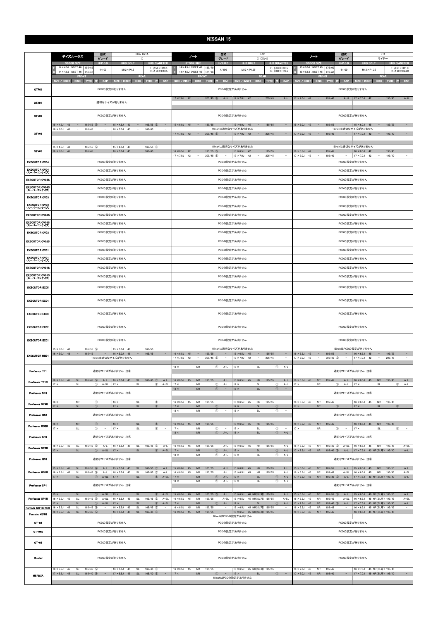|                                                              | 型式<br>DBA-B21A<br>デイズルークス<br>グレード                                                                                                  |                                                                                                                                                                                                                      |                                                                                                        |                                                                              | E12<br>型式<br>ノート<br>グレード<br>X DIG-S                                                                                            |                                                                |                                                                      |                                                          |                                                                                                                                                                                         |                                                            | 型式<br>E11<br>ノート<br>グレード<br>ライダー                                  |                                                                                                                                                                                                                    |                                |                                                     |                                                                                           |                                  |                                                            |  |
|--------------------------------------------------------------|------------------------------------------------------------------------------------------------------------------------------------|----------------------------------------------------------------------------------------------------------------------------------------------------------------------------------------------------------------------|--------------------------------------------------------------------------------------------------------|------------------------------------------------------------------------------|--------------------------------------------------------------------------------------------------------------------------------|----------------------------------------------------------------|----------------------------------------------------------------------|----------------------------------------------------------|-----------------------------------------------------------------------------------------------------------------------------------------------------------------------------------------|------------------------------------------------------------|-------------------------------------------------------------------|--------------------------------------------------------------------------------------------------------------------------------------------------------------------------------------------------------------------|--------------------------------|-----------------------------------------------------|-------------------------------------------------------------------------------------------|----------------------------------|------------------------------------------------------------|--|
|                                                              | <b>STOCK SIZE</b>                                                                                                                  | H/P. C.D                                                                                                                                                                                                             | <b>HUB BOLT</b>                                                                                        | <b>HUB DIAMETER</b>                                                          | <b>STOCK SIZE</b>                                                                                                              |                                                                | $H/P$ .C.D                                                           |                                                          | <b>HUB BOLT</b>                                                                                                                                                                         | <b>HUB DIAMETER</b>                                        |                                                                   | <b>STOCK SIZE</b>                                                                                                                                                                                                  |                                | $H/P$ .C.D                                          | <b>HUB BOLT</b>                                                                           |                                  | <b>HUB DIAMETER</b>                                        |  |
|                                                              | 14×4.5J INSET 46 155/65<br>14 × 4.5J INSET 46<br>155/65                                                                            | 4/100                                                                                                                                                                                                                | $M12 \times P1.5$                                                                                      | $F: \phi 56 \times H23.5$<br>$R: \phi$ 56 $\times$ H18.5                     | 14×4.5J INSET 40 185/70<br>14×4.5J INSET 40                                                                                    | 185/70                                                         | 4/100                                                                |                                                          | $M12 \times P1.25$                                                                                                                                                                      | $F: \phi$ 60 $\times$ H31.5<br>$R: \phi$ 60 $\times$ H23.5 |                                                                   | 15 × 5.5J INSET 45 175/60<br>15 × 5.5J INSET 45                                                                                                                                                                    | 175/60                         | 4/100                                               | $M12 \times P1.25$                                                                        |                                  | $F: \phi$ 60 $\times$ H31.0<br>$R: \phi$ 60 $\times$ H24.0 |  |
|                                                              | <b>FRONT</b><br>SIZE / INSET<br>DISK TYRE                                                                                          | CAP<br>SIZE / INSET                                                                                                                                                                                                  | <b>REAR</b><br><b>DISK</b>                                                                             | <b>TYRE</b><br>CAP<br>注                                                      | SIZE / INSET                                                                                                                   | <b>FRONT</b><br><b>DISK</b><br>TYRE                            | CAP<br>a.                                                            | SIZE / INSET                                             |                                                                                                                                                                                         | <b>REAR</b><br>CAP<br>DISK TYRE 注                          |                                                                   | SIZE / INSET                                                                                                                                                                                                       | <b>FRONT</b><br>DISK TYRE      | CAP<br><b>BEE</b>                                   | SIZE / INSET                                                                              | <b>REAR</b><br><b>DISK</b>       | CAP<br>TYRE 注                                              |  |
| GTF01                                                        |                                                                                                                                    | PCDの設定がありません                                                                                                                                                                                                         |                                                                                                        |                                                                              |                                                                                                                                |                                                                |                                                                      | PCDの設定がありません                                             |                                                                                                                                                                                         |                                                            |                                                                   |                                                                                                                                                                                                                    |                                | PCDの設定がありません                                        |                                                                                           |                                  |                                                            |  |
| GTX01                                                        |                                                                                                                                    | 適切なサイズがありません                                                                                                                                                                                                         |                                                                                                        |                                                                              | $17 \times 7.0$ J 42 -                                                                                                         |                                                                | $205/45$ (6)<br>$A-H$                                                | $17 \times 7.0$ J 42                                     | $\alpha = 1$                                                                                                                                                                            | 205/45                                                     | $A-H$                                                             | $17 \times 7.0$ J 42<br>$\alpha_{\rm{eff}}=0.01$                                                                                                                                                                   | 195/40                         | $A-H$                                               | $17 \times 7.0$ J 42                                                                      | 195/40<br>$\alpha=1/2$           | $A-H$                                                      |  |
| GTV03                                                        |                                                                                                                                    | PCDの設定がありません                                                                                                                                                                                                         |                                                                                                        |                                                                              |                                                                                                                                |                                                                |                                                                      | PCDの設定がありません                                             |                                                                                                                                                                                         |                                                            |                                                                   | PCDの設定がありません<br>185/55<br>$15 \times 6.0$ J 45<br>$\sim$                                                                                                                                                           |                                |                                                     |                                                                                           |                                  |                                                            |  |
| GTV02                                                        | $15 \times 4.5$ J 43<br>$165/55$ (5)<br>$\overline{\phantom{a}}$<br>$16 \times 5.0$ J 45<br>165/45<br>$\overline{\phantom{a}}$     | $15 \times 4.5$ J 43<br>$\overline{\phantom{a}}$<br>$16 \times 5.0$ J                                                                                                                                                | $\sim$<br>45<br>$\overline{\phantom{a}}$                                                               | $165/55$ (5)<br>$\sim$<br>165/45                                             | $15 \times 6.0$ J 45<br>$17 \times 7.0$ J 42 -                                                                                 | $\sim$<br>185/65                                               | $\sim$<br>16inchは適切なサイズがありません<br>$205/45$ 6<br>$\sim$ $-$            | $15 \times 6.0$ J 45<br>$17 \times 7.0$ J 42             | $\sim$<br>$\sim$                                                                                                                                                                        | 185/65<br>205/45                                           | $\overline{\phantom{a}}$<br>$\hspace{0.1mm}-\hspace{0.1mm}$       | $17 \times 7.0$ J 42 -                                                                                                                                                                                             | 185/55<br>195/40               | $\sim$<br>$\sim$                                    | $15 \times 6.0$ J 45<br>16inchは適切なサイズがありません<br>$17 \times 7.0$ J 42                       | $\sim$<br>$\sim$ $-$<br>195/40   | $\sim$<br>$\sim$                                           |  |
| GTV01                                                        | $15 \times 4.5$ J 43<br>$165/55$ (5)<br>$\sim$<br>$16 \times 5.0$ J 45<br>$\sim$<br>165/45                                         | $15 \times 4.5$ J<br>$16 \times 5.0$ J 45<br>$\overline{\phantom{a}}$                                                                                                                                                | 43<br>$\sim$                                                                                           | 165/55 (5)<br>$\sim$<br>165/45<br>$\equiv$                                   | $16 \times 6.5$ J 42                                                                                                           | $\alpha$ , $\alpha$ , $\alpha$                                 | 15inchは適切なサイズがありません<br>$195/55$ (5)<br>$\sim$                        | $16 \times 6.5$ J 42                                     | $\sim$                                                                                                                                                                                  | 195/55                                                     | $\overline{\phantom{a}}$                                          | $16 \times 6.5$ J 42 -                                                                                                                                                                                             | 195/45                         |                                                     | 15inchは適切なサイズがありません<br>$16 \times 6.5$ J<br>42                                            | 195/45<br>$\sim$                 |                                                            |  |
| <b>EXECUTOR CV04</b>                                         |                                                                                                                                    | PCDの設定がありません                                                                                                                                                                                                         |                                                                                                        |                                                                              | $17 \times 7.0$ J 42                                                                                                           | $\sim$                                                         | $205/45$ (6)<br>$\sim$                                               | $17 \times 7.0$ J 42<br>PCDの設定がありません                     | $\sim$                                                                                                                                                                                  | 205/45                                                     | $\overline{\phantom{a}}$                                          | $17 \times 7.0$ J 42<br>$\sim$<br>195/40<br>$\sim$<br>$17 \times 7.0$ J 42<br>$\sim$<br>195/40<br>$\sim$<br>PCDの設定がありません                                                                                           |                                |                                                     |                                                                                           |                                  |                                                            |  |
| EXECUTOR CV04<br>(スーパーコンケイブ)                                 |                                                                                                                                    | PCDの設定がありません                                                                                                                                                                                                         |                                                                                                        |                                                                              | PCDの設定がありません                                                                                                                   |                                                                |                                                                      |                                                          |                                                                                                                                                                                         |                                                            |                                                                   | PCDの設定がありません                                                                                                                                                                                                       |                                |                                                     |                                                                                           |                                  |                                                            |  |
| <b>EXECUTOR CV04S</b>                                        |                                                                                                                                    | PCDの設定がありません                                                                                                                                                                                                         |                                                                                                        |                                                                              | PCDの設定がありません                                                                                                                   |                                                                |                                                                      |                                                          |                                                                                                                                                                                         |                                                            |                                                                   | PCDの設定がありません                                                                                                                                                                                                       |                                |                                                     |                                                                                           |                                  |                                                            |  |
| <b>EXECUTOR CV04S</b><br>(スーパーコンケイブ)                         |                                                                                                                                    | PCDの設定がありません                                                                                                                                                                                                         |                                                                                                        |                                                                              |                                                                                                                                |                                                                |                                                                      | PCDの設定がありません                                             |                                                                                                                                                                                         |                                                            |                                                                   |                                                                                                                                                                                                                    |                                | PCDの設定がありません                                        |                                                                                           |                                  |                                                            |  |
| <b>EXECUTOR CV03</b>                                         |                                                                                                                                    |                                                                                                                                                                                                                      |                                                                                                        |                                                                              |                                                                                                                                | PCDの設定がありません                                                   |                                                                      |                                                          |                                                                                                                                                                                         |                                                            |                                                                   | PCDの設定がありません                                                                                                                                                                                                       |                                |                                                     |                                                                                           |                                  |                                                            |  |
| <b>EXECUTOR CV03</b>                                         |                                                                                                                                    |                                                                                                                                                                                                                      |                                                                                                        |                                                                              |                                                                                                                                | PCDの設定がありません                                                   |                                                                      |                                                          |                                                                                                                                                                                         |                                                            |                                                                   | PCDの設定がありません                                                                                                                                                                                                       |                                |                                                     |                                                                                           |                                  |                                                            |  |
| (スーパーコンケイブ)<br><b>EXECUTOR CV03S</b>                         |                                                                                                                                    |                                                                                                                                                                                                                      |                                                                                                        |                                                                              |                                                                                                                                | PCDの設定がありません                                                   |                                                                      |                                                          |                                                                                                                                                                                         |                                                            |                                                                   | PCDの設定がありません                                                                                                                                                                                                       |                                |                                                     |                                                                                           |                                  |                                                            |  |
| <b>EXECUTOR CV03S</b>                                        |                                                                                                                                    |                                                                                                                                                                                                                      |                                                                                                        |                                                                              |                                                                                                                                | PCDの設定がありません                                                   |                                                                      |                                                          |                                                                                                                                                                                         |                                                            |                                                                   | PCDの設定がありません                                                                                                                                                                                                       |                                |                                                     |                                                                                           |                                  |                                                            |  |
| (スーパーコンケイブ)<br><b>EXECUTOR CV02</b>                          |                                                                                                                                    |                                                                                                                                                                                                                      |                                                                                                        |                                                                              |                                                                                                                                |                                                                |                                                                      |                                                          |                                                                                                                                                                                         |                                                            |                                                                   |                                                                                                                                                                                                                    |                                |                                                     |                                                                                           |                                  |                                                            |  |
|                                                              |                                                                                                                                    |                                                                                                                                                                                                                      |                                                                                                        |                                                                              | PCDの設定がありません                                                                                                                   |                                                                |                                                                      |                                                          |                                                                                                                                                                                         |                                                            | PCDの設定がありません                                                      |                                                                                                                                                                                                                    |                                |                                                     |                                                                                           |                                  |                                                            |  |
| <b>EXECUTOR CV02S</b>                                        |                                                                                                                                    |                                                                                                                                                                                                                      |                                                                                                        |                                                                              | PCDの設定がありません                                                                                                                   |                                                                |                                                                      |                                                          |                                                                                                                                                                                         |                                                            | PCDの設定がありません                                                      |                                                                                                                                                                                                                    |                                |                                                     |                                                                                           |                                  |                                                            |  |
| <b>EXECUTOR CV01</b><br><b>EXECUTOR CV01</b>                 |                                                                                                                                    |                                                                                                                                                                                                                      |                                                                                                        |                                                                              |                                                                                                                                | PCDの設定がありません                                                   |                                                                      |                                                          |                                                                                                                                                                                         |                                                            |                                                                   | PCDの設定がありません                                                                                                                                                                                                       |                                |                                                     |                                                                                           |                                  |                                                            |  |
| (スーパーコンケイブ)                                                  |                                                                                                                                    |                                                                                                                                                                                                                      |                                                                                                        |                                                                              | PCDの設定がありません                                                                                                                   |                                                                |                                                                      |                                                          |                                                                                                                                                                                         |                                                            | PCDの設定がありません                                                      |                                                                                                                                                                                                                    |                                |                                                     |                                                                                           |                                  |                                                            |  |
| <b>EXECUTOR CV01S</b>                                        |                                                                                                                                    |                                                                                                                                                                                                                      |                                                                                                        |                                                                              | PCDの設定がありません                                                                                                                   |                                                                |                                                                      |                                                          | PCDの設定がありません                                                                                                                                                                            |                                                            |                                                                   |                                                                                                                                                                                                                    |                                |                                                     |                                                                                           |                                  |                                                            |  |
| <b>EXECUTOR CV01S</b><br>(スーパーコンケイブ)<br><b>EXECUTOR EX05</b> |                                                                                                                                    |                                                                                                                                                                                                                      |                                                                                                        |                                                                              | PCDの設定がありません<br>PCDの設定がありません                                                                                                   |                                                                |                                                                      |                                                          |                                                                                                                                                                                         |                                                            |                                                                   |                                                                                                                                                                                                                    |                                |                                                     |                                                                                           |                                  |                                                            |  |
|                                                              |                                                                                                                                    |                                                                                                                                                                                                                      | PCDの設定がありません                                                                                           |                                                                              |                                                                                                                                |                                                                |                                                                      |                                                          |                                                                                                                                                                                         | PCDの設定がありません                                               |                                                                   |                                                                                                                                                                                                                    |                                |                                                     |                                                                                           |                                  |                                                            |  |
| <b>EXECUTOR EX04</b>                                         |                                                                                                                                    |                                                                                                                                                                                                                      | PCDの設定がありません                                                                                           |                                                                              |                                                                                                                                |                                                                |                                                                      |                                                          |                                                                                                                                                                                         |                                                            |                                                                   |                                                                                                                                                                                                                    |                                |                                                     |                                                                                           |                                  |                                                            |  |
| <b>EXECUTOR EX03</b>                                         | PCDの設定がありません                                                                                                                       |                                                                                                                                                                                                                      |                                                                                                        |                                                                              |                                                                                                                                |                                                                |                                                                      | PCDの設定がありません                                             |                                                                                                                                                                                         |                                                            |                                                                   |                                                                                                                                                                                                                    |                                | PCDの設定がありません                                        |                                                                                           |                                  |                                                            |  |
| <b>EXECUTOR EX02</b>                                         | PCDの設定がありません                                                                                                                       |                                                                                                                                                                                                                      |                                                                                                        |                                                                              |                                                                                                                                | PCDの設定がありません                                                   |                                                                      |                                                          |                                                                                                                                                                                         |                                                            |                                                                   |                                                                                                                                                                                                                    |                                | PCDの設定がありません                                        |                                                                                           |                                  |                                                            |  |
| <b>EXECUTOR EX01</b>                                         |                                                                                                                                    | PCDの設定がありません                                                                                                                                                                                                         |                                                                                                        |                                                                              | PCDの設定がありません                                                                                                                   |                                                                |                                                                      |                                                          |                                                                                                                                                                                         |                                                            |                                                                   |                                                                                                                                                                                                                    |                                | PCDの設定がありません                                        |                                                                                           |                                  |                                                            |  |
| <b>EXECUTOR MB01</b>                                         | $15 \times 5.0$ J 48<br>$165/55$ (5)<br>$\sim$<br>$16 \times 5.0$ J 48<br>$\overline{\phantom{a}}$<br>165/45                       | $15 \times 5.0$ J<br>$\sim$<br>$-$ 16 $\times$ 5.0J 48<br>17inchは適切なサイズがありません                                                                                                                                        | 48<br>$\overline{\phantom{a}}$                                                                         | 165/55<br>165/45<br>$\equiv$                                                 | $16 \times 6.5$ J 45<br>$17 \times 7.0$ J<br>42                                                                                | $\alpha_{\rm{eff}}=0.01$<br>195/55<br>$\overline{\phantom{a}}$ | 15inchは適切なサイズがありません<br>$205/45$ (5)                                  | $16 \times 6.5$ J 45<br>$17 \times 7.0$ J                | $\sim$<br>42                                                                                                                                                                            | 195/55<br>205/45                                           | $\sim$<br>$\sim$                                                  | 15inchはPCDの設定がありません<br>$16 \times 6.5$ J 45<br>$\alpha \rightarrow \alpha$<br>195/55<br>$16 \times 6.5$ J 45<br>195/55<br>$17 \times 7.0$ J<br>$205/45$ (5)<br>$17 \times 7.0$ J<br>42<br>42<br>205/45<br>$\alpha$ |                                |                                                     |                                                                                           |                                  | $\overline{a}$                                             |  |
| Professor TF1                                                |                                                                                                                                    | 適切なサイズがありません 注4                                                                                                                                                                                                      |                                                                                                        |                                                                              | $18 \times$                                                                                                                    | <b>NR</b>                                                      | $\circledcirc$<br>$A-L$                                              | $18 \times$                                              | SL                                                                                                                                                                                      | $\circled{1}$                                              | $A-L$                                                             |                                                                                                                                                                                                                    |                                |                                                     | 適切なサイズがありません 注4                                                                           |                                  |                                                            |  |
| Professor TF1R                                               | $16 \times 5.5$ J 45<br>SL<br>$165/45$ (5)<br>$17 \times$<br>SL                                                                    | A-L   $16 \times 5.5$ J 45<br>$(1)$ A-SL<br>$17 \times$                                                                                                                                                              | SL<br>SL                                                                                               | $165/45$ (5)<br>$A-L$<br>$^\circledR$<br>$A-SL$                              | $16 \times 6.5$ J 45<br>$17 \times$                                                                                            | <b>NR</b><br>195/55<br><b>NR</b>                               | $A-L$<br>$^\circledR$<br>$A-L$                                       | $16 \times 6.5$ J 45<br>$17 \times$                      | <b>NR</b><br>SL                                                                                                                                                                         | 195/55<br>$^{\circ}$                                       | $A-L$<br>$17 \times$                                              | $16 \times 6.5$ J 45<br><b>NR</b>                                                                                                                                                                                  | 195/45                         | $A-L$<br>$A-L$                                      | $16 \times 6.5$ J 45<br>$17 \times$                                                       | <b>NR</b><br>195/45<br>SL        | $A-L$<br>$^{\circ}$<br>A-L                                 |  |
| Professor SP4                                                |                                                                                                                                    | 適切なサイズがありません 注4                                                                                                                                                                                                      |                                                                                                        |                                                                              | $A-L$<br>$\circled{1}$<br>SL<br>$\circled{1}$<br><b>NR</b><br>$\sim$<br>$\overline{\phantom{a}}$<br>$18 \times$<br>$18 \times$ |                                                                |                                                                      |                                                          |                                                                                                                                                                                         |                                                            |                                                                   | <b>NR</b><br>$\circled{1}$<br>適切なサイズがありません 注4                                                                                                                                                                      |                                |                                                     |                                                                                           |                                  |                                                            |  |
| Professor SP4R                                               | <b>NR</b><br>$16 \times$<br>$17 \times$<br>$\mathsf{SL}% _{2}\left( \mathbb{Z}\right)$                                             | $^{\circ}$<br>$16 \times$<br>$\sim$<br>$\circled{1}$ -<br>$ 17 \times$                                                                                                                                               | $\mathsf{SL}% _{2}\left( \mathbb{Z}\right)$<br>SL                                                      | $^\circledR$<br>$\overline{\phantom{m}}$<br>$\circled{1}$<br>$\sim$          | $16 \times 6.5J$<br>45<br>$17 \times$                                                                                          | <b>NR</b><br>195/55<br>${\sf NR}$                              | $\overline{\phantom{a}}$<br>$\circled{1}$                            | $16 \times 6.5$ J<br>$17 \times$                         | <b>NR</b><br>45<br>$\mathsf{SL}% _{2}\left( \mathbb{Z}\right)$                                                                                                                          | 195/55<br>$\circled{1}$                                    | $\overline{\phantom{a}}$<br>$17 \times$                           | $16 \times 6.5$ J 45<br><b>NR</b><br>${\sf NR}$                                                                                                                                                                    | 195/45                         | $\overline{\phantom{a}}$<br>$\circled{1}$<br>$\sim$ | $16 \times 6.5$ J<br>45<br>$17 \times$                                                    | <b>NR</b><br>195/45<br>SL        | $\circled{1}$ -                                            |  |
| <b>Professor MS3</b>                                         |                                                                                                                                    | 適切なサイズがありません 注4                                                                                                                                                                                                      |                                                                                                        |                                                                              | $18 \times$<br><b>NR</b><br>$\circledcirc$<br>$18 \times$<br>SL<br>$\circled{1}$<br>$\sim$<br>$\overline{\phantom{a}}$         |                                                                |                                                                      |                                                          |                                                                                                                                                                                         |                                                            |                                                                   |                                                                                                                                                                                                                    |                                |                                                     | 適切なサイズがありません 注4                                                                           |                                  |                                                            |  |
| Professor MS3R                                               | ${\sf NR}$<br>$16 \times$<br>$17 \times$<br>$\mathsf{SL}% _{2}\left( \mathbb{Z}\right)$                                            | $\circled{1}$ - 16 x<br>$^{\circ}$<br>$17 \times$<br>$\sim$                                                                                                                                                          | $\mathsf{SL}% _{2}\left( \mathbb{Z}\right)$<br><b>SL</b>                                               | $\circled{1}$<br>$\sim$<br>$^{\circ}$<br>$\sim$                              | $16 \times 6.5$ J 45<br>$17 \times$                                                                                            | $\sf NR$<br>195/55<br><b>NR</b>                                | $\overline{\phantom{a}}$<br>$^\circledR$<br>$\overline{\phantom{a}}$ | $16 \times 6.5$ J 45<br>$17 \times$                      | ${\sf NR}$<br>SL                                                                                                                                                                        | 195/55<br>$^{\circ}$                                       | $\hspace{0.1mm}-\hspace{0.1mm}$<br>$\sim$<br>$17 \times$          | $16 \times 6.5$ J 45<br><b>NR</b><br><b>NR</b>                                                                                                                                                                     | 195/45                         | $\sim$<br>$\circled{1}$<br>$\sim$                   | $16 \times 6.5$ J 45<br>$17 \times$                                                       | <b>NR</b><br>195/45<br>SL        | $\sim$<br>$\sim$<br>$^{\circ}$                             |  |
| Professor SP3                                                |                                                                                                                                    | 適切なサイズがありません 注4                                                                                                                                                                                                      |                                                                                                        |                                                                              | $18 \times$                                                                                                                    | <b>NR</b>                                                      | $\circled{1}$<br>$A-L$                                               | $18 \times$                                              | SL                                                                                                                                                                                      | $\circled{1}$                                              | $A-L$                                                             |                                                                                                                                                                                                                    |                                |                                                     | 適切なサイズがありません 注4                                                                           |                                  |                                                            |  |
| Professor SP3R                                               | $16 \times 5.5$ J 45<br><b>SL</b><br>$165/45$ (5)<br>$17 \times$<br>$\mathsf{SL}% _{2}\left( \mathbb{Z}\right)$                    | $A-L$<br>$16 \times 5.5$ J<br>$\circled{1}$ A-SL   17 x                                                                                                                                                              | 45<br>$\mathsf{SL}% _{2}\left( \mathcal{M}\right)$<br>SL                                               | $165/45$ (5)<br>$A-L$<br>$\circled{1}$<br>$A-SL$                             | $16 \times 6.5$ J<br>45<br>$17 \times$                                                                                         | <b>NR</b><br>195/55<br><b>NR</b>                               | $A-L$<br>$\circled{1}$<br>$A-L$                                      | $16 \times 6.5$ J<br>$17 \times$                         | <b>NR</b><br>45<br>$\mathsf{SL}% _{2}\left( \mathbb{Z}\right)$                                                                                                                          | 195/55<br>$\circled{1}$                                    | $A-L$<br>$16 \times 6.5$ J<br>$A-L$                               | 45<br><b>NR</b><br>$17 \times 7.5$ J 43<br><b>NR</b>                                                                                                                                                               | 195/45 5<br>195/40 (5)         | $A-SL$                                              | $16 \times 6.5$ J 45<br>A-L   17 × 7.5J 43 NR(SL可) 195/40                                 | <b>NR</b><br>195/45              | $A-SL$<br>$A-L$                                            |  |
| Professor MS1                                                |                                                                                                                                    | 適切なサイズがありません 注4                                                                                                                                                                                                      |                                                                                                        |                                                                              | $18 \times$                                                                                                                    | <b>NR</b>                                                      | $\circled{1}$<br>$A-L$                                               | $18 \times$                                              | <b>SL</b>                                                                                                                                                                               | $\circled{1}$                                              | $A-L$                                                             |                                                                                                                                                                                                                    |                                |                                                     | 適切なサイズがありません 注4                                                                           |                                  |                                                            |  |
| Professor MS1R                                               | $15 \times 5.5$ J 45<br>165/55 6<br><b>SL</b><br>$16 \times 5.5$ J<br>$165/45$ (5)<br>45<br>SL<br>$17 \times$<br><b>SL</b>         | $A-L$<br>$15 \times 5.5$ J 45<br>$A-L$<br>$16 \times 5.5$ J<br>$\circledcirc$<br>$A-SL$<br>$ 17 \times$                                                                                                              | SL<br>$\mathsf{SL}% _{2}\left( \mathbb{Z}\right)$<br>45<br>$\mathsf{SL}% _{2}\left( \mathbb{Z}\right)$ | 165/55 6<br>$A-L$<br>$165/45$ (5)<br>$A-L$<br>$\circled{1}$<br>$A-SL$        | $15 \times 6.0J$<br>45<br>$16 \times 6.5$ J<br>45<br>$17 \times$                                                               | ${\sf NR}$<br>185/65<br>NR<br>195/55<br>${\sf NR}$             | $A-H$<br>$A-L$<br>$A-L$<br>$\circled{1}$                             | $15 \times 6.0$ J 45<br>$16 \times 6.5$ J<br>$17 \times$ | <b>NR</b><br>45<br>NR<br>$\mathsf{SL}% _{2}\left( \mathbb{Z}\right)$                                                                                                                    | 185/65<br>195/55<br>$\circled{1}$                          | $A-H$<br>$15 \times 6.0$ J<br>$A-L$<br>$16 \times 6.5$ J<br>$A-L$ | <b>NR</b><br>45<br>45<br><b>NR</b><br>$17 \times 7.5$ J 43<br><b>NR</b>                                                                                                                                            | 185/55<br>195/45<br>195/40 (5) | $A-L$<br>$A-SL$<br>$A-L$                            | $15 \times 6.0$ J 45<br>$16 \times 6.5$ J<br>45<br>  17 × 7.5J 43 NR(SL可) 195/40          | <b>NR</b><br><b>NR</b><br>195/45 | $A-L$<br>185/55<br>$A-SL$<br>$A-L$                         |  |
| Professor SP1                                                |                                                                                                                                    | 適切なサイズがありません 注4                                                                                                                                                                                                      |                                                                                                        |                                                                              | $18 \times$                                                                                                                    | <b>NR</b>                                                      | $\circled{1}$<br>$A-L$                                               | $18 \times$                                              | $\mathsf{SL}% _{2}\left( \mathbb{Z}\right)$                                                                                                                                             | $\circled{1}$                                              | $A-L$                                                             |                                                                                                                                                                                                                    |                                |                                                     | 適切なサイズがありません 注4                                                                           |                                  |                                                            |  |
| Professor SP1R                                               | $15 \times$<br><b>SL</b><br>$16 \times 5.5$ J<br><b>SL</b><br>$165/45$ 5<br>45<br>$17 \times$<br><b>SL</b>                         | $\circled{1}$ A-SL<br>$15 \times$<br>$A-SL$<br>$16 \times 5.5$ J<br>$^{\circ}$<br>$A-SL$<br>$17 \times$                                                                                                              | SL<br>45<br>SL<br>SL                                                                                   | $A-SL$<br>$\circled{1}$<br>$165/45$ (5)<br>$A-SL$<br>$\circled{1}$<br>$A-SL$ | $15 \times 6.5$ J 40<br>$16 \times 6.5J$<br>45<br>$17 \times$                                                                  | <b>NR</b><br><b>NR</b><br>195/55<br><b>NR</b>                  | 185/65 5<br>$A-L$<br>$A-SL$<br>$\circled{1}$<br>$A-L$                | $16 \times 6.5$ J<br>$17 \times$                         | 15 × 6.5J 40 NR(SL可) 185/65<br>45 NR(SL可) 195/55<br><b>SL</b>                                                                                                                           | $\circled{1}$                                              | $A-L$<br>$A-SL$<br>$16 \times 6.5$ J<br>$A-L$<br>$17 \times 7.5J$ | $15 \times 6.5$ J 40<br><b>NR</b><br>45<br><b>NR</b><br>43<br><b>NR</b>                                                                                                                                            | 185/55 5<br>195/45<br>195/40 5 | $A-L$<br>$A-SL$<br>$A-L$                            | 15 × 6.5J 40 NR(SL可) 185/55<br>16 × 6.5J 45 NR(SL可) 195/45<br>17 × 7.5J 43 NR(SL可) 195/40 |                                  | $A-L$<br>$A-SL$<br>$A-L$                                   |  |
| Formula MK-III NEO                                           | $165/45$ 5<br>$16 \times 5.5$ J<br>SL<br>45<br>$16 \times 5.5$ J 45<br>$\mathsf{SL}% _{2}\left( \mathbb{Z}\right)$<br>$165/45$ (5) | $16 \times 5.5$ J<br>$16 \times 5.5$ J<br>$\overline{\phantom{a}}$                                                                                                                                                   | $\mathsf{SL}% _{2}\left( \mathbb{Z}\right)$<br>45<br>$\mathsf{SL}% _{2}\left( \mathbb{Z}\right)$<br>45 | 165/45 5<br>$\sim$<br>165/45 5<br>$\overline{\phantom{a}}$                   | $16 \times 6.5$ J<br>45<br>$16 \times 6.5$ J<br>45                                                                             | <b>NR</b><br>195/55<br>${\sf NR}$<br>195/55                    | $\sim$                                                               | $16 \times 6.5$ J                                        | 45 NR(SL可) 195/55<br>16 × 6.5J 45 NR(SL可) 195/55                                                                                                                                        |                                                            | $16 \times 6.5$ J<br>$\sim$<br>$16 \times 6.5$ J                  | 45<br><b>NR</b><br>45<br>${\sf NR}$                                                                                                                                                                                | 195/45<br>195/45               | $\overline{\phantom{a}}$                            | $16 \times 6.5$ J<br>16 × 6.5J 45 NR(SL可) 195/45                                          | 45 NR(SL可) 195/45                | $\sim$<br>$\sim$                                           |  |
| <b>Formula MESH</b>                                          |                                                                                                                                    |                                                                                                                                                                                                                      |                                                                                                        |                                                                              |                                                                                                                                |                                                                | 18inchはPCDの設定がありません                                                  |                                                          |                                                                                                                                                                                         |                                                            |                                                                   |                                                                                                                                                                                                                    |                                |                                                     |                                                                                           |                                  |                                                            |  |
| $GT-04$                                                      |                                                                                                                                    | PCDの設定がありません                                                                                                                                                                                                         |                                                                                                        |                                                                              |                                                                                                                                |                                                                |                                                                      | PCDの設定がありません                                             |                                                                                                                                                                                         |                                                            |                                                                   |                                                                                                                                                                                                                    |                                | PCDの設定がありません                                        |                                                                                           |                                  |                                                            |  |
| GT-04S                                                       | PCDの設定がありません                                                                                                                       |                                                                                                                                                                                                                      |                                                                                                        |                                                                              |                                                                                                                                |                                                                |                                                                      | PCDの設定がありません                                             |                                                                                                                                                                                         |                                                            |                                                                   |                                                                                                                                                                                                                    |                                | PCDの設定がありません                                        |                                                                                           |                                  |                                                            |  |
| $GT-03$                                                      |                                                                                                                                    | PCDの設定がありません                                                                                                                                                                                                         |                                                                                                        |                                                                              |                                                                                                                                |                                                                |                                                                      | PCDの設定がありません                                             |                                                                                                                                                                                         |                                                            |                                                                   |                                                                                                                                                                                                                    |                                |                                                     |                                                                                           |                                  |                                                            |  |
| Mueller                                                      | PCDの設定がありません                                                                                                                       |                                                                                                                                                                                                                      |                                                                                                        |                                                                              |                                                                                                                                | PCDの設定がありません                                                   |                                                                      |                                                          |                                                                                                                                                                                         |                                                            |                                                                   | PCDの設定がありません                                                                                                                                                                                                       |                                |                                                     |                                                                                           |                                  |                                                            |  |
| <b>MERISIA</b>                                               | $165/45$ 5<br>$16 \times 5.5$ J<br>45<br>SL<br>$17 \times 5.5$ J 45<br>SL<br>$165/40$ (5)                                          | 16 × 6.5J 45 NR(SL可) 195/55<br>$16 \times 6.5$ J<br>45<br><b>NR</b><br>195/55<br>$\sim$<br>$\sim$<br>$\circled{1}$ -   17 x<br>$17 \times$<br>${\sf NR}$<br>SL<br>$\circled{1}$<br>$\sim$ $-$<br>18inchはPCDの設定がありません |                                                                                                        |                                                                              |                                                                                                                                |                                                                |                                                                      |                                                          | $16 \times 7.0$ J 45<br><b>NR</b><br>195/45<br>16 × 7.0J 45 NR(SL可) 195/45<br>$\sim$<br>$17 \times 7.0$ J 45<br>${\sf NR}$<br>195/40<br>17 × 7.0J 45 NR(SL可) 195/40<br>$\sim$<br>$\sim$ |                                                            |                                                                   |                                                                                                                                                                                                                    |                                |                                                     |                                                                                           |                                  |                                                            |  |
|                                                              |                                                                                                                                    |                                                                                                                                                                                                                      |                                                                                                        |                                                                              |                                                                                                                                |                                                                |                                                                      |                                                          |                                                                                                                                                                                         |                                                            |                                                                   |                                                                                                                                                                                                                    |                                |                                                     |                                                                                           |                                  |                                                            |  |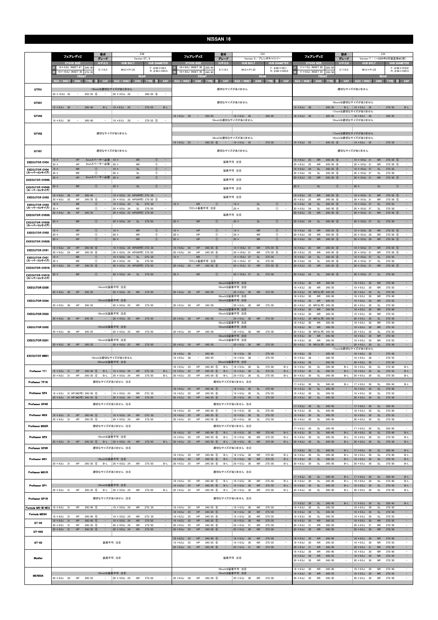|                                      | フェアレディス                                                                                    | 型式<br>グレード                                                  | Z34<br>Version ST, S                                             |                                                                                     | 型式<br>Z33<br>フェアレディス<br>グレード<br>Version S / ブレンボキャリパー              |                                                                           | 型式<br>フェアレディス<br>グレード                                                                           |                                                              |                                                                                                                                      |                                                 | Z33<br>Version T / (~2005年8月製造車MC前) |                                    |                                                      |                                      |                            |                                                          |
|--------------------------------------|--------------------------------------------------------------------------------------------|-------------------------------------------------------------|------------------------------------------------------------------|-------------------------------------------------------------------------------------|--------------------------------------------------------------------|---------------------------------------------------------------------------|-------------------------------------------------------------------------------------------------|--------------------------------------------------------------|--------------------------------------------------------------------------------------------------------------------------------------|-------------------------------------------------|-------------------------------------|------------------------------------|------------------------------------------------------|--------------------------------------|----------------------------|----------------------------------------------------------|
|                                      | <b>STOCK SIZE</b>                                                                          | H/P. C.D                                                    | <b>HUB BOLT</b>                                                  | <b>HUB DIAMETER</b>                                                                 | <b>STOCK SIZE</b>                                                  | H/P. C.D                                                                  | <b>HUB BOLT</b>                                                                                 | <b>HUB DIAMETER</b>                                          |                                                                                                                                      | <b>STOCK SIZE</b>                               |                                     | $H/P$ .C.D                         | <b>HUB BOLT</b>                                      |                                      | <b>HUB DIAMETER</b>        |                                                          |
|                                      | 19 × 9.0J INSET 47 245/40<br>19 × 10.0J INSET 30<br>275/3                                  | 5/114.3                                                     | $M12 \times P1.25$                                               | $F: \phi$ 66 $\times$ H9.5<br>$R: \phi$ 66 $\times$ H25.5                           | 18 × 8.0J INSET 30 225/45<br>18 × 8.0J INSET 30                    | 5/114.3<br>245/4                                                          | $M12 \times P1.25$                                                                              | $F: \phi$ 66 $\times$ H9.7<br>$R: \phi$ 66 $\times$ H25.0    |                                                                                                                                      | 17 × 7.5J INSET 30 225/50<br>17 × 8.0J INSET 33 | 235/5                               | 5/114.3                            | $M12 \times P1.25$                                   |                                      |                            | $F: \phi 66 \times H10.0$<br>$R: \phi$ 66 $\times$ H25.5 |
|                                      | SIZE / INSET<br><b>DISK</b><br><b>TYRE</b>                                                 | CAP                                                         | <b>REAR</b><br>SIZE / INSET<br><b>DISK</b>                       | TYRE 注<br>CAP                                                                       | FRON<br><b>SIZE / INSET</b><br><b>DISK</b>                         | <b>CAP</b><br><b>TYRE</b><br>æ                                            | SIZE / INSET<br><b>DISK</b>                                                                     | <b>REA!</b><br>TYRE 注<br>CAP                                 | SIZE / INSET                                                                                                                         | FROM<br><b>DISK</b>                             | <b>TYRE</b><br>注                    | CAP                                | SIZE / INSET                                         | <b>REAR</b>                          | DISK TYRE 注                | CAP                                                      |
| GTF01                                |                                                                                            |                                                             | 19inchは適切なサイズがありません                                              |                                                                                     |                                                                    |                                                                           | 適切なサイズがありません                                                                                    |                                                              |                                                                                                                                      |                                                 |                                     |                                    | 適切なサイズがありません                                         |                                      |                            |                                                          |
|                                      | 20 × 10.0J 35<br>$255/35$ (6)<br>$\overline{\phantom{a}}$                                  | $\sim$                                                      | 20 × 10.5J 20<br>$\sim$                                          | $285/30$ (6)<br>$\overline{\phantom{a}}$                                            |                                                                    |                                                                           |                                                                                                 |                                                              |                                                                                                                                      |                                                 |                                     |                                    |                                                      |                                      |                            |                                                          |
| GTX01                                | $19 \times 8.5$ J 38<br>$\sim$<br>245/40                                                   | $B-L$                                                       | $19 \times 9.5$ J 25<br>$\sim$ $-$                               | 275/35<br>$B-L$                                                                     |                                                                    |                                                                           | 適切なサイズがありません                                                                                    |                                                              | 18inchは適切なサイズがありません<br>$19 \times 8.5$ J 38<br>$\sim$<br>245/35<br>$B-L$   19 $\times$ 9.5J 35<br>$\sim$<br>275/35<br>$B-L$          |                                                 |                                     |                                    |                                                      |                                      |                            |                                                          |
|                                      |                                                                                            |                                                             |                                                                  |                                                                                     |                                                                    |                                                                           |                                                                                                 |                                                              | 17inchは適切なサイズがありません<br>$\overline{\phantom{a}}$                                                                                      |                                                 |                                     |                                    |                                                      |                                      |                            |                                                          |
| GTV03                                | $19 \times 8.5$ J<br>245/40<br>38                                                          |                                                             | $19 \times 9.5$ J<br>-20                                         | $275/35$ (5)<br>$\overline{\phantom{a}}$                                            | $18 \times 8.5$ J 30<br>$\sim$                                     | 225/45                                                                    | $18 \times 8.5$ J 30<br>$\sim$<br>19inchは適切なサイズがありません                                           | 245/45                                                       | $18 \times 8.5$ J 30<br>225/45<br>245/45<br>$\overline{\phantom{a}}$<br>- 1<br>$18 \times 8.5$ J 30<br>$\sim$<br>19inchは適切なサイズがありません |                                                 |                                     |                                    |                                                      |                                      |                            |                                                          |
|                                      |                                                                                            |                                                             |                                                                  |                                                                                     |                                                                    |                                                                           |                                                                                                 |                                                              |                                                                                                                                      |                                                 |                                     |                                    |                                                      |                                      |                            |                                                          |
| GTV02                                |                                                                                            |                                                             | 適切なサイズがありません                                                     |                                                                                     |                                                                    |                                                                           | 18inchは適切なサイズがありません                                                                             |                                                              | 17inchは適切なサイズがありません<br>18inchは適切なサイズがありません                                                                                           |                                                 |                                     |                                    |                                                      |                                      |                            |                                                          |
|                                      |                                                                                            |                                                             |                                                                  |                                                                                     | $19 \times 8.5$ J 25<br>$\alpha = 1$                               | $245/35$ (6)<br>$\sim$                                                    | $19 \times 9.5$ J 35<br>$\sim$                                                                  | 275/35<br>$\overline{\phantom{a}}$                           | $19 \times 8.5$ J 25<br>$\alpha \rightarrow \alpha$<br>$245/35$ (6)<br>$19 \times 9.5$ J 35<br>275/35<br>$\sim$<br>$\sim$            |                                                 |                                     |                                    |                                                      |                                      |                            |                                                          |
| GTV01                                |                                                                                            |                                                             | 適切なサイズがありません                                                     |                                                                                     |                                                                    |                                                                           | 適切なサイズがありません                                                                                    |                                                              |                                                                                                                                      |                                                 |                                     |                                    | 適切なサイズがありません                                         |                                      |                            |                                                          |
| <b>EXECUTOR CV04</b>                 | HP<br>$19 \times$<br>$20 \times$<br>HP                                                     | 5mmスペーサー必要   19 ×<br>3mmスペーサー必要   20 ×                      | <b>NR</b><br>NR                                                  | $\circled{0}$<br>$\overline{\phantom{a}}$<br>$^{\circ}$<br>$\overline{\phantom{a}}$ |                                                                    |                                                                           | 装着不可 注8                                                                                         |                                                              | $19 \times 8.5$ J<br>25<br>$20 \times 8.5J$<br>25                                                                                    | <b>NR</b><br><b>NR</b>                          | 245/35<br>6<br>$245/30$ 6           | $\sim$<br>$\overline{\phantom{a}}$ | 19 × 10.0J 31<br>20 × 10.0J 31                       | <b>NR</b><br><b>NR</b>               | $275/35$ 5<br>$275/30$ (5) | $\sim$<br>$\sim$                                         |
| <b>EXECUTOR CV04</b><br>(スーパーコンケイブ)  | <b>NR</b><br>$19 \times$<br>$20 \times$<br><b>NR</b>                                       | $^{\circ}$<br>$^{\circ}$<br>$\sim$                          | <b>SL</b><br>$19 \times$<br>$20 \times$<br><b>SL</b>             | $\circled{1}$<br>$\sim$<br>$^\circledR$<br>$\qquad \qquad -$                        |                                                                    |                                                                           | 装着不可 注8                                                                                         |                                                              | $19 \times 9.0J$<br>24<br>$20 \times 9.0$ J<br>-24                                                                                   | <b>SL</b><br>SL                                 | 245/35<br>6<br>$245/30$ (6)         |                                    | 19 × 10.0J 37<br>$20 \times 10.0$ J 37               | <b>SL</b><br><b>SL</b>               | 275/35<br>275/30           | ÷,<br>$\overline{\phantom{a}}$                           |
| <b>EXECUTOR CV04S</b>                | HP<br>$20 \times$                                                                          | 5mmスペーサー必要 20 x                                             | <b>NR</b>                                                        | $\circled{0}$<br>$\sim$                                                             |                                                                    |                                                                           | 装着不可 注8                                                                                         |                                                              | $20 \times 8.5$ J<br>25                                                                                                              | <b>NR</b>                                       | $245/30$ 6                          |                                    | 20 × 10.0J 31                                        | ${\sf NR}$                           | $275/30$ (5)               | $\sim$                                                   |
| <b>EXECUTOR CV04S</b><br>(スーパーコンケイブ) | <b>NR</b><br>$20 \times$                                                                   | (1)<br>$\overline{\phantom{a}}$                             | <b>SL</b><br>$20 \times$                                         | (1)<br>$\sim$                                                                       |                                                                    |                                                                           | 装着不可 注8                                                                                         |                                                              | $20 \times$                                                                                                                          | <b>SL</b>                                       | $\circ$                             | $\overline{\phantom{a}}$           | $20 \times$                                          | <b>SL</b>                            | $\circled{1}$              | $\sim$                                                   |
| <b>EXECUTOR CV03</b>                 | $19 \times 9.0$ J 36<br>HP<br>245/40                                                       |                                                             | 19 × 10.0J 23 HP(NR可) 275/.35                                    | $\overline{\phantom{a}}$                                                            |                                                                    |                                                                           | 装着不可 注8                                                                                         |                                                              | $19 \times 8.5$ J<br>25                                                                                                              | <b>NR</b>                                       | $245/35$ 6                          |                                    | 19 × 10.0J 31                                        | <b>NR</b>                            | $275/35$ (5)               | $\overline{\phantom{a}}$                                 |
| <b>EXECUTOR CV03</b>                 | $245/35$ (5)<br>$20 \times 9.0$ J<br>33<br>HP<br>$19 \times$<br><b>NR</b>                  | $^\circledR$                                                | 20 × 10.0J 20 HP(NR可) 275/30 5<br>19 × 10.0J 24<br><b>SL</b>     | 275/.35<br>$\overline{\phantom{a}}$                                                 | <b>NR</b><br>$19 \times$                                           | $\bigcirc$                                                                | <b>SL</b><br>$19 \times$                                                                        | $\circled{1}$                                                | $20 \times 8.5$ J<br>25<br>$19 \times 9.0J$<br>24                                                                                    | NR<br><b>SL</b>                                 | $245/30$ 6<br>245/35<br>6           |                                    | 20 × 10.0J 31<br>$19 \times 10.0$ J 37               | NR<br><b>SL</b>                      | $275/30$ (5)<br>275/35     | -                                                        |
| (スーパーコンケイブ)<br><b>EXECUTOR CV03S</b> | $20 \times$<br><b>NR</b><br>HP<br>245/35<br>$20 \times 9.0$ J 36                           | $\circ$                                                     | 20 × 10.0J 24<br>-SL<br>20 × 10.0J 23 HP(NR可) 275/30             | 275/30<br>$\overline{\phantom{a}}$                                                  | フロント装着不可 注8                                                        |                                                                           | $20 \times$<br><b>SL</b><br>装着不可 注8                                                             | $\circled{1}$<br>$\sim$                                      | $20 \times 9.0$ J<br>24<br>$20 \times 8.5J$<br>25                                                                                    | -SL<br><b>NR</b>                                | $245/30$ 6<br>$245/30$ 6            |                                    | 20 × 10.0J 37<br>$20 \times 10.0$ J 31               | SL<br><b>NR</b>                      | 275/30<br>275/30 5         | $\overline{\phantom{a}}$<br>$\equiv$                     |
| <b>EXECUTOR CV03S</b>                | $20 \times$<br><b>NR</b>                                                                   | $\circled{1}$                                               | $20 \times 10.0$ J 24<br>SL                                      | 275/30                                                                              | $20 \times$<br><b>NR</b>                                           | $\circ$                                                                   | <b>SL</b><br>$20 \times$                                                                        | $\circled{1}$                                                | $20 \times 9.0J$<br>24                                                                                                               | <b>SL</b>                                       | $245/30$ 6                          |                                    | 20 × 10.0J 37                                        | SL                                   | 275/30                     | $\overline{\phantom{a}}$                                 |
| (スーパーコンケイブ)                          | HP<br>$19 \times$                                                                          | $\circled{1}$<br>$\overline{\phantom{a}}$                   | $19 \times$<br><b>NR</b>                                         | $^{\circ}$<br>$\equiv$                                                              | $19 \times$<br>HP                                                  | $\circled{1}$                                                             | $19 \times$<br><b>NR</b>                                                                        | $\circled{1}$<br>$\sim$                                      | $19 \times 9.0J$<br>29                                                                                                               | <b>NR</b>                                       | $245/35$ (5)                        |                                    | $19 \times 10.0$ J 29                                | <b>NR</b>                            | $275/35$ (5)               | $\overline{\phantom{a}}$                                 |
| <b>EXECUTOR CV02</b>                 | $20 \times$<br>HP<br><b>HP</b><br>$20 \times$                                              | $^{\circ}$<br>$\sim$<br>$\circled{1}$<br>$\sim$             | $20 \times$<br>NR<br><b>NR</b><br>$20 \times$                    | $^\circledR$<br>$\overline{\phantom{a}}$<br>$\circled{0}$<br>$\sim$                 | $20 \times$<br>HP<br>HP<br>$20 \times$                             | $^{\circ}$<br>$\overline{a}$<br>$\circled{0}$<br>$\overline{\phantom{a}}$ | $20 \times$<br>NR<br><b>NR</b><br>$20 \times$                                                   | $^{\circ}$<br>$\sim$<br>$\circled{0}$<br>$\sim$              | $20 \times 9.0$ J<br>29<br>$20 \times 9.0J$<br>29                                                                                    | NR<br><b>NR</b>                                 | $245/30$ (5)<br>$245/30$ (5)        | $\qquad \qquad -$                  | 20 × 10.0J 29<br>20 × 10.0J 29                       | NR<br>${\sf NR}$                     | $275/30$ (5)<br>275/30 (5) | $\overline{a}$<br>$\sim$                                 |
| <b>EXECUTOR CV02S</b>                | ${\sf HP}$<br>$245/40$ (6)<br>$19 \times 9.0$ J<br>24                                      |                                                             | 19 × 10.0J 24 HP(NR可) 275/.35                                    | $\overline{\phantom{a}}$                                                            | HP<br>$19 \times 9.0$ J<br>24                                      | $245/35$ 6                                                                | ${\sf NR}$<br>19 × 10.0J 31                                                                     | $275/35$ 5<br>$\overline{\phantom{a}}$                       | $19 \times 8.5$ J<br>25                                                                                                              | <b>NR</b>                                       | $245/35$ 6                          |                                    | 19 × 10.0J 31                                        | <b>NR</b>                            | $275/35$ 5                 | $\overline{\phantom{a}}$                                 |
| <b>EXECUTOR CV01</b>                 | HP<br>$245/35$ (6)<br>$20 \times 9.0$<br>- 24<br>$19 \times$<br><b>NR</b>                  | $\overline{\phantom{a}}$<br>(1)<br>$\overline{\phantom{a}}$ | 20 × 10.0J 24 HP(NR可) 275/30<br>19 × 10.0J 24<br><b>SL</b>       | 275/.35<br>$\sim$                                                                   | <b>HP</b><br>$20 \times 9.0$ J<br>- 24<br><b>NR</b><br>$19 \times$ | $245/30$ (6)                                                              | $20 \times 10.0$ J 31<br><b>NR</b><br>$19 \times 10.0$ J 37<br><b>SL</b>                        | $275/30$ (5)<br>$\overline{\phantom{a}}$<br>275/35<br>$\sim$ | $20 \times 8.5$ J<br>25<br>$19 \times 9.0J$<br>24                                                                                    | <b>NR</b><br><b>SL</b>                          | $245/30$ 6<br>$245/35$ 6            |                                    | 20 × 10.0J 31<br>$19 \times 10.0$ J 37               | <b>NR</b><br><b>SL</b>               | $275/30$ (5)<br>275/35     | $\sim$                                                   |
| <b>EXECUTOR CV01</b><br>(スーパーコンケイブ)  | 20 <sub>x</sub><br><b>NR</b>                                                               | $\circled{1}$                                               | 20 × 10.0J 24<br>SL                                              | 275/30                                                                              | フロント装着不可 注8                                                        |                                                                           | 20 × 10.0J 37<br><b>SL</b>                                                                      | 275/30                                                       | $20 \times 9.0J$<br>24                                                                                                               | <b>SL</b>                                       | $245/30$ 6                          |                                    | 20 × 10.0J 37                                        | SL                                   | 275/30                     |                                                          |
| <b>EXECUTOR CV01S</b>                | HP<br>$20 \times 9.0$ J 24<br>$245/35$ (6)                                                 | $\qquad \qquad -$                                           | 20 × 10.0J 24 HP(NR可) 275/30                                     | $\overline{\phantom{a}}$                                                            | $20 \times 9.0$ J<br>24<br>HP                                      | $245/30$ (6)                                                              | 20 × 10.0J 31<br><b>NR</b>                                                                      | $275/30$ (5)<br>$\hspace{0.1mm}-\hspace{0.1mm}$              | $20 \times 8.5$ J<br>25                                                                                                              | <b>NR</b>                                       | $245/30$ 6                          |                                    | 20 × 10.0J 31                                        | <b>NR</b>                            | $275/30$ (5)               | $\sim$                                                   |
| <b>EXECUTOR CV01S</b><br>(スーパーコンケイブ) | <b>NR</b><br>$20 \times$                                                                   | $\circled{1}$<br>$\qquad \qquad -$                          | $20 \times 10.0$ J 24<br>SL                                      | 275/30<br>$\equiv$                                                                  | <b>NR</b><br>$20 \times$                                           | $\circled{1}$                                                             | $20 \times 10.0$ J 37<br>SL                                                                     | 275/30<br>$\sim$                                             | $20 \times 9.0$ J 24                                                                                                                 | SL                                              | 245/30 6                            |                                    | 20 × 10.0J 37                                        | SL                                   | 275/30                     | $\sim$                                                   |
| <b>EXECUTOR EX05</b>                 |                                                                                            |                                                             | 19inchは装着不可 注8                                                   |                                                                                     |                                                                    |                                                                           | 18inchは装着不可 注8<br>19inchは装着不可 注8                                                                |                                                              | $18 \times 8.5$ J<br>30<br>$19 \times 8.5$ J<br>- 30                                                                                 | <b>NR</b><br><b>NR</b>                          | 245/40<br>245/35                    |                                    | $18 \times 9.5$ J<br>30<br>$19 \times 9.5$ J<br>- 30 | <b>NR</b><br><b>NR</b>               | 275/40<br>275/35           | -<br>$\overline{\phantom{a}}$                            |
|                                      | $20 \times 9.0$ J 36<br>HP 245/35                                                          | $\sim$                                                      | $20 \times 10.0$ J 25                                            | NR 275/30<br>$\overline{\phantom{a}}$                                               | $20 \times 8.5$ J 30                                               | HP 245/30                                                                 | $20 \times 9.5$ J 30<br>18inchは装着不可 注8                                                          | NR 275/30                                                    | $20 \times 8.5$ J<br>$18 \times 8.5J$<br>30                                                                                          | 30 NR(SL可) 245/30<br><b>NR</b>                  | 245/40                              |                                    | $20 \times 9.5$ J 30<br>$18 \times 9.5$ J<br>30      | <b>SL</b><br><b>NR</b>               | 275/30<br>275/40           | $\blacksquare$<br>$\overline{\phantom{a}}$               |
| <b>EXECUTOR EX04</b>                 | HP<br>$20 \times 9.0$ J 36<br>245/35                                                       | $\sim$                                                      | 19inchは装着不可 注8<br>$20 \times 10.0$ J 25<br><b>NR</b>             | 275/30<br>$\sim$                                                                    | $20 \times 8.5$ J 30<br>HP                                         | 245/30<br>$\sim$                                                          | 19inchは装着不可 注8<br>$20 \times 9.5$ J<br>30<br><b>NR</b>                                          | 275/30                                                       | $19 \times 8.5$ J<br>30 <sup>°</sup><br>$20 \times 8.5$ J                                                                            | <b>NR</b><br>30 NR(SL可) 245/30                  | 245/35                              |                                    | $19 \times 9.5$ J<br>30<br>$20 \times 9.5J$<br>30    | <b>NR</b><br>SL                      | 275/35<br>275/30           | $\equiv$<br>$\overline{\phantom{a}}$                     |
| <b>EXECUTOR EX03</b>                 |                                                                                            |                                                             | 19inchは装着不可 注8                                                   |                                                                                     |                                                                    |                                                                           | 18inchは装着不可 注8<br>19inchは装着不可 注8                                                                |                                                              | $18 \times 8.5$ J<br>30<br>$19 \times 8.5$ J<br>30                                                                                   | <b>NR</b><br>NR                                 | 245/40<br>245/35                    | $\sim$                             | $18 \times 9.5$ J<br>30<br>$19 \times 9.5$ J<br>30   | <b>NR</b><br><b>NR</b>               | 275/40<br>275/35           | $\sim$<br>$\overline{\phantom{a}}$                       |
|                                      | $20 \times 9.0$ J 36<br>HP<br>245/35                                                       |                                                             | $20 \times 10.0$ J<br><b>NR</b>                                  | 275/30                                                                              | $20 \times 85.1$ 30<br>HP                                          | 245/30                                                                    | $20 \times 9.5J$<br><b>NR</b><br>30 <sup>2</sup><br>18inchは装着不可注8                               | 275/30                                                       | $18 \times 8.5$ J<br>30                                                                                                              | 30 NR(SL可)<br><b>NR</b>                         | 245/30<br>245/40                    | $\qquad \qquad -$                  | $20 \times 95.1$<br>30<br>$18 \times 9.5$ J<br>30    | $\overline{\mathbf{s}}$<br><b>NR</b> | 275/30<br>275/40           |                                                          |
| <b>EXECUTOR EX02</b>                 | $20 \times 9.0$ J 36<br>HP<br>245/35                                                       | $\sim$                                                      | 19inchは装着不可 注8<br>20 × 10.0J 25<br><b>NR</b>                     | 275/30<br>$\overline{\phantom{a}}$                                                  | $20 \times 8.5$ J 30<br>HP                                         | 245/30<br>$\sim$                                                          | 19inchは装着不可 注8<br>$20 \times 9.5$ J 30<br><b>NR</b>                                             | 275/30<br>$\sim$                                             | $19 \times 8.5$ J<br>30<br>$20 \times 8.5J$                                                                                          | <b>NR</b><br>30 NR(SL可) 245/30                  | 245/35                              |                                    | $19 \times 9.5$ J 30<br>$20 \times 9.5J$<br>30       | <b>NR</b><br><b>SL</b>               | 275/35<br>275/30           |                                                          |
|                                      |                                                                                            |                                                             |                                                                  |                                                                                     |                                                                    |                                                                           | 18inchは装着不可 注8                                                                                  |                                                              | $18 \times 8.5J$<br>30                                                                                                               | <b>NR</b>                                       | 245/40                              | $\overline{\phantom{a}}$           | $18 \times 9.5$ J<br>30                              | <b>NR</b>                            | 275/40                     | $\sim$                                                   |
| <b>EXECUTOR EX01</b>                 | $20 \times 9.0$ J 36<br>HP 245/35                                                          |                                                             | 19inchは装着不可 注8<br>$-$ 20 × 10.0J 25 NR 275/30                    | $\sim$                                                                              | $20 \times 8.5$ J 30                                               | HP 245/30<br>$\overline{a}$                                               | 19inchは装着不可 注8<br>$20 \times 9.5$ J 30                                                          | NR 275/30<br>$\sim$                                          | $19 \times 8.5$ J<br>30<br>$20 \times 8.5J$                                                                                          | <b>NR</b><br>30 NR(SL可) 245/30                  | 245/35                              |                                    | $19 \times 9.5$ J<br>30<br>$20 \times 9.5$ J 30      | NR<br>SL                             | 275/35<br>275/30           | $\overline{\phantom{a}}$<br>$\sim$                       |
| <b>EXECUTOR MB01</b>                 |                                                                                            |                                                             |                                                                  |                                                                                     | $18 \times 8.0$ J 38<br>$\overline{\phantom{a}}$                   | 245/40                                                                    | $18 \times 9.0J$<br>38<br>$\sim$                                                                | 275/40<br>$\sim$                                             | $18 \times 8.0$ J<br>38                                                                                                              | $\sim$                                          | 245/40                              |                                    | 17inchは適切なサイズがありません<br>$18 \times 9.0J$<br>38        | $\sim$                               | 275/40                     | $\overline{\phantom{a}}$                                 |
|                                      |                                                                                            |                                                             | 19inchは適切なサイズがありません<br>20inchは装着不可 注8                            |                                                                                     | $19 \times 8.5$ J<br>38                                            | 245/35                                                                    | $19 \times 9.5$ J<br>38<br>$\overline{\phantom{a}}$<br>20inchは装着不可 注8                           | 275/35<br>$\sim$                                             | $19 \times 8.5$ J<br>38<br>$20 \times 8.5$ J<br>38                                                                                   | $\overline{\phantom{a}}$<br>$\qquad \qquad -$   | 245/35<br>245/30                    |                                    | $19 \times 9.5$ J<br>38<br>$20 \times 9.5$ J<br>38   | $\sim$<br>$-$                        | 275/35<br>275/30           | $\sim$                                                   |
| Professor TF1                        | $245/40$ (5)<br>$19 \times 9.0$ J 31<br>HP                                                 | $B-L$                                                       | 19 × 10.0J 24<br><b>NR</b>                                       | 275/.35<br>$B-L$                                                                    | $18 \times 8.5J$<br>25<br>HP<br>$19 \times 8.5$ J<br>25<br>HP      | $245/40$ (5)<br>$B-L$<br>$245/35$ (6)<br>$B-L$                            | $18 \times 9.5$ J<br>30<br><b>SL</b><br>$19 \times 9.5$ J<br><b>SL</b><br>30                    | 275/40<br>$B-L$<br>275/35<br>$B-L$                           | $18 \times 8.5J$<br>30<br>$19 \times 8.5$ J<br>30                                                                                    | SL<br><b>SL</b>                                 | 245/40<br>245/35                    | $B-L$<br>$B-L$                     | $18 \times 9.5$ J<br>30<br>$19 \times 9.5$ J<br>30   | <b>SL</b><br><b>SL</b>               | 275/40<br>275/35           | $B-L$<br>$B-L$                                           |
| Professor TF1R                       | $20 \times 9.0J$<br>HP<br>$245/35$ (5)<br>31                                               | $B-L$                                                       | 20 × 10.0J 24<br><b>NR</b><br>適切なサイズがありません 注4                    | 275/30<br>$B-L$                                                                     | $20 \times 8.5J$<br>HP<br>25                                       | $245/30$ (6)<br>$B-L$                                                     | $20 \times 9.5$ J<br>- 30<br><b>SL</b><br>適切なサイズがありません 注4                                       | 275/30<br>$B-L$                                              | 30<br>$20 \times 8.5$ J                                                                                                              | <b>SL</b>                                       | 245/30                              | $B-L$                              | $20 \times 9.5$ J 30                                 | <b>SL</b>                            | 275/30                     | $B-L$                                                    |
|                                      |                                                                                            |                                                             |                                                                  |                                                                                     | HP<br>$18 \times 8.5J$<br>25                                       | $245/40$ (5)                                                              | $18 \times 9.5$ J 30<br>SL                                                                      | 275/40<br>$\overline{\phantom{a}}$                           | $17 \times 8.5$ J<br>30<br>$18 \times 8.5J$<br>30                                                                                    | SL<br>SL                                        | 245/45<br>245/40                    | $B-L$                              | $17 \times 9.5$ J 30<br>$18 \times 9.5J$<br>30       | <b>SL</b><br><b>SL</b>               | 255/45<br>275/40           | $B-L$<br>$\overline{\phantom{a}}$                        |
| Professor SP4                        | 19 × 9.0J 31 HP (MD可) 245/40 5<br>20 × 9.0J 31 HP(MD可) 245/35 5                            | $-$                                                         | 19 × 10.0J 24<br><b>NR</b><br>${\sf NR}$<br>20 × 10.0J 24        | 275/35<br>$\overline{\phantom{a}}$<br>275/30                                        | $19 \times 8.5$ J<br>HP<br>25<br>HP<br>$20 \times 8.5$ J 25        | $245/35$ (6)<br>$\overline{\phantom{a}}$<br>$245/30$ (6)                  | $19 \times 9.5$ J<br>SL<br>-30<br>$20 \times 9.5$ J 30<br>SL                                    | 275/35<br>$\sim$<br>$\sim$<br>275/30                         | $19 \times 8.5$ J<br>30<br>30<br>$20 \times 8.5$ J                                                                                   | SL<br><b>SL</b>                                 | 245/35<br>245/30                    | $\overline{\phantom{a}}$           | $19 \times 9.5$ J<br>30<br>$20 \times 9.5$ J<br>30   | SL<br>SL                             | 275/35<br>275/30           | $\overline{\phantom{m}}$<br>$\sim$                       |
| Professor SP4R                       |                                                                                            |                                                             | 適切なサイズがありません 注4                                                  |                                                                                     |                                                                    |                                                                           | 適切なサイズがありません 注4                                                                                 |                                                              | $17 \times 8.5$ J 30                                                                                                                 | <b>SL</b>                                       | 245/45                              |                                    | $17 \times 9.5$ J 30                                 | <b>SL</b>                            | 255/45                     | $\sim$                                                   |
| Professor MS3                        | $19 \times 9.0$ J 31<br>HP<br>$245/40$ (5)                                                 | $\sim$                                                      | 19 × 10.0J 24<br><b>NR</b>                                       | 275/.35<br>$\overline{\phantom{a}}$                                                 | $18 \times 8.5$ J<br>25<br>HP<br>$19 \times 8.5$ J 25<br>HP        | $245/40$ (5)<br>$\sim$<br>$245/35$ (6)                                    | $18 \times 9.5$ J 30<br><b>SL</b><br>$19 \times 9.5$ J<br>SL<br>30                              | 275/40<br>$\sim$<br>275/35<br>$\overline{\phantom{a}}$       | $18 \times 8.5J$<br>30<br>$19 \times 8.5$ J<br>30                                                                                    | SL<br>SL                                        | 245/40<br>245/35                    | $\sim$<br>$\equiv$                 | $18 \times 9.5$ J<br>30<br>$19 \times 9.5$ J<br>30   | <b>SL</b><br>SL                      | 275/40<br>275/35           | $\overline{\phantom{a}}$<br>$\overline{\phantom{a}}$     |
|                                      | $20 \times 9.0$ J 31<br>$245/35$ (5)<br>HP                                                 |                                                             | 20 × 10.0J 24<br><b>NR</b>                                       | 275/30                                                                              | $20 \times 8.5J$<br>25<br>HP                                       | 245/30 6                                                                  | $20 \times 9.5J$<br>30<br>SL                                                                    | 275/30<br>$\overline{\phantom{a}}$                           | $20 \times 8.5J$<br>30                                                                                                               | <b>SL</b>                                       | 245/30                              |                                    | $20 \times 9.5$ J<br>30                              | <b>SL</b>                            | 275/30                     | $\overline{\phantom{a}}$                                 |
| Professor MS3R                       |                                                                                            |                                                             | 適切なサイズがありません 注4                                                  |                                                                                     | $18 \times 8.5$ J 25                                               | $245/40$ (5)                                                              | 適切なサイズがありません 注4<br>$18 \times 9.5$ J 30                                                         | 275/40                                                       | $17 \times 8.5$ J<br>30<br>$18 \times 8.5J$                                                                                          | SL<br>SL                                        | 245/45<br>245/40                    |                                    | $17 \times 9.5$ J 30<br>$18 \times 9.5$ J            | <b>SL</b>                            | 255/45<br>275/40           |                                                          |
| Professor SP3                        |                                                                                            |                                                             | 19inchは装着不可 注8                                                   |                                                                                     | HP<br><b>HP</b><br>$19 \times 8.5$ J<br>25                         | $B-L$<br>$245/35$ (6)<br>$B-I$                                            | <b>NR</b><br>$19 \times 9.5$ J<br><b>NR</b><br>30                                               | $B-L$<br>275/35<br>$B-1$                                     | 30 <sup>°</sup><br>$19 \times 8.5$ J<br>30                                                                                           | <b>SL</b>                                       | 245/35                              | $B-L$<br>$B-I$                     | 30<br>$19 \times 9.5$ J<br>30                        | <b>SL</b><br><b>SL</b>               | 275/35                     | $B-L$<br>$B-L$                                           |
| Professor SP3R                       | $20 \times 9.0$ J 31                                                                       |                                                             | HP $245/35$ (5) B-L 20 × 10.0J 24<br>適切なサイズがありません 注4             | NR 275/30<br>$B-L$                                                                  | $20 \times 8.5$ J 25<br>HP                                         | $245/30$ (6)<br>$B-L$                                                     | $\begin{array}{ l} 20 \times 9.5 \text{J} \quad 30 \end{array}$<br><b>NR</b><br>適切なサイズがありません 注4 | 275/30<br>$B-L$                                              | $20 \times 8.5$ J 30                                                                                                                 | SL                                              | 245/30                              | $B-L$                              | $20 \times 9.5$ J 30                                 | <b>SL</b>                            | 275/30                     | $B-L$                                                    |
|                                      |                                                                                            |                                                             |                                                                  |                                                                                     | $18 \times 8.5$ J<br>25<br>HP                                      | $245/40$ (5)<br>$B-L$                                                     | $18 \times 9.5$ J<br>30<br><b>NR</b>                                                            | 275/40<br>$B-L$                                              | $17 \times 8.5$ J<br>30<br>$18 \times 8.5$ J<br>30                                                                                   | SL<br><b>SL</b>                                 | 245/45<br>245/40                    | $B-L$<br>$B-L$                     | $17 \times 9.5$ J<br>30<br>$18 \times 9.5$ J<br>30   | <b>SL</b><br>SL                      | 255/45<br>275/40           | $B-L$<br>$B-L$                                           |
| Professor MS1                        | $20 \times 9.0$ J 31<br>HP<br>$245/35$ (5)                                                 |                                                             | 19inchは装着不可 注8<br>$B-L$ 20 × 10.0J 24<br><b>NR</b>               | 275/30<br>B-L                                                                       | 25<br>HP<br>$19 \times 8.5$ J<br>$20 \times 8.5$ J 25<br>HP        | $245/35$ (6)<br>$B-L$<br>245/30 6<br>$B-L$                                | <b>NR</b><br>$19 \times 9.5$ J<br>30<br>$20 \times 9.5$ J 30<br><b>NR</b>                       | 275/35<br>$B-L$<br>275/30<br>$B-L$                           | 30 <sup>°</sup><br>$19 \times 8.5$ J<br>$20 \times 8.5$ J 30                                                                         | <b>SL</b><br>SL                                 | 245/35<br>245/30                    | $B-L$<br>B-L                       | $19 \times 9.5$ J<br>30<br>$20 \times 9.5$ J 30      | <b>SL</b><br>SL                      | 275/35<br>275/30           | $B-L$<br>$B-L$                                           |
| <b>Professor MS1R</b>                |                                                                                            |                                                             | 適切なサイズがありません 注4                                                  |                                                                                     |                                                                    |                                                                           | 適切なサイズがありません 注4                                                                                 |                                                              |                                                                                                                                      |                                                 |                                     |                                    |                                                      |                                      |                            |                                                          |
|                                      |                                                                                            |                                                             |                                                                  |                                                                                     | $18 \times 8.5$ J<br>25<br>HP                                      | $245/40$ (5)<br>$B-L$                                                     | $18 \times 9.5$ J<br>30<br><b>NR</b>                                                            | 275/40<br>$B-I$                                              | $17 \times 8.5$ J<br>30<br>$18 \times 8.5$ J<br>30                                                                                   | <b>SL</b><br>SL                                 | 245/45<br>245/40                    | $B-L$<br>$B-L$                     | $17 \times 9.5$ J 30<br>$18 \times 9.5J$<br>30       | SL<br><b>SL</b>                      | 255/45<br>275/40           | $B-L$<br>$B-L$                                           |
| Professor SP1                        | $20 \times 9.0$ J 31<br>HP<br>$245/35$ (5)                                                 |                                                             | 19inchは装着不可 注8<br>B-L 20 × 10.0J 24<br><b>NR</b>                 | 275/30<br>$B-L$                                                                     | $19 \times 8.5$ J 25<br>HP<br>$20 \times 8.5$ J<br>25<br>HP        | $245/35$ 6<br>$B-L$<br>$245/30$ 6<br>$B-L$                                | $19 \times 9.5$ J<br>30<br><b>NR</b><br>$20 \times 9.5$ J<br>30<br><b>NR</b>                    | 275/35<br>$B-L$<br>275/30<br>$B-L$                           | $19 \times 8.5$ J<br>30<br>$20 \times 8.5J$<br>30                                                                                    | SL<br><b>SL</b>                                 | 245/35<br>245/30                    | $B-L$<br>$B-L$                     | $19 \times 9.5$ J<br>30<br>$20 \times 9.5$ J 30      | SL<br><b>SL</b>                      | 275/35<br>275/30           | $B-L$<br>$B-L$                                           |
| Professor SP1R                       |                                                                                            |                                                             | 適切なサイズがありません 注4                                                  |                                                                                     |                                                                    |                                                                           | 適切なサイズがありません 注4                                                                                 |                                                              |                                                                                                                                      |                                                 |                                     |                                    |                                                      |                                      |                            |                                                          |
| Formula MK-III NEO                   | $19 \times 9.0$ J<br>$245/40$ (5)<br>31<br>HP                                              |                                                             | 19 × 10.0J 24<br><b>NR</b>                                       | 275/.35                                                                             | $19 \times 8.5$ J<br>25<br>HP                                      | $245/35$ 6                                                                | $19 \times 9.5$ J<br><b>NR</b><br>30                                                            | 275/35                                                       | $17 \times 8.5$ J 30<br>$19 \times 8.5$ J<br>30                                                                                      | SL<br><b>SL</b>                                 | 245/45<br>245/35                    | $B-L$                              | $17 \times 9.5$ J 30<br>$19 \times 9.5$ J<br>30      | SL<br><b>SL</b>                      | 255/45<br>275/35           | $B-L$                                                    |
| Formula MESH                         |                                                                                            |                                                             |                                                                  |                                                                                     | $18 \times 8.5J$<br>HP<br>25                                       | $245/40$ (5)                                                              | $18 \times 9.5J$<br><b>NR</b><br>30                                                             | 275/40<br>$\equiv$                                           | $18 \times 8.5J$<br>30 <sup>°</sup>                                                                                                  | SL                                              | 245/40                              | -                                  | $18 \times 9.5J$<br>30                               | SL                                   | 275/40                     | $\overline{\phantom{a}}$                                 |
| GT-04                                | $19 \times 9.0$ J 31<br>HP<br>$245/40$ (5)<br>$19 \times 9.0J$<br>$245/40$ (5)<br>31<br>HP | $\overline{\phantom{a}}$                                    | 19 × 10.0J 24<br><b>NR</b><br>19 × 10.0J 24<br>${\sf NR}$        | 275/.35<br>275/35<br>$\overline{\phantom{a}}$                                       | $19 \times 8.5$ J<br>25<br>HP<br>$19 \times 8.5$ J<br>25<br>HP     | $245/35$ 6<br>$245/35$ (5)                                                | $19 \times 9.5$ J<br>30<br><b>NR</b><br>$19 \times 9.5$ J<br><b>NR</b><br>30                    | 275/35<br>275/35<br>$\overline{\phantom{a}}$                 | $19 \times 8.5$ J<br>30<br>30<br>$19 \times 8.5$ J                                                                                   | <b>SL</b><br><b>NR</b>                          | 245/35<br>245/35                    | $\overline{\phantom{a}}$           | $19 \times 9.5$ J<br>30<br>$19 \times 9.5$ J<br>30   | <b>SL</b><br><b>NR</b>               | 275/35<br>275/35           | $\overline{\phantom{a}}$<br>$\equiv$                     |
| GT-04S                               | $20 \times 9.0$ J<br>$245/35$ 5<br>31<br>HP<br>HP<br>$20 \times 9.0$ J 31<br>$245/35$ (5)  | $\overline{\phantom{a}}$                                    | 20 × 10.0J 24<br><b>NR</b><br><b>NR</b><br>$20 \times 10.0$ J 24 | 275/30<br>$\sim$<br>$\sim$<br>275/30                                                | $20 \times 8.5$ J<br>25<br>HP<br>HP<br>$20 \times 8.5J$<br>25      | 245/30 6<br>$245/30$ 6                                                    | $20 \times 9.5J$<br>31<br><b>NR</b><br>$20 \times 9.5$ J<br><b>NR</b><br>30                     | 275/30<br>$\overline{\phantom{a}}$<br>$\sim$<br>275/30       | $20 \times 8.5$ J<br>31<br>$20 \times 8.5J$<br>30                                                                                    | <b>NR</b><br>${\sf NR}$                         | 245/30<br>245/30                    | $\overline{\phantom{a}}$<br>$\sim$ | $20 \times 9.5$ J<br>31<br>$20 \times 9.5J$<br>30    | <b>NR</b><br><b>NR</b>               | 275/30<br>275/30           | $\sim$<br>$\sim$                                         |
|                                      |                                                                                            |                                                             |                                                                  |                                                                                     | $18 \times 8.5J$<br>HP<br>25                                       | 245/40 5                                                                  | $18 \times 9.5J$<br>30<br><b>NR</b>                                                             | 275/40<br>$\sim$                                             | $18 \times 8.5J$<br>30 <sup>°</sup>                                                                                                  | ${\sf NR}$                                      | 245/40                              |                                    | $18 \times 9.5J$<br>30                               | ${\sf NR}$                           | 275/40                     | $\sim$                                                   |
| $GT-03$                              |                                                                                            |                                                             | 装着不可 注8                                                          |                                                                                     | HP<br>$19 \times 8.5$ J<br>25<br>HP<br>$20 \times 8.5$ J 25        | $245/35$ (6)<br>$\overline{a}$<br>$245/30$ (6)                            | <b>NR</b><br>$19 \times 9.5$ J<br>30<br>$20 \times 9.5$ J 31<br><b>NR</b>                       | 275/35<br>$\sim$<br>275/30                                   | $19 \times 8.5$ J<br>30<br>$20 \times 8.5$ J<br>31                                                                                   | <b>NR</b><br><b>NR</b>                          | 245/35<br>245/30                    | $\overline{\phantom{a}}$           | $19 \times 9.5$ J<br>30<br>$20 \times 9.5$ J<br>31   | <b>NR</b><br><b>NR</b>               | 275/35<br>275/30           | $\sim$<br>$\sim$                                         |
|                                      |                                                                                            |                                                             |                                                                  |                                                                                     |                                                                    |                                                                           |                                                                                                 |                                                              | $18 \times 8.5$ J<br>30<br>$19 \times 8.5$ J<br>30                                                                                   | <b>NR</b><br><b>NR</b>                          | 245/40<br>245/35                    |                                    | $18 \times 9.5$ J 30<br>$19 \times 9.5$ J<br>30      | <b>NR</b><br><b>NR</b>               | 275/40<br>275/35           | $\overline{\phantom{a}}$<br>$\overline{\phantom{a}}$     |
| Mueller                              |                                                                                            |                                                             | 装着不可 注8                                                          |                                                                                     |                                                                    |                                                                           | 装着不可 注8                                                                                         |                                                              | $20 \times 8.5$ J<br>30                                                                                                              | <b>NR</b>                                       | 245/30                              |                                    | $20 \times 9.5J$<br>30                               | <b>NR</b>                            | 275/30                     | $\overline{\phantom{a}}$                                 |
|                                      |                                                                                            |                                                             | 19inchは装着不可注8                                                    |                                                                                     |                                                                    |                                                                           | 18inchは装着不可 注8<br>19inchは装着不可 注8                                                                |                                                              | $18 \times 8.5$ J<br>30<br>$19 \times 8.5$ J<br>30                                                                                   | NR<br><b>NR</b>                                 | 245/40<br>245/35                    | $\qquad \qquad =$                  | $18 \times 9.5$ J<br>30<br>$19 \times 9.5$ J<br>30   | NR.<br><b>NR</b>                     | 275/40<br>275/35           | $\overline{\phantom{a}}$<br>$\equiv$                     |
| <b>MERISIA</b>                       | HP<br>245/35<br>$20 \times 9.0$ J 34                                                       | $\sim$                                                      | 20 × 10.0J 24<br>NR                                              | 275/30<br>$\sim$                                                                    | $20 \times 8.5$ J 28<br>HP                                         | $245/30$ (5)<br>$\sim$                                                    | $20 \times 9.5$ J 30<br><b>NR</b>                                                               | 275/30<br>$\sim$                                             | $20 \times 8.5$ J<br>30                                                                                                              | <b>NR</b>                                       | 245/30                              |                                    | $20 \times 9.5$ J 30                                 | <b>NR</b>                            | 275/30                     | $\sim$                                                   |
|                                      |                                                                                            |                                                             |                                                                  |                                                                                     |                                                                    |                                                                           |                                                                                                 |                                                              |                                                                                                                                      |                                                 |                                     |                                    |                                                      |                                      |                            |                                                          |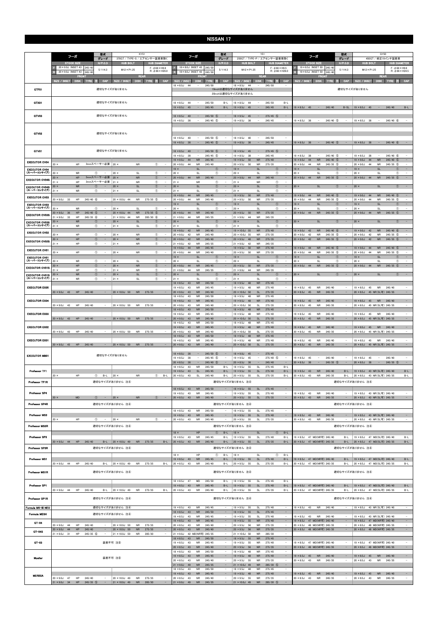|                                                | 型式<br>KY51<br>フーガ<br>グレード<br>370GT / TYPE-S / エアセンサー装着車除く                                 |                                                                | 型式<br>フーガ<br>グレード                                              |                                                             |                                                                                            | Y51                          | 250GT / TYPE-P / エアセンサー装着車除く             |                                                     | フーガ                                                  |                                                                                 | 型式<br>グレード                                                 |                                         | GY50<br>450GT / 純正19インチ装着車     |                          |                                                            |                                                            |                                                                                       |
|------------------------------------------------|-------------------------------------------------------------------------------------------|----------------------------------------------------------------|----------------------------------------------------------------|-------------------------------------------------------------|--------------------------------------------------------------------------------------------|------------------------------|------------------------------------------|-----------------------------------------------------|------------------------------------------------------|---------------------------------------------------------------------------------|------------------------------------------------------------|-----------------------------------------|--------------------------------|--------------------------|------------------------------------------------------------|------------------------------------------------------------|---------------------------------------------------------------------------------------|
|                                                | <b>STOCK SIZE</b><br>20 × 9.0J INSET 43<br>245/4                                          | $H/P$ .C.D                                                     | <b>HUB BOLT</b>                                                | <b>HUB DIAMETER</b><br>$F: \phi$ 66 $\times$ H9.8           | <b>STOCK SIZE</b><br>18 × 8.0J INSET 43                                                    | 245/5                        | $H/P$ .C.D                               | <b>HUB BOLT</b>                                     |                                                      | <b>HUB DIAMETER</b><br>$F: \phi$ 66 $\times$ H9.5                               |                                                            | <b>STOCK SIZE</b><br>19 × 8.5J INSET 50 | 245/4                          | $H/P$ .C.D               | <b>HUB BOLT</b>                                            |                                                            | <b>HUB DIAMETER</b><br>$F: \phi$ 66 $\times$ H9.8                                     |
|                                                | 20 × 9.0J INSET 43<br>245/40<br>ERONI                                                     | 5/114.3                                                        | $M12 \times P1.25$<br><b>REAR</b>                              | $R: \phi$ 66 $\times$ H26.0                                 | 18 × 8.0J INSET 43                                                                         | 245/50<br><b>FRONT</b>       | 5/114.3                                  | $M12 \times P1.25$                                  | <b>REAR</b>                                          | $R: \phi$ 66 $\times$ H26.0                                                     |                                                            | 19 × 8.5J INSET 50<br>FRON              | 245/4                          | 5/114.3                  | $M12 \times P1.25$                                         | <b>REAR</b>                                                | $R: \phi$ 66 $\times$ H24.5                                                           |
|                                                | SIZE / IN<br><b>TYRE</b><br><b>DISK</b>                                                   | CAP                                                            | SIZE / INSET<br><b>DISK</b>                                    | CAP<br><b>TYRE E</b>                                        | SIZE / INSETI<br><b>DISK</b><br>$18 \times 8.5$ J<br>-44                                   | <b>TYRE</b><br>245/50        | - 19<br><b>CAP</b>                       | SIZE / INSET<br>$18 \times 8.5$ J<br>44             | <b>DISK</b>                                          | CAP<br><b>TYRE</b><br>ili Se<br>245/50                                          | <b>SIZE / INSET</b>                                        | <b>DISK</b>                             | TYR:                           | CAP                      | <b>SIZE / INSET</b>                                        | <b>DISK</b>                                                | <b>CAP</b>                                                                            |
| GTF01                                          |                                                                                           |                                                                | 適切なサイズがありません                                                   |                                                             |                                                                                            |                              |                                          | 19inchは適切なサイズがありません<br>20inchは適切なサイズがありません          |                                                      |                                                                                 |                                                            |                                         |                                |                          | 適切なサイズがありません                                               |                                                            |                                                                                       |
| GTX01                                          |                                                                                           |                                                                | 適切なサイズがありません                                                   |                                                             | $18 \times 8.5$ J<br>44                                                                    | 245/50                       | $B-I$                                    | $18 \times 8.5$ J<br>44                             |                                                      | 245/50<br>$B-1$                                                                 |                                                            |                                         |                                |                          |                                                            |                                                            |                                                                                       |
|                                                |                                                                                           |                                                                |                                                                |                                                             | $19 \times 8.5$ J<br>45                                                                    | 245/45                       | $B-L$                                    | $19 \times 8.5$ J<br>45                             |                                                      | 245/45<br>$B-L$                                                                 | $19 \times 8.5$ J                                          | 45<br>$\overline{\phantom{a}}$          | 245/40                         | $B-SL$                   | $19 \times 8.5$ J                                          | 45                                                         | 245/40<br>$B-L$                                                                       |
| GTV03                                          |                                                                                           |                                                                | 適切なサイズがありません                                                   |                                                             | $18 \times 8.5$ J<br>40<br>$\equiv$<br>$19 \times 8.5$ J<br>38<br>$\overline{\phantom{a}}$ | $245/50$ (5)<br>$245/45$ (5) | $\overline{\phantom{a}}$                 | $18 \times 9.5$ J<br>45<br>$19 \times 8.5$ J<br>-38 | $\overline{\phantom{a}}$<br>$\overline{\phantom{a}}$ | $275/45$ (5)<br>$\overline{\phantom{a}}$<br>245/45<br>$\sim$                    | $19 \times 8.5$ J 38                                       | $\overline{\phantom{a}}$                | $245/40$ (5)                   |                          | $19 \times 8.5$ J                                          | - 38<br>$\sim$                                             | 245/40 6<br>$\sim$                                                                    |
|                                                |                                                                                           |                                                                |                                                                |                                                             |                                                                                            |                              |                                          |                                                     |                                                      |                                                                                 |                                                            |                                         |                                |                          |                                                            |                                                            |                                                                                       |
| GTV02                                          |                                                                                           |                                                                | 適切なサイズがありません                                                   |                                                             | $8 \times 8.5J$<br>40<br>$\overline{\phantom{a}}$                                          | $245/50$ (5)                 |                                          | $18 \times 8.5$ J<br>40                             | $\overline{\phantom{a}}$                             | 245/50                                                                          |                                                            |                                         |                                |                          |                                                            |                                                            |                                                                                       |
|                                                |                                                                                           |                                                                |                                                                |                                                             | 38<br>$19 \times 8.5$ J<br>$\overline{\phantom{a}}$                                        | $245/45$ (5)                 | $\overline{\phantom{a}}$                 | $19 \times 8.5$ J<br>38                             | $\overline{\phantom{a}}$                             | 245/45<br>$\sim$                                                                | $19 \times 8.5$ J 38                                       | $\sim$ $-$                              | $245/40$ (5)                   | $\sim$                   | $19 \times 8.5$ J 38                                       | $\sim$                                                     | 245/40 6<br>$\sim$                                                                    |
| GTV01                                          |                                                                                           |                                                                | 適切なサイズがありません                                                   |                                                             | $18 \times 8.5$ J<br>40                                                                    | $245/50$ (5)                 |                                          | $18 \times 9.5$ J<br>45                             | $\overline{\phantom{a}}$                             | $275/45$ (5)<br>$\hspace{0.1mm}-\hspace{0.1mm}$                                 |                                                            | $\qquad \qquad -$                       |                                |                          |                                                            |                                                            |                                                                                       |
| <b>EXECUTOR CV04</b>                           | <b>HP</b>                                                                                 |                                                                |                                                                |                                                             | $19 \times 8.5$ J<br>38<br><b>NR</b><br>$19 \times 9.0$ J<br>44                            | $245/45$ (5)<br>245/45       |                                          | $19 \times 8.5$ J<br>38<br>$19 \times 9.5$ J<br>50  | <b>NR</b>                                            | 245/45<br>275/40<br>$\overline{\phantom{a}}$                                    | $19 \times 8.5$ J<br>$19 \times 9.0J$                      | 38<br><b>NR</b><br>44                   | $245/40$ (5)<br>$245/40$ (5)   |                          | $19 \times 8.5$ J<br>$19 \times 9.0$ J                     | 38<br><b>NR</b><br>44                                      | 245/40 6<br>$245/40$ (5)<br>-                                                         |
| <b>EXECUTOR CV04</b><br>(スーパーコンケイブ)            | $20 \times$                                                                               | 3mmスペーサー必要   20 ×                                              | <b>NR</b>                                                      | $\circled{1}$                                               | <b>NR</b><br>$20 \times 9.0$<br>44<br><b>SL</b><br>$19 \times$                             | 245/40                       | $^{\circ}$                               | $20 \times 9.5$ J<br>50<br>$19 \times$              | <b>NR</b><br><b>SL</b>                               | 275/35<br>$^{\circ}$<br>$\overline{\phantom{m}}$                                | 44<br>20 × 9.0J<br>$19 \times$                             | <b>NR</b><br><b>SL</b>                  | $245/35$ (5)<br>(1)            |                          | $20 \times 9.0$ J<br>$19 \times$                           | 44<br><b>NR</b><br><b>SL</b>                               | $245/35$ 5<br>$\circledcirc$                                                          |
| <b>EXECUTOR CV04S</b>                          | $20 \times$<br><b>NR</b><br>HP<br>$20 \times$                                             | $\circ$<br>5mmスペーサー必要                                          | $20 \times$<br><b>SL</b><br>$20 \times$<br><b>NR</b>           | $\circled{1}$<br>$\circledcirc$<br>$\overline{\phantom{a}}$ | $20 \times$<br><b>SL</b><br>$20 \times 9.0$ J<br>44<br><b>NR</b>                           | 245/40                       | $^{\circ}$                               | $20 \times$<br>$20 \times 9.0$ J<br>44              | <b>SL</b><br><b>NR</b>                               | $^{\circ}$<br>245/40                                                            | $20$ ><br>$20 \times 9.0$ J 44                             | <b>SL</b><br><b>NR</b>                  | $\circledcirc$<br>$245/35$ (5) |                          | $20 \times$<br>$20 \times 9.0$ J 44                        | <b>SL</b><br><b>NR</b>                                     | $\circled{1}$<br>$245/35$ (5)<br>$\overline{\phantom{a}}$                             |
| <b>EXECUTOR CV04S</b>                          | HP<br><b>NR</b><br>$20 \times$                                                            | 3mmスペーサー必要<br>$\left( \mathbb{T}\right)$                       | $21 \times$<br><b>NR</b><br>$20 \times$<br><b>SL</b>           | $\circled{1}$<br>$\circled{0}$<br>$\sim$                    | $21 \times$<br><b>NR</b><br>SL<br>$20 \times$                                              |                              | $\circled{1}$<br>$\circled{0}$           | $21 \times$<br>$20 \times$                          | <b>NR</b><br>SL                                      | $\circled{0}$<br>$\circled{0}$<br>$\overline{\phantom{a}}$                      | $20 \times$                                                | SL                                      | $\circled{0}$                  |                          | $20 \times$                                                | <b>SL</b>                                                  | $\sim$<br>$\circled{1}$                                                               |
| (スーパーコンケイブ)<br><b>EXECUTOR CV03</b>            | $21 \times$<br><b>NR</b>                                                                  | ⊕<br>$\qquad \qquad -$                                         | $21 \times$<br>SL                                              | $^{\circ}$<br>$\sim$                                        | $21 \times$<br>SL<br>${\sf NR}$<br>$19 \times 9.0J$<br>44                                  | 245/45                       | $^{\circ}$<br>$\overline{a}$             | $21 \times$<br>$19 \times 9.5$ J<br>50              | SL<br>${\sf NR}$                                     | $\circled{1}$<br>$\overline{\phantom{a}}$<br>275/40<br>$\overline{\phantom{a}}$ | $19 \times 9.0J$<br>44                                     | ${\sf NR}$                              | 245/40 5                       |                          | $19 \times 9.0J$                                           | ${\sf NR}$<br>44                                           | 245/40 5                                                                              |
| <b>EXECUTOR CV03</b>                           | HP<br>$20 \times 9.0J$<br>$245/40$ (6)<br>33                                              |                                                                | 20 × 10.0J 44<br><b>NR</b>                                     | $275/35$ (5)<br>$\qquad \qquad -$                           | <b>NR</b><br>$20 \times 9.0$ J<br>44<br><b>SL</b><br>$19 \times$                           | 245/40                       | (1)                                      | $20 \times 9.5$ J<br>50<br>$19 \times$              | <b>NR</b><br><b>SL</b>                               | 275/35<br>-<br>$\sqrt{1}$<br>$\overline{\phantom{a}}$                           | $20 \times 9.0$ J<br>$19 \times$                           | <b>NR</b><br>44<br><b>SL</b>            | $245/35$ (5)<br>T              |                          | $20 \times 9.0$ J<br>$19 \times$                           | <b>NR</b><br>-44<br><b>SL</b>                              | $245/35$ (5)<br>$\overline{\phantom{a}}$<br>(1)<br>$\sim$                             |
| (スーパーコンケイブ)<br><b>EXECUTOR CV03S</b>           | 20 ×<br><b>NR</b><br>$20 \times 9.0$ J<br>HP<br>245/40<br>36                              | $\circled{1}$<br>$\circled{5}$                                 | $20 \times$<br>SL<br>${\sf NR}$<br>20 × 10.0J 44               | $^{\circ}$<br>$275/35$ (5)<br>$\sim$                        | $20 \times$<br><b>SL</b><br><b>NR</b><br>$20 \times 9.0J$<br>44                            | 245/40                       | $^{\circ}$                               | $20 \times$<br>$20 \times 9.5$ J<br>50              | <b>SL</b><br><b>NR</b>                               | $\circled{0}$<br>275/35<br>$\overline{\phantom{a}}$                             | 20 ><br>$20 \times 9.0$ J 44                               | <b>SL</b><br>NR                         | $^{\circ}$<br>$245/35$ (5)     |                          | $20 \times$<br>$20 \times 9.0$ J 44                        | <b>SL</b><br><b>NR</b>                                     | $\circled{1}$<br>$\overline{\phantom{a}}$<br>$245/35$ (5)<br>$\overline{\phantom{a}}$ |
| <b>EXECUTOR CV03S</b>                          | $21 \times 9.0J$<br>33<br>HP<br>$245/35$ (6)<br><b>NR</b><br>$20 \times$                  | $\left( \mathbb{T}\right)$<br>$\overline{\phantom{a}}$         | $21 \times 10.0$ J 44<br><b>NR</b><br>$20 \times$<br><b>SL</b> | 285/30 6<br>$\bigcirc$<br>$\equiv$                          | <b>NR</b><br>$21 \times 9.0$ J<br>44<br><b>SL</b><br>$20 \times$                           | 245/35                       | $\circ$<br>$\overline{\phantom{a}}$      | $21 \times 9.0$ J<br>44<br>$20 \times$              | <b>NR</b><br><b>SL</b>                               | 245/35<br>$\overline{\phantom{a}}$<br>$\left($                                  | $20 \times$                                                | <b>SL</b>                               | $\circled{0}$                  |                          | $20 \times$                                                | <b>SL</b>                                                  | $\circled{1}$<br>$\overline{\phantom{a}}$                                             |
| (スーパーニンケイブ)<br><b>EXECUTOR CV02</b>            | $21 \times$<br><b>NR</b>                                                                  | $^{\circ}$                                                     | $21 \times$<br>SL                                              | $^{\circ}$                                                  | $21 \times$<br>SL<br>$19 \times 9.0J$<br>42<br><b>NR</b>                                   | 245/45                       | $^\circledR$<br>$\overline{\phantom{a}}$ | $21 \times$<br>$19 \times 10.0$ J 55                | SL<br><b>NR</b>                                      | $\circled{1}$<br>$\overline{\phantom{a}}$<br>275/40<br>$\overline{\phantom{a}}$ | $19 \times 9.0$ J                                          | 42<br><b>NR</b>                         | $245/40$ 6                     |                          | $19 \times 9.0J$                                           | 42<br><b>NR</b>                                            | 245/40 6<br>$\overline{\phantom{a}}$                                                  |
|                                                | HP<br>$20 \times$<br>HP<br>20 ×                                                           | $^{\circ}$<br>$\overline{a}$<br>$^\circledR$                   | $20 \times$<br><b>NR</b><br><b>NR</b><br>$20 \times$           | $^\circledR$<br>$^{\circ}$<br>$\qquad \qquad -$             | $20 \times 9.0$ J<br>42<br><b>NR</b><br>42<br><b>NR</b><br>$20 \times 9.0$ J               | 245/40<br>245/40             |                                          | $20 \times 10.0$ J 55<br>$20 \times 9.5$ J<br>48    | <b>NR</b><br><b>NR</b>                               | 275/35<br>275/35<br>$\overline{\phantom{a}}$                                    | $20 \times 9.0$<br>42<br>$20 \times 9.0J$                  | <b>NR</b><br>42<br><b>NR</b>            | $245/35$ (5)<br>$245/35$ (5)   |                          | $20 \times 9.0$ J<br>$20 \times 9.0J$                      | 42<br><b>NR</b><br>42<br><b>NR</b>                         | $245/35$ (5)<br>$\overline{\phantom{a}}$<br>$245/35$ 5<br>۰.                          |
| <b>EXECUTOR CV025</b>                          | HP<br>$21 \times$                                                                         | $\circled{1}$                                                  | $21 \times$<br><b>NR</b>                                       | $\circled{1}$                                               | $21 \times 9.0$ J<br>42<br><b>NR</b><br>$19 \times 9.0$ J<br>44<br><b>NR</b>               | 245/35<br>245/45             |                                          | $21 \times 9.0J$<br>42<br>$19 \times 9.5$ J<br>50   | <b>NR</b><br><b>NR</b>                               | 245/35<br>275/40<br>$\overline{\phantom{a}}$                                    | $19 \times 9.0J$                                           | 44<br><b>NR</b>                         | $245/40$ (5)                   |                          | $19 \times 9.0$ J                                          | 44<br><b>NR</b>                                            | 245/40 (5)                                                                            |
| <b>EXECUTOR CV01</b><br><b>EXECUTOR CV01</b>   | $20 \times$<br>HP                                                                         | $\circled{1}$                                                  | $20 \times$<br><b>NR</b>                                       | $\circled{1}$                                               | <b>NR</b><br>$20 \times 9.0$ J<br>44<br>SL<br>$19 \times$                                  | 245/40                       | $\sim$<br>(T)                            | $20 \times 9.5$ J<br>50<br>$19 \times$              | <b>NR</b><br><b>SL</b>                               | 275/35<br>÷,<br>$\overline{\phantom{a}}$<br>Œ                                   | 44<br>$20 \times 9.0$ J<br>19 <sub>2</sub>                 | <b>NR</b><br>SL                         | $245/35$ (5)                   |                          | $20 \times 9.0J$<br>$19 \times$                            | 44<br><b>NR</b><br><b>SL</b>                               | $245/35$ (5)<br>$\overline{a}$<br>$\overline{\phantom{a}}$                            |
| (スーパーコンケイブ)                                    | <b>NR</b><br>$20 \times$<br>HP<br>20 ×                                                    | $^{\circ}$<br>$\overline{\phantom{a}}$<br>$\sim$<br>$^{\circ}$ | $20 \times$<br>SL<br><b>NR</b><br>$20 \times$                  | $\circled{1}$<br>$\circled{0}$<br>$\sim$                    | $20 \times$<br>SL<br><b>NR</b><br>$20 \times 9.0$ J<br>44                                  | 245/45                       | $^{\circ}$<br>$\overline{\phantom{a}}$   | $20 \times$<br>$20 \times 9.5$ J<br>50              | <b>SL</b><br>${\sf NR}$                              | $\circled{0}$<br>$\overline{\phantom{a}}$<br>275/35<br>$\sim$                   | د 20<br>44<br>$20 \times 9.0$ J                            | <b>SL</b><br><b>NR</b>                  | $\bigcirc$<br>$245/35$ (5)     |                          | $20 \times$<br>$20 \times 9.0$ J                           | <b>SL</b><br>${\sf NR}$<br>44                              | $\circled{1}$<br>$\overline{\phantom{a}}$<br>$\sim$<br>$245/35$ (5)                   |
| <b>EXECUTOR CV01S</b><br><b>EXECUTOR CV01S</b> | HP<br>21 X<br><b>NR</b><br>$20 \times$                                                    | $^{\circ}$<br>$\hspace{0.1mm}-\hspace{0.1mm}$<br>$^\circledR$  | $21 \times$<br>NR<br>$20 \times$<br><b>SL</b>                  | $^\circledR$<br>$\qquad \qquad -$<br>$\circledcirc$         | $21 \times 9.0$ J<br>44<br>NR<br>SI<br>$20 \times$                                         | 245/35                       | $\qquad \qquad -$<br>(T)                 | $21 \times 9.0$ J<br>44<br>$20 \times$              | NR<br>SL                                             | 245/35<br>$\overline{\phantom{a}}$<br>$\overline{\phantom{a}}$                  | 20 >                                                       | SI                                      | Œ.                             |                          | $20 \times$                                                | SI                                                         | $\overline{\phantom{a}}$<br>$\bigcap$                                                 |
| (スーパーコンケイブ)                                    | <b>NR</b><br>$21 \times$                                                                  | $^{\circ}$<br>$\qquad \qquad -$                                | <b>SL</b><br>$21 \times$                                       | $\circled{1}$<br>$\qquad \qquad -$                          | <b>SL</b><br>$21 \times$<br>$18 \times 8.5J$<br>43<br><b>NR</b>                            | 245/50                       | $\circled{1}$                            | $21 \times$<br>$18 \times 9.5$ J<br>48              | <b>SL</b><br><b>NR</b>                               | $\bigcirc$<br>$\qquad \qquad -$<br>275/45<br>$\overline{\phantom{a}}$           |                                                            |                                         |                                |                          |                                                            |                                                            |                                                                                       |
| <b>EXECUTOR EX05</b>                           | $20 \times 9.0$ J 43<br>HP<br>245/40                                                      | $\overline{\phantom{a}}$                                       | $20 \times 10.0$ J 50                                          |                                                             | <b>NR</b><br>$19 \times 8.5$ J<br>43<br>$20 \times 9.0$ J<br>43<br><b>NR</b>               | 245/45<br>245/40             | $\overline{\phantom{a}}$                 | $19 \times 9.5$ J<br>48                             | <b>NR</b><br><b>SL</b>                               | 275/40<br>$\overline{\phantom{a}}$<br>275/35<br>$\sim$                          | $9 \times 8.5$ J<br>45<br>$20 \times 8.5$ J                | 45<br><b>NR</b><br><b>NR</b>            | 245/40<br>245/35               | $\overline{\phantom{a}}$ | $19 \times 8.5$ J<br>$20 \times 8.5$ J                     | 45<br><b>NR</b><br>45 NR(SL可) 245/35                       | 245/40<br>$\overline{\phantom{a}}$                                                    |
| <b>EXECUTOR EX04</b>                           |                                                                                           |                                                                | <b>NR</b>                                                      | 275/35                                                      | $18 \times 8.5$ J<br>43<br><b>NR</b>                                                       | 245/50                       |                                          | $20 \times 10.0$ J 50<br>$18 \times 9.5$ J<br>48    | <b>NR</b>                                            | 275/45                                                                          |                                                            |                                         |                                |                          |                                                            |                                                            |                                                                                       |
|                                                | $20 \times 9.0$ J<br>43<br>HP<br>245/40                                                   |                                                                | 20 × 10.0J 50<br>NR                                            | 275/35                                                      | $19 \times 8.5$ J<br>43<br><b>NR</b><br>$20 \times 9.0$ J<br>43<br><b>NR</b>               | 245/45<br>245/40             | $\overline{\phantom{a}}$                 | $19 \times 9.5$ J<br>48<br>20 × 10.0J 50            | <b>NR</b><br><b>SL</b>                               | 275/40<br>$\sim$<br>275/35                                                      | $19 \times 8.5$ J<br>20 × 8.5J                             | 45<br><b>NR</b><br>45<br>NR             | 245/40<br>245/35               |                          | $19 \times 8.5$ J<br>$20 \times 8.5$ J                     | 45<br><b>NR</b><br>45 NR(SL可) 245/35                       | 245/40<br>۰.<br>$\overline{\phantom{a}}$                                              |
| <b>EXECUTOR EX03</b>                           |                                                                                           |                                                                |                                                                |                                                             | 43<br><b>NR</b><br>$18 \times 8.5$ J<br>$19 \times 8.5$ J<br>43<br><b>NR</b>               | 245/50<br>245/45             |                                          | $18 \times 9.5$ J<br>48<br>$19 \times 9.5$ J<br>48  | <b>NR</b><br><b>NR</b>                               | 275/45<br>275/40<br>$\overline{\phantom{a}}$                                    | $19 \times 8.5$ J<br>45                                    | <b>NR</b>                               | 245/40                         |                          | $19 \times 8.5$ J                                          | 45<br>NR.                                                  | 245/40<br>$\overline{\phantom{a}}$                                                    |
|                                                | $20 \times 9.0$ J<br>HP<br>245/40<br>43                                                   |                                                                | 20 × 10.0J 50<br><b>NR</b>                                     | 275/35                                                      | $20 \times 9.0$ J<br>43<br><b>NR</b><br>$18 \times 8.5J$<br>43<br><b>NR</b>                | 245/40<br>245/50             |                                          | $20 \times 10.0$ J<br>50<br>$18 \times 9.5$ J<br>48 | <b>SL</b><br><b>NR</b>                               | 275/35<br>275/45                                                                | $20 \times 8.5$ J                                          | 45<br><b>NR</b>                         | 245/35                         |                          | $20 \times 8.5$ J                                          | 45 NR(SL可) 245/35                                          |                                                                                       |
| <b>EXECUTOR EX02</b>                           | $20 \times 9.0$ J 43<br>HP<br>245/40                                                      | $\sim$                                                         | 20 × 10.0J 50<br><b>NR</b>                                     | 275/35<br>$\overline{\phantom{a}}$                          | $19 \times 8.5$ J<br>43<br>${\sf NR}$<br>$20 \times 9.0J$<br>43<br><b>NR</b>               | 245/45<br>245/40             | $\overline{\phantom{a}}$                 | $19 \times 9.5$ J<br>48<br>20 × 10.0J 50            | <b>NR</b><br><b>SL</b>                               | 275/40<br>$\sim$<br>275/35<br>$\sim$                                            | $19 \times 8.5$ J<br>$20 \times 8.5$ J                     | 45<br><b>NR</b><br>45<br><b>NR</b>      | 245/40<br>245/35               | $\sim$                   | $19 \times 8.5$ J 45<br>$20 \times 8.5$ J                  | <b>NR</b><br>45 NR(SL可) 245/35                             | 245/40<br>$\overline{\phantom{a}}$<br>$\overline{\phantom{a}}$                        |
| <b>EXECUTOR EX01</b>                           |                                                                                           |                                                                |                                                                |                                                             | $18 \times 8.5$ J<br>43<br><b>NR</b><br>$19 \times 8.5$ J<br>43<br>NR                      | 245/50<br>245/45             | $\sim$                                   | $18 \times 9.5$ J 48<br>$19 \times 9.5$ J 48        | <b>NR</b><br>NR                                      | $\sim$<br>275/45<br>275/40<br>$\sim$                                            | $19 \times 8.5$ J<br>45                                    | <b>NR</b>                               | 245/40                         | $\sim$                   | $19 \times 8.5$ J 45                                       | <b>NR</b>                                                  | 245/40<br>$\overline{\phantom{a}}$                                                    |
|                                                | 20 × 9.0J 43 HP 245/40                                                                    |                                                                | 20 × 10.0J 50                                                  | NR 275/35                                                   | ${\sf NR}$<br>$20 \times 9.0$ J<br>43                                                      | 245/40                       |                                          | 20 × 10.0J 50                                       | <b>SL</b>                                            | $\sim$<br>275/35                                                                | $20 \times 8.5$ J                                          | 45<br><b>NR</b>                         | 245/35                         | $\sim$                   | $20 \times 8.5$ J                                          | 45 NR(SL可) 245/35                                          | $\sim$                                                                                |
| <b>EXECUTOR MB01</b>                           |                                                                                           |                                                                | 適切なサイズがありません                                                   |                                                             | $18 \times 8.0$ J 38<br>$\sim$<br>$19 \times 8.5$ J<br>38<br>$\overline{\phantom{a}}$      | $245/50$ (5)<br>$245/45$ (5) | $\overline{\phantom{a}}$                 | $18 \times 9.0$ J 45<br>$19 \times 9.5$ J<br>45     | $\sim$<br>$\overline{\phantom{a}}$                   | 275/45<br>$\sim$<br>$275/40$ (5)<br>$\sim$                                      | $19 \times 8.5$ J 45                                       | $\sim$                                  | 245/40                         | $\overline{\phantom{a}}$ | $19 \times 8.5$ J<br>45                                    | $\sim$                                                     | 245/40                                                                                |
|                                                |                                                                                           |                                                                |                                                                |                                                             | $20 \times 8.5$ J<br>38<br>$\sim$<br>$18 \times 8.5J$<br>43<br><b>NR</b>                   | $245/40$ (5)<br>245/50       | $\overline{\phantom{a}}$<br>$B-L$        | $20 \times 8.5$ J<br>38<br>$18 \times 9.5$ J<br>55  | $\overline{\phantom{a}}$<br>SL                       | $\sim$<br>245/40<br>275/45<br>$B-L$                                             | 38<br>$20 \times 8.5$ J                                    | $\sim$                                  | $245/35$ (5)                   | $\sim$                   | $20 \times 8.5$ J 38                                       | $\sim$                                                     | $245/35$ (5)<br>$\sim$                                                                |
| Professor TF1                                  | HP<br>$20 \times$                                                                         | $\circled{1}$ B-L   20 ×                                       | NR                                                             | $\circled{1}$ B-L                                           | $19 \times 8.5$ J 43<br><b>SL</b><br>$20 \times 8.5$ J<br>SL<br>43                         | 245/45<br>245/40             | $B-L$<br>B-L                             | $19 \times 9.5$ J 55<br>$20 \times 9.5$ J<br>55     | <b>SL</b><br>SL                                      | 275/40<br>$B-L$<br>275/35<br>$B-L$                                              | $19 \times 8.5$ J 43<br>$20 \times 8.5$ J 43               | <b>NR</b><br><b>NR</b>                  | 245/40<br>245/35               | $B-L$<br>$B-L$           | 19 × 8.5J 43 NR(SL可) 245/40<br>20 × 8.5J 43 NR(SL可) 245/35 |                                                            | $B-L$<br>B-L                                                                          |
| Professor TF1R                                 |                                                                                           |                                                                | 適切なサイズがありません 注4                                                |                                                             |                                                                                            |                              |                                          | 適切なサイズがありません 注4                                     |                                                      |                                                                                 |                                                            |                                         |                                |                          | 適切なサイズがありません 注4                                            |                                                            |                                                                                       |
| Professor SP4                                  |                                                                                           |                                                                |                                                                |                                                             | $18 \times 8.5J$<br><b>NR</b><br>43<br>$19 \times 8.5$ J<br>43<br><b>NR</b>                | 245/50<br>245/45             |                                          | $18 \times 9.5$ J 55<br>$19 \times 9.5$ J<br>55     | SL<br><b>SL</b>                                      | 275/45<br>$\equiv$<br>275/40<br>$\overline{\phantom{a}}$                        | $19 \times 8.5$ J 43                                       | <b>NR</b>                               | 245/40                         |                          |                                                            | 19 × 8.5J 43 NR(SL可) 245/40                                |                                                                                       |
| Professor SP4R                                 | $20 \times$<br>${\sf MD}$                                                                 | $\circled{1}$ - 20 x                                           | <b>NR</b><br>適切なサイズがありません 注4                                   | $\circled{1}$<br>$\sim$ $-$                                 | $20 \times 8.5$ J 43<br><b>NR</b>                                                          | 245/40                       | $\sim$                                   | $20 \times 9.5$ J 55<br>適切なサイズがありません 注4             | $\mathsf{SL}% _{2}\left( \mathcal{M}\right)$         | 275/35<br>$\sim$                                                                | $20 \times 8.5$ J 43                                       | <b>NR</b>                               | 245/35                         | $\sim$ $-$               | 20 × 8.5J 43 NR(SL可) 245/35<br>適切なサイズがありません 注4             |                                                            | $\sim$                                                                                |
|                                                |                                                                                           |                                                                |                                                                |                                                             | $18 \times 8.5$ J<br><b>NR</b><br>43                                                       | 245/50                       | $\sim$                                   | $18 \times 9.5$ J 55                                | <b>SL</b>                                            | 275/45<br>$\overline{\phantom{a}}$                                              |                                                            |                                         |                                |                          |                                                            |                                                            |                                                                                       |
| Professor MS3                                  | $20 \times$<br>HP                                                                         | $\omega$ -                                                     | $20 \times$<br><b>NR</b>                                       | $^\circledR$<br>$\sim$ $-$                                  | $19 \times 8.5$ J 43<br><b>NR</b><br>$20 \times 8.5$ J 43<br>NR                            | 245/45<br>245/40             | $\overline{\phantom{a}}$<br>$\sim$       | $19 \times 9.5$ J 55<br>$20 \times 9.5$ J 55        | SL<br>SL                                             | $\sim$<br>275/40<br>275/35<br>$\sim$                                            | $19 \times 8.5$ J 43<br>$20 \times 8.5$ J 43               | <b>NR</b><br>NR                         | 245/40<br>245/35               | $\sim$                   |                                                            | 19 × 8.5J 43 NR(SL可) 245/40<br>20 × 8.5J 43 NR(SL可) 245/35 | $\sim$                                                                                |
| Professor MS3R                                 |                                                                                           |                                                                | 適切なサイズがありません 注4                                                |                                                             |                                                                                            |                              |                                          | 適切なサイズがありません 注4                                     |                                                      |                                                                                 |                                                            |                                         |                                |                          | 適切なサイズがありません 注4                                            |                                                            |                                                                                       |
| Professor SP3                                  |                                                                                           |                                                                |                                                                |                                                             | HP<br>$18 \times$<br>$19 \times 8.5$ J<br>43<br><b>NR</b>                                  | 245/45                       | $B-L$<br>(1)<br>$B-L$                    | $18 \times$<br>$19 \times 9.5$ J 55                 | <b>SL</b><br><b>SL</b>                               | $B-L$<br>(1)<br>275/40<br>$B-L$                                                 | 19 × 8.5J 47 MD(NR可) 245/40                                |                                         |                                | $B-L$                    |                                                            | 19 × 8.5J 47 MD(SL可) 245/40                                | $B-L$                                                                                 |
| Professor SP3R                                 | 20 × 9.0J 44 HP 245/40                                                                    |                                                                | $B-L$ 20 × 10.0J 49<br>適切なサイズがありません 注4                         | NR 275/35<br>$B-L$                                          | $20 \times 8.5$ J 43<br><b>NR</b>                                                          | 245/40                       | $B-L$                                    | $20 \times 9.5$ J 55<br>適切なサイズがありません 注4             | SL                                                   | 275/35<br>$B-L$                                                                 | 20 × 8.5J 47 MD(NR可) 245/35                                |                                         |                                |                          | B-L 20 × 8.5J 47 MD(SL可) 245/35<br>適切なサイズがありません 注4         |                                                            | $B-L$                                                                                 |
|                                                |                                                                                           |                                                                |                                                                |                                                             | HP<br>$18 \times$                                                                          |                              | $^{\circ}$<br>$B-L$                      | $18 \times$                                         | SL                                                   | $^{\circ}$<br>$B-L$                                                             |                                                            |                                         |                                |                          |                                                            |                                                            |                                                                                       |
| Professor MS1                                  | $20 \times 9.0$ J 44<br>HP<br>245/40                                                      | B-L                                                            | $20 \times 10.0$ J 49<br>NR                                    | 275/35<br>$B-L$                                             | $19 \times 8.5$ J 43<br><b>NR</b><br>$20 \times 8.5J$<br>43<br><b>NR</b>                   | 245/45<br>245/40             | B-L<br>$B-L$                             | $19 \times 9.5$ J 55<br>$20 \times 9.5$ J<br>55     | SL<br><b>SL</b>                                      | 275/40<br>$B-L$<br>275/35<br>$B-L$                                              | 19 × 8.5J 47 MD(NR可) 245/40<br>20 × 8.5J 47 MD(NR可) 245/35 |                                         |                                | $B-L$<br>$B-L$           | 19 × 8.5J 47 MD(SL可) 245/40<br>20 × 8.5J 47 MD(SL可) 245/35 |                                                            | B-L<br>$B-L$                                                                          |
| Professor MS1R                                 |                                                                                           |                                                                | 適切なサイズがありません 注4                                                |                                                             |                                                                                            |                              |                                          | 適切なサイズがありません 注4                                     |                                                      |                                                                                 |                                                            |                                         |                                |                          | 適切なサイズがありません 注4                                            |                                                            |                                                                                       |
|                                                |                                                                                           |                                                                |                                                                |                                                             | $18 \times 8.5$ J<br>47<br>MD                                                              | 245/50                       | $B-L$                                    | $18 \times 9.5$ J<br>55                             | SL                                                   | 275/45<br>$B-L$                                                                 |                                                            |                                         |                                |                          |                                                            |                                                            |                                                                                       |
| Professor SP1                                  | $20 \times 9.0$ J 44<br><b>HP</b><br>245/40                                               | B-L                                                            | $20 \times 10.0$ J 49<br><b>NR</b>                             | 275/35<br>$B-L$                                             | $19 \times 8.5$ J<br>43<br><b>NR</b><br>$20 \times 8.5$ J 43<br>NR                         | 245/45<br>245/40             | $B-L$<br>B-L                             | $19 \times 9.5$ J<br>55<br>$20 \times 9.5$ J 55     | <b>SL</b><br>SL                                      | 275/40<br>$B-L$<br>275/35<br>$B-L$                                              | 19 × 8.5J 47 MD(NR可) 245/40<br>20 × 8.5J 47 MD(NR可) 245/35 |                                         |                                | $B-L$<br>B-L             | 19 × 8.5J 47 MD(SL可) 245/40                                | 20 × 8.5J 47 MD(SL可) 245/35                                | $B-L$<br>B-L                                                                          |
| Professor SP1R                                 |                                                                                           |                                                                | 適切なサイズがありません 注4                                                |                                                             |                                                                                            |                              |                                          | 適切なサイズがありません 注4                                     |                                                      |                                                                                 |                                                            |                                         |                                |                          | 適切なサイズがありません 注4                                            |                                                            |                                                                                       |
| Formula MK-III NEO                             |                                                                                           |                                                                | 適切なサイズがありません 注④                                                |                                                             | $19 \times 8.5$ J<br>43<br><b>NR</b>                                                       | 245/45                       |                                          | $19 \times 9.5$ J<br>55                             | <b>SL</b>                                            | 275/40                                                                          | $19 \times 8.5$ J 43                                       | <b>NR</b>                               | 245/40                         |                          | 19 × 8.5J 43 NR(SL可) 245/40                                |                                                            | $\sim$                                                                                |
| <b>Formula MESH</b>                            |                                                                                           |                                                                | 適切なサイズがありません 注4                                                |                                                             | $18 \times 8.5$ J<br>43<br><b>NR</b><br>$19 \times 8.5$ J<br>43<br><b>NR</b>               | 245/50<br>245/45             | $\overline{\phantom{a}}$                 | $18 \times 9.5J$<br>55<br>$19 \times 9.5$ J<br>55   | <b>SL</b><br><b>SL</b>                               | 275/45<br>$\sim$<br>275/40<br>$\overline{\phantom{a}}$                          | $19 \times 8.5$ J                                          | 43<br><b>NR</b>                         | 245/40                         |                          |                                                            | 19 × 8.5J 43 NR(SL可) 245/40                                |                                                                                       |
| GT-04                                          | $20 \times 9.0$ J<br>HP<br>245/40                                                         |                                                                | 20 × 10.0J 50                                                  | 275/35                                                      | <b>NR</b><br>$19 \times 8.5$ J<br>43<br>$20 \times 8.5J$<br>43                             | 245/45<br>245/40             | $\sim$                                   | $19 \times 9.5$ J 55<br>$20 \times 9.5$ J           | ${\sf NR}$<br><b>NR</b>                              | 275/40<br>$\sim$<br>275/35<br>$\sim$                                            | $19 \times 8.5$ J                                          | 47 MD(NR可) 245/40<br>48 MD(NR可) 245/35  |                                | $\sim$                   |                                                            | 19 × 8.5J 47 MD(NR可) 245/40<br>48 MD(NR可) 245/35           | $\sim$<br>$\sim$                                                                      |
| GT-04S                                         | 44<br>$20 \times 9.0J$<br>44<br>245/40<br>HP                                              |                                                                | NR<br>20 × 10.0J 50<br><b>NR</b><br>$21 \times 10.0$ J 50      | 275/35<br>$\overline{\phantom{a}}$                          | NR<br>$20 \times 8.5J$<br>43<br><b>NR</b>                                                  | 245/40                       |                                          | 56<br>$20 \times 9.5J$<br>56                        | ${\sf NR}$                                           | 275/35<br>$\sim$<br>$\sim$                                                      | $20 \times 8.5$ J<br>$20 \times 8.5$ J                     | 48 MD(NR可) 245/35                       |                                |                          | $20 \times 8.5$ J                                          | 20 × 8.5J 48 MD(NR可) 245/35                                | $\equiv$                                                                              |
|                                                | $21 \times 9.0$ J 31<br>HP<br>$245/35$ 6                                                  |                                                                | <b>NR</b>                                                      | 285/30                                                      | $21 \times 9.0$ J<br>$18 \times 8.5$ J<br>43<br><b>NR</b>                                  | 42 MD(NR可) 245/35<br>245/50  |                                          | $21 \times 10.0$ J 50<br>$18 \times 9.5$ J<br>55    | <b>NR</b><br><b>NR</b>                               | 285/30<br>275/45<br>$\tau$                                                      |                                                            |                                         |                                |                          |                                                            |                                                            |                                                                                       |
| $GT-03$                                        |                                                                                           |                                                                | 装着不可 注8                                                        |                                                             | $19 \times 8.5$ J<br>43<br><b>NR</b><br>43<br><b>NR</b><br>$20 \times 8.5$ J               | 245/45<br>245/40             |                                          | $19 \times 9.5$ J<br>55<br>$20 \times 9.5$ J<br>56  | <b>NR</b><br><b>NR</b>                               | 275/40<br>$\overline{\phantom{a}}$<br>$\equiv$<br>275/35                        | 19 × 8.5J 47 MD(NR可) 245/40<br>20 × 8.5J 48 MD(NR可) 245/35 |                                         |                                | $\sim$                   |                                                            | 19 × 8.5J 47 MD(NR可) 245/40<br>20 × 8.5J 48 MD(NR可) 245/35 | $\overline{\phantom{a}}$<br>$\overline{\phantom{a}}$                                  |
| Mueller                                        |                                                                                           |                                                                | 装着不可 注8                                                        |                                                             | $18 \times 8.5J$<br>43<br><b>NR</b><br>$19 \times 8.5$ J<br>43<br><b>NR</b>                | 245/50<br>245/45             | $\sim$                                   | $18 \times 9.5$ J<br>48<br>$19 \times 9.5$ J<br>48  | <b>NR</b><br><b>NR</b>                               | 275/45<br>$\sim$<br>$\equiv$<br>275/40                                          | $19 \times 8.5$ J                                          | 45<br><b>NR</b>                         | 245/40                         | Ξ.                       | $19 \times 8.5$ J                                          | 45<br><b>NR</b>                                            | 245/40<br>$\overline{\phantom{a}}$                                                    |
|                                                |                                                                                           |                                                                |                                                                |                                                             | $20 \times 8.5$ J<br>43<br>NR<br>${\sf NR}$<br>$21 \times 9.0J$<br>49                      | 245/40<br>245/35             | $\sim$<br>$\overline{\phantom{a}}$       | $20 \times 9.5$ J 55<br>$21 \times 10.0$ J 49       | NR<br><b>NR</b>                                      | 275/35<br>$\sim$<br>$\sim$<br>$285/30$ (5)                                      | $20 \times 8.5$ J<br>43                                    | NR                                      | 245/35                         | $\sim$                   | $20 \times 8.5$ J                                          | 43<br>NR                                                   | 245/35<br>$\overline{\phantom{a}}$                                                    |
| <b>MERISIA</b>                                 |                                                                                           |                                                                |                                                                |                                                             | 43<br>$18 \times 8.5$ J<br><b>NR</b><br><b>NR</b><br>$19 \times 8.5$ J<br>43               | 245/50<br>245/45             |                                          | $18 \times 9.5$ J<br>48<br>$19 \times 9.5$ J 48     | <b>NR</b><br><b>NR</b>                               | 275/45<br>$\overline{\phantom{a}}$<br>275/40<br>$\sim$                          | $19 \times 8.5$ J 45                                       | <b>NR</b>                               | 245/40                         |                          | $19 \times 8.5$ J 45                                       | <b>NR</b>                                                  | 245/40                                                                                |
|                                                | $20 \times 9.0$ J 47<br>245/40<br><b>HP</b><br>$21 \times 9.0$ J 34<br>HP<br>$245/35$ (5) | $\sim$<br>$\sim$                                               | 20 × 10.0J 49<br>NR<br>$21 \times 10.0$ J 49<br><b>NR</b>      | 275/35<br>$\sim$<br>285/30<br>$\sim$                        | $20 \times 8.5J$<br><b>NR</b><br>43<br>$21 \times 9.0$ J 49<br><b>NR</b>                   | 245/40<br>245/35             | $\sim$<br>$\overline{\phantom{a}}$       | $20 \times 9.5$ J<br>55<br>$21 \times 10.0$ J 49    | <b>NR</b><br><b>NR</b>                               | 275/35<br>$\sim$<br>$\sim$<br>$285/30$ (5)                                      | $20 \times 8.5$ J 43                                       | <b>NR</b>                               | 245/35                         | $\sim$                   | $20 \times 8.5$ J 43                                       | <b>NR</b>                                                  | 245/35<br>$\sim$                                                                      |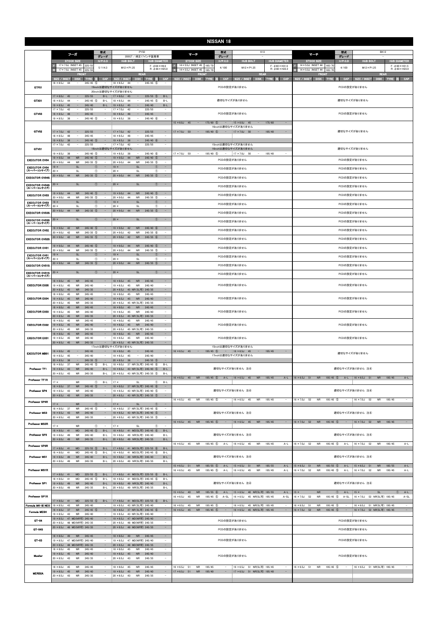| <b>NISSAN 18</b>                     |                                                                                                                                                              |                                                                |                                                                                                                            |                                                                                                      |                                                                                                           |                                                      |                                                                           |                                                     |                                                                                                            |                                  |                                                                           |                                                     |  |  |  |
|--------------------------------------|--------------------------------------------------------------------------------------------------------------------------------------------------------------|----------------------------------------------------------------|----------------------------------------------------------------------------------------------------------------------------|------------------------------------------------------------------------------------------------------|-----------------------------------------------------------------------------------------------------------|------------------------------------------------------|---------------------------------------------------------------------------|-----------------------------------------------------|------------------------------------------------------------------------------------------------------------|----------------------------------|---------------------------------------------------------------------------|-----------------------------------------------------|--|--|--|
|                                      | フーガ                                                                                                                                                          | 型式                                                             | <b>PY50</b>                                                                                                                |                                                                                                      | マーチ                                                                                                       | 型式                                                   | K13                                                                       |                                                     | マーチ                                                                                                        | 型式                               | <b>BK12</b>                                                               |                                                     |  |  |  |
|                                      | <b>STOCK SIZE</b>                                                                                                                                            | グレード<br>$H/P$ .C.D                                             | 350GT / 純正17インチ装着車<br><b>HUB BOLT</b>                                                                                      | <b>HUB DIAMETER</b>                                                                                  | <b>STOCK SIZE</b>                                                                                         | グレード<br>H/P. O.D                                     | <b>HUB BOLT</b>                                                           | <b>HUB DIAMETER</b>                                 | <b>STOCK SIZE</b>                                                                                          | グレード<br>$H/P.$ C.D               | <b>HUB BOLT</b>                                                           | <b>HUB DIAMETER</b>                                 |  |  |  |
|                                      | 17 × 7.0J INSET 45 225/5<br>17 × 7.0J INSET 45 225/55                                                                                                        | 5/114.3                                                        | $M12 \times P1.25$                                                                                                         | $F: \phi$ 66 $\times$ H9.6<br>$R: \phi$ 66 $\times$ H25.0                                            | $14 \times 5.5$ J INSET 45 165/7<br>$14 \times 5.5$ J INSET 45<br>165/70                                  | 4/100                                                | $M12 \times P1.25$                                                        | $F: \phi$ 60 $\times$ H31.6<br>$R: \phi$ 60 × H22.2 | 14 × 5.0J INSET 44<br>165/70<br>14 × 5.0J INSET 44<br>165/7                                                | 4/100                            | M12×P1.25                                                                 | $F: \phi$ 60 $\times$ H31.5<br>$R: \phi$ 60 × H23.0 |  |  |  |
|                                      | <b>FRON</b><br><b>SIZE / INSET</b><br><b>DISK</b><br>- TYRE                                                                                                  | CAP                                                            | <b>REAR</b><br>SIZE / INSET<br><b>DISK</b>                                                                                 | CAP<br><b>TYRE</b><br>- 55                                                                           | <b>FRONT</b><br>SIZE / INSET<br><b>DISK</b><br><b>TYRE</b>                                                | <b>CAP</b>                                           | <b>REAR</b><br>SIZE / INSET<br><b>DISK</b>                                | CAP<br><b>TYRE</b><br>183                           | <b>FRON</b><br>SIZE / INSET<br><b>DISK</b><br><b>TYRE</b>                                                  | CAP                              | <b>REAR</b><br>SIZE / INSET<br><b>DISK</b>                                | CAP<br>TYRE 注                                       |  |  |  |
| GTF01                                | $18 \times 8.5$ J<br>44<br>$245/45$ (5)                                                                                                                      |                                                                | $18 \times 8.5$ J<br>44<br>19inchは適切なサイズがありません<br>20inchは適切なサイズがありません                                                      | $245/45$ (5)                                                                                         |                                                                                                           | PCDの設定がありません                                         |                                                                           |                                                     |                                                                                                            |                                  | PCDの設定がありません                                                              |                                                     |  |  |  |
| GTX01                                | 225/55<br>$17 \times 8.0$ J<br>45<br>$\overline{\phantom{a}}$<br>$18 \times 8.5$ J<br>44<br>$\overline{\phantom{a}}$<br>$245/45$ (5)<br>$\sim$               | $B-L$<br>$B-L$                                                 | $17 \times 8.0$ J<br>45<br>$\sim$<br>$18 \times 8.5$ J<br>44<br>$\sim$<br>$\sim$                                           | $225/55$ (5)<br>$B-L$<br>$245/45$ (5)<br>$B-L$                                                       |                                                                                                           | 適切なサイズがありません                                         |                                                                           |                                                     |                                                                                                            |                                  | 適切なサイズがありません                                                              |                                                     |  |  |  |
| GTV03                                | $19 \times 8.5$ J<br>45<br>245/40<br>$17 \times 7.0$ J<br>225/55<br>42<br>$\overline{\phantom{a}}$<br>$18 \times 8.5$ J<br>$\sim$<br>245/45<br>48            | $B-L$<br>$\overline{\phantom{a}}$<br>$\sim$                    | $19 \times 8.5$ J<br>45<br>$17 \times 7.0$ J<br>42<br>$\overline{a}$<br>$\sim$<br>$18 \times 8.5$ J<br>48                  | 245/40<br>$B-L$<br>225/55<br>$\qquad \qquad -$<br>245/45<br>$\sim$                                   |                                                                                                           | PCDの設定がありません                                         |                                                                           |                                                     |                                                                                                            |                                  | PCDの設定がありません                                                              |                                                     |  |  |  |
|                                      | $19 \times 8.5$ J<br>38<br>$245/40$ (5)<br>$\overline{\phantom{a}}$                                                                                          | $\overline{\phantom{a}}$                                       | $19 \times 8.5$ J<br>38<br>$\overline{\phantom{a}}$                                                                        | $245/40$ 6<br>÷                                                                                      | $175/60$ (5)<br>$15 \times 6.0$ J 45<br>$\sim$                                                            | $\sim$<br>16inchは適切なサイズがありません                        | $15 \times 6.0$ J 45<br>$\overline{\phantom{a}}$                          | 175/60<br>$\overline{\phantom{a}}$                  |                                                                                                            |                                  |                                                                           |                                                     |  |  |  |
| GTV02                                | $17 \times 7.0$ J<br>$\sim$<br>225/55<br>42<br>$18 \times 8.5$ J<br>48<br>245/45<br>$\overline{\phantom{a}}$<br>245/40 (5)<br>$19 \times 8.5$ J 38<br>$\sim$ | $\overline{\phantom{a}}$<br>$\sim$                             | $17 \times 7.0$ J<br>42<br>$\sim$<br>$18 \times 8.5$ J<br>48<br>$\overline{\phantom{a}}$<br>$19 \times 8.5$ J 38<br>$\sim$ | 225/55<br>$\sim$<br>245/45<br>245/40 6<br>$\sim$                                                     | $17 \times 7.0$ J 50<br>$195/40$ (5)<br>$\sim$                                                            | $\sim$                                               | $17 \times 7.0$ J 50<br>$\sim$                                            | 195/40<br>$\overline{\phantom{a}}$                  |                                                                                                            |                                  | 適切なサイズがありません                                                              |                                                     |  |  |  |
| GTV01                                | $17 \times 7.0$ J<br>225/55<br>42<br>$245/40$ (5)<br>$19 \times 8.5$ J<br>$\overline{\phantom{a}}$                                                           |                                                                | $17 \times 7.0$ J<br>42<br>$\overline{\phantom{a}}$<br>18inchは適切なサイズがありません<br>$\overline{\phantom{a}}$                     | $\sim$<br>225/55<br>$245/40$ (6)                                                                     | $17 \times 7.0$ J 50<br>$\sim$                                                                            | 15inchは適切なサイズがありません<br>16inchは適切なサイズがありません<br>$\sim$ | $\overline{\phantom{a}}$                                                  | $\sim$                                              |                                                                                                            |                                  | 適切なサイズがありません                                                              |                                                     |  |  |  |
| <b>EXECUTOR CV04</b>                 | 38<br><b>NR</b><br>$245/40$ (5)<br>$19 \times 9.0$ J<br>44<br>$20 \times 9.0$ J 44<br><b>NR</b><br>$245/35$ (5)                                              |                                                                | $19 \times 8.5$ J<br>38<br><b>NR</b><br>$19 \times 9.0$ J<br>44<br>$20 \times 9.0$ J 44<br><b>NR</b>                       | $245/40$ 5<br>$245/35$ (5)<br>$\overline{\phantom{a}}$                                               | $195/40$ (5)                                                                                              | PCDの設定がありません                                         | $17 \times 7.0$ J 50                                                      | 195/40                                              | PCDの設定がありません                                                                                               |                                  |                                                                           |                                                     |  |  |  |
| <b>EXECUTOR CV04</b><br>(スーパーコンケイブ   | $19 \times$<br><b>SL</b><br>$20 \times$<br>SL                                                                                                                | $\sim$<br>$\circ$<br>$\circled{1}$<br>$\sim$                   | $19 \times$<br><b>SL</b><br>$20 \times$<br>SL                                                                              | $\sim$<br>Œ<br>$^{\circ}$<br>$\overline{\phantom{a}}$                                                |                                                                                                           | PCDの設定がありません                                         |                                                                           | PCDの設定がありません                                        |                                                                                                            |                                  |                                                                           |                                                     |  |  |  |
| <b>EXECUTOR CV04S</b>                | <b>NR</b><br>$245/35$ (5)<br>$20 \times 9.0$ J 44                                                                                                            | $\sim$                                                         | ${\sf NR}$<br>$20 \times 9.0J$<br>44                                                                                       | $245/35$ (5)<br>$\sim$                                                                               |                                                                                                           | PCDの設定がありません                                         |                                                                           | PCDの設定がありません                                        |                                                                                                            |                                  |                                                                           |                                                     |  |  |  |
| <b>EXECUTOR CV04S</b><br>(スーパーコンケイブ) | <b>SL</b><br>$20 \times$                                                                                                                                     | $\circ$<br>$\sim$                                              | $20 \times$<br><b>SL</b>                                                                                                   | (1)<br>$\sim$                                                                                        |                                                                                                           | PCDの設定がありません                                         |                                                                           |                                                     |                                                                                                            | PCDの設定がありません                     |                                                                           |                                                     |  |  |  |
| <b>EXECUTOR CV03</b>                 | <b>NR</b><br>$245/40$ (5)<br>$19 \times 9.0$ J 44                                                                                                            |                                                                | $19 \times 9.0J$<br><b>NR</b><br>44                                                                                        | $245/40$ (5)<br>$\sim$                                                                               |                                                                                                           | PCDの設定がありません                                         |                                                                           |                                                     |                                                                                                            | PCDの設定がありません                     |                                                                           |                                                     |  |  |  |
| <b>EXECUTOR CV03</b>                 | $20 \times 9.0J$<br>44<br><b>NR</b><br>$245/35$ (5)<br>$19 \times$<br><b>SL</b>                                                                              | $\circled{0}$<br>$\qquad \qquad -$                             | $20 \times 9.0J$<br>44<br><b>NR</b><br>$19 \times$<br><b>SL</b>                                                            | $245/35$ (5)<br>$\overline{a}$<br>$\overline{\phantom{a}}$<br>$\sqrt{1}$                             |                                                                                                           | PCDの設定がありません                                         |                                                                           |                                                     |                                                                                                            | PCDの設定がありません                     |                                                                           |                                                     |  |  |  |
| (スーパーコンケイブ)<br><b>EXECUTOR CV03S</b> | $20 \times$<br>SL<br>${\sf NR}$<br>$245/35$ 5<br>$20 \times 9.0$ J 44                                                                                        | $\circled{0}$                                                  | $20 \times$<br><b>SL</b><br>${\sf NR}$<br>$20 \times 9.0J$<br>44                                                           | $^{\circ}$<br>÷<br>$245/35$ 5<br>$\overline{\phantom{a}}$                                            |                                                                                                           | PCDの設定がありません                                         |                                                                           |                                                     |                                                                                                            |                                  | PCDの設定がありません                                                              |                                                     |  |  |  |
| <b>EXECUTOR CV03S</b><br>(スーパーコンケイブ) | <b>SL</b><br>$20 \times$                                                                                                                                     | (1)                                                            | SL<br>$20 \times$                                                                                                          | $\circled{0}$<br>-                                                                                   |                                                                                                           | PCDの設定がありません                                         |                                                                           |                                                     |                                                                                                            | PCDの設定がありません                     |                                                                           |                                                     |  |  |  |
| <b>EXECUTOR CV02</b>                 | $245/40$ (5)<br>$19 \times 9.0J$<br>42<br><b>NR</b><br>$20 \times 9.0J$<br><b>NR</b><br>$245/35$ (5)<br>42                                                   | $\overline{\phantom{a}}$                                       | $19 \times 9.0J$<br>42<br><b>NR</b><br>$20 \times 9.0J$<br><b>NR</b><br>42                                                 | $245/40$ 6<br>÷<br>$245/35$ 6<br>$\overline{\phantom{a}}$                                            |                                                                                                           | PCDの設定がありません                                         |                                                                           |                                                     |                                                                                                            |                                  | PCDの設定がありません                                                              |                                                     |  |  |  |
| <b>EXECUTOR CV02S</b>                | $20 \times 9.0$ J<br>42<br><b>NR</b><br>$245/35$ (5)                                                                                                         | $\qquad \qquad -$                                              | $20 \times 9.0J$<br>42<br><b>NR</b>                                                                                        | $245/35$ (6)<br>$\overline{\phantom{a}}$                                                             |                                                                                                           | PCDの設定がありません                                         |                                                                           |                                                     |                                                                                                            |                                  | PCDの設定がありません                                                              |                                                     |  |  |  |
| <b>EXECUTOR CV01</b>                 | $245/40$ (5)<br>$19 \times 9.0$ J 44<br><b>NR</b><br><b>NR</b><br>$245/35$ (5)<br>$20 \times 9.0$ J 44                                                       | $\sim$                                                         | $19 \times 9.0$ J 44<br><b>NR</b><br>$20 \times 9.0$ J 44<br>NR                                                            | 245/40 5<br>$\overline{\phantom{a}}$<br>$245/35$ (5)<br>$\overline{\phantom{a}}$                     |                                                                                                           | PCDの設定がありません                                         |                                                                           |                                                     |                                                                                                            |                                  | PCDの設定がありません                                                              |                                                     |  |  |  |
| <b>EXECUTOR CV01</b><br>(スーパーコンケイブ)  | <b>SL</b><br>$19 \times$<br><b>SL</b><br>$20 \times$                                                                                                         | M<br>$\circled{1}$                                             | $19 \times$<br><b>SL</b><br>$20 \times$<br><b>SL</b>                                                                       | $\sim$<br>Œ<br>$\circled{1}$                                                                         |                                                                                                           | PCDの設定がありません                                         |                                                                           |                                                     |                                                                                                            |                                  | PCDの設定がありません                                                              |                                                     |  |  |  |
| <b>EXECUTOR CV01S</b>                | <b>NR</b><br>$245/35$ (5)<br>$20 \times 9.0$ J 44                                                                                                            | $\overline{\phantom{a}}$                                       | $20 \times 9.0$ J 44<br><b>NR</b>                                                                                          | $245/35$ (5)<br>$\sim$                                                                               |                                                                                                           | PCDの設定がありません                                         |                                                                           | PCDの設定がありません                                        |                                                                                                            |                                  |                                                                           |                                                     |  |  |  |
| <b>EXECUTOR CV01S</b><br>(スーパーコンケイブ) | <b>SL</b><br>$20 \times$                                                                                                                                     | $\circled{1}$<br>$\overline{\phantom{a}}$                      | $20 \times$<br><b>SL</b>                                                                                                   | $\circled{1}$<br>$\alpha=1$                                                                          |                                                                                                           | PCDの設定がありません                                         |                                                                           | PCDの設定がありません                                        |                                                                                                            |                                  |                                                                           |                                                     |  |  |  |
| <b>EXECUTOR EX05</b>                 | $18 \times 8.0$ J<br><b>NR</b><br>245/45<br>45<br>$19 \times 8.5$ J<br>45<br>NR<br>245/40<br>$20 \times 8.5$ J<br>45<br><b>NR</b><br>245/35                  | $\overline{\phantom{m}}$<br>$\qquad \qquad -$                  | $18 \times 8.0J$<br><b>NR</b><br>45<br>$19 \times 8.5$ J<br>45<br>NR<br>20 × 8.5J 45 NR(SL可) 245/35                        | 245/45<br>$\overline{\phantom{a}}$<br>245/40<br>$\sim$<br>$\qquad \qquad -$                          |                                                                                                           | PCDの設定がありません                                         |                                                                           |                                                     |                                                                                                            | PCDの設定がありません                     |                                                                           |                                                     |  |  |  |
| <b>EXECUTOR EX04</b>                 | $18 \times 8.0$<br><b>NR</b><br>245/45<br>45<br>45<br><b>NR</b><br>$19 \times 8.5$ J<br>245/40<br>$20 \times 8.5$ J<br>45<br><b>NR</b><br>245/35             | $\overline{\phantom{a}}$                                       | $18 \times 8.0J$<br>45<br><b>NR</b><br>$19 \times 8.5$ J 45<br><b>NR</b><br>20 × 8.5J 45 NR(SL可) 245/35                    | 245/45<br>$\overline{\phantom{a}}$<br>245/40<br>$\overline{\phantom{a}}$<br>$\overline{\phantom{a}}$ |                                                                                                           | PCDの設定がありません                                         |                                                                           |                                                     |                                                                                                            |                                  | PCDの設定がありません                                                              |                                                     |  |  |  |
| <b>EXECUTOR EX03</b>                 | $18 \times 8.0$ J<br>45<br>${\sf NR}$<br>245/45<br>$19 \times 8.5$ J<br>45<br><b>NR</b><br>245/40<br>$20 \times 8.5$ J<br><b>NR</b><br>245/35<br>45          | $\overline{\phantom{a}}$                                       | $18 \times 8.0J$<br>45<br><b>NR</b><br>$19 \times 8.5$ J<br>45<br><b>NR</b><br>$20 \times 8.5$ J<br>45 NR(SL可) 245/35      | 245/45<br>245/40<br>$\sim$<br>$\sim$                                                                 |                                                                                                           | PCDの設定がありません                                         |                                                                           |                                                     |                                                                                                            |                                  | PCDの設定がありません                                                              |                                                     |  |  |  |
| <b>EXECUTOR EX02</b>                 | 245/45<br>$18 \times 8.0$ J<br>45<br><b>NR</b><br>$19 \times 8.5$ J<br><b>NR</b><br>245/40<br>45<br>$20 \times 8.5$ J<br>245/35<br>45<br><b>NR</b>           | $\overline{\phantom{a}}$<br>$\equiv$<br>$\overline{a}$         | $18 \times 8.0$ J<br>45<br><b>NR</b><br>$19 \times 8.5$ J 45<br><b>NR</b><br>20 × 8.5J 45 NR(SL可) 245/35                   | 245/45<br>$\overline{\phantom{a}}$<br>$\sim$<br>245/40<br>$\overline{\phantom{a}}$                   |                                                                                                           | PCDの設定がありません                                         |                                                                           |                                                     | PCDの設定がありません                                                                                               |                                  |                                                                           |                                                     |  |  |  |
| <b>EXECUTOR EX01</b>                 | $18 \times 8.0$ J<br>45<br>${\sf NR}$<br>245/45<br>$19 \times 8.5$ J<br>45<br><b>NR</b><br>245/40<br>$20 \times 8.5$ J 45<br><b>NR</b><br>245/35             | $\sim$<br>$\overline{\phantom{a}}$<br>$\overline{\phantom{a}}$ | $18 \times 8.0J$<br>45<br>NR<br>$19 \times 8.5$ J<br>45<br><b>NR</b><br>20 × 8.5J 45 NR(SL可) 245/35                        | 245/45<br>$\sim$<br>245/40<br>$\overline{\phantom{a}}$<br>$\sim$                                     |                                                                                                           | PCDの設定がありません                                         |                                                                           |                                                     | PCDの設定がありません                                                                                               |                                  |                                                                           |                                                     |  |  |  |
| <b>EXECUTOR MB01</b>                 | $18 \times 8.0$ J 45<br>$\sim$<br>245/45<br>$19 \times 8.5$ J<br>45<br>245/40<br>$\overline{\phantom{a}}$                                                    | $\sim$                                                         | 17inchは適切なサイズがありません<br>$18 \times 8.0$ J 45<br>$\sim$<br>$19 \times 8.5$ J<br>45<br>$\sim$                                 | 245/45<br>$\sim$<br>245/40<br>$\sim$                                                                 | $16 \times 6.5$ J 45 - $195/45$ (5) - $16 \times 6.5$ J 45                                                | 15inchは適切なサイズがありません<br>17inchは適切なサイズがありません           | $\sim$ 100 $\pm$                                                          | 195/45<br>$\sim$                                    |                                                                                                            |                                  | 適切なサイズがありません                                                              |                                                     |  |  |  |
| Professor TF1                        | $20 \times 8.5$ J 38<br>$245/35$ (5)<br>$\sim$<br>$18 \times 8.0J$<br>$245/45$ (5)<br>37<br><b>NR</b><br>$19 \times 8.5$ J 43<br><b>NR</b><br>245/40         | $\sim$<br>$B-L$<br>$B-L$                                       | $20 \times 8.5$ J 38<br>$\sim$<br>18 × 8.0J 37 NR(SL可) 245/45 6<br>19 × 8.5J 43 NR(SL可) 245/40 5                           | $\sim$<br>$245/35$ (5)<br>$B-L$<br>$B-L$                                                             |                                                                                                           | 適切なサイズがありません 注4                                      |                                                                           |                                                     |                                                                                                            |                                  | 適切なサイズがありません 注4                                                           |                                                     |  |  |  |
| Professor TF1R                       | $20 \times 8.5$ J<br>43<br><b>NR</b><br>245/35                                                                                                               | $B-L$                                                          | 20 × 8.5J 43 NR(SL可) 245/35 5                                                                                              | $B-L$                                                                                                | 16 × 6.5J 45 NR 195/45 5 A-L 16 × 6.5J 45                                                                 |                                                      | <b>NR</b>                                                                 | 195/45<br>$A-L$                                     | 16 × 6.5J 51 NR                                                                                            | 195/45 5 A-L                     | $16 \times 6.5$ J 51<br><b>NR</b>                                         | 195/45<br>$A-L$                                     |  |  |  |
|                                      | $17 \times$<br><b>NR</b><br>$18 \times 8.0$ J 37<br><b>NR</b><br>$245/45$ (5)                                                                                | $^{\circ}$<br>$B-L$<br>$\hspace{0.1mm}-\hspace{0.1mm}$         | $17 \times$<br><b>SL</b><br>18 × 8.0J 37 NR(SL可) 245/45 6                                                                  | $\circled{1}$<br>$B-L$<br>$\sim$                                                                     |                                                                                                           |                                                      |                                                                           |                                                     |                                                                                                            |                                  |                                                                           |                                                     |  |  |  |
| Professor SP4                        | <b>NR</b><br>245/40<br>$19 \times 8.5$ J<br>43<br>$20 \times 8.5$ J 43<br>${\sf NR}$<br>245/35                                                               | $\sim$<br>$\sim$                                               | 19 × 8.5J 43 NR(SL可) 245/40 5<br>20 × 8.5J 43 NR(SL可) 245/35 5                                                             | $\sim$<br>$\alpha=1$                                                                                 | 195/45 (5)<br>$16 \times 6.5$ J 45<br><b>NR</b>                                                           | 適切なサイズがありません 注4<br>$\overline{\phantom{a}}$          | $16 \times 6.5$ J 45<br><b>NR</b>                                         | 195/45<br>$\overline{\phantom{a}}$                  | $16 \times 7.0$ J 52<br><b>NR</b><br>195/45 (5)                                                            | $\sim$                           | 適切なサイズがありません 注4<br>$16 \times 7.0$ J<br>52<br><b>NR</b>                   | 195/45                                              |  |  |  |
| Professor SP4R                       | $17 \times$<br><b>NR</b><br>$18 \times 8.0$ J 37<br><b>NR</b><br>$245/45$ (5)                                                                                | $\circled{1}$<br>$\sim$<br>$\sim$                              | $17 \times$<br>SI<br>18 × 8.0J 37 NR(SL可) 245/45 6                                                                         | $\circ$<br>$\sim$                                                                                    |                                                                                                           |                                                      |                                                                           |                                                     |                                                                                                            |                                  |                                                                           |                                                     |  |  |  |
| <b>Professor MS3</b>                 | $19 \times 8.5$ J 43<br><b>NR</b><br>245/40<br>$20 \times 8.5$ J<br>43<br><b>NR</b><br>245/35                                                                |                                                                | 19 × 8.5J 43 NR(SL可) 245/40 5<br>20 × 8.5J 43 NR(SL可) 245/35 5                                                             | $\sim$                                                                                               |                                                                                                           | 適切なサイズがありません 注4                                      |                                                                           |                                                     |                                                                                                            |                                  | 適切なサイズがありません 注4                                                           |                                                     |  |  |  |
| <b>Professor MS3R</b>                | $17 \times$<br><b>NR</b><br>$18 \times 8.0$ J 41<br>MD<br>$245/45$ (5)                                                                                       | $\circled{1}$<br>$\overline{a}$<br>$B-L$                       | $17 \times$<br><b>SL</b><br>18 × 8.0J 41 MD(SL可) 245/45 6                                                                  | $^{\circ}$<br>$B-L$                                                                                  | 16 × 6.5J 45 NR 195/45 5 -                                                                                |                                                      | $16 \times 6.5$ J 45 NR                                                   | 195/45<br>$\sim$                                    | 16 × 7.0J 52 NR 195/45 5 -                                                                                 |                                  | $16 \times 7.0$ J 52<br><b>NR</b>                                         | 195/45<br>$\sim$                                    |  |  |  |
| Professor SP3                        | $19 \times 8.0$ J<br><b>NR</b><br>245/40<br>49<br>${\sf NR}$<br>$20 \times 8.0$ J 49<br>245/35                                                               | $B-L$<br>$B-L$                                                 | 49 NR(SL可) 245/40<br>$19 \times 8.0$ J<br>20 × 8.0J 49 NR(SL可) 245/35                                                      | $B-L$<br>$B-L$                                                                                       |                                                                                                           | 適切なサイズがありません 注4                                      |                                                                           |                                                     |                                                                                                            |                                  | 適切なサイズがありません 注4                                                           |                                                     |  |  |  |
| Professor SP3R                       | $17 \times 8.0$ J 41<br>MD<br>$225/55$ (5)                                                                                                                   | $B-L$                                                          | 17 × 8.0J 41 MD(SL可) 225/55 6                                                                                              | $B-L$                                                                                                | $16 \times 6.5$ J 45<br><b>NR</b><br>$195/45$ (5)                                                         | A-L                                                  | $16 \times 6.5$ J 45<br><b>NR</b>                                         | 195/45<br>$A-L$                                     | $195/45$ (5)<br>$16 \times 7.0$ J 52<br><b>NR</b>                                                          | A-L                              | $16 \times 7.0$ J<br>52<br><b>NR</b>                                      | 195/45<br>$A-L$                                     |  |  |  |
| <b>Professor MS1</b>                 | $18 \times 8.0J$<br>MD<br>$245/45$ (5)<br>41<br>$19 \times 8.0$ J<br>49<br>${\sf NR}$<br>245/40<br>$20 \times 8.0$ J 49<br><b>NR</b><br>245/35               | $B-L$<br>$B-L$<br>$B-L$                                        | 18 × 8.0J 41 MD(SL可) 245/45 ⑥<br>19 × 8.0J 49 NR(SL可) 245/40<br>20 × 8.0J 49 NR(SL可) 245/35                                | $B-L$<br>$B-L$<br>$B-L$                                                                              |                                                                                                           | 適切なサイズがありません 注4                                      |                                                                           |                                                     |                                                                                                            |                                  | 適切なサイズがありません 注4                                                           |                                                     |  |  |  |
| Professor MS1R                       | $225/55$ (5)<br>$17 \times 8.0$ J 41<br><b>MD</b>                                                                                                            | $B-L$                                                          | 17 × 8.0J 41 MD(SL可) 225/55 6                                                                                              | $B-L$                                                                                                | $185/55$ (5)<br>$15 \times 6.5$ J 51<br><b>NR</b><br>$16 \times 6.5$ J 45<br><b>NR</b><br>$195/45$ (5)    | $A-L$<br>$A-L$                                       | $15 \times 6.5$ J<br>51<br><b>NR</b><br>$16 \times 6.5$ J 45<br><b>NR</b> | 185/55<br>$A-L$<br>195/45<br>$A-L$                  | $15 \times 6.5$ J<br>$185/55$ (5)<br>51<br><b>NR</b><br>$16 \times 7.0$ J<br>52<br><b>NR</b><br>195/45 (5) | $A-L$<br>$A-L$                   | $15 \times 6.5$ J<br>51<br><b>NR</b><br>$16 \times 7.0$ J 52<br><b>NR</b> | 185/55<br>$A-L$<br>195/45<br>$A-L$                  |  |  |  |
| Professor SP1                        | $245/45$ (5)<br>$18 \times 8.0$<br>MD<br>41<br>$19 \times 8.0$ J 49<br><b>NR</b><br>245/40<br>$20 \times 8.0$ J 49<br><b>NR</b><br>245/35                    | $B-L$<br>$B-L$<br>$B-L$                                        | 18 × 8.0J 41 MD(SL可) 245/45 6<br>19 × 8.0J 49 NR(SL可) 245/40<br>20 × 8.0J 49 NR(SL可) 245/35                                | $B-I$<br>$B-L$<br>$B-L$                                                                              |                                                                                                           | 適切なサイズがありません 注4                                      |                                                                           |                                                     |                                                                                                            |                                  | 適切なサイズがありません 注4                                                           |                                                     |  |  |  |
| Professor SP1R                       |                                                                                                                                                              |                                                                |                                                                                                                            |                                                                                                      | $185/55$ (6)<br>$15 \times 6.5$ J 40<br><b>NR</b><br>$16 \times 6.5$ J<br>45<br><b>NR</b><br>$195/45$ (5) | $A-L$<br>$A-SL$                                      | 15 × 6.5J 40 NR(SL可) 185/55<br>16 × 6.5J 45 NR(SL可) 195/45                | $A-L$<br>$A-SL$                                     | <b>NR</b><br>$15 \times$<br>$16 \times 7.0$ J 52<br><b>NR</b><br>$195/45$ 5                                | $\circled{1}$<br>$A-L$<br>$A-SL$ | $15 \times$<br>SL<br>$16 \times 7.0$ J<br>52 NR(SL可) 195/45               | $A-L$<br>$\circled{1}$<br>$A-SL$                    |  |  |  |
| Formula MK-III NEO                   | $17 \times 8.0$ J 41<br><b>MD</b><br>$225/55$ (5)<br>$19 \times 8.5J$<br><b>NR</b><br>245/40<br>43                                                           | $B-L$                                                          | 17 × 8.0J 41 MD(SL可) 225/55 6<br>19 × 8.5J 43 NR(SL可) 245/40<br>18 × 8.0J 37 NR(SL可) 245/45 6                              | $B-L$                                                                                                | $16 \times 6.5$ J<br>45<br>195/45 5<br><b>NR</b>                                                          |                                                      | 16 × 6.5J 45 NR(SL可) 195/45                                               | $\overline{\phantom{a}}$                            | $16 \times 6.5$ J<br><b>NR</b><br>195/45 (5)<br>51                                                         |                                  | 16 × 6.5J 51 NR(SL可) 195/45                                               |                                                     |  |  |  |
| Formula MESH                         | $245/45$ 5<br>$18 \times 8.0$ J<br>37<br><b>NR</b><br>$19 \times 8.5$ J<br>43<br><b>NR</b><br>245/40<br>19 × 8.5J 47 MD(NR可) 245/40                          | $\sim$                                                         | 19 × 8.5J 43 NR(SL可) 245/40<br>19 × 8.5J 47 MD(NR可) 245/40                                                                 | $\sim$                                                                                               | $16 \times 6.5$ J<br>45<br><b>NR</b><br>$195/45$ (5)                                                      | $\overline{\phantom{a}}$                             | 16 × 6.5J 45 NR(SL可) 195/45                                               | $\sim$                                              | $16 \times 7.0J$<br>52<br><b>NR</b><br>195/45 5                                                            | $\equiv$                         | 16 × 7.0J 52 NR(SL可) 195/45                                               | $\equiv$                                            |  |  |  |
| GT-04                                | 20 × 8.5J 48 MD(NR可) 245/35<br>20 × 8.5J 48 MD(NR可) 245/35                                                                                                   | $\sim$                                                         | 20 × 8.5J 48 MD(NR可) 245/35<br>20 × 8.5J 48 MD(NR可) 245/35                                                                 | $\equiv$<br>$\overline{\phantom{a}}$<br>$\sim$                                                       |                                                                                                           | PCDの設定がありません                                         |                                                                           |                                                     |                                                                                                            |                                  | PCDの設定がありません                                                              |                                                     |  |  |  |
| GT 04S                               | $18 \times 8.0$ J 49<br>NR 245/45                                                                                                                            | $\sim$                                                         | $18 \times 8.0$ J 49<br><b>NR</b>                                                                                          | $\sim$<br>245/45                                                                                     |                                                                                                           | PCDの設定がありません                                         |                                                                           |                                                     |                                                                                                            |                                  | PCDの設定がありません                                                              |                                                     |  |  |  |
| $GT-03$                              | 19 × 8.5J 47 MD(NR可) 245/40<br>48 MD(NR可) 245/35<br>$20 \times 8.5$ J                                                                                        | $\sim$                                                         | 19 × 8.5J 47 MD(NR可) 245/40<br>20 × 8.5J 48 MD(NR可) 245/35                                                                 | $\sim$<br>$\sim$                                                                                     |                                                                                                           | PCDの設定がありません                                         |                                                                           |                                                     |                                                                                                            |                                  | PCDの設定がありません                                                              |                                                     |  |  |  |
| Mueller                              | $18 \times 8.0$ J<br><b>NR</b><br>245/45<br>45<br>$19 \times 8.5$ J<br>45<br><b>NR</b><br>245/40<br>$20 \times 8.5$ J<br>43<br><b>NR</b><br>245/35           | $\sim$<br>$\overline{\phantom{a}}$<br>$\overline{\phantom{a}}$ | $18 \times 8.0$ J<br><b>NR</b><br>45<br>$19 \times 8.5$ J<br><b>NR</b><br>45<br>$20 \times 8.5$ J 43<br><b>NR</b>          | 245/45<br>$\overline{\phantom{a}}$<br>$\sim$<br>245/40<br>245/35<br>$\sim$                           |                                                                                                           | PCDの設定がありません                                         |                                                                           |                                                     |                                                                                                            |                                  | PCDの設定がありません                                                              |                                                     |  |  |  |
| <b>MERISIA</b>                       | 245/45<br>$18 \times 8.0$ J 45<br><b>NR</b><br>$19 \times 8.5$ J 45<br><b>NR</b><br>245/40                                                                   | $\sim$<br>$\overline{\phantom{a}}$                             | $18 \times 8.0$ J 45<br><b>NR</b><br>$19 \times 8.5$ J 45<br><b>NR</b>                                                     | 245/45<br>$\sim$<br>245/40<br>$\equiv$                                                               | 195/45<br>$16 \times 6.5$ J<br>51<br><b>NR</b><br>$17 \times 6.5$ J 51<br><b>NR</b><br>195/40             | $\sim$                                               | 16 × 6.5J 51 NR(SL可) 195/45<br>17 × 6.5J 51 NR(SL可) 195/40                | $\sim$<br>$\sim$                                    | $16 \times 6.5$ J 51<br><b>NR</b><br>$195/45$ (5)                                                          | $\sim$ $-$                       | 16 × 6.5J 51 NR(SL可) 195/45                                               |                                                     |  |  |  |
|                                      | 20 × 8.5J 43 NR 245/35                                                                                                                                       |                                                                | 20 × 8.5J 43 NR 245/35                                                                                                     |                                                                                                      |                                                                                                           |                                                      |                                                                           |                                                     |                                                                                                            |                                  |                                                                           |                                                     |  |  |  |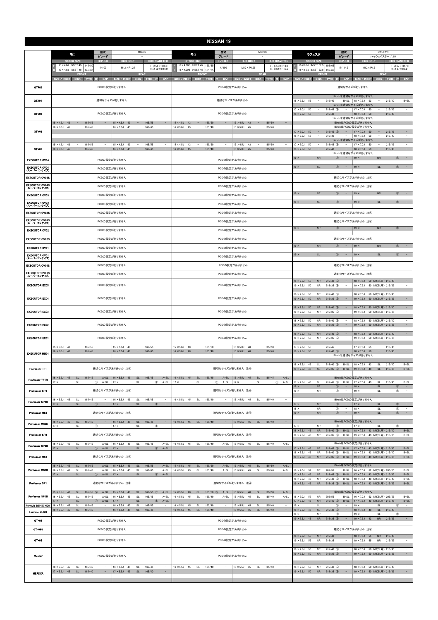| <b>NISSAN 19</b>                               |                                                                                                                                                                                                                                                                                                                                    |                                                                                                                                                                                                                                                                                        |                                                                                                                                                                                                                                                                                                                            |  |  |  |  |  |  |  |  |  |
|------------------------------------------------|------------------------------------------------------------------------------------------------------------------------------------------------------------------------------------------------------------------------------------------------------------------------------------------------------------------------------------|----------------------------------------------------------------------------------------------------------------------------------------------------------------------------------------------------------------------------------------------------------------------------------------|----------------------------------------------------------------------------------------------------------------------------------------------------------------------------------------------------------------------------------------------------------------------------------------------------------------------------|--|--|--|--|--|--|--|--|--|
|                                                | 型式<br>MG33S<br>モコ<br>グレード                                                                                                                                                                                                                                                                                                          | 型式<br><b>MG22S</b><br>÷.<br>グレード                                                                                                                                                                                                                                                       | 型式<br>CWEFWN<br>ラフェスタ<br>グレード<br>ハイウェイスター / 2.0                                                                                                                                                                                                                                                                            |  |  |  |  |  |  |  |  |  |
|                                                | <b>STOCK SIZE</b><br>$H/P$ .C.D<br><b>HUB BOLT</b><br><b>HUB DIAMETER</b><br>13 × 4.0J INSET 45 145/80<br>$F: \phi 54 \times H13.0$                                                                                                                                                                                                | <b>STOCK SIZE</b><br>$H/P$ .C.D<br><b>HUB BOLT</b><br><b>HUB DIAMETER</b><br>13 × 4.00B INSET 45 155/65<br>E<br>$F: \phi 54 \times H13.0$                                                                                                                                              | <b>STOCK SIZE</b><br>$H/P$ .C.D<br><b>HUB BOLT</b><br><b>HUB DIAMETER</b><br>15 × 6.0J INSET 52.5 195/65<br>$F: \phi 67 \times H17.0$                                                                                                                                                                                      |  |  |  |  |  |  |  |  |  |
|                                                | $M12 \times P1.25$<br>4/100<br>$R: \phi$ 52 × H16.0<br>13 × 4.0J INSET 45<br>145/80<br><b>REAR</b><br><b>FRON</b>                                                                                                                                                                                                                  | 4/100<br>$M12 \times P1.25$<br>$R: \phi$ 52 × H15.5<br><b>R</b><br>13 × 4.00B INSET 45<br>155/65<br><b>REAR</b><br><b>FRON</b>                                                                                                                                                         | 5/114.3<br>$M12 \times P1.5$<br>$R: \phi$ 67 $\times$ H8.2<br>15 × 6.0J INSET 52.5<br>195/65<br><b>REAR</b><br><b>FRON</b>                                                                                                                                                                                                 |  |  |  |  |  |  |  |  |  |
|                                                | SIZE / INSET<br>CAP<br>DISK TYRE 注<br>CAP<br>DISK TYRE<br>SIZE / INSET                                                                                                                                                                                                                                                             | CAP<br>SIZE / INSET<br>DISK TYRE 注<br>CAP<br>DISK TYRE 注<br>SIZE / INSET                                                                                                                                                                                                               | <b>CAP</b><br>SIZE / INSET<br>DISK TYRE 注<br>CAP<br>SIZE / INSET<br>DISK TYRE 注<br>適切なサイズがありません                                                                                                                                                                                                                            |  |  |  |  |  |  |  |  |  |
| GTF01                                          | PCDの設定がありません                                                                                                                                                                                                                                                                                                                       | PCDの設定がありません                                                                                                                                                                                                                                                                           | 17inchは適切なサイズがありません                                                                                                                                                                                                                                                                                                        |  |  |  |  |  |  |  |  |  |
| GTX01                                          | 適切なサイズがありません                                                                                                                                                                                                                                                                                                                       | 適切なサイズがありません                                                                                                                                                                                                                                                                           | $18 \times 7.5$ J<br>53<br>$\overline{\phantom{a}}$<br>215/40<br>$B-SL$<br>$18 \times 7.5$ J 53<br>215/40<br>$B-SL$<br>$\sim$<br>19inchは適切なサイズがありません<br>$17 \times 7.0$ J<br>50<br>$215/45$ (5)<br>$17 \times 7.0$ J<br>50<br>215/45<br>$\sim$<br>$\overline{\phantom{a}}$                                                 |  |  |  |  |  |  |  |  |  |
| GTV03                                          | PCDの設定がありません                                                                                                                                                                                                                                                                                                                       | PCDの設定がありません                                                                                                                                                                                                                                                                           | $18 \times 7.5$ J 53<br>$\hspace{0.1mm}-\hspace{0.1mm}$<br>215/40<br>$18 \times 7.5$ J 53<br>$\equiv$<br>215/40<br>$\sim$<br>$-$<br>19inchは適切なサイズがありません                                                                                                                                                                    |  |  |  |  |  |  |  |  |  |
| GTV02                                          | $15 \times 4.5$ J 43<br>165/55<br>$15 \times 4.5$ J<br>165/55<br>43<br>$\sim$<br>$\overline{\phantom{a}}$<br>$\overline{\phantom{a}}$<br>$\qquad \qquad -$<br>$16 \times 5.0$ J<br>165/45<br>45<br>165/45<br>$16 \times 5.0$ J<br>45<br>$\sim$<br>$\overline{\phantom{a}}$<br>$\overline{\phantom{a}}$<br>$\overline{\phantom{a}}$ | $15 \times 4.5$ J<br>165/50<br>$15 \times 4.5$ J<br>43<br>43<br>165/50<br>$\overline{\phantom{a}}$<br>$\overline{\phantom{a}}$<br>$\sim$<br>$16 \times 5.0$ J<br>165/40<br>$16 \times 5.0$ J<br>45<br>165/40<br>45<br>$\sim$<br>$\sim$<br>$\overline{\phantom{a}}$                     | 15inchはPCDの設定がありません<br>16inchはPCDの設定がありません<br>$215/45$ (5)<br>$17 \times 7.0$ J<br>215/45<br>$17 \times 7.0$ J<br>50<br>$\sim$<br>50<br>$\overline{\phantom{a}}$<br>$\sim$<br>215/40<br>$18 \times 7.5$ J<br>$18 \times 7.5J$<br>53<br>215/40<br>$\sim$<br>53<br>$\overline{\phantom{a}}$<br>$\sim$<br>19inchは適切なサイズがありません |  |  |  |  |  |  |  |  |  |
| GTV01                                          | $15 \times 4.5$ J 43<br>$\sim$<br>165/55<br>$15 \times 4.5$ J<br>43<br>165/55<br>$\overline{\phantom{a}}$<br>$16 \times 5.0$ J<br>45<br>$\sim$<br>165/45<br>۳.<br>$16 \times 5.0$ J<br>45<br>$\overline{\phantom{a}}$<br>165/45<br>$\overline{\phantom{a}}$                                                                        | $15 \times 4.5$ J<br>43<br>$\overline{\phantom{a}}$<br>165/50<br>$15 \times 4.5$ J<br>43<br>165/50<br>$\overline{\phantom{a}}$<br>$\overline{\phantom{a}}$<br>$16 \times 5.0$ J<br>45<br>$\equiv$<br>165/40<br>$\overline{\phantom{a}}$<br>$16 \times 5.0$ J<br>45<br>$\sim$<br>165/40 | $17 \times 7.0$ J<br>215/45<br>$\sim$<br>$17 \times 7.0$ J<br>50<br>$\overline{\phantom{a}}$<br>$215/45$ (5)<br>50<br>$\overline{\phantom{a}}$<br>$\equiv$<br>$18 \times 7.5J$<br>53<br>$\overline{\phantom{a}}$<br>215/40<br>$\equiv$<br>$18 \times 7.5J$<br>$\sim$<br>215/40<br>53<br>19inchは適切なサイズがありません                |  |  |  |  |  |  |  |  |  |
| <b>EXECUTOR CV04</b>                           | PCDの設定がありません                                                                                                                                                                                                                                                                                                                       | PCDの設定がありません                                                                                                                                                                                                                                                                           | $\mathcal{L} = \mathcal{L}$<br><b>NR</b><br>$\circled{1}$<br>$\sim$<br>$19 \times$<br><b>NR</b><br>$\circled{1}$<br>$19 \times$                                                                                                                                                                                            |  |  |  |  |  |  |  |  |  |
| <b>EXECUTOR CV04</b><br>(スーパーコンケイブ)            | PCDの設定がありません                                                                                                                                                                                                                                                                                                                       | PCDの設定がありません                                                                                                                                                                                                                                                                           | $19 \times$<br><b>SL</b><br>$\circ$<br><b>SL</b><br>$\circled{1}$<br>$\sim$<br>$\sim$<br>$19 \times$                                                                                                                                                                                                                       |  |  |  |  |  |  |  |  |  |
| <b>EXECUTOR CV04S</b>                          | PCDの設定がありません                                                                                                                                                                                                                                                                                                                       | PCDの設定がありません                                                                                                                                                                                                                                                                           | 適切なサイズがありません 注4                                                                                                                                                                                                                                                                                                            |  |  |  |  |  |  |  |  |  |
| <b>EXECUTOR CV04S</b><br>(スーパーコンケイブ)           | PCDの設定がありません                                                                                                                                                                                                                                                                                                                       | PCDの設定がありません                                                                                                                                                                                                                                                                           | 適切なサイズがありません 注4                                                                                                                                                                                                                                                                                                            |  |  |  |  |  |  |  |  |  |
| <b>EXECUTOR CV03</b>                           | PCDの設定がありません                                                                                                                                                                                                                                                                                                                       | PCDの設定がありません                                                                                                                                                                                                                                                                           | ${\sf NR}$<br>${\sf NR}$<br>$\circled{1}$<br>$19 \times$<br>$\circled{1}$<br>$\sim$<br>$19 \times$<br>$\alpha=1$                                                                                                                                                                                                           |  |  |  |  |  |  |  |  |  |
| <b>EXECUTOR CV03</b><br>(スーパーコンケイブ)            | PCDの設定がありません                                                                                                                                                                                                                                                                                                                       | PCDの設定がありません                                                                                                                                                                                                                                                                           | <b>SL</b><br><b>SL</b><br>$19 \times$<br>$\circled{1}$<br>$19 \times$<br>$\circled{1}$<br>$\hspace{0.1mm}-\hspace{0.1mm}$                                                                                                                                                                                                  |  |  |  |  |  |  |  |  |  |
| <b>EXECUTOR CV03S</b>                          | PCDの設定がありません                                                                                                                                                                                                                                                                                                                       | PCDの設定がありません                                                                                                                                                                                                                                                                           | 適切なサイズがありません 注4                                                                                                                                                                                                                                                                                                            |  |  |  |  |  |  |  |  |  |
| <b>EXECUTOR CV03S</b><br>(スーパーコンケイブ)           | PCDの設定がありません                                                                                                                                                                                                                                                                                                                       | PCDの設定がありません                                                                                                                                                                                                                                                                           | 適切なサイズがありません 注4<br>$\sim 10^{-1}$<br><b>NR</b><br>$\circled{1}$<br><b>NR</b><br>$\circled{1}$<br>$\sim$<br>$19 \times$<br>$19 \times$                                                                                                                                                                                      |  |  |  |  |  |  |  |  |  |
| <b>EXECUTOR CV02</b>                           | PCDの設定がありません                                                                                                                                                                                                                                                                                                                       | PCDの設定がありません                                                                                                                                                                                                                                                                           |                                                                                                                                                                                                                                                                                                                            |  |  |  |  |  |  |  |  |  |
| <b>EXECUTOR CV02S</b>                          | PCDの設定がありません                                                                                                                                                                                                                                                                                                                       | PCDの設定がありません                                                                                                                                                                                                                                                                           | 適切なサイズがありません 注4<br>$19 \times$<br>${\sf NR}$<br>$\circled{1}$<br>$19 \times$<br><b>NR</b><br>$\circled{1}$<br>$\sim$                                                                                                                                                                                                       |  |  |  |  |  |  |  |  |  |
| <b>EXECUTOR CV01</b><br><b>EXECUTOR CV01</b>   | PCDの設定がありません                                                                                                                                                                                                                                                                                                                       | PCDの設定がありません                                                                                                                                                                                                                                                                           | $19 \times$<br><b>SL</b><br>$\circled{1}$<br>$\sim$<br>$19 \times$<br>SL<br>$\circled{1}$<br>$\sim$ $-$                                                                                                                                                                                                                    |  |  |  |  |  |  |  |  |  |
| (スーパーコンケイブ)                                    | PCDの設定がありません                                                                                                                                                                                                                                                                                                                       | PCDの設定がありません                                                                                                                                                                                                                                                                           |                                                                                                                                                                                                                                                                                                                            |  |  |  |  |  |  |  |  |  |
| <b>EXECUTOR CV01S</b><br><b>EXECUTOR CV01S</b> | PCDの設定がありません                                                                                                                                                                                                                                                                                                                       | PCDの設定がありません                                                                                                                                                                                                                                                                           | 適切なサイズがありません 注4                                                                                                                                                                                                                                                                                                            |  |  |  |  |  |  |  |  |  |
| (スーパーコンケイブ)                                    | PCDの設定がありません                                                                                                                                                                                                                                                                                                                       | PCDの設定がありません                                                                                                                                                                                                                                                                           | 適切なサイズがありません 注4<br>$18 \times 7.5$ J<br>50<br><b>NR</b><br>215/40<br>$18 \times 7.5$ J<br>50 NR(SL可) 215/40<br>$\circ$                                                                                                                                                                                                     |  |  |  |  |  |  |  |  |  |
| <b>EXECUTOR EX05</b>                           | PCDの設定がありません                                                                                                                                                                                                                                                                                                                       | PCDの設定がありません                                                                                                                                                                                                                                                                           | $19 \times 7.5$ J<br>50<br><b>NR</b><br>$215/35$ (5)<br>19 × 7.5J 50 NR(SL可) 215/35<br>$\overline{\phantom{a}}$<br>$\overline{\phantom{a}}$<br>$18 \times 7.5J$<br><b>NR</b><br>$215/40$ (5)<br>$18 \times 7.5$ J<br>50 NR(SL可) 215/40<br>$\sim$<br>50                                                                     |  |  |  |  |  |  |  |  |  |
| <b>EXECUTOR EX04</b>                           | PCDの設定がありません                                                                                                                                                                                                                                                                                                                       | PCDの設定がありません                                                                                                                                                                                                                                                                           | $\sim$<br>$19 \times 7.5$ J<br>50<br><b>NR</b><br>$215/35$ (5)<br>19 × 7.5J 50 NR(SL可) 215/35<br>$\overline{\phantom{a}}$<br>$18 \times 7.5$ J 50<br>${\sf NR}$<br>215/40 5<br>18 × 7.5J 50 NR(SL可) 215/40                                                                                                                 |  |  |  |  |  |  |  |  |  |
| <b>EXECUTOR EX03</b>                           | PCDの設定がありません                                                                                                                                                                                                                                                                                                                       | PCDの設定がありません                                                                                                                                                                                                                                                                           | 19 × 7.5J 50 NR(SL可) 215/35<br>$19 \times 7.5$ J<br>50<br><b>NR</b><br>$215/35$ (5)<br>$\sim$<br>$\sim$<br>$215/40$ (5)<br>18 × 7.5J 50 NR(SL可) 215/40<br>$18 \times 7.5$ J<br>50<br><b>NR</b>                                                                                                                             |  |  |  |  |  |  |  |  |  |
| <b>EXECUTOR EX02</b>                           | PCDの設定がありません                                                                                                                                                                                                                                                                                                                       | PCDの設定がありません                                                                                                                                                                                                                                                                           | $19 \times 7.5$ J 50<br>${\sf NR}$<br>$215/35$ (5)<br>$\sim$<br>19 × 7.5J 50 NR(SL可) 215/35<br>$18 \times 7.5$ J 50<br><b>NR</b><br>$215/40$ (5)<br>18 × 7.5J 50 NR(SL可) 215/40<br>$\sim$<br>$\sim$                                                                                                                        |  |  |  |  |  |  |  |  |  |
| <b>EXECUTOR EX01</b>                           | PCDの設定がありません<br>$15 \times 5.0$ J 48<br>165/55<br>$15 \times 5.0$ J 48<br>165/55<br>$\overline{\phantom{a}}$                                                                                                                                                                                                                       | PCDの設定がありません<br>$15 \times 5.0$ J 48<br>165/50<br>$15 \times 5.0$ J<br>165/50<br>$\sim$<br>48                                                                                                                                                                                          | $19 \times 7.5$ J<br>50<br><b>NR</b><br>$215/35$ 5<br>19 × 7.5J 50 NR(SL可) 215/35<br>$\sim$<br>$17 \times 7.0$ J 55<br>215/45<br>$17 \times 7.0$ J<br>215/45<br>$\sim$<br>$\sim$<br>55<br>$\sim$                                                                                                                           |  |  |  |  |  |  |  |  |  |
| <b>EXECUTOR MB01</b>                           | $16 \times 5.0$ J 48<br>$16 \times 5.0$ J 48<br>$\sim$<br>165/45<br>$\sim$<br>$\sim$<br>165/45<br>$\overline{\phantom{a}}$                                                                                                                                                                                                         | $16 \times 5.0$ J 48<br>$16 \times 5.0$ J 48<br>$\sim$<br>165/40<br>$\sim$<br>165/40<br>$\sim$<br>$\sim$                                                                                                                                                                               | $\overline{\phantom{a}}$<br>$18 \times 7.5$ J 50<br>$\sim$<br>$215/40$ 5<br>$\sim$<br>$18 \times 7.5$ J 50<br>$\sim$<br>215/40<br>19inchは適切なサイズがありません<br>$B-SL$<br>$18 \times 7.5$ J<br>43<br>SL<br>$215/40$ (6)<br>$B-SL$<br>$18 \times 7.5$ J<br>43<br><b>SL</b><br>215/40                                               |  |  |  |  |  |  |  |  |  |
| Professor TF1                                  | 適切なサイズがありません 注4                                                                                                                                                                                                                                                                                                                    | 適切なサイズがありません 注4                                                                                                                                                                                                                                                                        | $19 \times 7.5$ J 43<br>SL<br>$215/35$ 6<br>$B-SL$<br>$19 \times 7.5$ J<br>43<br>SL<br>215/35<br>$B-SL$                                                                                                                                                                                                                    |  |  |  |  |  |  |  |  |  |
| Professor TF1R                                 | $16 \times 5.5$ J 45<br>$16 \times 5.5$ J 45<br><b>SL</b><br>165/45<br>$A-SL$<br>SL<br>165/45<br>$A-SL$<br>$\circledcirc$<br>$A-SL$<br>$17 \times$<br>$\circledcirc$<br>$A-SL$<br>$17 \times$<br>SL<br>SL                                                                                                                          | 165/45<br>$A-SL$<br>$16 \times 5.5$ J 45<br>$\mathsf{SL}% _{2}\left( \mathbb{Z}\right)$<br>165/45<br>$A-SL$<br>$16 \times 5.5$ J<br>45<br><b>SL</b><br>$\circledcirc$<br>$\circled{1}$ A-SL<br>$17 \times$<br>SL<br>$A-SL$<br>$17 \times$<br>SL                                        | 16inchはPCDの設定がありません<br>$215/45$ 6<br>$17 \times 7.5$ J<br>$\mathsf{SL}% _{2}\left( \mathbb{Z}\right)$<br>215/45<br>$B-SL$<br>$17 \times 7.5$ J 43<br>SL<br>$B-SL$<br>43                                                                                                                                                    |  |  |  |  |  |  |  |  |  |
| Professor SP4                                  | 適切なサイズがありません 注4                                                                                                                                                                                                                                                                                                                    | 適切なサイズがありません 注4                                                                                                                                                                                                                                                                        | <b>SL</b><br>$18 \times$<br><b>NR</b><br><b>T</b><br>$18 \times$<br>(1)<br>$\sim$<br>$19 \times$<br>$\circled{1}$<br><b>NR</b><br>$\circledcirc$<br>$\sim$<br>$19 \times$<br><b>SL</b><br>$\overline{\phantom{a}}$                                                                                                         |  |  |  |  |  |  |  |  |  |
| Professor SP4R                                 | $16 \times 5.5$ J 45<br>SL<br>$16 \times 5.5$ J 45<br><b>SL</b><br>165/45<br>$\sim$<br>165/45<br>$\sim$<br><b>SL</b><br>$17 \times$<br>$\circled{1}$ $\circ$<br>$ 17 \times$<br><b>SL</b><br>$\circled{1}$<br>$\sim$ $-$                                                                                                           | $16 \times 5.5$ J 45<br><b>SL</b><br>165/40<br>$16 \times 5.5$ J 45<br><b>SL</b><br>165/40<br>$\hspace{0.1mm}-\hspace{0.1mm}$<br>$\sim$                                                                                                                                                | 16inchはPCDの設定がありません<br>$17 \times$<br><b>NR</b><br>$\circled{1}$<br>$17 \times$<br>$\mathsf{SL}% _{2}\left( \mathbb{Z}\right)$<br>$\circled{1}$<br>$\sim$<br>$\sim$                                                                                                                                                        |  |  |  |  |  |  |  |  |  |
| Professor MS3                                  | 適切なサイズがありません 注4                                                                                                                                                                                                                                                                                                                    | 適切なサイズがありません 注4                                                                                                                                                                                                                                                                        | $\circled{1}$<br>$\circled{1}$<br>$\sim$<br>$18 \times$<br><b>NR</b><br><b>SL</b><br>$\overline{\phantom{a}}$<br>$18 \times$<br>SL<br>$\circled{1}$<br>$\sim$<br>$19 \times$<br><b>NR</b><br>$\circled{1}$<br>$\sim$<br>$19 \times$                                                                                        |  |  |  |  |  |  |  |  |  |
| Professor MS3R                                 | $16 \times 5.5$ J 45<br>SL<br>165/45<br>$16 \times 5.5$ J 45<br>SL<br>165/45<br>$\overline{\phantom{a}}$<br>-<br>$17 \times$<br>SL<br>$\circled{1}$<br>$\sim$<br>$17 \times$<br><b>SL</b><br>$\circled{1}$<br>$\sim$                                                                                                               | $16 \times 5.5$ J 45<br><b>SL</b><br>165/40<br>$16 \times 5.5$ J 45<br>SL<br>165/40                                                                                                                                                                                                    | 16inchはPCDの設定がありません<br>$17 \times$<br>$\circled{1}$<br>$17 \times$<br>$\circled{1}$<br><b>NR</b><br>$\sim$<br><b>SL</b>                                                                                                                                                                                                    |  |  |  |  |  |  |  |  |  |
| Professor SP3                                  | 適切なサイズがありません 注4                                                                                                                                                                                                                                                                                                                    | 適切なサイズがありません 注4                                                                                                                                                                                                                                                                        | $18 \times 7.5J$<br>43<br><b>NR</b><br>$215/40$ (6)<br>$B-SL$<br>18 × 7.5J 43 NR(SL可) 215/40<br>$B-SL$<br><b>NR</b><br>19 × 7.5J 43 NR(SL可) 215/35<br>$B-SL$<br>$19 \times 7.5$ J<br>43<br>$215/35$ (6)<br>$B-SL$                                                                                                          |  |  |  |  |  |  |  |  |  |
| Professor SP3R                                 | $16 \times 5.5$ J 45<br><b>SL</b><br>165/45<br>$A-SL$<br>$16 \times 5.5$ J<br>45<br><b>SL</b><br>165/45<br>$A-SL$<br>$17 \times$<br><b>SL</b><br>$\circled{1}$ A-SL   17 x<br><b>SL</b><br>$\circled{1}$<br>$A-SL$                                                                                                                 | $16 \times 5.5$ J 45<br><b>SL</b><br>165/40<br>$A-SL$<br>$16 \times 5.5$ J 45<br><b>SL</b><br>165/40<br>$A-SL$                                                                                                                                                                         | 16inchはPCDの設定がありません<br>$17 \times 7.5$ J 43<br><b>NR</b><br>$215/45$ (6)<br>B-SL   17 × 7.5J 43 NR(SL可) 215/45<br>$B-SL$                                                                                                                                                                                                   |  |  |  |  |  |  |  |  |  |
| Professor MS1                                  | 適切なサイズがありません 注4                                                                                                                                                                                                                                                                                                                    | 適切なサイズがありません 注4                                                                                                                                                                                                                                                                        | $B-SL$<br>$18 \times 7.5$ J<br>43<br><b>NR</b><br>$215/40$ (6)<br>$B-SL$<br>$18 \times 7.5J$<br>43 NR(SL可) 215/40<br>$19 \times 7.5$ J 43<br><b>NR</b><br>$215/35$ 6<br>$B-SL$<br>19 × 7.5J 43 NR(SL可) 215/35<br>$B-SL$                                                                                                    |  |  |  |  |  |  |  |  |  |
| <b>Professor MS1R</b>                          | $15 \times 5.5$ J 45<br>SL<br>165/55<br>A-SL $15 \times 5.5$ J 45<br>SL<br>165/55<br>$A-SL$<br>$16 \times 5.5$ J<br>45<br><b>SL</b><br>165/45<br>$A-SL$<br>$16 \times 5.5$ J<br>45<br>SL<br>165/45<br>$A-SL$<br>$17 \times$<br><b>SL</b><br>$\circled{1}$ A-SL   17 x<br>SL<br>$\circled{1}$ A-SL                                  | $15 \times 5.5$ J 45<br>SL<br>165/50<br>$A-SL$<br>$15 \times 5.5$ J 45<br><b>SL</b><br>165/50<br>$A-SL$<br>$16 \times 5.5$ J<br>45<br><b>SL</b><br>165/40<br>$A-SL$<br>$16 \times 5.5$ J 45<br><b>SL</b><br>165/40<br>$A-SL$                                                           | 15inchはPCDの設定がありません<br>$16 \times 7.0$ J<br>52<br><b>NR</b><br>205/55<br>$B-SL$<br>16 × 7.0J 52 NR(SL可) 205/55<br>$B-SL$<br>$17 \times 7.5$ J<br>43<br><b>NR</b><br>$215/45$ (6)<br>$B-SL$<br>17 × 7.5J 43 NR(SL可) 215/45<br>$B-SL$                                                                                        |  |  |  |  |  |  |  |  |  |
| Professor SP1                                  | 適切なサイズがありません 注4                                                                                                                                                                                                                                                                                                                    | 適切なサイズがありません 注4                                                                                                                                                                                                                                                                        | $B-SL$<br>$18 \times 7.5J$<br>43<br><b>NR</b><br>$215/40$ (6)<br>$B-SL$<br>$18 \times 7.5$ J<br>43 NR(SL可) 215/40<br>$215/35$ 6<br>$19 \times 7.5$ J 43<br><b>NR</b><br>$B-SL$<br>19 × 7.5J 43 NR(SL可) 215/35<br>$B-SL$                                                                                                    |  |  |  |  |  |  |  |  |  |
| Professor SP1R                                 | $15 \times 5.5$ J<br>165/55 5<br>165/55 5<br>40<br>SL<br>$A-SL$<br>$15 \times 5.5$ J<br>40<br>$A-SL$<br><b>SL</b><br>$16 \times 5.5$ J<br>45<br>SL<br>165/45<br>165/45<br>$A-SL$<br>$16 \times 5.5$ J<br>45<br><b>SL</b><br>$A-SI$                                                                                                 | $15 \times 5.5$ J<br>40<br>$\mathsf{SL}% _{2}\left( \mathbb{Z}\right)$<br>165/50 5<br>$15 \times 5.5$ J<br>165/50<br>$A-SL$<br>40<br><b>SL</b><br>$A-SL$<br>165/40<br>$16 \times 5.5$ J<br>45<br><b>SL</b><br>165/40<br>$16 \times 5.5$ J<br>45<br><b>SL</b><br>$A-SL$<br>$A-SL$       | 15inchはPCDの設定がありません<br>$16 \times 7.0J$<br>52<br>205/55<br>52 NR(SL可) 205/55<br>$B-SL$<br><b>NR</b><br>$B-SL$<br>$16 \times 7.0$ J                                                                                                                                                                                         |  |  |  |  |  |  |  |  |  |
| Formula MK-III NEO                             | <b>SL</b><br>$A-SL$<br>$17 \times$<br><b>SL</b><br>$\circled{1}$<br>$A-SL$<br>$17 \times$<br>$\circ$<br>$16 \times 5.5$ J 45<br>SL<br>165/45<br>$16 \times 5.5$ J 45<br>165/45<br>$\sim$<br><b>SL</b><br>$\sim$                                                                                                                    | $16 \times 5.5$ J<br>165/40<br>$16 \times 5.5$ J 45<br>165/40<br>45<br>SL<br>$\sim$<br><b>SL</b><br>$\sim$                                                                                                                                                                             | $215/45$ (6)<br>17 × 7.5J 43 NR(SL可) 215/45<br>$B-SL$<br>$17 \times 7.5$ J 43<br><b>NR</b><br>$B-SL$<br>$\sim$<br>$19 \times$<br><b>SL</b><br>$\circled{1}$<br>$19 \times$<br><b>SL</b><br>$\circled{1}$                                                                                                                   |  |  |  |  |  |  |  |  |  |
| Formula MESH                                   | $\sim$<br>$16 \times 5.5$ J 45<br>SL<br>165/45<br>$16 \times 5.5$ J 45<br>SL<br>165/45<br>$\equiv$                                                                                                                                                                                                                                 | $\sim$<br>$16 \times 5.5$ J 45<br>SL<br>165/40<br>$16 \times 5.5$ J 45<br>SL<br>165/40<br>$\equiv$                                                                                                                                                                                     | $\sim$<br>$18 \times 7.5$ J 43<br>SL<br>$215/40$ (6)<br>$18 \times 7.5$ J 43<br>SL<br>215/40<br>$\overline{\phantom{a}}$<br><b>NR</b><br>$\circled{1}$<br>$19 \times$<br>$\overline{\phantom{a}}$<br>$19 \times$<br>$\overline{\phantom{a}}$<br><b>SL</b><br>O                                                             |  |  |  |  |  |  |  |  |  |
| GT-04                                          | PCDの設定がありません                                                                                                                                                                                                                                                                                                                       | PCDの設定がありません                                                                                                                                                                                                                                                                           | $\sim$<br>$19 \times 7.5$ J 43<br><b>NR</b><br>$215/35$ (6)<br>$19 \times 7.5$ J 43<br><b>NR</b><br>215/35<br>$\sim$                                                                                                                                                                                                       |  |  |  |  |  |  |  |  |  |
| GT-04S                                         | PCDの設定がありません                                                                                                                                                                                                                                                                                                                       | PCDの設定がありません                                                                                                                                                                                                                                                                           | 適切なサイズがありません 注4                                                                                                                                                                                                                                                                                                            |  |  |  |  |  |  |  |  |  |
| $GT-03$                                        | PCDの設定がありません                                                                                                                                                                                                                                                                                                                       | PCDの設定がありません                                                                                                                                                                                                                                                                           | $18 \times 7.5$ J<br>55<br><b>NR</b><br>215/40<br>$\sim$<br>$18 \times 7.5$ J<br>55<br><b>NR</b><br>215/40<br>$\sim$<br>$19 \times 7.5$ J<br>55<br><b>NR</b><br>215/35<br>$19 \times 7.5$ J<br>55<br><b>NR</b><br>215/35                                                                                                   |  |  |  |  |  |  |  |  |  |
| Mueller                                        | PCDの設定がありません                                                                                                                                                                                                                                                                                                                       | PCDの設定がありません                                                                                                                                                                                                                                                                           | $18 \times 7.5$ J<br>50<br><b>NR</b><br>$215/40$ (5)<br>18 × 7.5J 50 NR(SL可) 215/40<br>$\sim$<br>$\sim$<br>$19 \times 7.5$ J 50<br>$215/35$ (5)<br><b>NR</b><br>$\sim$<br>19 × 7.5J 50 NR(SL可) 215/35<br>$\sim$                                                                                                            |  |  |  |  |  |  |  |  |  |
| <b>MERISIA</b>                                 | $16 \times 5.5$ J<br>$16 \times 5.5$ J<br>45<br>SL<br>165/45<br>45<br><b>SL</b><br>165/45<br>$\sim$<br>17 × 5.5J 45 SL<br>17 × 5.5J 45 SL<br>165/40<br>165/40<br>$\equiv$<br>$\sim$                                                                                                                                                | $16 \times 5.5$ J 45<br><b>SL</b><br>165/40<br>$16 \times 5.5$ J 45<br><b>SL</b><br>165/40                                                                                                                                                                                             | $\sim$<br>$18 \times 7.5$ J<br>50<br><b>NR</b><br>$215/40$ (5)<br>18 × 7.5J 50 NR(SL可) 215/40<br>$\sim$<br>19 × 7.5J 50 NR 215/35 5 -<br>19 × 7.5J 50 NR(SL可) 215/35                                                                                                                                                       |  |  |  |  |  |  |  |  |  |